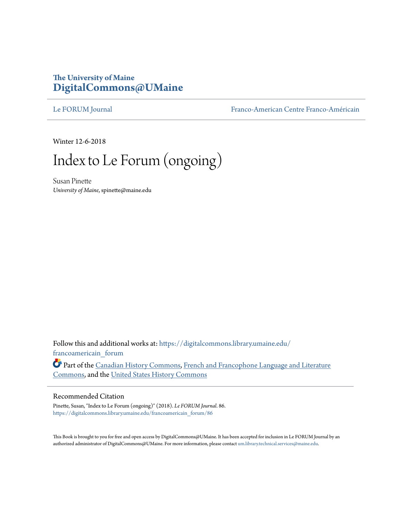## **The University of Maine [DigitalCommons@UMaine](https://digitalcommons.library.umaine.edu?utm_source=digitalcommons.library.umaine.edu%2Ffrancoamericain_forum%2F86&utm_medium=PDF&utm_campaign=PDFCoverPages)**

[Le FORUM Journal](https://digitalcommons.library.umaine.edu/francoamericain_forum?utm_source=digitalcommons.library.umaine.edu%2Ffrancoamericain_forum%2F86&utm_medium=PDF&utm_campaign=PDFCoverPages) [Franco-American Centre Franco-Américain](https://digitalcommons.library.umaine.edu/francoamericain?utm_source=digitalcommons.library.umaine.edu%2Ffrancoamericain_forum%2F86&utm_medium=PDF&utm_campaign=PDFCoverPages)

Winter 12-6-2018

# Index to Le Forum (ongoing)

Susan Pinette *University of Maine*, spinette@maine.edu

Follow this and additional works at: [https://digitalcommons.library.umaine.edu/](https://digitalcommons.library.umaine.edu/francoamericain_forum?utm_source=digitalcommons.library.umaine.edu%2Ffrancoamericain_forum%2F86&utm_medium=PDF&utm_campaign=PDFCoverPages) [francoamericain\\_forum](https://digitalcommons.library.umaine.edu/francoamericain_forum?utm_source=digitalcommons.library.umaine.edu%2Ffrancoamericain_forum%2F86&utm_medium=PDF&utm_campaign=PDFCoverPages)

Part of the [Canadian History Commons,](http://network.bepress.com/hgg/discipline/1358?utm_source=digitalcommons.library.umaine.edu%2Ffrancoamericain_forum%2F86&utm_medium=PDF&utm_campaign=PDFCoverPages) [French and Francophone Language and Literature](http://network.bepress.com/hgg/discipline/463?utm_source=digitalcommons.library.umaine.edu%2Ffrancoamericain_forum%2F86&utm_medium=PDF&utm_campaign=PDFCoverPages) [Commons,](http://network.bepress.com/hgg/discipline/463?utm_source=digitalcommons.library.umaine.edu%2Ffrancoamericain_forum%2F86&utm_medium=PDF&utm_campaign=PDFCoverPages) and the [United States History Commons](http://network.bepress.com/hgg/discipline/495?utm_source=digitalcommons.library.umaine.edu%2Ffrancoamericain_forum%2F86&utm_medium=PDF&utm_campaign=PDFCoverPages)

### Recommended Citation

Pinette, Susan, "Index to Le Forum (ongoing)" (2018). *Le FORUM Journal*. 86. [https://digitalcommons.library.umaine.edu/francoamericain\\_forum/86](https://digitalcommons.library.umaine.edu/francoamericain_forum/86?utm_source=digitalcommons.library.umaine.edu%2Ffrancoamericain_forum%2F86&utm_medium=PDF&utm_campaign=PDFCoverPages)

This Book is brought to you for free and open access by DigitalCommons@UMaine. It has been accepted for inclusion in Le FORUM Journal by an authorized administrator of DigitalCommons@UMaine. For more information, please contact [um.library.technical.services@maine.edu.](mailto:um.library.technical.services@maine.edu)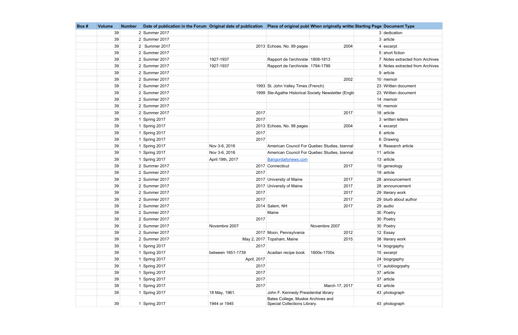| Box# | <b>Volume</b> | <b>Number</b> | Date of publication in the Forum Original date of publication   Place of original publ When originally writte Starting Page   Document Type |                   |                                                                    |                                                        |                                 |
|------|---------------|---------------|---------------------------------------------------------------------------------------------------------------------------------------------|-------------------|--------------------------------------------------------------------|--------------------------------------------------------|---------------------------------|
|      | 39            |               | 2 Summer 2017                                                                                                                               |                   |                                                                    |                                                        | 3 dedication                    |
|      | 39            |               | $2$ Summer 2017                                                                                                                             |                   |                                                                    |                                                        | $3$ article                     |
|      | 39            |               | 2 Summer 2017                                                                                                                               |                   | 2013 Echoes, No. 99 pages                                          | 2004                                                   | $4$ excerpt                     |
|      | 39            |               | 2 Summer 2017                                                                                                                               |                   |                                                                    |                                                        | 5 short fiction                 |
|      | 39            |               | 2 Summer 2017                                                                                                                               | 1927-1937         | Rapport de l'archiviste 1808-1813                                  |                                                        | 7 Notes extracted from Archives |
|      | 39            |               | 2 Summer 2017                                                                                                                               | 1927-1937         | Rapport de l'archiviste 1794-1799                                  |                                                        | 8 Notes extracted from Archives |
|      | 39            |               | 2 Summer 2017                                                                                                                               |                   |                                                                    |                                                        | $9$ article                     |
|      | 39            |               | 2 Summer 2017                                                                                                                               |                   |                                                                    | 2002                                                   | 10 memoir                       |
|      | 39            |               | 2 Summer 2017                                                                                                                               |                   | 1993 St. John Valley Times (French)                                |                                                        | 23 Written document             |
|      | 39            |               | 2 Summer 2017                                                                                                                               |                   |                                                                    | 1999 Ste-Agathe Historical Society Newsletter (Englist | 23 Written document             |
|      | 39            |               | 2 Summer 2017                                                                                                                               |                   |                                                                    |                                                        | 14 memoir                       |
|      | 39            |               | $2$ Summer 2017                                                                                                                             |                   |                                                                    |                                                        | 16 memoir                       |
|      | 39            |               | 2 Summer 2017                                                                                                                               | 2017              |                                                                    | 2017                                                   | 18 article                      |
|      | 39            |               | 1 Spring 2017                                                                                                                               | 2017              |                                                                    |                                                        | 3 written letters               |
|      | 39            |               | 1 Spring 2017                                                                                                                               |                   | 2013 Echoes, No. 98 pages                                          | 2004                                                   | $4$ excerpt                     |
|      | 39            |               | 1 Spring 2017                                                                                                                               | 2017              |                                                                    |                                                        | 6 article                       |
|      | 39            |               | 1 Spring 2017                                                                                                                               | 2017              |                                                                    |                                                        | 6 Drawing                       |
|      | 39            |               | 1 Spring 2017                                                                                                                               | Nov 3-6, 2016     |                                                                    | American Council For Quebec Studies, biannal           | 8 Research article              |
|      | 39            |               | 1 Spring 2017                                                                                                                               | Nov 3-6, 2016     |                                                                    | American Council For Quebec Studies, biannal           | 11 article                      |
|      | 39            |               | 1 Spring 2017                                                                                                                               | April 19th, 2017  | Bangordailynews.com                                                |                                                        | $13$ article                    |
|      | 39            |               | 2 Summer 2017                                                                                                                               |                   | 2017 Connecticut                                                   | 2017                                                   | 19 geneology                    |
|      | 39            |               | 2 Summer 2017                                                                                                                               | 2017              |                                                                    |                                                        | $19$ article                    |
|      | 39            |               | 2 Summer 2017                                                                                                                               |                   | 2017 University of Maine                                           | 2017                                                   | 28 announcement                 |
|      | 39            |               | 2 Summer 2017                                                                                                                               |                   | 2017 University of Maine                                           | 2017                                                   | 28 announcement                 |
|      | 39            |               | 2 Summer 2017                                                                                                                               | 2017              |                                                                    | 2017                                                   | 29 literary work                |
|      | 39            |               | 2 Summer 2017                                                                                                                               | 2017              |                                                                    | 2017                                                   | 29 blurb about author           |
|      | 39            |               | 2 Summer 2017                                                                                                                               |                   | 2014 Salem, NH                                                     | 2017                                                   | 29 audio                        |
|      | 39            |               | 2 Summer 2017                                                                                                                               |                   | Maine                                                              |                                                        | 30 Poetry                       |
|      | 39            |               | 2 Summer 2017                                                                                                                               | 2017              |                                                                    |                                                        | 30 Poetry                       |
|      | 39            |               | 2 Summer 2017                                                                                                                               | Novembre 2007     |                                                                    | Novembre 2007                                          | 30 Poetry                       |
|      | 39            |               | 2 Summer 2017                                                                                                                               |                   | 2017 Moon, Pennsylvania                                            | 2012                                                   | 12 Essay                        |
|      | 39            |               | 2 Summer 2017                                                                                                                               |                   | May 2, 2017 Topsham, Maine                                         | 2015                                                   | 38 literary work                |
|      | 39            |               | 1 Spring 2017                                                                                                                               | 2017              |                                                                    |                                                        | 14 biogrgaphy                   |
|      | 39            |               | 1 Spring 2017                                                                                                                               | between 1651-1739 | Acadian recipe book                                                | 1600s-1700s                                            | $15$ excerpt                    |
|      | 39            |               | 1 Spring 2017                                                                                                                               | April, 2017       |                                                                    |                                                        | 24 biogrgaphy                   |
|      | 39            |               | 1 Spring 2017                                                                                                                               | 2017              |                                                                    |                                                        | 17 autobiogrpahy                |
|      | 39            |               | 1 Spring 2017                                                                                                                               | 2017              |                                                                    |                                                        | 37 article                      |
|      | 39            |               | 1 Spring 2017                                                                                                                               | 2017              |                                                                    |                                                        | 37 article                      |
|      | 39            |               | 1 Spring 2017                                                                                                                               | 2017              |                                                                    | March 17, 2017                                         | 43 article                      |
|      | 39            |               | 1 Spring 2017                                                                                                                               | 18 May, 1961.     | John F. Kennedy Presidential library                               |                                                        | 43 photograph                   |
|      | 39            |               | 1 Spring 2017                                                                                                                               | 1944 or 1945      | Bates College, Muskie Archives and<br>Special Collections Library. |                                                        | 43 photograph                   |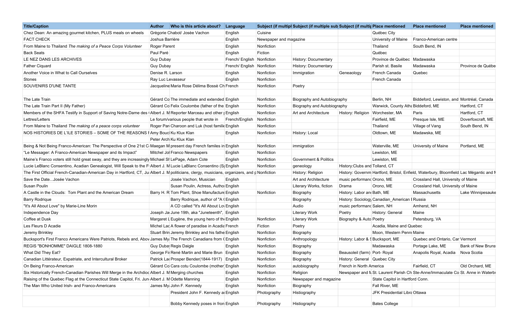| <b>Title/Caption</b>                                                                                                                         | <b>Author</b>     | Who is this article about?                           | Language                   |                        | Subject (if multipl Subject (if multiple sub Subject (if multir Place mentioned |                                  |                                               | <b>Place mentioned</b>                                                                | <b>Place mentioned</b>   |
|----------------------------------------------------------------------------------------------------------------------------------------------|-------------------|------------------------------------------------------|----------------------------|------------------------|---------------------------------------------------------------------------------|----------------------------------|-----------------------------------------------|---------------------------------------------------------------------------------------|--------------------------|
| Chez Dean: An amazing gourmet kitchen, PLUS meals on wheels                                                                                  |                   | Grègorie Chabot/ Josèe Vachon                        | English                    | Cuisine                |                                                                                 |                                  | Québec City                                   |                                                                                       |                          |
| <b>FACT CHECK</b>                                                                                                                            | Joshua Barrière   |                                                      | English                    | Newspaper and magazine |                                                                                 |                                  | University of Maine                           | Franco-American centre                                                                |                          |
| From Maine to Thailand The making of a Peace Corps Volunteer                                                                                 | Roger Parent      |                                                      | English                    | Nonfiction             |                                                                                 |                                  | Thailand                                      | South Bend, IN                                                                        |                          |
| <b>Back Seats</b>                                                                                                                            | Paul Paré         |                                                      | English                    | Fiction                |                                                                                 |                                  | Québec                                        |                                                                                       |                          |
| LE NEZ DANS LES ARCHIVES                                                                                                                     | <b>Guy Dubay</b>  |                                                      | French/ English            | Nonfiction             | <b>History: Documentary</b>                                                     |                                  | Province de Québec                            | Madawaska                                                                             |                          |
| <b>Father Ciquard</b>                                                                                                                        | Guy Dubay         |                                                      | French/ English Nonfiction |                        | History: Documentary                                                            |                                  | Parish st. Basile                             | Madawaska                                                                             | Province de Québe        |
| Another Voice in What to Call Ourselves                                                                                                      | Denise R. Larson  |                                                      | English                    | Nonfiction             | Immigration                                                                     | Geneaology                       | French Canada                                 | Quebec                                                                                |                          |
| Stones                                                                                                                                       | Ray Luc Levasseur |                                                      | English                    | Nonfiction             |                                                                                 |                                  | French Canada                                 |                                                                                       |                          |
| SOUVENIRS D'UNE TANTE                                                                                                                        |                   | Jacqueline Maria Rose Délima Bossè Ch French         |                            | Nonfiction             | Poetry                                                                          |                                  |                                               |                                                                                       |                          |
|                                                                                                                                              |                   |                                                      |                            |                        |                                                                                 |                                  |                                               |                                                                                       |                          |
| The Late Train                                                                                                                               |                   | Gérard Co The immediate and extended English         |                            | Nonfiction             | Biography and Autobiography                                                     |                                  | Berlin, NH                                    | Biddeford, Lewiston, and Montréal, Canada                                             |                          |
| The Late Train Part II (My Father)                                                                                                           |                   | Gérard Co Felix Coulombe (father of the English      |                            | Nonfiction             | Biography and Autobiography                                                     |                                  | Warwick, County Atha Biddeford, ME            |                                                                                       | Hartford, CT             |
| Members of the SHFA Testify in Support of Saving Notre-Dame des   Albert J. M Reporter Marceau and other   English                           |                   |                                                      |                            | Nonfiction             | Art and Architecture                                                            | History: Religion                | Worchester, MA                                | Paris                                                                                 | Hartford, CT             |
| Lettres/Letters                                                                                                                              |                   | Le forum/various people that wrote in French/English |                            | Nonfiction             |                                                                                 |                                  | Fairfield, ME                                 | Presque Isle, ME                                                                      | Doverfoxcraft, ME        |
| From Maine to Thailand The making of a peace corps volunteer                                                                                 |                   | Roger Par Charoon and Luk (host familie English      |                            | Nonfiction             |                                                                                 |                                  | Thailand                                      | Village of Vang                                                                       | South Bend, IN           |
| NOS HISTORIES DE L'ILE STORIES - SOME OF THE REASONS I Amy Bouc Ku Klux Klan                                                                 |                   |                                                      | English                    | Nonfiction             | History: Local                                                                  |                                  | Oldtown, ME                                   | Madawska, ME                                                                          |                          |
|                                                                                                                                              |                   | Peter Arch Ku Klux Klan                              |                            |                        |                                                                                 |                                  |                                               |                                                                                       |                          |
| Being & Not Being Franco-American: The Perspective of One 21st C Maegan M present day French familes in English                              |                   |                                                      |                            | Nonfiction             | immigration                                                                     |                                  | Waterville, ME                                | University of Maine                                                                   | Portland, ME             |
| "Le Messager: A Franco-American Newspaper and its Impact"                                                                                    |                   | Mitchel Jol Franco Newspapers                        | English                    | Nonfiction             |                                                                                 |                                  | Lewiston, ME                                  |                                                                                       |                          |
| Maine's Franco voters still hold great sway, and they are increasingly Michael SI LePage, Adam Cote                                          |                   |                                                      | English                    | Nonfiction             | <b>Government &amp; Politics</b>                                                |                                  | Lewiston, ME                                  |                                                                                       |                          |
| Lucie LeBlanc Consentino, Acadian Genealogist, Will Speak to the F Albert J. M Lucie LaBlanc Consentino (S English                           |                   |                                                      |                            | Nonfiction             | geneology                                                                       | History: Clubs and Tolland, CT   |                                               |                                                                                       |                          |
| The First Official French-Canadian-American Day in Hartford, CT, Ju Albert J. M politicians, clergy, musicians, organizers, and p Nonfiction |                   |                                                      |                            |                        | History: Religion                                                               |                                  |                                               | History: Governm Hartford, Bristol, Enfield, Waterbury, Bloomfield Lac Mégantic and N |                          |
| Save the DateJosée Vachon                                                                                                                    |                   | Josée Vachon, Musician                               | English                    |                        | Art and Architecture                                                            | music performand Orono, ME       |                                               | Crossland Hall, University of Maine                                                   |                          |
| Susan Poulin                                                                                                                                 |                   | Susan Poulin, Actress, Autho English                 |                            |                        | Literary Works, fiction                                                         | Drama                            | Orono, ME                                     | Crossland Hall, University of Maine                                                   |                          |
| A Castle in the Clouds: Tom Plant and the American Dream                                                                                     |                   | Barry H. R Tom Plant, Shoe Manufacture English       |                            | Nonfiction             | Biography                                                                       | History: Labor and Bath, ME      |                                               | Massachusetts                                                                         | Lake Winnipesauke        |
| <b>Barry Rodrique</b>                                                                                                                        |                   | Barry Rodrique, author of "A (English                |                            |                        | Biography                                                                       |                                  | History: Sociology Canadian_American   Russia |                                                                                       |                          |
| "It's All About Love" by Marie-Line Morin                                                                                                    |                   | A CD called "It's All About Lov English              |                            |                        | Audio                                                                           | music performand Salem, NH       |                                               | Amherst, NH                                                                           |                          |
| Independence Day                                                                                                                             |                   | Joseph Ja June 19th, aka "Juneteenth", English       |                            |                        | <b>Literary Work</b>                                                            | Poetry                           | History: General                              | Maine                                                                                 |                          |
| Coffee at Dusk                                                                                                                               |                   | Margaret L Eugène, the young hero of the English     |                            | Nonfiction             | <b>Literary Work</b>                                                            | Biography & Auto Poetry          |                                               | Petersburg, VA                                                                        |                          |
| Les Fleurs D Acadie                                                                                                                          |                   | Michel Lad A flower of paradise in Acadia French     |                            | Fiction                | Poetry                                                                          |                                  | Acadia, Maine and Quebec                      |                                                                                       |                          |
| Jeremy Brinkley                                                                                                                              |                   | Stuart Brin Jeremy Brinkley and his fathe English    |                            | Nonfiction             | Biography                                                                       |                                  | Moon, Western Penn Maine                      |                                                                                       |                          |
| Bucksport's First Franco Americans Were Patriots, Rebels and, Aboy James My The French Canadians from (English                               |                   |                                                      |                            | Nonfiction             | Anthropology                                                                    | History: Labor & § Bucksport, ME |                                               | Quebec and Ontario, Car Vermont                                                       |                          |
| REGIS "BONHOMME" DAIGLE 1808-1880                                                                                                            |                   | Guy Duba Regis Daigle                                | English                    | Nonfiction             | Biography                                                                       |                                  | Madawaska                                     | Portage Lake, ME                                                                      | <b>Bank of New Bruns</b> |
| What Did They Eat?                                                                                                                           |                   | George Fil René Martin and Marie Brun   English      |                            | Nonfiction             | Biography                                                                       | Beausoleil (farm) Port- Royal    |                                               | Anapolis Royal, Acadia Nova Scotia                                                    |                          |
| Canadian Littérateur, Expatriate, and Intercultural Broker                                                                                   |                   | Patrick La Prosper Bender(1844-1917) English         |                            | Nonfiction             | Biography                                                                       | History: General Quebec City     |                                               |                                                                                       |                          |
| On Being Franco-American                                                                                                                     |                   | Gérard Co Cara cotu Coulombe (mother English         |                            | Nonfiction             | autobiography                                                                   | French in North America          |                                               | Fairfield, CT                                                                         | Old Orchard, ME          |
| Six Historically French-Canadian Parishes Will Merge in the Archdiod Albert J. M Merging churches                                            |                   |                                                      | English                    | Nonfiction             | Religion                                                                        |                                  |                                               | Newspaper and N St. Laurent Parish Ch Ste-Anne/Immaculate Co St. Anne in Waterb       |                          |
| Raising of the Quebec Flag at the Connecticut State Capitol, Fri. Jun Albert J. M Odette Manning                                             |                   |                                                      | English                    | Nonfiction             | Newspaper and magazine                                                          |                                  | State Capitol in Hartford Conn.               |                                                                                       |                          |
| The Man Who United Irish- and Franco-Americans                                                                                               |                   | James My John F. Kennedy                             | English                    | Nonfiction             | Biography                                                                       |                                  | Fall River, ME                                |                                                                                       |                          |
|                                                                                                                                              |                   | President John F. Kennedy a English                  |                            | Photography            | Histiography                                                                    |                                  | JFK Presidential Libra Ottawa                 |                                                                                       |                          |
|                                                                                                                                              |                   | Bobby Kennedy poses in fron English                  |                            |                        | Histiography                                                                    |                                  | <b>Bates College</b>                          |                                                                                       |                          |
|                                                                                                                                              |                   |                                                      |                            | Photography            |                                                                                 |                                  |                                               |                                                                                       |                          |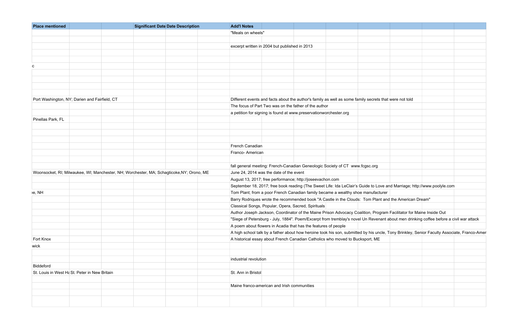| <b>Place mentioned</b>                        | <b>Significant Date Date Description</b>                                                  | <b>Add'l Notes</b>                                                                                     |  |                                                                                                                                             |  |
|-----------------------------------------------|-------------------------------------------------------------------------------------------|--------------------------------------------------------------------------------------------------------|--|---------------------------------------------------------------------------------------------------------------------------------------------|--|
|                                               |                                                                                           | "Meals on wheels"                                                                                      |  |                                                                                                                                             |  |
|                                               |                                                                                           |                                                                                                        |  |                                                                                                                                             |  |
|                                               |                                                                                           | excerpt written in 2004 but published in 2013                                                          |  |                                                                                                                                             |  |
|                                               |                                                                                           |                                                                                                        |  |                                                                                                                                             |  |
|                                               |                                                                                           |                                                                                                        |  |                                                                                                                                             |  |
|                                               |                                                                                           |                                                                                                        |  |                                                                                                                                             |  |
|                                               |                                                                                           |                                                                                                        |  |                                                                                                                                             |  |
|                                               |                                                                                           |                                                                                                        |  |                                                                                                                                             |  |
|                                               |                                                                                           |                                                                                                        |  |                                                                                                                                             |  |
|                                               |                                                                                           |                                                                                                        |  |                                                                                                                                             |  |
| Port Washington, NY; Darien and Fairfield, CT |                                                                                           | Different events and facts about the author's family as well as some family secrets that were not told |  |                                                                                                                                             |  |
|                                               |                                                                                           | The focus of Part Two was on the father of the author                                                  |  |                                                                                                                                             |  |
|                                               |                                                                                           | a petition for signing is found at www.preservationworchester.org                                      |  |                                                                                                                                             |  |
| Pinellas Park, FL                             |                                                                                           |                                                                                                        |  |                                                                                                                                             |  |
|                                               |                                                                                           |                                                                                                        |  |                                                                                                                                             |  |
|                                               |                                                                                           |                                                                                                        |  |                                                                                                                                             |  |
|                                               |                                                                                           |                                                                                                        |  |                                                                                                                                             |  |
|                                               |                                                                                           | French Canadian                                                                                        |  |                                                                                                                                             |  |
|                                               |                                                                                           | Franco- American                                                                                       |  |                                                                                                                                             |  |
|                                               |                                                                                           |                                                                                                        |  |                                                                                                                                             |  |
|                                               |                                                                                           | fall general meeting: French-Canadian Geneologic Society of CT www.fcgsc.org                           |  |                                                                                                                                             |  |
|                                               | Woonsocket, RI; Milwaukee, WI; Manchester, NH; Worchester, MA; Schagticoke, NY; Orono, ME | June 24, 2014 was the date of the event                                                                |  |                                                                                                                                             |  |
|                                               |                                                                                           |                                                                                                        |  |                                                                                                                                             |  |
|                                               |                                                                                           | August 13, 2017; free performance; http://joseevachon.com                                              |  |                                                                                                                                             |  |
|                                               |                                                                                           |                                                                                                        |  | September 18, 2017; free book reading (The Sweet Life: Ida LeClair's Guide to Love and Marriage; http://www.poolyle.com                     |  |
| e, NH                                         |                                                                                           | Tom Plant; from a poor French Canadian family became a wealthy shoe manufacturer                       |  |                                                                                                                                             |  |
|                                               |                                                                                           | Barry Rodriques wrote the recommended book "A Castle in the Clouds: Tom Plant and the American Dream"  |  |                                                                                                                                             |  |
|                                               |                                                                                           | Classical Songs, Popular, Opera, Sacred, Spirituals                                                    |  |                                                                                                                                             |  |
|                                               |                                                                                           |                                                                                                        |  | Author Joseph Jackson, Coordinator of the Maine Prison Advocacy Coalition, Program Facilitator for Maine Inside Out                         |  |
|                                               |                                                                                           |                                                                                                        |  | "Siege of Petersburg - July, 1884". Poem/Excerpt from tremblay's novel Un Revenant about men drinking coffee before a civil war attack      |  |
|                                               |                                                                                           | A poem about flowers in Acadia that has the features of people                                         |  |                                                                                                                                             |  |
|                                               |                                                                                           |                                                                                                        |  | A high school talk by a father about how heroine took his son, submitted by his uncle, Tony Brinkley, Senior Faculty Associate, Franco-Amer |  |
| Fort Knox                                     |                                                                                           | A historical essay about French Canadian Catholics who moved to Bucksport, ME                          |  |                                                                                                                                             |  |
| wick                                          |                                                                                           |                                                                                                        |  |                                                                                                                                             |  |
|                                               |                                                                                           |                                                                                                        |  |                                                                                                                                             |  |
|                                               |                                                                                           | industrial revolution                                                                                  |  |                                                                                                                                             |  |
| Biddeford                                     |                                                                                           |                                                                                                        |  |                                                                                                                                             |  |
| St. Louis in West Ha St. Peter in New Britain |                                                                                           | St. Ann in Bristol                                                                                     |  |                                                                                                                                             |  |
|                                               |                                                                                           |                                                                                                        |  |                                                                                                                                             |  |
|                                               |                                                                                           | Maine franco-american and Irish communities                                                            |  |                                                                                                                                             |  |
|                                               |                                                                                           |                                                                                                        |  |                                                                                                                                             |  |
|                                               |                                                                                           |                                                                                                        |  |                                                                                                                                             |  |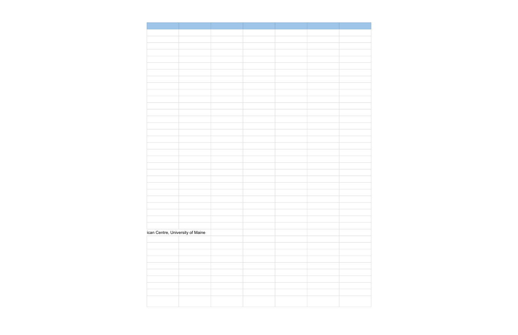| ican Centre, University of Maine |  |  |
|----------------------------------|--|--|
|                                  |  |  |
|                                  |  |  |
|                                  |  |  |
|                                  |  |  |
|                                  |  |  |
|                                  |  |  |
|                                  |  |  |
|                                  |  |  |
|                                  |  |  |
|                                  |  |  |
|                                  |  |  |
|                                  |  |  |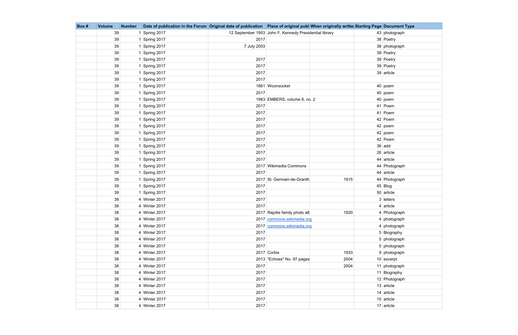| Box # | <b>Volume</b> | <b>Number</b> | Date of publication in the Forum Original date of publication   Place of original publ When originally writte Starting Page Document Type |             |                                                        |      |               |
|-------|---------------|---------------|-------------------------------------------------------------------------------------------------------------------------------------------|-------------|--------------------------------------------------------|------|---------------|
|       | 39            |               | 1 Spring 2017                                                                                                                             |             | 12 September 1953 John F. Kennedy Presidential library |      | 43 photograph |
|       | 39            |               | 1 Spring 2017                                                                                                                             | 2017        |                                                        |      | 38 Poetry     |
|       | 39            |               | 1 Spring 2017                                                                                                                             | 7 July 2003 |                                                        |      | 38 photograph |
|       | 39            |               | 1 Spring 2017                                                                                                                             |             |                                                        |      | 39 Poetry     |
|       | 39            |               | 1 Spring 2017                                                                                                                             | 2017        |                                                        |      | 39 Poetry     |
|       | 39            |               | 1 Spring 2017                                                                                                                             | 2017        |                                                        |      | 39 Poetry     |
|       | 39            |               | 1 Spring 2017                                                                                                                             | 2017        |                                                        |      | 39 article    |
|       | 39            |               | 1 Spring 2017                                                                                                                             | 2017        |                                                        |      |               |
|       | 39            |               | 1 Spring 2017                                                                                                                             |             | 1861 Woonsocket                                        |      | $40$ poem     |
|       | 39            |               | 1 Spring 2017                                                                                                                             | 2017        |                                                        |      | $40$ poem     |
|       | 39            |               | 1 Spring 2017                                                                                                                             |             | 1983 EMBERS, volume 8, no. 2                           |      | $40$ poem     |
|       | 39            |               | 1 Spring 2017                                                                                                                             | 2017        |                                                        |      | 41 Poem       |
|       | 39            |               | 1 Spring 2017                                                                                                                             | 2017        |                                                        |      | $41$ Poem     |
|       | 39            |               | 1 Spring 2017                                                                                                                             | 2017        |                                                        |      | 42 Poem       |
|       | 39            |               | 1 Spring 2017                                                                                                                             | 2017        |                                                        |      | $42$ poem     |
|       | 39            |               | 1 Spring 2017                                                                                                                             | 2017        |                                                        |      | $42$ poem     |
|       | 39            |               | 1 Spring 2017                                                                                                                             | 2017        |                                                        |      | 42 Poem       |
|       | 39            |               | 1 Spring 2017                                                                                                                             | 2017        |                                                        |      | $36$ add      |
|       | 39            |               | 1 Spring 2017                                                                                                                             | 2017        |                                                        |      | $26$ article  |
|       | 39            |               | 1 Spring 2017                                                                                                                             | 2017        |                                                        |      | 44 article    |
|       | 39            |               | 1 Spring 2017                                                                                                                             |             | 2017 Wikimedia Commons                                 |      | 44 Photograph |
|       | 39            |               | 1 Spring 2017                                                                                                                             | 2017        |                                                        |      | 44 article    |
|       | 39            |               | 1 Spring 2017                                                                                                                             |             | 2017 St. Germain-de-Granth                             | 1915 | 44 Photograph |
|       | 39            |               | 1 Spring 2017                                                                                                                             | 2017        |                                                        |      | 45 Blog       |
|       | 39            |               | 1 Spring 2017                                                                                                                             | 2017        |                                                        |      | 50 article    |
|       | 38            |               | 4 Winter 2017                                                                                                                             | 2017        |                                                        |      | $3$ letters   |
|       | 38            |               | 4 Winter 2017                                                                                                                             | 2017        |                                                        |      | $4$ article   |
|       | 38            |               | 4 Winter 2017                                                                                                                             |             | 2017 Rajotte family photo all                          | 1920 | 4 Photograph  |
|       | 38            |               | 4 Winter 2017                                                                                                                             |             | 2017 commons.wikimedia.org                             |      | 4 photograph  |
|       | 38            |               | 4 Winter 2017                                                                                                                             |             | 2017 commons.wikimedia.org                             |      | 4 photograph  |
|       | 38            |               | 4 Winter 2017                                                                                                                             | 2017        |                                                        |      | 5 Biography   |
|       | 38            |               | 4 Winter 2017                                                                                                                             | 2017        |                                                        |      | 5 photograph  |
|       | 38            |               | 4 Winter 2017                                                                                                                             | 2017        |                                                        |      | 5 photograph  |
|       | 38            |               | 4 Winter 2017                                                                                                                             |             | 2017 Corbis                                            | 1933 | 9 photograph  |
|       | 38            |               | 4 Winter 2017                                                                                                                             |             | 2013 "Echoes" No. 97 pages                             | 2004 | $10$ excerpt  |
|       | 38            |               | 4 Winter 2017                                                                                                                             | 2017        |                                                        | 2004 | 11 photograph |
|       | 38            |               | 4 Winter 2017                                                                                                                             | 2017        |                                                        |      | 11 Biography  |
|       | 38            |               | 4 Winter 2017                                                                                                                             | 2017        |                                                        |      | 12 Photograph |
|       | 38            |               | 4 Winter 2017                                                                                                                             | 2017        |                                                        |      | $13$ article  |
|       | 38            |               | 4 Winter 2017                                                                                                                             | 2017        |                                                        |      | $14$ article  |
|       | 38            |               | 4 Winter 2017                                                                                                                             | 2017        |                                                        |      | $15$ article  |
|       | 38            |               | 4 Winter 2017                                                                                                                             | 2017        |                                                        |      | $17$ article  |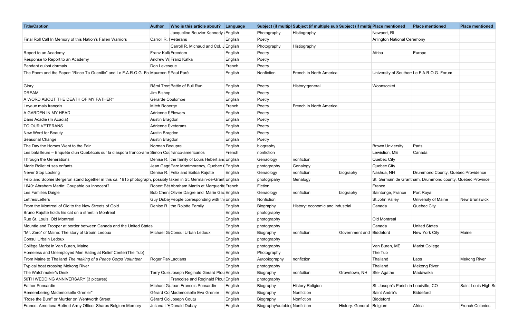| <b>Title/Caption</b>                                                                                                 | Who is this article about? Language<br><b>Author</b> |         |                               | Subject (if multipl Subject (if multiple sub Subject (if multip Place mentioned |                          |                                      | <b>Place mentioned</b>                                    | <b>Place mentioned</b> |
|----------------------------------------------------------------------------------------------------------------------|------------------------------------------------------|---------|-------------------------------|---------------------------------------------------------------------------------|--------------------------|--------------------------------------|-----------------------------------------------------------|------------------------|
|                                                                                                                      | Jacqueline Bouvier Kennedy   English                 |         | Photography                   | Histiography                                                                    |                          | Newport, RI                          |                                                           |                        |
| Final Roll Call In Memory of this Nation's Fallen Warriors                                                           | Carroll R.   Veterans                                | English | Poetry                        |                                                                                 |                          | <b>Arlington National Ceremony</b>   |                                                           |                        |
|                                                                                                                      | Carroll R. Michaud and Col. J English                |         | Photography                   | Histiography                                                                    |                          |                                      |                                                           |                        |
| Report to an Academy                                                                                                 | Franz Kafk Freedom                                   | English | Poetry                        |                                                                                 |                          | Africa                               | Europe                                                    |                        |
| Response to Report to an Academy                                                                                     | Andrew W Franz Kafka                                 | English | Poetry                        |                                                                                 |                          |                                      |                                                           |                        |
| Pendant qu'ont dormais                                                                                               | Don Levesque                                         | French  | Poetry                        |                                                                                 |                          |                                      |                                                           |                        |
| The Poem and the Paper: "Rince Ta Guenille" and Le F.A.R.O.G. Fo Maureen F Paul Paré                                 |                                                      | English | Nonfiction                    | French in North America                                                         |                          |                                      | University of Southerr Le F.A.R.O.G. Forum                |                        |
| Glory                                                                                                                | Rémi Tren Battle of Bull Run                         | English | Poetry                        | History:general                                                                 |                          | Woonsocket                           |                                                           |                        |
| <b>DREAM</b>                                                                                                         | Jim Bishop                                           | English | Poetry                        |                                                                                 |                          |                                      |                                                           |                        |
| A WORD ABOUT THE DEATH OF MY FATHER*                                                                                 | Gérarde Coulombe                                     | English | Poetry                        |                                                                                 |                          |                                      |                                                           |                        |
| Loyaux mais français                                                                                                 | <b>Mitch Roberge</b>                                 | French  | Poetry                        | French in North America                                                         |                          |                                      |                                                           |                        |
| A GARDEN IN MY HEAD                                                                                                  | <b>Adrienne F Flowers</b>                            | English | Poetry                        |                                                                                 |                          |                                      |                                                           |                        |
| Dans Acadie (In Acadia)                                                                                              | Austin Bragdon                                       | English | Poetry                        |                                                                                 |                          |                                      |                                                           |                        |
| TO OUR VETERANS                                                                                                      | Adrienne F veterans                                  | English | Poetry                        |                                                                                 |                          |                                      |                                                           |                        |
| New Word for Beauty                                                                                                  | Austin Bragdon                                       | English | Poetry                        |                                                                                 |                          |                                      |                                                           |                        |
| Seasonal Change                                                                                                      | Austin Bragdon                                       | English | Poetry                        |                                                                                 |                          |                                      |                                                           |                        |
| The Day the Horses Went to the Fair                                                                                  | Norman Beaupre                                       | English | biography                     |                                                                                 |                          | <b>Brown Unviersity</b>              | Paris                                                     |                        |
| Les batailleurs - Enquête d'un Québécois sur la diaspora franco-ame Simon Col franco-americanos                      |                                                      | French  | nonfiction                    |                                                                                 |                          | Lewistion, ME                        | Canada                                                    |                        |
| Through the Generations                                                                                              | Denise R. the family of Louis Hébert and English     |         | Genaology                     | nonfiction                                                                      |                          | Quebec City                          |                                                           |                        |
| Marie Rollet et ses enfants                                                                                          | Jean Gagr Parc Montmorency, Quebec (English          |         | photography                   | Genalogy                                                                        |                          | Quebec City                          |                                                           |                        |
| Never Stop Looking                                                                                                   | Denise R. Felix and Exilda Rajotte                   | English | Genaology                     | nonfiction                                                                      | biography                | Nashua, NH                           | Drummond County, Quebec Providence                        |                        |
| Felix and Sophie Bergeron stand together in this ca. 1915 photograph, possibly taken in St. Germain-de-Grant English |                                                      |         | photogrpahy                   | Genalogy                                                                        |                          |                                      | St. Germain de Grantham, Drummond county, Quebec Province |                        |
| 1649: Abraham Martin: Coupable ou Innocent?                                                                          | Robert Bé Abraham Martin et Marquerite French        |         | Fiction                       |                                                                                 |                          | France                               |                                                           |                        |
| Les Familles Daigle                                                                                                  | Bob Chen Olivier Daigre and Marie Gau English        |         | Genaology                     | nonfiction                                                                      | biography                | Saintonge, France                    | Port Royal                                                |                        |
| Lettres/Letters                                                                                                      | Guy Duba People corresponding with the English       |         | Nonfiction                    |                                                                                 |                          | St.John Valley                       | University of Maine                                       | <b>New Brunswick</b>   |
| From the Montreal of Old to the New Streets of Gold                                                                  | Denise R. the Rojotte Family                         | English | Biography                     | History: economic and industrial                                                |                          | Canada                               | Quebec City                                               |                        |
| Bruno Rajotte holds his cat on a street in Montreal                                                                  |                                                      | English | photography                   |                                                                                 |                          |                                      |                                                           |                        |
| Rue St. Louis, Old Montreal                                                                                          |                                                      | English | photography                   |                                                                                 |                          | Old Montreal                         |                                                           |                        |
| Mountie and Trooper at border between Canada and the United States                                                   |                                                      | English | photography                   |                                                                                 |                          | Canada                               | <b>United States</b>                                      |                        |
| "Mr. Zero" of Maine: The story of Urbain Ledoux                                                                      | Michael G Consul Urban Ledoux                        | English | Biography                     | nonfiction                                                                      | Government and Biddeford |                                      | New York City                                             | Maine                  |
| <b>Consul Urbain Ledoux</b>                                                                                          |                                                      | English | photography                   |                                                                                 |                          |                                      |                                                           |                        |
| Collège Marist in Van Buren, Maine                                                                                   |                                                      | English | photography                   |                                                                                 |                          | Van Buren, ME                        | Marist College                                            |                        |
| Homeless and Unemployed Men Eating at Relief Center(The Tub)                                                         |                                                      | English | Photography                   |                                                                                 |                          | The Tub                              |                                                           |                        |
| From Maine to Thailand The making of a Peace Corps Volunteer                                                         | Roger Par Laotians                                   | English | Autobiography                 | nonfiction                                                                      |                          | Thailand                             | Laos                                                      | <b>Mekong River</b>    |
| Typical boat crossing Mekong River                                                                                   |                                                      | English | photography                   |                                                                                 |                          | Thailand                             | <b>Mekong River</b>                                       |                        |
| The Watchmaker's Desk                                                                                                | Terry Oule Joseph Reginald Gerard Plou English       |         | Biography                     | nonfcition                                                                      | Grovetown, NH            | Ste-Agathe                           | Madawska                                                  |                        |
| 50TH WEDDING ANNIVERSARY (3 pictures)                                                                                | Francoise and Reginald Ploui English                 |         | photography                   |                                                                                 |                          |                                      |                                                           |                        |
| <b>Father Ponsardin</b>                                                                                              | Michael G Jean Francois Ponsardin                    | English | Biography                     | History: Religion                                                               |                          | St. Joseph's Parish in Leadville, CO |                                                           | Saint Louis High So    |
| Remembering Mademoiselle Grenier*                                                                                    | Gèrard Co Mademoiselle Eva Grenier                   | English | Biography                     | Nonfiction                                                                      |                          | Saint Andrè's                        | Biddeford                                                 |                        |
| "Rose the Bum" or Murder on Wentworth Street                                                                         | Gèrard Co Joseph Coutu                               | English | Biography                     | Nonfiction                                                                      |                          | Biddeford                            |                                                           |                        |
| Franco- Americna Retired Army Officer Shares Belgium Memory                                                          | Juliana L'H Donald Dubay                             | English | Biography/autobiod Nonfiction |                                                                                 | History: General Belgium |                                      | Africa                                                    | <b>French Colonies</b> |

| lace mentioned                      | <b>Place mentioned</b>                                   | <b>Place mentioned</b> |
|-------------------------------------|----------------------------------------------------------|------------------------|
| lewport, RI                         |                                                          |                        |
| rlington National Ceremony          |                                                          |                        |
|                                     |                                                          |                        |
| frica                               | Europe                                                   |                        |
|                                     |                                                          |                        |
|                                     |                                                          |                        |
|                                     | Iniversity of Southerr Le F.A.R.O.G. Forum               |                        |
|                                     |                                                          |                        |
| Voonsocket                          |                                                          |                        |
|                                     |                                                          |                        |
|                                     |                                                          |                        |
|                                     |                                                          |                        |
|                                     |                                                          |                        |
|                                     |                                                          |                        |
|                                     |                                                          |                        |
|                                     |                                                          |                        |
|                                     |                                                          |                        |
| rown Unviersity                     | Paris                                                    |                        |
| ewistion, ME                        | Canada                                                   |                        |
| uebec City                          |                                                          |                        |
| uebec City                          |                                                          |                        |
| lashua, NH                          | Drummond County, Quebec Providence                       |                        |
|                                     | t. Germain de Grantham, Drummond county, Quebec Province |                        |
| rance                               |                                                          |                        |
| aintonge, France                    | Port Royal                                               |                        |
| t.John Valley                       | University of Maine                                      | <b>New Brunswick</b>   |
| ∶anada                              | Quebec City                                              |                        |
|                                     |                                                          |                        |
| ld Montreal                         |                                                          |                        |
| anada                               | <b>United States</b>                                     |                        |
| iddeford                            | New York City                                            | Maine                  |
|                                     |                                                          |                        |
| an Buren, ME                        | <b>Marist College</b>                                    |                        |
| he Tub                              |                                                          |                        |
| hailand                             | Laos                                                     | <b>Mekong River</b>    |
| hailand                             | <b>Mekong River</b>                                      |                        |
| te- Agathe                          | Madawska                                                 |                        |
|                                     |                                                          |                        |
| t. Joseph's Parish in Leadville, CO |                                                          | Saint Louis High So    |
| aint Andrè's                        | <b>Biddeford</b>                                         |                        |
| iddeford                            |                                                          |                        |
| elgium                              | Africa                                                   | <b>French Colonies</b> |
|                                     |                                                          |                        |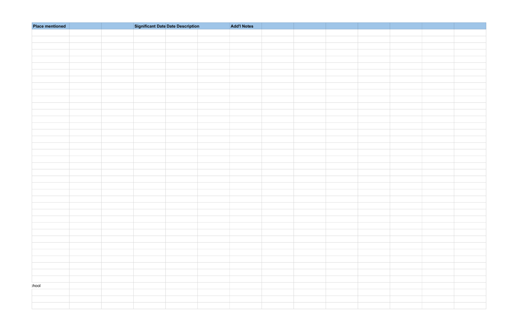| <b>Place mentioned</b> |  | <b>Significant Date Date Description</b> | <b>Add'l Notes</b> |  |  |  |
|------------------------|--|------------------------------------------|--------------------|--|--|--|
|                        |  |                                          |                    |  |  |  |
|                        |  |                                          |                    |  |  |  |
|                        |  |                                          |                    |  |  |  |
|                        |  |                                          |                    |  |  |  |
|                        |  |                                          |                    |  |  |  |
|                        |  |                                          |                    |  |  |  |
|                        |  |                                          |                    |  |  |  |
|                        |  |                                          |                    |  |  |  |
|                        |  |                                          |                    |  |  |  |
|                        |  |                                          |                    |  |  |  |
|                        |  |                                          |                    |  |  |  |
|                        |  |                                          |                    |  |  |  |
|                        |  |                                          |                    |  |  |  |
|                        |  |                                          |                    |  |  |  |
|                        |  |                                          |                    |  |  |  |
|                        |  |                                          |                    |  |  |  |
|                        |  |                                          |                    |  |  |  |
|                        |  |                                          |                    |  |  |  |
|                        |  |                                          |                    |  |  |  |
|                        |  |                                          |                    |  |  |  |
|                        |  |                                          |                    |  |  |  |
|                        |  |                                          |                    |  |  |  |
|                        |  |                                          |                    |  |  |  |
|                        |  |                                          |                    |  |  |  |
|                        |  |                                          |                    |  |  |  |
|                        |  |                                          |                    |  |  |  |
|                        |  |                                          |                    |  |  |  |
|                        |  |                                          |                    |  |  |  |
|                        |  |                                          |                    |  |  |  |
|                        |  |                                          |                    |  |  |  |
|                        |  |                                          |                    |  |  |  |
|                        |  |                                          |                    |  |  |  |
|                        |  |                                          |                    |  |  |  |
|                        |  |                                          |                    |  |  |  |
|                        |  |                                          |                    |  |  |  |
|                        |  |                                          |                    |  |  |  |
|                        |  |                                          |                    |  |  |  |
|                        |  |                                          |                    |  |  |  |
|                        |  |                                          |                    |  |  |  |
| :hool                  |  |                                          |                    |  |  |  |
|                        |  |                                          |                    |  |  |  |
|                        |  |                                          |                    |  |  |  |
|                        |  |                                          |                    |  |  |  |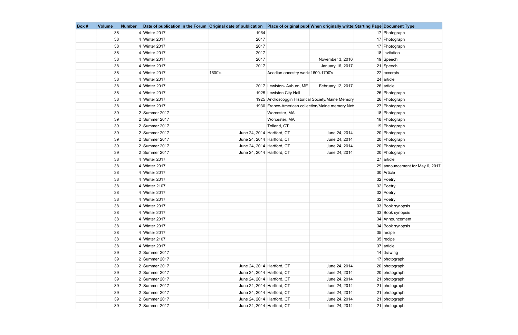| Box# | <b>Volume</b> | <b>Number</b> | Date of publication in the Forum Original date of publication   Place of original publ When originally writte Starting Page   Document Type |                            |                                   |                                                   |                                 |
|------|---------------|---------------|---------------------------------------------------------------------------------------------------------------------------------------------|----------------------------|-----------------------------------|---------------------------------------------------|---------------------------------|
|      | 38            |               | 4 Winter 2017                                                                                                                               | 1964                       |                                   |                                                   | 17 Photograph                   |
|      | 38            |               | 4 Winter 2017                                                                                                                               | 2017                       |                                   |                                                   | 17 Photograph                   |
|      | 38            |               | 4 Winter 2017                                                                                                                               | 2017                       |                                   |                                                   | 17 Photograph                   |
|      | 38            |               | 4 Winter 2017                                                                                                                               | 2017                       |                                   |                                                   | 18 invitation                   |
|      | 38            |               | 4 Winter 2017                                                                                                                               | 2017                       |                                   | November 3, 2016                                  | 19 Speech                       |
|      | 38            |               | 4 Winter 2017                                                                                                                               | 2017                       |                                   | January 16, 2017                                  | 21 Speech                       |
|      | 38            |               | 4 Winter 2017                                                                                                                               | 1600's                     | Acadian ancestry work 1600-1700's |                                                   | $22$ excerpts                   |
|      | 38            |               | 4 Winter 2017                                                                                                                               |                            |                                   |                                                   | 24 article                      |
|      | 38            |               | 4 Winter 2017                                                                                                                               |                            | 2017 Lewiston- Auburn, ME         | February 12, 2017                                 | $26$ article                    |
|      | 38            |               | 4 Winter 2017                                                                                                                               |                            | 1925 Lewiston City Hall           |                                                   | 26 Photograph                   |
|      | 38            |               | 4 Winter 2017                                                                                                                               |                            |                                   | 1925 Androscoggin Historical Society/Maine Memory | 26 Photograph                   |
|      | 38            |               | 4 Winter 2017                                                                                                                               |                            |                                   | 1930 Franco-American collection/Maine memory Net  | 27 Photograph                   |
|      | 39            |               | 2 Summer 2017                                                                                                                               |                            | Worcester, MA                     |                                                   | 18 Photograph                   |
|      | 39            |               | 2 Summer 2017                                                                                                                               |                            | Worcester, MA                     |                                                   | 18 Photograph                   |
|      | 39            |               | 2 Summer 2017                                                                                                                               |                            | Tolland, CT                       |                                                   | 19 Photograph                   |
|      | 39            |               | 2 Summer 2017                                                                                                                               | June 24, 2014 Hartford, CT |                                   | June 24, 2014                                     | 20 Photograph                   |
|      | 39            |               | 2 Summer 2017                                                                                                                               | June 24, 2014 Hartford, CT |                                   | June 24, 2014                                     | 20 Photograph                   |
|      | 39            |               | 2 Summer 2017                                                                                                                               | June 24, 2014 Hartford, CT |                                   | June 24, 2014                                     | 20 Photograph                   |
|      | 39            |               | 2 Summer 2017                                                                                                                               | June 24, 2014 Hartford, CT |                                   | June 24, 2014                                     | 20 Photograph                   |
|      | 38            |               | 4 Winter 2017                                                                                                                               |                            |                                   |                                                   | $27$ article                    |
|      | 38            |               | 4 Winter 2017                                                                                                                               |                            |                                   |                                                   | 29 announcement for May 6, 2017 |
|      | 38            |               | 4 Winter 2017                                                                                                                               |                            |                                   |                                                   | 30 Article                      |
|      | 38            |               | 4 Winter 2017                                                                                                                               |                            |                                   |                                                   | 32 Poetry                       |
|      | 38            |               | 4 Winter 2107                                                                                                                               |                            |                                   |                                                   | 32 Poetry                       |
|      | 38            |               | 4 Winter 2017                                                                                                                               |                            |                                   |                                                   | 32 Poetry                       |
|      | 38            |               | 4 Winter 2017                                                                                                                               |                            |                                   |                                                   | 32 Poetry                       |
|      | 38            |               | 4 Winter 2017                                                                                                                               |                            |                                   |                                                   | 33 Book synopsis                |
|      | 38            |               | 4 Winter 2017                                                                                                                               |                            |                                   |                                                   | 33 Book synopsis                |
|      | 38            |               | 4 Winter 2017                                                                                                                               |                            |                                   |                                                   | 34 Announcement                 |
|      | 38            |               | 4 Winter 2017                                                                                                                               |                            |                                   |                                                   | 34 Book synopsis                |
|      | 38            |               | 4 Winter 2017                                                                                                                               |                            |                                   |                                                   | $35$ recipe                     |
|      | 38            |               | 4 Winter 2107                                                                                                                               |                            |                                   |                                                   | $35$ recipe                     |
|      | 38            |               | 4 Winter 2017                                                                                                                               |                            |                                   |                                                   | 37 article                      |
|      | 39            |               | 2 Summer 2017                                                                                                                               |                            |                                   |                                                   | 14 $drawing$                    |
|      | 39            |               | 2 Summer 2017                                                                                                                               |                            |                                   |                                                   | 17 photograph                   |
|      | 39            |               | 2 Summer 2017                                                                                                                               | June 24, 2014 Hartford, CT |                                   | June 24, 2014                                     | 20 photograph                   |
|      | 39            |               | 2 Summer 2017                                                                                                                               | June 24, 2014 Hartford, CT |                                   | June 24, 2014                                     | 20 photograph                   |
|      | 39            |               | 2 Summer 2017                                                                                                                               | June 24, 2014 Hartford, CT |                                   | June 24, 2014                                     | 21 photograph                   |
|      | 39            |               | 2 Summer 2017                                                                                                                               | June 24, 2014 Hartford, CT |                                   | June 24, 2014                                     | 21 photograph                   |
|      | 39            |               | 2 Summer 2017                                                                                                                               | June 24, 2014 Hartford, CT |                                   | June 24, 2014                                     | 21 photograph                   |
|      | 39            |               | 2 Summer 2017                                                                                                                               | June 24, 2014 Hartford, CT |                                   | June 24, 2014                                     | 21 photograph                   |
|      | 39            |               | $2$ Summer 2017                                                                                                                             | June 24, 2014 Hartford, CT |                                   | June 24, 2014                                     | 21 photograph                   |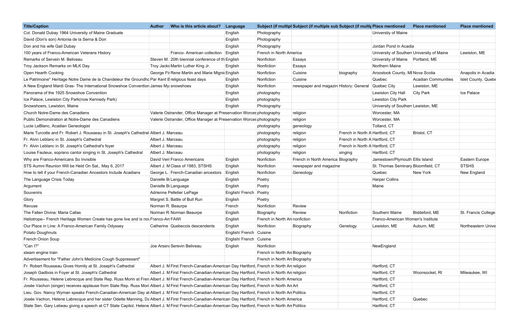| <b>Title/Caption</b>                                                                                                                                    | <b>Author</b>     | Who is this article about?                                                           | Language                  |                               | Subject (if multipl Subject (if multiple sub Subject (if multir Place mentioned |                                |                                            | <b>Place mentioned</b>     | <b>Place mentioned</b> |
|---------------------------------------------------------------------------------------------------------------------------------------------------------|-------------------|--------------------------------------------------------------------------------------|---------------------------|-------------------------------|---------------------------------------------------------------------------------|--------------------------------|--------------------------------------------|----------------------------|------------------------|
| Col. Donald Dubay 1964 University of Maine Graduate                                                                                                     |                   |                                                                                      | English                   | Photography                   |                                                                                 |                                | Universtiy of Maine                        |                            |                        |
| David (Don's son) Antonia de la Serna & Don                                                                                                             |                   |                                                                                      | English                   | Photography                   |                                                                                 |                                |                                            |                            |                        |
| Don and his wife Gail Dubay                                                                                                                             |                   |                                                                                      | English                   | Photography                   |                                                                                 |                                | Jordan Pond in Acadia                      |                            |                        |
| 100 years of Franco-American Veterans History                                                                                                           |                   | Franco- American collection                                                          | English                   | French in North America       |                                                                                 |                                | University of Southerr University of Maine |                            | Lewiston, ME           |
| Remarks of Servein M. Beliveau                                                                                                                          |                   | Steven M. 20th biennial conference of the English                                    |                           | Nonfiction                    | Essays                                                                          |                                | University of Maine   Portland, ME         |                            |                        |
| Troy Jackson Remarks on MLK Day                                                                                                                         |                   | Troy Jacks Martin Luther King Jr.                                                    | English                   | Nonfiction                    | Essays                                                                          |                                | Northern Maine                             |                            |                        |
| Open Hearth Cooking                                                                                                                                     |                   | George Fil Rene Martin and Marie Migni English                                       |                           | Nonfiction                    | Cuisine                                                                         | biography                      | Aroostook County, MI Nova Scotia           |                            | Anapolis in Acadia     |
| Le Patrimoine* Heritage Notre Dame de la Chandeleur the Groundho Par Kent E religious feast days                                                        |                   |                                                                                      | English                   | Nonfiction                    | Cuisine                                                                         |                                | Quebec                                     | <b>Acadian Communities</b> | Islet County, Quebe    |
| A New England Mardi Gras- The International Snowshoe Convention James My snowshoes                                                                      |                   |                                                                                      | English                   | Nonfiction                    | newspaper and magazin History: General                                          |                                | Quebec City                                | Lewiston, ME               |                        |
| Panorama of the 1925 Snowshoe Convention                                                                                                                |                   |                                                                                      | English                   | photography                   |                                                                                 |                                | Lewiston City Hall                         | City Park                  | Ice Palace             |
| Ice Palace, Lewiston City Park(now Kennedy Park)                                                                                                        |                   |                                                                                      | English                   | photography                   |                                                                                 |                                | Lewiston City Park                         |                            |                        |
| Snowshoers, Lewiston, Maine                                                                                                                             |                   |                                                                                      | English                   | Photography                   |                                                                                 |                                | University of Southerr Lewiston, ME        |                            |                        |
| Church Notre-Dame des Canadiens                                                                                                                         |                   | Valerie Ostrander, Office Manager at Preservation Worces photography                 |                           |                               | religion                                                                        |                                | Worcester, MA                              |                            |                        |
| Public Demonstration at Notre-Dame des Canadiens                                                                                                        |                   | Valerie Ostrander, Office Manager at Preservation Worces photography                 |                           |                               | religion                                                                        |                                | Worcester, MA                              |                            |                        |
| Lucie LeBlanc, Acadian Geneologist                                                                                                                      |                   |                                                                                      |                           | photography                   | geneology                                                                       |                                | Tolland, CT                                |                            |                        |
| Marie Turcotte and Fr. Robert J. Rousseau in St. Joseph's Cathedral Albert J. Marceau                                                                   |                   |                                                                                      |                           | photography                   | religion                                                                        | French in North A Hartford, CT |                                            | Bristol, CT                |                        |
| Fr. Alvin Leblanc in St. Joseph's Cathedral                                                                                                             | Albert J. Marceau |                                                                                      |                           | photography                   | religion                                                                        | French in North A Hartford, CT |                                            |                            |                        |
| Fr. Alvin Leblanc in St. Joseph's Cathedral's foyer                                                                                                     | Albert J. Marceau |                                                                                      |                           | photography                   | religion                                                                        | French in North A Hartford, CT |                                            |                            |                        |
| Louise Fauteux, soprano cantor singing in St. Joseph's Cathedral                                                                                        | Albert J. Marceau |                                                                                      |                           | photography                   | religion                                                                        | singing                        | Hartford, CT                               |                            |                        |
| Why are Franco-Americans So Invisible                                                                                                                   |                   | David Verr Franco Americans                                                          | English                   | Nonfiction                    | French in North America Biography                                               |                                | Jamestown/Plymouth Ellis Island            |                            | Eastern Europe         |
| STS Aumni Reunion Will be Held On Sat., May 6, 2017                                                                                                     |                   | Albert J. M Class of 1983, STSHS                                                     | English                   | Nonfiction                    | newspaper and magazine                                                          |                                | St. Thomas Seminary Bloomfield, CT         |                            | <b>STSHS</b>           |
| How to tell if your French-Canadian Ancestors Include Acadians                                                                                          |                   | George L. French-Canadian ancestors                                                  | English                   | Nonfiction                    | Geneology                                                                       |                                | Quebec                                     | <b>New York</b>            | New England            |
| The Language Crisis Today                                                                                                                               |                   | Danielle B Language                                                                  | English                   | Poetry                        |                                                                                 |                                | <b>Harper Collins</b>                      |                            |                        |
| Argument                                                                                                                                                |                   | Danielle B Language                                                                  | English                   | Poetry                        |                                                                                 |                                | Maine                                      |                            |                        |
| Souvenirs                                                                                                                                               |                   | Adrienne Pelletier LePage                                                            | English/ French           | Poetry                        |                                                                                 |                                |                                            |                            |                        |
| Glory                                                                                                                                                   |                   | Margret S. Battle of Bull Run                                                        | English                   | Poetry                        |                                                                                 |                                |                                            |                            |                        |
| Revuse                                                                                                                                                  |                   | Norman R. Beaurpe                                                                    | French                    | Nonfiction                    | Review                                                                          |                                |                                            |                            |                        |
| The Fallen Divina: Maria Callas                                                                                                                         |                   | Norman R Norman Beaurpe                                                              | Englsih                   | Biography                     | Review                                                                          | Nonfiction                     | Southern Maine                             | Biddeford, ME              | St. Francis College    |
| Heliotrope-- French Heritage Women Create has gone live and is not Franco-An FAWI                                                                       |                   |                                                                                      | English                   | French in North An nonfiction |                                                                                 |                                | Franco-American Women's Institute          |                            |                        |
| Our Place in Line: A Franco-American Family Odyssey                                                                                                     |                   | Catherine Quebecois descendents                                                      | English                   | Nonfiction                    | Biography                                                                       | Genelogy                       | Lewiston, ME                               | Auburn, ME                 | Northeastern Unive     |
| Potato Doughnuts                                                                                                                                        |                   |                                                                                      | English/ French   Cuisine |                               |                                                                                 |                                |                                            |                            |                        |
| French Onion Soup                                                                                                                                       |                   |                                                                                      | English/ French   Cuisine |                               |                                                                                 |                                |                                            |                            |                        |
| "Can I?"                                                                                                                                                |                   | Joe Arsen Serevin Beliveau                                                           | English                   | Nonfiction                    |                                                                                 |                                | NewEngland                                 |                            |                        |
| steam engine train                                                                                                                                      |                   |                                                                                      |                           | French in North An Biography  |                                                                                 |                                |                                            |                            |                        |
| Advertisement for "Father John's Medicine Cough Suppressant"                                                                                            |                   |                                                                                      |                           | French in North An Biography  |                                                                                 |                                |                                            |                            |                        |
| Fr. Robert Rousseau Gives Homily at St. Joseph's Cathedral                                                                                              |                   | Albert J. M First French-Canadian-American Day Hartford, French in North An religion |                           |                               |                                                                                 |                                | Hartford, CT                               |                            |                        |
| Joseph Gadbois in Foyer at St. Joseph's Cathedral                                                                                                       |                   | Albert J. M First French-Canadian-American Day Hartford, French in North An religion |                           |                               |                                                                                 |                                | Hartford, CT                               | Woonsocket, RI             | Milwaukee, WI          |
| Fr. Rousseau, Helene Lebrecque and State Rep. Russ Morin at Fren Albert J. M First French-Canadian-American Day Hartford, French in North America       |                   |                                                                                      |                           |                               |                                                                                 |                                | Hartford, CT                               |                            |                        |
| Josée Vachon (singer) receives applause from State Rep. Russ Mori Albert J. M First French-Canadian-American Day Hartford, French in North An Art       |                   |                                                                                      |                           |                               |                                                                                 |                                | Hartford, CT                               |                            |                        |
| Lieu. Gov. Nancy Wyman speaks French-Canadian-American Day at Albert J. M First French-Canadian-American Day Hartford, French in North An Politics      |                   |                                                                                      |                           |                               |                                                                                 |                                | Hartford, CT                               |                            |                        |
| Josée Vachon, Helene Labrecque and her sister Odette Manning, Da Albert J. M First French-Canadian-American Day Hartford, French in North America       |                   |                                                                                      |                           |                               |                                                                                 |                                | Hartford, CT                               | Quebec                     |                        |
| State Sen. Gary Lebeau giving a speech at CT State Capitol, Helene Albert J. M First French-Canadian-American Day Hartford, French in North An Politics |                   |                                                                                      |                           |                               |                                                                                 |                                | Hartford, CT                               |                            |                        |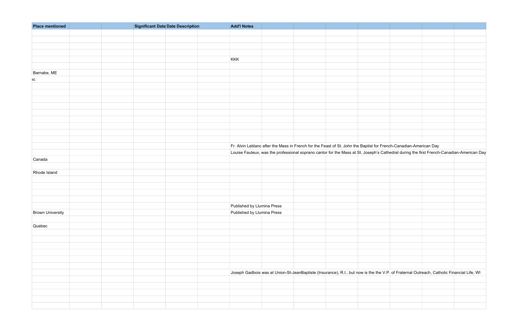| <b>Place mentioned</b>  | Significant Date Date Description | <b>Add'l Notes</b>         |                                                                                                                                           |  |
|-------------------------|-----------------------------------|----------------------------|-------------------------------------------------------------------------------------------------------------------------------------------|--|
|                         |                                   |                            |                                                                                                                                           |  |
|                         |                                   |                            |                                                                                                                                           |  |
|                         |                                   |                            |                                                                                                                                           |  |
|                         |                                   |                            |                                                                                                                                           |  |
|                         |                                   | KKK                        |                                                                                                                                           |  |
|                         |                                   |                            |                                                                                                                                           |  |
| Barnabe, ME             |                                   |                            |                                                                                                                                           |  |
| $\mathsf{SC}$           |                                   |                            |                                                                                                                                           |  |
|                         |                                   |                            |                                                                                                                                           |  |
|                         |                                   |                            |                                                                                                                                           |  |
|                         |                                   |                            |                                                                                                                                           |  |
|                         |                                   |                            |                                                                                                                                           |  |
|                         |                                   |                            |                                                                                                                                           |  |
|                         |                                   |                            |                                                                                                                                           |  |
|                         |                                   |                            |                                                                                                                                           |  |
|                         |                                   |                            |                                                                                                                                           |  |
|                         |                                   |                            |                                                                                                                                           |  |
|                         |                                   |                            | Fr. Alvin Leblanc after the Mass in French for the Feast of St. John the Baptist for French-Canadian-American Day                         |  |
|                         |                                   |                            | Louise Fauteux, was the professional soprano cantor for the Mass at St. Joseph's Cathedral during the first French-Canadian-American Day  |  |
| Canada                  |                                   |                            |                                                                                                                                           |  |
|                         |                                   |                            |                                                                                                                                           |  |
| Rhode Island            |                                   |                            |                                                                                                                                           |  |
|                         |                                   |                            |                                                                                                                                           |  |
|                         |                                   |                            |                                                                                                                                           |  |
|                         |                                   |                            |                                                                                                                                           |  |
|                         |                                   |                            |                                                                                                                                           |  |
|                         |                                   |                            |                                                                                                                                           |  |
|                         |                                   | Published by Llumina Press |                                                                                                                                           |  |
| <b>Brown University</b> |                                   | Published by Llumina Press |                                                                                                                                           |  |
|                         |                                   |                            |                                                                                                                                           |  |
| Quebec                  |                                   |                            |                                                                                                                                           |  |
|                         |                                   |                            |                                                                                                                                           |  |
|                         |                                   |                            |                                                                                                                                           |  |
|                         |                                   |                            |                                                                                                                                           |  |
|                         |                                   |                            |                                                                                                                                           |  |
|                         |                                   |                            |                                                                                                                                           |  |
|                         |                                   |                            |                                                                                                                                           |  |
|                         |                                   |                            | Joseph Gadbois was at Union-St-JeanBaptiste (Insurance), R.I., but now is the the V.P. of Fraternal Outreach, Catholic Financial Life, WI |  |
|                         |                                   |                            |                                                                                                                                           |  |
|                         |                                   |                            |                                                                                                                                           |  |
|                         |                                   |                            |                                                                                                                                           |  |
|                         |                                   |                            |                                                                                                                                           |  |
|                         |                                   |                            |                                                                                                                                           |  |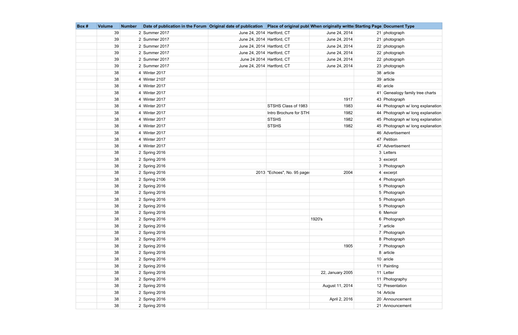| Box # | <b>Volume</b> | <b>Number</b> | Date of publication in the Forum Original date of publication   Place of original publ When originally writte Starting Page   Document Type |                            |                            |                  |                                   |
|-------|---------------|---------------|---------------------------------------------------------------------------------------------------------------------------------------------|----------------------------|----------------------------|------------------|-----------------------------------|
|       | 39            |               | 2 Summer 2017                                                                                                                               | June 24, 2014 Hartford, CT |                            | June 24, 2014    | 21 photograph                     |
|       | 39            |               | 2 Summer 2017                                                                                                                               | June 24, 2014 Hartford, CT |                            | June 24, 2014    | 21 photograph                     |
|       | 39            |               | 2 Summer 2017                                                                                                                               | June 24, 2014 Hartford, CT |                            | June 24, 2014    | 22 photograph                     |
|       | 39            |               | 2 Summer 2017                                                                                                                               | June 24, 2014 Hartford, CT |                            | June 24, 2014    | 22 photograph                     |
|       | 39            |               | 2 Summer 2017                                                                                                                               | June 24 2014 Hartford, CT  |                            | June 24, 2014    | 22 photograph                     |
|       | 39            |               | 2 Summer 2017                                                                                                                               | June 24, 2014 Hartford, CT |                            | June 24, 2014    | 23 photograph                     |
|       | 38            |               | 4 Winter 2017                                                                                                                               |                            |                            |                  | 38 article                        |
|       | 38            |               | 4 Winter 2107                                                                                                                               |                            |                            |                  | 39 article                        |
|       | 38            |               | 4 Winter 2017                                                                                                                               |                            |                            |                  | 40 aricle                         |
|       | 38            |               | 4 Winter 2017                                                                                                                               |                            |                            |                  | 41 Genealogy family tree charts   |
|       | 38            |               | 4 Winter 2017                                                                                                                               |                            |                            | 1917             | 43 Photograph                     |
|       | 38            |               | 4 Winter 2017                                                                                                                               |                            | STSHS Class of 1983        | 1983             | 44 Photograph w/ long explanation |
|       | 38            |               | 4 Winter 2017                                                                                                                               |                            | Intro Brochure for STH     | 1982             | 44 Photograph w/ long explanation |
|       | 38            |               | 4 Winter 2017                                                                                                                               |                            | <b>STSHS</b>               | 1982             | 45 Photograph w/ long explanation |
|       | 38            |               | 4 Winter 2017                                                                                                                               |                            | <b>STSHS</b>               | 1982             | 45 Photograph w/ long explanation |
|       | 38            |               | 4 Winter 2017                                                                                                                               |                            |                            |                  | 46 Advertisement                  |
|       | 38            |               | 4 Winter 2017                                                                                                                               |                            |                            |                  | 47 Petition                       |
|       | 38            |               | 4 Winter 2017                                                                                                                               |                            |                            |                  | 47 Advertisement                  |
|       | 38            |               | $2$ Spring 2016                                                                                                                             |                            |                            |                  | 3 Letters                         |
|       | 38            |               | $2$ Spring 2016                                                                                                                             |                            |                            |                  | $3$ excerpt                       |
|       | 38            |               | $2$ Spring 2016                                                                                                                             |                            |                            |                  | 3 Photograph                      |
|       | 38            |               | $2$ Spring 2016                                                                                                                             |                            | 2013 "Echoes", No. 95 page | 2004             | $4$ excerpt                       |
|       | 38            |               | $2$ Spring 2106                                                                                                                             |                            |                            |                  | 4 Photograph                      |
|       | 38            |               | $2$ Spring 2016                                                                                                                             |                            |                            |                  | 5 Photograph                      |
|       | 38            |               | $2$ Spring 2016                                                                                                                             |                            |                            |                  | 5 Photograph                      |
|       | 38            |               | $2$ Spring 2016                                                                                                                             |                            |                            |                  | 5 Photograph                      |
|       | 38            |               | $2$ Spring 2016                                                                                                                             |                            |                            |                  | 5 Photograph                      |
|       | 38            |               | $2$ Spring 2016                                                                                                                             |                            |                            |                  | 6 Memoir                          |
|       | 38            |               | $2$ Spring 2016                                                                                                                             |                            |                            | 1920's           | 6 Photograph                      |
|       | 38            |               | $2$ Spring 2016                                                                                                                             |                            |                            |                  | $7$ article                       |
|       | 38            |               | $2$ Spring 2016                                                                                                                             |                            |                            |                  | 7 Photograph                      |
|       | 38            |               | $2$ Spring 2016                                                                                                                             |                            |                            |                  | 8 Photograph                      |
|       | 38            |               | $2$ Spring 2016                                                                                                                             |                            |                            | 1905             | 7 Photograph                      |
|       | 38            |               | $2$ Spring 2016                                                                                                                             |                            |                            |                  | 8 article                         |
|       | 38            |               | $2$ Spring 2016                                                                                                                             |                            |                            |                  | $10$ aricle                       |
|       | 38            |               | $2$ Spring 2016                                                                                                                             |                            |                            |                  | 11 Painting                       |
|       | 38            |               | $2$ Spring 2016                                                                                                                             |                            |                            | 22, January 2005 | $11$ Letter                       |
|       | 38            |               | $2$ Spring 2016                                                                                                                             |                            |                            |                  | 11 Photography                    |
|       | 38            |               | $2$ Spring 2016                                                                                                                             |                            |                            | August 11, 2014  | 12 Presentation                   |
|       | 38            |               | $2$ Spring 2016                                                                                                                             |                            |                            |                  | 14 Article                        |
|       | 38            |               | $2$ Spring 2016                                                                                                                             |                            |                            | April 2, 2016    | 20 Announcement                   |
|       | 38            |               | $2$ Spring 2016                                                                                                                             |                            |                            |                  | 21 Announcement                   |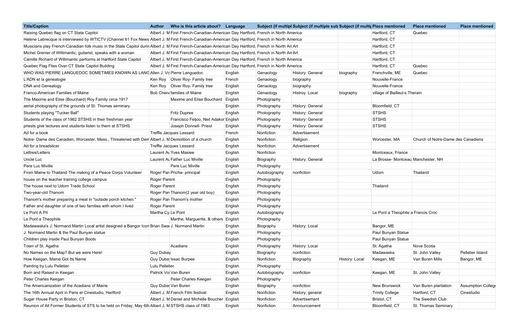| <b>Title/Caption</b>                                                                                                                                 | <b>Author</b>         | Who is this article about? $\vert$ Language                                      |         |               | Subject (if multipl Subject (if multiple sub Subject (if multip Place mentioned |                |                                    | <b>Place mentioned</b>             | <b>Place mentioned</b> |
|------------------------------------------------------------------------------------------------------------------------------------------------------|-----------------------|----------------------------------------------------------------------------------|---------|---------------|---------------------------------------------------------------------------------|----------------|------------------------------------|------------------------------------|------------------------|
| Raising Quebec flag on CT State Capitol                                                                                                              |                       | Albert J. M First French-Canadian-American Day Hartford, French in North America |         |               |                                                                                 |                | Hartford, CT                       | Quebec                             |                        |
| Helene Labrecque is interviewed by WTICTV (Channel 61 Fox News Albert J. M First French-Canadian-American Day Hartford, French in North America      |                       |                                                                                  |         |               |                                                                                 |                | Hartford, CT                       |                                    |                        |
| Musicians play French-Canadian folk music in the State Capitol durin Albert J. M First French-Canadian-American Day Hartford, French in North An Art |                       |                                                                                  |         |               |                                                                                 |                | Hartford, CT                       |                                    |                        |
| Michel Grenier of Willimantic, guitarist, speaks with a woman                                                                                        |                       | Albert J. M First French-Canadian-American Day Hartford, French in North An Art  |         |               |                                                                                 |                | Hartford, CT                       |                                    |                        |
| Camille Richard of Willimantic performs at Hartford State Capitol                                                                                    |                       | Albert J. M First French-Canadian-American Day Hartford, French in North America |         |               |                                                                                 |                | Hartford, CT                       |                                    |                        |
| Quebec Flag Flies Over CT State Capitol Building                                                                                                     |                       | Albert J. M First French-Canadian-American Day Hartford, French in North America |         |               |                                                                                 |                | Hartford, CT                       | Quebec                             |                        |
| WHO WAS PIERRE LANGUEDOC SOMETIMES KNOWN AS LANG Allen J. Vd Pierre Languedoc                                                                        |                       |                                                                                  | English | Genaology     | History: General                                                                | biography      | Frenchville, ME                    | Quebec                             |                        |
| L'ADN et la genealogie                                                                                                                               |                       | Ken Roy   Oliver Roy- Family tree                                                | French  | Genaology     | biography                                                                       |                | Nouvelle-France                    |                                    |                        |
| DNA and Genealogy                                                                                                                                    |                       | Ken Roy   Oliver Roy- Family tree                                                | English | Genaology     | biography                                                                       |                | Nouvelle-France                    |                                    |                        |
| Franco-American Families of Maine                                                                                                                    |                       | Bob Chen families of Maine                                                       | English | Genaology     | Histroy: Local                                                                  | biography      | village of Bailleul-s Therain      |                                    |                        |
| The Maxime and Elise (Bouchard) Roy Family circa 1917                                                                                                |                       | Maxime and Elise Bouchard                                                        | English | Photography   |                                                                                 |                |                                    |                                    |                        |
| aerial photography of the grounds of St. Thomas seminary                                                                                             |                       |                                                                                  | English | Photography   | History: General                                                                |                | Bloomfield, CT                     |                                    |                        |
| Students playing "Tucker Ball"                                                                                                                       |                       | <b>Fritz Dupree</b>                                                              | English | Photography   | History: General                                                                |                | <b>STSHS</b>                       |                                    |                        |
| Students of the class of 1982 STSHS in their freshman year                                                                                           |                       | Francisco Feijoo, Neil Adakor English                                            |         | Photography   | History: General                                                                |                | <b>STSHS</b>                       |                                    |                        |
| priests give lectures and students listen to them at STSHS                                                                                           |                       | Joseph Donnell- Priest                                                           | English | Photography   | History: General                                                                |                | <b>STSHS</b>                       |                                    |                        |
| Ad for a book                                                                                                                                        |                       | Treffle Jacques Lessard                                                          | French  | Nonfiction    | Advertisement                                                                   |                |                                    |                                    |                        |
| Notre- Dame des Canadien, Worcester, Mass., Threatened with Dem Albert J. M Demolition of a church                                                   |                       |                                                                                  | English | Nonfiction    | Religion                                                                        |                | Worcester, MA                      | Church of Notre-Dame des Canadiens |                        |
| Ad for a breadslicer                                                                                                                                 |                       | Treffle Jacques Lessard                                                          | English | Nonfiction    | Advertisement                                                                   |                |                                    |                                    |                        |
| Lettres/Letters                                                                                                                                      |                       | Laurent Al Yves Masiee                                                           | English | Nonfiction    |                                                                                 |                | Montceaux, France                  |                                    |                        |
| Uncle Luc                                                                                                                                            |                       | Laurent Al Father Luc Miville                                                    | English | Biography     | History: General                                                                |                | La Brosse- Montceau Manchester, NH |                                    |                        |
| Pere Luc Miville                                                                                                                                     |                       | Pere Luc Miville                                                                 | English | Photography   |                                                                                 |                |                                    |                                    |                        |
| From Maine to Thailand The making of a Peace Corps Volunteer                                                                                         |                       | Roger Par Pricha- principal                                                      | Englsih | Autobiography | nonfiction                                                                      |                | Udorn                              | Thailand                           |                        |
| house on the teacher training college campus                                                                                                         | <b>Roger Parent</b>   |                                                                                  | English | Photography   |                                                                                 |                |                                    |                                    |                        |
| The house next to Udorn Trade School                                                                                                                 | Roger Parent          |                                                                                  | English | Photography   |                                                                                 |                | Thailand                           |                                    |                        |
| Two-year-old Thanom                                                                                                                                  |                       | Roger Par Thanom(2 year old boy)                                                 | English | Photography   |                                                                                 |                |                                    |                                    |                        |
| Thanom's mother preparing a meal in "outside porch kitchen."                                                                                         |                       | Roger Par Thanom's mother                                                        | English | Photography   |                                                                                 |                |                                    |                                    |                        |
| Father and daughter of one of two families with whom I lived                                                                                         | Roger Parent          |                                                                                  | English | Photography   |                                                                                 |                |                                    |                                    |                        |
| Le Pont A Pit                                                                                                                                        |                       | Martha Cy Le Pont                                                                | English | Autobiography |                                                                                 |                | Le Pont a Theophile a Francis Croc |                                    |                        |
| Le Pont a Theophile                                                                                                                                  |                       | Marthe, Marguerite, & others English                                             |         | Photography   |                                                                                 |                |                                    |                                    |                        |
| Madawaska's J. Normand Martin Local artist designed a Bangor Icon Brian Swa J. Normand Martin                                                        |                       |                                                                                  | English | Biography     | History: Local                                                                  |                | Bangor, ME                         |                                    |                        |
| J. Normand Martin & the Paul Bunyan statue                                                                                                           |                       |                                                                                  | English | Photography   |                                                                                 |                | Paul Bunyan Statue                 |                                    |                        |
| Children play inside Paul Bunyan Boots                                                                                                               |                       |                                                                                  | English | Photography   |                                                                                 |                | Paul Bunyan Statue                 |                                    |                        |
| Town of St. Agatha                                                                                                                                   |                       | Acadians                                                                         | English | Photography   | History: Local                                                                  |                | St. Agatha                         | Nova Scotia                        |                        |
| No Names on the Map? But we were Here!                                                                                                               | <b>Guy Dubay</b>      |                                                                                  | English | Biography     | nonfiction                                                                      |                | Madawaska                          | St. John Valley                    | Pelletier Island       |
| How Keegan, Maine Got Its Name                                                                                                                       |                       | Guy Duba Issac Burpee                                                            | Englsih | Nonfiction    | Biography                                                                       | History: Local | Keegan, ME                         | Van Buren Mills                    | Bangor, ME             |
| Painting by Lulu Pelletier                                                                                                                           | <b>Lulu Pelletier</b> |                                                                                  | English | Photography   |                                                                                 |                |                                    |                                    |                        |
| Born and Raised in Keegan                                                                                                                            |                       | Patrick Vo Van Buren                                                             | English | Autobiography | nonfiction                                                                      |                | Keegan, ME                         | St. John Valley                    |                        |
| Peter Charles Keegan                                                                                                                                 |                       | Peter Charles Keegan                                                             | Englsih | Photography   |                                                                                 |                |                                    |                                    |                        |
| The Americanization of the Acadians of Maine                                                                                                         |                       | Guy Duba Van Buren                                                               | English | Biography     | nonfiction                                                                      |                | New Brunswick                      | Van Buren plantation               | Assumption College     |
| The 16th Annual April in Paris at Cinestudio, Hartford                                                                                               |                       | Albert J. M French Film festival                                                 | English | Nonfiction    | History: general                                                                |                | <b>Trinity College</b>             | Hartford, CT                       | Cinestudio             |
| Sugar House Party in Briston, CT                                                                                                                     |                       | Albert J. M Daniel and Michelle Boucher English                                  |         | Nonfiction    | Advertisement                                                                   |                | Bristol, CT                        | The Swedish Club                   |                        |
| Reunion of All Former Students of STS to be held on Friday, May 6th Albert J. M STSHS class of 1983                                                  |                       |                                                                                  | Englsih | Nonfiction    | Announcement                                                                    |                | Bloomfield, CT                     | St. Thomas Seminary                |                        |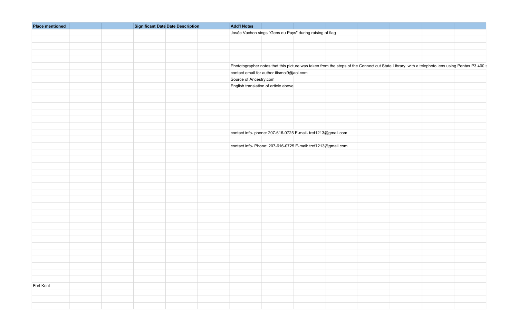| <b>Place mentioned</b> | <b>Significant Date Date Description</b> | <b>Add'l Notes</b>     |                                                                                                                                               |  |  |
|------------------------|------------------------------------------|------------------------|-----------------------------------------------------------------------------------------------------------------------------------------------|--|--|
|                        |                                          |                        | Josée Vachon sings "Gens du Pays" during raising of flag                                                                                      |  |  |
|                        |                                          |                        |                                                                                                                                               |  |  |
|                        |                                          |                        |                                                                                                                                               |  |  |
|                        |                                          |                        |                                                                                                                                               |  |  |
|                        |                                          |                        |                                                                                                                                               |  |  |
|                        |                                          |                        |                                                                                                                                               |  |  |
|                        |                                          |                        | Phototographer notes that this picture was taken from the steps of the Connecticut State Library, with a telephoto lens using Pentax P3 400 : |  |  |
|                        |                                          |                        | contact email for author itismoi9@aol.com                                                                                                     |  |  |
|                        |                                          | Source of Ancestry.com |                                                                                                                                               |  |  |
|                        |                                          |                        | English translation of article above                                                                                                          |  |  |
|                        |                                          |                        |                                                                                                                                               |  |  |
|                        |                                          |                        |                                                                                                                                               |  |  |
|                        |                                          |                        |                                                                                                                                               |  |  |
|                        |                                          |                        |                                                                                                                                               |  |  |
|                        |                                          |                        |                                                                                                                                               |  |  |
|                        |                                          |                        |                                                                                                                                               |  |  |
|                        |                                          |                        | contact info- phone: 207-616-0725 E-mail- tref1213@gmail.com                                                                                  |  |  |
|                        |                                          |                        |                                                                                                                                               |  |  |
|                        |                                          |                        |                                                                                                                                               |  |  |
|                        |                                          |                        | contact info- Phone: 207-616-0725 E-mail: tref1213@gmail.com                                                                                  |  |  |
|                        |                                          |                        |                                                                                                                                               |  |  |
|                        |                                          |                        |                                                                                                                                               |  |  |
|                        |                                          |                        |                                                                                                                                               |  |  |
|                        |                                          |                        |                                                                                                                                               |  |  |
|                        |                                          |                        |                                                                                                                                               |  |  |
|                        |                                          |                        |                                                                                                                                               |  |  |
|                        |                                          |                        |                                                                                                                                               |  |  |
|                        |                                          |                        |                                                                                                                                               |  |  |
|                        |                                          |                        |                                                                                                                                               |  |  |
|                        |                                          |                        |                                                                                                                                               |  |  |
|                        |                                          |                        |                                                                                                                                               |  |  |
|                        |                                          |                        |                                                                                                                                               |  |  |
|                        |                                          |                        |                                                                                                                                               |  |  |
|                        |                                          |                        |                                                                                                                                               |  |  |
|                        |                                          |                        |                                                                                                                                               |  |  |
|                        |                                          |                        |                                                                                                                                               |  |  |
|                        |                                          |                        |                                                                                                                                               |  |  |
|                        |                                          |                        |                                                                                                                                               |  |  |
|                        |                                          |                        |                                                                                                                                               |  |  |
|                        |                                          |                        |                                                                                                                                               |  |  |
|                        |                                          |                        |                                                                                                                                               |  |  |
| Fort Kent              |                                          |                        |                                                                                                                                               |  |  |
|                        |                                          |                        |                                                                                                                                               |  |  |
|                        |                                          |                        |                                                                                                                                               |  |  |
|                        |                                          |                        |                                                                                                                                               |  |  |
|                        |                                          |                        |                                                                                                                                               |  |  |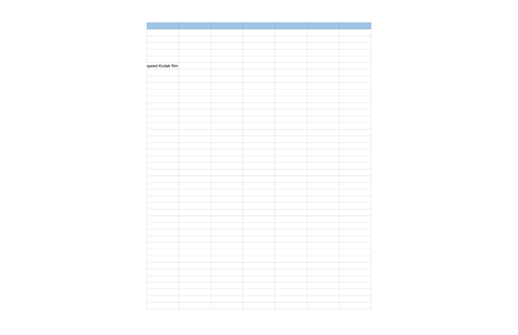|  | speed Kodak film |  |
|--|------------------|--|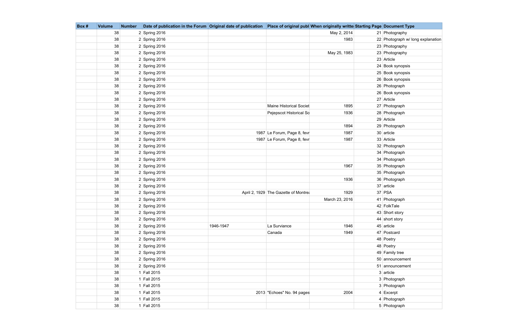| Box# | <b>Volume</b> | <b>Number</b> | Date of publication in the Forum Original date of publication |           | Place of original publ When originally writte Starting Page Document Type |                |                                   |
|------|---------------|---------------|---------------------------------------------------------------|-----------|---------------------------------------------------------------------------|----------------|-----------------------------------|
|      | 38            |               | $2$ Spring 2016                                               |           |                                                                           | May 2, 2014    | 21 Photography                    |
|      | 38            |               | $2$ Spring 2016                                               |           |                                                                           | 1983           | 22 Photograph w/ long explanation |
|      | 38            |               | $2$ Spring 2016                                               |           |                                                                           |                | 23 Photography                    |
|      | 38            |               | $2$ Spring 2016                                               |           |                                                                           | May 25, 1983   | 23 Photography                    |
|      | 38            |               | $2$ Spring 2016                                               |           |                                                                           |                | 23 Article                        |
|      | 38            |               | $2$ Spring 2016                                               |           |                                                                           |                | 24 Book synopsis                  |
|      | 38            |               | $2$ Spring 2016                                               |           |                                                                           |                | 25 Book synopsis                  |
|      | 38            |               | $2$ Spring 2016                                               |           |                                                                           |                | 26 Book synopsis                  |
|      | 38            |               | $2$ Spring 2016                                               |           |                                                                           |                | 26 Photograph                     |
|      | 38            |               | $2$ Spring 2016                                               |           |                                                                           |                | 26 Book synopsis                  |
|      | 38            |               | $2$ Spring 2016                                               |           |                                                                           |                | 27 Article                        |
|      | 38            |               | $2$ Spring 2016                                               |           | Maine Historical Societ                                                   | 1895           | 27 Photograph                     |
|      | 38            |               | $2$ Spring 2016                                               |           | Pejepscot Historical So                                                   | 1936           | 28 Photograph                     |
|      | 38            |               | $2$ Spring 2016                                               |           |                                                                           |                | 29 Article                        |
|      | 38            |               | $2$ Spring 2016                                               |           |                                                                           | 1894           | 29 Photograph                     |
|      | 38            |               | $2$ Spring 2016                                               |           | 1987 Le Forum, Page 8, fevr                                               | 1987           | $30$ article                      |
|      | 38            |               | $2$ Spring 2016                                               |           | 1987 Le Forum, Page 8, fevr                                               | 1987           | 33 Article                        |
|      | 38            |               | $2$ Spring 2016                                               |           |                                                                           |                | 32 Photograph                     |
|      | 38            |               | $2$ Spring 2016                                               |           |                                                                           |                | 34 Photograph                     |
|      | 38            |               | $2$ Spring 2016                                               |           |                                                                           |                | 34 Photograph                     |
|      | 38            |               | $2$ Spring 2016                                               |           |                                                                           | 1967           | 35 Photograph                     |
|      | 38            |               | $2$ Spring 2016                                               |           |                                                                           |                | 35 Photograph                     |
|      | 38            |               | $2$ Spring 2016                                               |           |                                                                           | 1936           | 36 Photograph                     |
|      | 38            |               | $2$ Spring 2016                                               |           |                                                                           |                | 37 article                        |
|      | 38            |               | $2$ Spring 2016                                               |           | April 2, 1929 The Gazette of Montrea                                      | 1929           | $37$ PSA                          |
|      | 38            |               | $2$ Spring 2016                                               |           |                                                                           | March 23, 2016 | 41 Photograph                     |
|      | 38            |               | $2$ Spring 2016                                               |           |                                                                           |                | 42 FolkTale                       |
|      | 38            |               | $2$ Spring 2016                                               |           |                                                                           |                | 43 Short story                    |
|      | 38            |               | $2$ Spring 2016                                               |           |                                                                           |                | 44 short story                    |
|      | 38            |               | $2$ Spring 2016                                               | 1946-1947 | La Surviance                                                              | 1946           | $45$ article                      |
|      | 38            |               | $2$ Spring 2016                                               |           | Canada                                                                    | 1949           | 47 Postcard                       |
|      | 38            |               | $2$ Spring 2016                                               |           |                                                                           |                | 48 Poetry                         |
|      | 38            |               | $2$ Spring 2016                                               |           |                                                                           |                | 48 Poetry                         |
|      | 38            |               | $2$ Spring 2016                                               |           |                                                                           |                | 49 Family tree                    |
|      | 38            |               | $2$ Spring 2016                                               |           |                                                                           |                | 50 announcement                   |
|      | 38            |               | $2$ Spring 2016                                               |           |                                                                           |                | 51 announcement                   |
|      | 38            |               | 1 Fall 2015                                                   |           |                                                                           |                | $3$ article                       |
|      | 38            |               | 1 Fall 2015                                                   |           |                                                                           |                | 3 Photograph                      |
|      | 38            |               | 1 Fall 2015                                                   |           |                                                                           |                | 3 Photograph                      |
|      | 38            |               | 1 Fall 2015                                                   |           | 2013 "Echoes" No. 94 pages                                                | 2004           | $4$ Excerpt                       |
|      | 38            |               | 1 Fall 2015                                                   |           |                                                                           |                | 4 Photograph                      |
|      | 38            |               | 1 Fall 2015                                                   |           |                                                                           |                | 5 Photograph                      |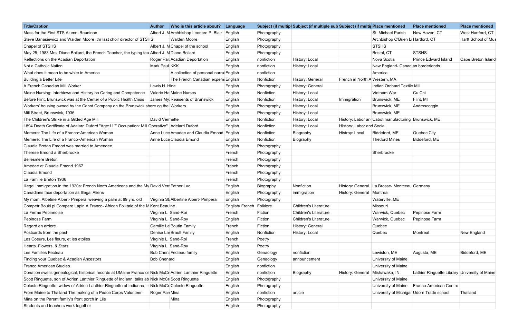| Albert J. M Archbishop Leonard P. Blair<br>St. Michael Parish<br>West Hartford, CT<br>English<br>Photography<br>New Haven, CT<br>Steve Banasiewicz and Walden Moore , thr last choir director of STSHS<br>Archbishop O'Brien Li Hartford, CT<br><b>Walden Moore</b><br>English<br>Photography<br><b>STSHS</b><br>Albert J. M Chapel of the school<br>English<br>Photography<br>May 25, 1983 Mrs. Diane Boilard, the French Teacher, the typing tea Albert J. M Diane Boilard<br><b>STSHS</b><br>English<br>Photography<br>Bristol, CT<br>History: Local<br>Roger Par Acadian Deportation<br>nonfiction<br>Nova Scotia<br><b>Prince Edward Island</b><br>English<br>Mark Paul KKK<br>nonfiction<br>History: Local<br>New England- Canadian borderlands<br>English<br>A collection of personal narra English<br>nonfiction<br>America<br>The French Canadian experid English<br>Nonfiction<br>History: General<br>French in North A Western, MA<br>Lewis H. Hine<br>History: General<br>Indian Orchard Textile Mill<br>English<br>Photography<br>Maine Nursing: Interbiews and History on Caring and Competence   Valerie Ha Maine Nurses<br>Nonfiction<br>History: Local<br>Cu Chi<br>English<br>Vietnam War<br>Nonfiction<br>History: Local<br>Flint, MI<br>James My Reaisents of Brunswick<br>English<br>Brunswick, ME<br>Immigration<br>Workers' housing owned by the Cabot Company on the Brunswick shore og the Workers<br>History: Local<br>English<br>Brunswick, ME<br>Androscoggin<br>Photography<br>Histroy: Local<br>Brunswick, ME<br>English<br>Photography<br>History: Labor and Cabot manufacturing Brunswick, ME<br>David Vermette<br>Nonfiction<br>History: Local<br>English<br>1894 Death Certificate of Adelard Duford "Age:11"" Occupation: Mill Operative"   Adelard Duford<br>Nonfiction<br>History: Local<br>History: Labor and Social<br>English<br>Anne Luce Amadee and Claudia Emond English<br>Nonfiction<br>Biddeford, ME<br>Quebec City<br>Biography<br>Histroy: Local<br>Anne Luce Claudia Emond<br>Nonfiction<br>Biddeford, ME<br>Biography<br>Thetford Mines<br>English<br>English<br>Photography<br>Sherbrooke<br>Photography<br>French<br>Photography<br>French<br>Photography<br>French<br>Photography<br>French<br>French<br>Photography<br>Illegal Immigration in the 1920s: French North Americans and the My David Veri Father Luc<br>Nonfiction<br>History: General   La Brosse- Montceau Germany<br>Biography<br>English<br>Montreal<br>English<br>Photography<br>History: General<br>immigration<br>Virginia St Albertine Albert- Pimperal<br>Waterville, ME<br>English<br>Photography<br>Competr Bouki pi Compere Lapin A Franco- African Folktale of the M Kent Beaulne<br>English/ French   Folklore<br><b>Children's Literature</b><br>Missouri<br>Warwick, Quebec<br>Virginie L. Sand-Roi<br>French<br>Pepinose Farm<br><b>Children's Literature</b><br>Fiction<br>Virginia L. Sand-Roy<br>English<br>Fiction<br><b>Children's Literature</b><br>Warwick, Quebec<br>Pepinose Farm<br>Camille Le Boutin Family<br>Fiction<br>History: General<br>Quebec<br>French<br>Denise La Brault Family<br>Nonfiction<br>Quebec<br>New England<br>English<br>History: Local<br>Montreal<br>Virginie L. Sand-Roi<br>French<br>Poetry<br>Virginia L. Sand-Roy<br>English<br>Poetry<br>nonfiction<br>Bob Chen: Fecteau family<br>Lewiston, ME<br>Augusta, ME<br>Biddeford, ME<br>Genaology<br>English<br>University of Maine<br><b>Bob Chenard</b><br>English<br>Genaology<br>announcement<br>University of Maine<br>English<br>nonfiction<br>Donation swells genealogical, historical records at UMaine Franco ce Nick McCr Adrien Lanthier Ringuette<br>Biography<br>Lathier Ringuette Library University of Maine<br>nonfiction<br>Mishawaka, IN<br>History: General<br>English<br>Scott Ringuette, son of Adrien Lanthier Ringuette of Indiann, talks ab Nick McCr Scott Ringuette<br>University of Maine<br>English<br>Photography<br>Celeste Ringuette, widow of Adrien Lanthier Ringuette of Indianna, ta Nick McCr Celeste Ringuette<br>University of Maine   Franco-American Centre<br>English<br>Photography<br>University of Michigar Udorn Trade school<br>nonfiction<br>article<br>Thailand<br>Roger Par Mina<br>English<br>Mina<br>Photography<br>English<br>English<br>Photography | <b>Title/Caption</b>                                                | Who is this article about?<br><b>Author</b> | Language | Subject (if multipl Subject (if multiple sub Subject (if multir Place mentioned |  | <b>Place mentioned</b> | <b>Place mentioned</b> |
|--------------------------------------------------------------------------------------------------------------------------------------------------------------------------------------------------------------------------------------------------------------------------------------------------------------------------------------------------------------------------------------------------------------------------------------------------------------------------------------------------------------------------------------------------------------------------------------------------------------------------------------------------------------------------------------------------------------------------------------------------------------------------------------------------------------------------------------------------------------------------------------------------------------------------------------------------------------------------------------------------------------------------------------------------------------------------------------------------------------------------------------------------------------------------------------------------------------------------------------------------------------------------------------------------------------------------------------------------------------------------------------------------------------------------------------------------------------------------------------------------------------------------------------------------------------------------------------------------------------------------------------------------------------------------------------------------------------------------------------------------------------------------------------------------------------------------------------------------------------------------------------------------------------------------------------------------------------------------------------------------------------------------------------------------------------------------------------------------------------------------------------------------------------------------------------------------------------------------------------------------------------------------------------------------------------------------------------------------------------------------------------------------------------------------------------------------------------------------------------------------------------------------------------------------------------------------------------------------------------------------------------------------------------------------------------------------------------------------------------------------------------------------------------------------------------------------------------------------------------------------------------------------------------------------------------------------------------------------------------------------------------------------------------------------------------------------------------------------------------------------------------------------------------------------------------------------------------------------------------------------------------------------------------------------------------------------------------------------------------------------------------------------------------------------------------------------------------------------------------------------------------------------------------------------------------------------------------------------------------------------------------------------------------------------------------------------------------------------------------------------------------------------------------------------------------------------------------------------------------------------------------------------------------------------------------------------------------------------------------------------------------------------------------------------------------------------------------------------------------------------------------------------------------------------------------------------------------------------------------------------------------------------------------------------------------------------------|---------------------------------------------------------------------|---------------------------------------------|----------|---------------------------------------------------------------------------------|--|------------------------|------------------------|
|                                                                                                                                                                                                                                                                                                                                                                                                                                                                                                                                                                                                                                                                                                                                                                                                                                                                                                                                                                                                                                                                                                                                                                                                                                                                                                                                                                                                                                                                                                                                                                                                                                                                                                                                                                                                                                                                                                                                                                                                                                                                                                                                                                                                                                                                                                                                                                                                                                                                                                                                                                                                                                                                                                                                                                                                                                                                                                                                                                                                                                                                                                                                                                                                                                                                                                                                                                                                                                                                                                                                                                                                                                                                                                                                                                                                                                                                                                                                                                                                                                                                                                                                                                                                                                                                                                                                | Mass for the First STS Alumni Reuninon                              |                                             |          |                                                                                 |  |                        |                        |
|                                                                                                                                                                                                                                                                                                                                                                                                                                                                                                                                                                                                                                                                                                                                                                                                                                                                                                                                                                                                                                                                                                                                                                                                                                                                                                                                                                                                                                                                                                                                                                                                                                                                                                                                                                                                                                                                                                                                                                                                                                                                                                                                                                                                                                                                                                                                                                                                                                                                                                                                                                                                                                                                                                                                                                                                                                                                                                                                                                                                                                                                                                                                                                                                                                                                                                                                                                                                                                                                                                                                                                                                                                                                                                                                                                                                                                                                                                                                                                                                                                                                                                                                                                                                                                                                                                                                |                                                                     |                                             |          |                                                                                 |  |                        | Hartt School of Mus    |
|                                                                                                                                                                                                                                                                                                                                                                                                                                                                                                                                                                                                                                                                                                                                                                                                                                                                                                                                                                                                                                                                                                                                                                                                                                                                                                                                                                                                                                                                                                                                                                                                                                                                                                                                                                                                                                                                                                                                                                                                                                                                                                                                                                                                                                                                                                                                                                                                                                                                                                                                                                                                                                                                                                                                                                                                                                                                                                                                                                                                                                                                                                                                                                                                                                                                                                                                                                                                                                                                                                                                                                                                                                                                                                                                                                                                                                                                                                                                                                                                                                                                                                                                                                                                                                                                                                                                | Chapel of STSHS                                                     |                                             |          |                                                                                 |  |                        |                        |
|                                                                                                                                                                                                                                                                                                                                                                                                                                                                                                                                                                                                                                                                                                                                                                                                                                                                                                                                                                                                                                                                                                                                                                                                                                                                                                                                                                                                                                                                                                                                                                                                                                                                                                                                                                                                                                                                                                                                                                                                                                                                                                                                                                                                                                                                                                                                                                                                                                                                                                                                                                                                                                                                                                                                                                                                                                                                                                                                                                                                                                                                                                                                                                                                                                                                                                                                                                                                                                                                                                                                                                                                                                                                                                                                                                                                                                                                                                                                                                                                                                                                                                                                                                                                                                                                                                                                |                                                                     |                                             |          |                                                                                 |  |                        |                        |
|                                                                                                                                                                                                                                                                                                                                                                                                                                                                                                                                                                                                                                                                                                                                                                                                                                                                                                                                                                                                                                                                                                                                                                                                                                                                                                                                                                                                                                                                                                                                                                                                                                                                                                                                                                                                                                                                                                                                                                                                                                                                                                                                                                                                                                                                                                                                                                                                                                                                                                                                                                                                                                                                                                                                                                                                                                                                                                                                                                                                                                                                                                                                                                                                                                                                                                                                                                                                                                                                                                                                                                                                                                                                                                                                                                                                                                                                                                                                                                                                                                                                                                                                                                                                                                                                                                                                | Reflections on the Acadian Deportation                              |                                             |          |                                                                                 |  |                        | Cape Breton Island     |
|                                                                                                                                                                                                                                                                                                                                                                                                                                                                                                                                                                                                                                                                                                                                                                                                                                                                                                                                                                                                                                                                                                                                                                                                                                                                                                                                                                                                                                                                                                                                                                                                                                                                                                                                                                                                                                                                                                                                                                                                                                                                                                                                                                                                                                                                                                                                                                                                                                                                                                                                                                                                                                                                                                                                                                                                                                                                                                                                                                                                                                                                                                                                                                                                                                                                                                                                                                                                                                                                                                                                                                                                                                                                                                                                                                                                                                                                                                                                                                                                                                                                                                                                                                                                                                                                                                                                | Not a Catholic Nation                                               |                                             |          |                                                                                 |  |                        |                        |
|                                                                                                                                                                                                                                                                                                                                                                                                                                                                                                                                                                                                                                                                                                                                                                                                                                                                                                                                                                                                                                                                                                                                                                                                                                                                                                                                                                                                                                                                                                                                                                                                                                                                                                                                                                                                                                                                                                                                                                                                                                                                                                                                                                                                                                                                                                                                                                                                                                                                                                                                                                                                                                                                                                                                                                                                                                                                                                                                                                                                                                                                                                                                                                                                                                                                                                                                                                                                                                                                                                                                                                                                                                                                                                                                                                                                                                                                                                                                                                                                                                                                                                                                                                                                                                                                                                                                | What does it mean to be white in America                            |                                             |          |                                                                                 |  |                        |                        |
|                                                                                                                                                                                                                                                                                                                                                                                                                                                                                                                                                                                                                                                                                                                                                                                                                                                                                                                                                                                                                                                                                                                                                                                                                                                                                                                                                                                                                                                                                                                                                                                                                                                                                                                                                                                                                                                                                                                                                                                                                                                                                                                                                                                                                                                                                                                                                                                                                                                                                                                                                                                                                                                                                                                                                                                                                                                                                                                                                                                                                                                                                                                                                                                                                                                                                                                                                                                                                                                                                                                                                                                                                                                                                                                                                                                                                                                                                                                                                                                                                                                                                                                                                                                                                                                                                                                                | <b>Building a Better Life</b>                                       |                                             |          |                                                                                 |  |                        |                        |
|                                                                                                                                                                                                                                                                                                                                                                                                                                                                                                                                                                                                                                                                                                                                                                                                                                                                                                                                                                                                                                                                                                                                                                                                                                                                                                                                                                                                                                                                                                                                                                                                                                                                                                                                                                                                                                                                                                                                                                                                                                                                                                                                                                                                                                                                                                                                                                                                                                                                                                                                                                                                                                                                                                                                                                                                                                                                                                                                                                                                                                                                                                                                                                                                                                                                                                                                                                                                                                                                                                                                                                                                                                                                                                                                                                                                                                                                                                                                                                                                                                                                                                                                                                                                                                                                                                                                | A French Canadian Mill Worker                                       |                                             |          |                                                                                 |  |                        |                        |
|                                                                                                                                                                                                                                                                                                                                                                                                                                                                                                                                                                                                                                                                                                                                                                                                                                                                                                                                                                                                                                                                                                                                                                                                                                                                                                                                                                                                                                                                                                                                                                                                                                                                                                                                                                                                                                                                                                                                                                                                                                                                                                                                                                                                                                                                                                                                                                                                                                                                                                                                                                                                                                                                                                                                                                                                                                                                                                                                                                                                                                                                                                                                                                                                                                                                                                                                                                                                                                                                                                                                                                                                                                                                                                                                                                                                                                                                                                                                                                                                                                                                                                                                                                                                                                                                                                                                |                                                                     |                                             |          |                                                                                 |  |                        |                        |
|                                                                                                                                                                                                                                                                                                                                                                                                                                                                                                                                                                                                                                                                                                                                                                                                                                                                                                                                                                                                                                                                                                                                                                                                                                                                                                                                                                                                                                                                                                                                                                                                                                                                                                                                                                                                                                                                                                                                                                                                                                                                                                                                                                                                                                                                                                                                                                                                                                                                                                                                                                                                                                                                                                                                                                                                                                                                                                                                                                                                                                                                                                                                                                                                                                                                                                                                                                                                                                                                                                                                                                                                                                                                                                                                                                                                                                                                                                                                                                                                                                                                                                                                                                                                                                                                                                                                | Before Flint, Brunswick was at the Center of a Public Health Crisis |                                             |          |                                                                                 |  |                        |                        |
|                                                                                                                                                                                                                                                                                                                                                                                                                                                                                                                                                                                                                                                                                                                                                                                                                                                                                                                                                                                                                                                                                                                                                                                                                                                                                                                                                                                                                                                                                                                                                                                                                                                                                                                                                                                                                                                                                                                                                                                                                                                                                                                                                                                                                                                                                                                                                                                                                                                                                                                                                                                                                                                                                                                                                                                                                                                                                                                                                                                                                                                                                                                                                                                                                                                                                                                                                                                                                                                                                                                                                                                                                                                                                                                                                                                                                                                                                                                                                                                                                                                                                                                                                                                                                                                                                                                                |                                                                     |                                             |          |                                                                                 |  |                        |                        |
|                                                                                                                                                                                                                                                                                                                                                                                                                                                                                                                                                                                                                                                                                                                                                                                                                                                                                                                                                                                                                                                                                                                                                                                                                                                                                                                                                                                                                                                                                                                                                                                                                                                                                                                                                                                                                                                                                                                                                                                                                                                                                                                                                                                                                                                                                                                                                                                                                                                                                                                                                                                                                                                                                                                                                                                                                                                                                                                                                                                                                                                                                                                                                                                                                                                                                                                                                                                                                                                                                                                                                                                                                                                                                                                                                                                                                                                                                                                                                                                                                                                                                                                                                                                                                                                                                                                                | Mill Street, Brunswick, 1936                                        |                                             |          |                                                                                 |  |                        |                        |
|                                                                                                                                                                                                                                                                                                                                                                                                                                                                                                                                                                                                                                                                                                                                                                                                                                                                                                                                                                                                                                                                                                                                                                                                                                                                                                                                                                                                                                                                                                                                                                                                                                                                                                                                                                                                                                                                                                                                                                                                                                                                                                                                                                                                                                                                                                                                                                                                                                                                                                                                                                                                                                                                                                                                                                                                                                                                                                                                                                                                                                                                                                                                                                                                                                                                                                                                                                                                                                                                                                                                                                                                                                                                                                                                                                                                                                                                                                                                                                                                                                                                                                                                                                                                                                                                                                                                | The Children's Strike in a Gilded Age Mill                          |                                             |          |                                                                                 |  |                        |                        |
|                                                                                                                                                                                                                                                                                                                                                                                                                                                                                                                                                                                                                                                                                                                                                                                                                                                                                                                                                                                                                                                                                                                                                                                                                                                                                                                                                                                                                                                                                                                                                                                                                                                                                                                                                                                                                                                                                                                                                                                                                                                                                                                                                                                                                                                                                                                                                                                                                                                                                                                                                                                                                                                                                                                                                                                                                                                                                                                                                                                                                                                                                                                                                                                                                                                                                                                                                                                                                                                                                                                                                                                                                                                                                                                                                                                                                                                                                                                                                                                                                                                                                                                                                                                                                                                                                                                                |                                                                     |                                             |          |                                                                                 |  |                        |                        |
|                                                                                                                                                                                                                                                                                                                                                                                                                                                                                                                                                                                                                                                                                                                                                                                                                                                                                                                                                                                                                                                                                                                                                                                                                                                                                                                                                                                                                                                                                                                                                                                                                                                                                                                                                                                                                                                                                                                                                                                                                                                                                                                                                                                                                                                                                                                                                                                                                                                                                                                                                                                                                                                                                                                                                                                                                                                                                                                                                                                                                                                                                                                                                                                                                                                                                                                                                                                                                                                                                                                                                                                                                                                                                                                                                                                                                                                                                                                                                                                                                                                                                                                                                                                                                                                                                                                                | Memere: The Life of a Franco~American Woman                         |                                             |          |                                                                                 |  |                        |                        |
|                                                                                                                                                                                                                                                                                                                                                                                                                                                                                                                                                                                                                                                                                                                                                                                                                                                                                                                                                                                                                                                                                                                                                                                                                                                                                                                                                                                                                                                                                                                                                                                                                                                                                                                                                                                                                                                                                                                                                                                                                                                                                                                                                                                                                                                                                                                                                                                                                                                                                                                                                                                                                                                                                                                                                                                                                                                                                                                                                                                                                                                                                                                                                                                                                                                                                                                                                                                                                                                                                                                                                                                                                                                                                                                                                                                                                                                                                                                                                                                                                                                                                                                                                                                                                                                                                                                                | Memere: The Life of a Franco~American Woman                         |                                             |          |                                                                                 |  |                        |                        |
|                                                                                                                                                                                                                                                                                                                                                                                                                                                                                                                                                                                                                                                                                                                                                                                                                                                                                                                                                                                                                                                                                                                                                                                                                                                                                                                                                                                                                                                                                                                                                                                                                                                                                                                                                                                                                                                                                                                                                                                                                                                                                                                                                                                                                                                                                                                                                                                                                                                                                                                                                                                                                                                                                                                                                                                                                                                                                                                                                                                                                                                                                                                                                                                                                                                                                                                                                                                                                                                                                                                                                                                                                                                                                                                                                                                                                                                                                                                                                                                                                                                                                                                                                                                                                                                                                                                                | Claudia Breton Emond was married to Amendee                         |                                             |          |                                                                                 |  |                        |                        |
|                                                                                                                                                                                                                                                                                                                                                                                                                                                                                                                                                                                                                                                                                                                                                                                                                                                                                                                                                                                                                                                                                                                                                                                                                                                                                                                                                                                                                                                                                                                                                                                                                                                                                                                                                                                                                                                                                                                                                                                                                                                                                                                                                                                                                                                                                                                                                                                                                                                                                                                                                                                                                                                                                                                                                                                                                                                                                                                                                                                                                                                                                                                                                                                                                                                                                                                                                                                                                                                                                                                                                                                                                                                                                                                                                                                                                                                                                                                                                                                                                                                                                                                                                                                                                                                                                                                                | Therese Emond a Sherbrooke                                          |                                             |          |                                                                                 |  |                        |                        |
|                                                                                                                                                                                                                                                                                                                                                                                                                                                                                                                                                                                                                                                                                                                                                                                                                                                                                                                                                                                                                                                                                                                                                                                                                                                                                                                                                                                                                                                                                                                                                                                                                                                                                                                                                                                                                                                                                                                                                                                                                                                                                                                                                                                                                                                                                                                                                                                                                                                                                                                                                                                                                                                                                                                                                                                                                                                                                                                                                                                                                                                                                                                                                                                                                                                                                                                                                                                                                                                                                                                                                                                                                                                                                                                                                                                                                                                                                                                                                                                                                                                                                                                                                                                                                                                                                                                                | <b>Bellesmere Breton</b>                                            |                                             |          |                                                                                 |  |                        |                        |
|                                                                                                                                                                                                                                                                                                                                                                                                                                                                                                                                                                                                                                                                                                                                                                                                                                                                                                                                                                                                                                                                                                                                                                                                                                                                                                                                                                                                                                                                                                                                                                                                                                                                                                                                                                                                                                                                                                                                                                                                                                                                                                                                                                                                                                                                                                                                                                                                                                                                                                                                                                                                                                                                                                                                                                                                                                                                                                                                                                                                                                                                                                                                                                                                                                                                                                                                                                                                                                                                                                                                                                                                                                                                                                                                                                                                                                                                                                                                                                                                                                                                                                                                                                                                                                                                                                                                | Amedee et Claudia Emond 1967                                        |                                             |          |                                                                                 |  |                        |                        |
|                                                                                                                                                                                                                                                                                                                                                                                                                                                                                                                                                                                                                                                                                                                                                                                                                                                                                                                                                                                                                                                                                                                                                                                                                                                                                                                                                                                                                                                                                                                                                                                                                                                                                                                                                                                                                                                                                                                                                                                                                                                                                                                                                                                                                                                                                                                                                                                                                                                                                                                                                                                                                                                                                                                                                                                                                                                                                                                                                                                                                                                                                                                                                                                                                                                                                                                                                                                                                                                                                                                                                                                                                                                                                                                                                                                                                                                                                                                                                                                                                                                                                                                                                                                                                                                                                                                                | Claudia Emond                                                       |                                             |          |                                                                                 |  |                        |                        |
|                                                                                                                                                                                                                                                                                                                                                                                                                                                                                                                                                                                                                                                                                                                                                                                                                                                                                                                                                                                                                                                                                                                                                                                                                                                                                                                                                                                                                                                                                                                                                                                                                                                                                                                                                                                                                                                                                                                                                                                                                                                                                                                                                                                                                                                                                                                                                                                                                                                                                                                                                                                                                                                                                                                                                                                                                                                                                                                                                                                                                                                                                                                                                                                                                                                                                                                                                                                                                                                                                                                                                                                                                                                                                                                                                                                                                                                                                                                                                                                                                                                                                                                                                                                                                                                                                                                                | La Famille Breton 1936                                              |                                             |          |                                                                                 |  |                        |                        |
|                                                                                                                                                                                                                                                                                                                                                                                                                                                                                                                                                                                                                                                                                                                                                                                                                                                                                                                                                                                                                                                                                                                                                                                                                                                                                                                                                                                                                                                                                                                                                                                                                                                                                                                                                                                                                                                                                                                                                                                                                                                                                                                                                                                                                                                                                                                                                                                                                                                                                                                                                                                                                                                                                                                                                                                                                                                                                                                                                                                                                                                                                                                                                                                                                                                                                                                                                                                                                                                                                                                                                                                                                                                                                                                                                                                                                                                                                                                                                                                                                                                                                                                                                                                                                                                                                                                                |                                                                     |                                             |          |                                                                                 |  |                        |                        |
|                                                                                                                                                                                                                                                                                                                                                                                                                                                                                                                                                                                                                                                                                                                                                                                                                                                                                                                                                                                                                                                                                                                                                                                                                                                                                                                                                                                                                                                                                                                                                                                                                                                                                                                                                                                                                                                                                                                                                                                                                                                                                                                                                                                                                                                                                                                                                                                                                                                                                                                                                                                                                                                                                                                                                                                                                                                                                                                                                                                                                                                                                                                                                                                                                                                                                                                                                                                                                                                                                                                                                                                                                                                                                                                                                                                                                                                                                                                                                                                                                                                                                                                                                                                                                                                                                                                                | Canadians face deportation as Illegal Aliens                        |                                             |          |                                                                                 |  |                        |                        |
|                                                                                                                                                                                                                                                                                                                                                                                                                                                                                                                                                                                                                                                                                                                                                                                                                                                                                                                                                                                                                                                                                                                                                                                                                                                                                                                                                                                                                                                                                                                                                                                                                                                                                                                                                                                                                                                                                                                                                                                                                                                                                                                                                                                                                                                                                                                                                                                                                                                                                                                                                                                                                                                                                                                                                                                                                                                                                                                                                                                                                                                                                                                                                                                                                                                                                                                                                                                                                                                                                                                                                                                                                                                                                                                                                                                                                                                                                                                                                                                                                                                                                                                                                                                                                                                                                                                                | My mom, Albetine Albert- Pimperal weaving a palm at 89 yrs. old     |                                             |          |                                                                                 |  |                        |                        |
|                                                                                                                                                                                                                                                                                                                                                                                                                                                                                                                                                                                                                                                                                                                                                                                                                                                                                                                                                                                                                                                                                                                                                                                                                                                                                                                                                                                                                                                                                                                                                                                                                                                                                                                                                                                                                                                                                                                                                                                                                                                                                                                                                                                                                                                                                                                                                                                                                                                                                                                                                                                                                                                                                                                                                                                                                                                                                                                                                                                                                                                                                                                                                                                                                                                                                                                                                                                                                                                                                                                                                                                                                                                                                                                                                                                                                                                                                                                                                                                                                                                                                                                                                                                                                                                                                                                                |                                                                     |                                             |          |                                                                                 |  |                        |                        |
|                                                                                                                                                                                                                                                                                                                                                                                                                                                                                                                                                                                                                                                                                                                                                                                                                                                                                                                                                                                                                                                                                                                                                                                                                                                                                                                                                                                                                                                                                                                                                                                                                                                                                                                                                                                                                                                                                                                                                                                                                                                                                                                                                                                                                                                                                                                                                                                                                                                                                                                                                                                                                                                                                                                                                                                                                                                                                                                                                                                                                                                                                                                                                                                                                                                                                                                                                                                                                                                                                                                                                                                                                                                                                                                                                                                                                                                                                                                                                                                                                                                                                                                                                                                                                                                                                                                                | La Ferme Pepinnoise                                                 |                                             |          |                                                                                 |  |                        |                        |
|                                                                                                                                                                                                                                                                                                                                                                                                                                                                                                                                                                                                                                                                                                                                                                                                                                                                                                                                                                                                                                                                                                                                                                                                                                                                                                                                                                                                                                                                                                                                                                                                                                                                                                                                                                                                                                                                                                                                                                                                                                                                                                                                                                                                                                                                                                                                                                                                                                                                                                                                                                                                                                                                                                                                                                                                                                                                                                                                                                                                                                                                                                                                                                                                                                                                                                                                                                                                                                                                                                                                                                                                                                                                                                                                                                                                                                                                                                                                                                                                                                                                                                                                                                                                                                                                                                                                | Pepinose Farm                                                       |                                             |          |                                                                                 |  |                        |                        |
|                                                                                                                                                                                                                                                                                                                                                                                                                                                                                                                                                                                                                                                                                                                                                                                                                                                                                                                                                                                                                                                                                                                                                                                                                                                                                                                                                                                                                                                                                                                                                                                                                                                                                                                                                                                                                                                                                                                                                                                                                                                                                                                                                                                                                                                                                                                                                                                                                                                                                                                                                                                                                                                                                                                                                                                                                                                                                                                                                                                                                                                                                                                                                                                                                                                                                                                                                                                                                                                                                                                                                                                                                                                                                                                                                                                                                                                                                                                                                                                                                                                                                                                                                                                                                                                                                                                                | Regard en arriere                                                   |                                             |          |                                                                                 |  |                        |                        |
|                                                                                                                                                                                                                                                                                                                                                                                                                                                                                                                                                                                                                                                                                                                                                                                                                                                                                                                                                                                                                                                                                                                                                                                                                                                                                                                                                                                                                                                                                                                                                                                                                                                                                                                                                                                                                                                                                                                                                                                                                                                                                                                                                                                                                                                                                                                                                                                                                                                                                                                                                                                                                                                                                                                                                                                                                                                                                                                                                                                                                                                                                                                                                                                                                                                                                                                                                                                                                                                                                                                                                                                                                                                                                                                                                                                                                                                                                                                                                                                                                                                                                                                                                                                                                                                                                                                                | Postcards from the past                                             |                                             |          |                                                                                 |  |                        |                        |
|                                                                                                                                                                                                                                                                                                                                                                                                                                                                                                                                                                                                                                                                                                                                                                                                                                                                                                                                                                                                                                                                                                                                                                                                                                                                                                                                                                                                                                                                                                                                                                                                                                                                                                                                                                                                                                                                                                                                                                                                                                                                                                                                                                                                                                                                                                                                                                                                                                                                                                                                                                                                                                                                                                                                                                                                                                                                                                                                                                                                                                                                                                                                                                                                                                                                                                                                                                                                                                                                                                                                                                                                                                                                                                                                                                                                                                                                                                                                                                                                                                                                                                                                                                                                                                                                                                                                | Les Coeurs, Les fleurs, et les etoiles                              |                                             |          |                                                                                 |  |                        |                        |
|                                                                                                                                                                                                                                                                                                                                                                                                                                                                                                                                                                                                                                                                                                                                                                                                                                                                                                                                                                                                                                                                                                                                                                                                                                                                                                                                                                                                                                                                                                                                                                                                                                                                                                                                                                                                                                                                                                                                                                                                                                                                                                                                                                                                                                                                                                                                                                                                                                                                                                                                                                                                                                                                                                                                                                                                                                                                                                                                                                                                                                                                                                                                                                                                                                                                                                                                                                                                                                                                                                                                                                                                                                                                                                                                                                                                                                                                                                                                                                                                                                                                                                                                                                                                                                                                                                                                | Hearts. Flowers, & Stars                                            |                                             |          |                                                                                 |  |                        |                        |
|                                                                                                                                                                                                                                                                                                                                                                                                                                                                                                                                                                                                                                                                                                                                                                                                                                                                                                                                                                                                                                                                                                                                                                                                                                                                                                                                                                                                                                                                                                                                                                                                                                                                                                                                                                                                                                                                                                                                                                                                                                                                                                                                                                                                                                                                                                                                                                                                                                                                                                                                                                                                                                                                                                                                                                                                                                                                                                                                                                                                                                                                                                                                                                                                                                                                                                                                                                                                                                                                                                                                                                                                                                                                                                                                                                                                                                                                                                                                                                                                                                                                                                                                                                                                                                                                                                                                | Les Familles Fecteau                                                |                                             |          |                                                                                 |  |                        |                        |
|                                                                                                                                                                                                                                                                                                                                                                                                                                                                                                                                                                                                                                                                                                                                                                                                                                                                                                                                                                                                                                                                                                                                                                                                                                                                                                                                                                                                                                                                                                                                                                                                                                                                                                                                                                                                                                                                                                                                                                                                                                                                                                                                                                                                                                                                                                                                                                                                                                                                                                                                                                                                                                                                                                                                                                                                                                                                                                                                                                                                                                                                                                                                                                                                                                                                                                                                                                                                                                                                                                                                                                                                                                                                                                                                                                                                                                                                                                                                                                                                                                                                                                                                                                                                                                                                                                                                | Finding your Quebec & Acadian Ancestors                             |                                             |          |                                                                                 |  |                        |                        |
|                                                                                                                                                                                                                                                                                                                                                                                                                                                                                                                                                                                                                                                                                                                                                                                                                                                                                                                                                                                                                                                                                                                                                                                                                                                                                                                                                                                                                                                                                                                                                                                                                                                                                                                                                                                                                                                                                                                                                                                                                                                                                                                                                                                                                                                                                                                                                                                                                                                                                                                                                                                                                                                                                                                                                                                                                                                                                                                                                                                                                                                                                                                                                                                                                                                                                                                                                                                                                                                                                                                                                                                                                                                                                                                                                                                                                                                                                                                                                                                                                                                                                                                                                                                                                                                                                                                                | <b>Franco American Studies</b>                                      |                                             |          |                                                                                 |  |                        |                        |
|                                                                                                                                                                                                                                                                                                                                                                                                                                                                                                                                                                                                                                                                                                                                                                                                                                                                                                                                                                                                                                                                                                                                                                                                                                                                                                                                                                                                                                                                                                                                                                                                                                                                                                                                                                                                                                                                                                                                                                                                                                                                                                                                                                                                                                                                                                                                                                                                                                                                                                                                                                                                                                                                                                                                                                                                                                                                                                                                                                                                                                                                                                                                                                                                                                                                                                                                                                                                                                                                                                                                                                                                                                                                                                                                                                                                                                                                                                                                                                                                                                                                                                                                                                                                                                                                                                                                |                                                                     |                                             |          |                                                                                 |  |                        |                        |
|                                                                                                                                                                                                                                                                                                                                                                                                                                                                                                                                                                                                                                                                                                                                                                                                                                                                                                                                                                                                                                                                                                                                                                                                                                                                                                                                                                                                                                                                                                                                                                                                                                                                                                                                                                                                                                                                                                                                                                                                                                                                                                                                                                                                                                                                                                                                                                                                                                                                                                                                                                                                                                                                                                                                                                                                                                                                                                                                                                                                                                                                                                                                                                                                                                                                                                                                                                                                                                                                                                                                                                                                                                                                                                                                                                                                                                                                                                                                                                                                                                                                                                                                                                                                                                                                                                                                |                                                                     |                                             |          |                                                                                 |  |                        |                        |
|                                                                                                                                                                                                                                                                                                                                                                                                                                                                                                                                                                                                                                                                                                                                                                                                                                                                                                                                                                                                                                                                                                                                                                                                                                                                                                                                                                                                                                                                                                                                                                                                                                                                                                                                                                                                                                                                                                                                                                                                                                                                                                                                                                                                                                                                                                                                                                                                                                                                                                                                                                                                                                                                                                                                                                                                                                                                                                                                                                                                                                                                                                                                                                                                                                                                                                                                                                                                                                                                                                                                                                                                                                                                                                                                                                                                                                                                                                                                                                                                                                                                                                                                                                                                                                                                                                                                |                                                                     |                                             |          |                                                                                 |  |                        |                        |
|                                                                                                                                                                                                                                                                                                                                                                                                                                                                                                                                                                                                                                                                                                                                                                                                                                                                                                                                                                                                                                                                                                                                                                                                                                                                                                                                                                                                                                                                                                                                                                                                                                                                                                                                                                                                                                                                                                                                                                                                                                                                                                                                                                                                                                                                                                                                                                                                                                                                                                                                                                                                                                                                                                                                                                                                                                                                                                                                                                                                                                                                                                                                                                                                                                                                                                                                                                                                                                                                                                                                                                                                                                                                                                                                                                                                                                                                                                                                                                                                                                                                                                                                                                                                                                                                                                                                | From Maine to Thailand The making of a Peace Corps Volunteer        |                                             |          |                                                                                 |  |                        |                        |
|                                                                                                                                                                                                                                                                                                                                                                                                                                                                                                                                                                                                                                                                                                                                                                                                                                                                                                                                                                                                                                                                                                                                                                                                                                                                                                                                                                                                                                                                                                                                                                                                                                                                                                                                                                                                                                                                                                                                                                                                                                                                                                                                                                                                                                                                                                                                                                                                                                                                                                                                                                                                                                                                                                                                                                                                                                                                                                                                                                                                                                                                                                                                                                                                                                                                                                                                                                                                                                                                                                                                                                                                                                                                                                                                                                                                                                                                                                                                                                                                                                                                                                                                                                                                                                                                                                                                | Mina on the Parent family's front porch in Lile                     |                                             |          |                                                                                 |  |                        |                        |
|                                                                                                                                                                                                                                                                                                                                                                                                                                                                                                                                                                                                                                                                                                                                                                                                                                                                                                                                                                                                                                                                                                                                                                                                                                                                                                                                                                                                                                                                                                                                                                                                                                                                                                                                                                                                                                                                                                                                                                                                                                                                                                                                                                                                                                                                                                                                                                                                                                                                                                                                                                                                                                                                                                                                                                                                                                                                                                                                                                                                                                                                                                                                                                                                                                                                                                                                                                                                                                                                                                                                                                                                                                                                                                                                                                                                                                                                                                                                                                                                                                                                                                                                                                                                                                                                                                                                | Students and teachers work together                                 |                                             |          |                                                                                 |  |                        |                        |

| e mentioned                    | <b>Place mentioned</b>                        | <b>Place mentioned</b> |
|--------------------------------|-----------------------------------------------|------------------------|
| lichael Parish                 | New Haven, CT                                 | West Hartford, CT      |
| bishop O'Brien Li Hartford, CT |                                               | Hartt School of Mus    |
| ٦S                             |                                               |                        |
| pl, CT                         | <b>STSHS</b>                                  |                        |
| Scotia                         | <b>Prince Edward Island</b>                   | Cape Breton Island     |
| England- Canadian borderlands  |                                               |                        |
| rica                           |                                               |                        |
| ern, MA                        |                                               |                        |
| n Orchard Textile Mill         |                                               |                        |
| am War                         | Cu Chi                                        |                        |
| swick, ME                      | Flint, MI                                     |                        |
| swick, ME                      | Androscoggin                                  |                        |
| swick, ME                      |                                               |                        |
| ot manufacturing Brunswick, ME |                                               |                        |
| ial                            |                                               |                        |
| eford, ME                      | Quebec City                                   |                        |
| ford Mines                     | Biddeford, ME                                 |                        |
|                                |                                               |                        |
| brooke                         |                                               |                        |
|                                |                                               |                        |
|                                |                                               |                        |
|                                |                                               |                        |
|                                |                                               |                        |
| rosse- Montceau Germany        |                                               |                        |
| real                           |                                               |                        |
| rville, ME                     |                                               |                        |
| ouri                           |                                               |                        |
| vick, Quebec                   | Pepinose Farm                                 |                        |
| vick, Quebec                   | Pepinose Farm                                 |                        |
| жес                            |                                               |                        |
| æс                             | Montreal                                      | New England            |
|                                |                                               |                        |
|                                |                                               |                        |
| ston, ME                       | Augusta, ME                                   | Biddeford, ME          |
| ersity of Maine                |                                               |                        |
| ersity of Maine                |                                               |                        |
| awaka, IN                      | Lathier Ringuette Library University of Maine |                        |
| ersity of Maine                |                                               |                        |
| ersity of Maine                | Franco-American Centre                        |                        |
|                                | ersity of Michigar Udorn Trade school         | Thailand               |
|                                |                                               |                        |
|                                |                                               |                        |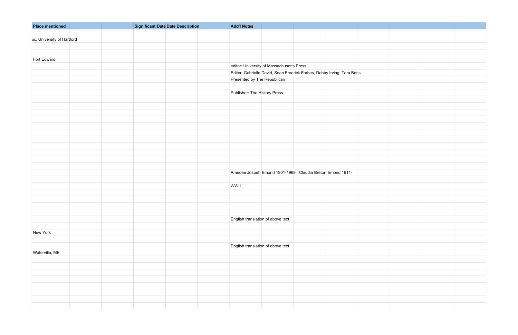| <b>Place mentioned</b>      | Significant Date Date Description | <b>Add'l Notes</b>                        |                                                                         |  |  |
|-----------------------------|-----------------------------------|-------------------------------------------|-------------------------------------------------------------------------|--|--|
|                             |                                   |                                           |                                                                         |  |  |
| sic, University of Hartford |                                   |                                           |                                                                         |  |  |
|                             |                                   |                                           |                                                                         |  |  |
|                             |                                   |                                           |                                                                         |  |  |
| Fort Edward                 |                                   |                                           |                                                                         |  |  |
|                             |                                   | editor: University of Massachusetts Press |                                                                         |  |  |
|                             |                                   |                                           | Editor: Gabrielle David, Sean Fredrick Forbes, Debby Irving, Tara Betts |  |  |
|                             |                                   | Presented by The Republican               |                                                                         |  |  |
|                             |                                   |                                           |                                                                         |  |  |
|                             |                                   | Publisher: The History Press              |                                                                         |  |  |
|                             |                                   |                                           |                                                                         |  |  |
|                             |                                   |                                           |                                                                         |  |  |
|                             |                                   |                                           |                                                                         |  |  |
|                             |                                   |                                           |                                                                         |  |  |
|                             |                                   |                                           |                                                                         |  |  |
|                             |                                   |                                           |                                                                         |  |  |
|                             |                                   |                                           |                                                                         |  |  |
|                             |                                   |                                           |                                                                         |  |  |
|                             |                                   |                                           |                                                                         |  |  |
|                             |                                   |                                           |                                                                         |  |  |
|                             |                                   |                                           |                                                                         |  |  |
|                             |                                   |                                           | Amedee Jospeh Emond 1901-1969 Claudia Breton Emond 1911-                |  |  |
|                             |                                   |                                           |                                                                         |  |  |
|                             |                                   | WWII                                      |                                                                         |  |  |
|                             |                                   |                                           |                                                                         |  |  |
|                             |                                   |                                           |                                                                         |  |  |
|                             |                                   |                                           |                                                                         |  |  |
|                             |                                   |                                           |                                                                         |  |  |
|                             |                                   | English translation of above text         |                                                                         |  |  |
|                             |                                   |                                           |                                                                         |  |  |
|                             |                                   |                                           |                                                                         |  |  |
| New York                    |                                   |                                           |                                                                         |  |  |
|                             |                                   |                                           |                                                                         |  |  |
|                             |                                   | English translation of above text         |                                                                         |  |  |
| Waterville, ME              |                                   |                                           |                                                                         |  |  |
|                             |                                   |                                           |                                                                         |  |  |
|                             |                                   |                                           |                                                                         |  |  |
|                             |                                   |                                           |                                                                         |  |  |
|                             |                                   |                                           |                                                                         |  |  |
|                             |                                   |                                           |                                                                         |  |  |
|                             |                                   |                                           |                                                                         |  |  |
|                             |                                   |                                           |                                                                         |  |  |
|                             |                                   |                                           |                                                                         |  |  |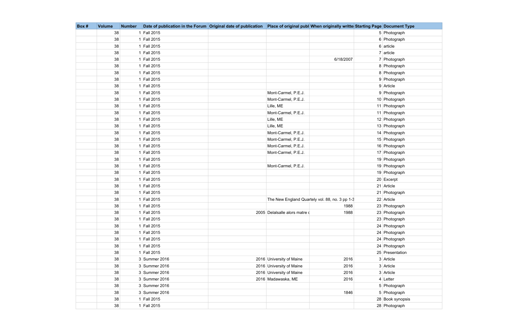| Box # | <b>Volume</b> | <b>Number</b> |               | Date of publication in the Forum Original date of publication   Place of original publ When originally writte Starting Page Document Type |                  |
|-------|---------------|---------------|---------------|-------------------------------------------------------------------------------------------------------------------------------------------|------------------|
|       | 38            |               | 1 Fall 2015   |                                                                                                                                           | 5 Photograph     |
|       | 38            |               | 1 Fall 2015   |                                                                                                                                           | 6 Photograph     |
|       | 38            |               | 1 Fall 2015   |                                                                                                                                           | $6 $ article     |
|       | 38            |               | 1 Fall 2015   |                                                                                                                                           | $7$ article      |
|       | 38            |               | 1 Fall 2015   | 6/18/2007                                                                                                                                 | 7 Photograph     |
|       | 38            |               | 1 Fall 2015   |                                                                                                                                           | 8 Photograph     |
|       | 38            |               | 1 Fall 2015   |                                                                                                                                           | 8 Photograph     |
|       | 38            |               | 1 Fall 2015   |                                                                                                                                           | 9 Photograph     |
|       | 38            |               | 1 Fall 2015   |                                                                                                                                           | 9 Article        |
|       | 38            |               | 1 Fall 2015   | Mont-Carmel, P.E.J.                                                                                                                       | 9 Photograph     |
|       | 38            |               | 1 Fall 2015   | Mont-Carmel, P.E.J.                                                                                                                       | 10 Photograph    |
|       | 38            |               | 1 Fall 2015   | Lille, ME                                                                                                                                 | 11 Photograph    |
|       | 38            |               | 1 Fall 2015   | Mont-Carmel, P.E.J.                                                                                                                       | 11 Photograph    |
|       | 38            |               | 1 Fall 2015   | Lille, ME                                                                                                                                 | 12 Photograph    |
|       | 38            |               | 1 Fall 2015   | Lille, ME                                                                                                                                 | 13 Photograph    |
|       | 38            |               | 1 Fall 2015   | Mont-Carmel, P.E.J.                                                                                                                       | 14 Photograph    |
|       | 38            |               | 1 Fall 2015   | Mont-Carmel, P.E.J.                                                                                                                       | 15 Photograph    |
|       | 38            |               | 1 Fall 2015   | Mont-Carmel, P.E.J.                                                                                                                       | 16 Photograph    |
|       | 38            |               | 1 Fall 2015   | Mont-Carmel, P.E.J.                                                                                                                       | 17 Photograph    |
|       | 38            |               | 1 Fall 2015   |                                                                                                                                           | 19 Photograph    |
|       | 38            |               | 1 Fall 2015   | Mont-Carmel, P.E.J.                                                                                                                       | 19 Photograph    |
|       | 38            |               | 1 Fall 2015   |                                                                                                                                           | 19 Photograph    |
|       | 38            |               | 1 Fall 2015   |                                                                                                                                           | 20 Excerpt       |
|       | 38            |               | 1 Fall 2015   |                                                                                                                                           | 21 Article       |
|       | 38            |               | 1 Fall 2015   |                                                                                                                                           | 21 Photograph    |
|       | 38            |               | 1 Fall 2015   | The New England Quartely vol. 88, no. 3 pp 1-3                                                                                            | 22 Article       |
|       | 38            |               | 1 Fall 2015   | 1988                                                                                                                                      | 23 Photograph    |
|       | $38\,$        |               | 1 Fall 2015   | 1988<br>2005 Delalsalle alors matre d                                                                                                     | 23 Photograph    |
|       | 38            |               | 1 Fall 2015   |                                                                                                                                           | 23 Photograph    |
|       | 38            |               | 1 Fall 2015   |                                                                                                                                           | 24 Photograph    |
|       | 38            |               | 1 Fall 2015   |                                                                                                                                           | 24 Photograph    |
|       | 38            |               | 1 Fall 2015   |                                                                                                                                           | 24 Photograph    |
|       | 38            |               | 1 Fall 2015   |                                                                                                                                           | 24 Photograph    |
|       | 38            |               | 1 Fall 2015   |                                                                                                                                           | 25 Presentation  |
|       | 38            |               | 3 Summer 2016 | 2016 University of Maine<br>2016                                                                                                          | 3 Article        |
|       | 38            |               | 3 Summer 2016 | 2016 University of Maine<br>2016                                                                                                          | 3 Article        |
|       | 38            |               | 3 Summer 2016 | 2016 University of Maine<br>2016                                                                                                          | 3 Article        |
|       | 38            |               | 3 Summer 2016 | 2016 Madawaska, ME<br>2016                                                                                                                | $4$ Letter       |
|       | 38            |               | 3 Summer 2016 |                                                                                                                                           | 5 Photograph     |
|       | 38            |               | 3 Summer 2016 | 1846                                                                                                                                      | 5 Photograph     |
|       | 38            |               | 1 Fall 2015   |                                                                                                                                           | 28 Book synopsis |
|       | 38            |               | 1 Fall 2015   |                                                                                                                                           | 28 Photograph    |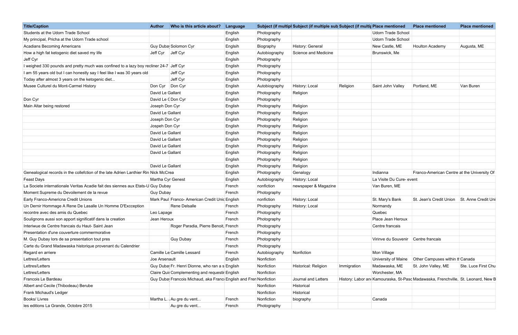| <b>Title/Caption</b>                                                                   | <b>Author</b>     | Who is this article about?                                       | Language |               | Subject (if multipl Subject (if multiple sub Subject (if multiple mentioned |             |                           | <b>Place mentioned</b>                                                            | <b>Place mentioned</b> |
|----------------------------------------------------------------------------------------|-------------------|------------------------------------------------------------------|----------|---------------|-----------------------------------------------------------------------------|-------------|---------------------------|-----------------------------------------------------------------------------------|------------------------|
| Students at the Udorn Trade School                                                     |                   |                                                                  | English  | Photography   |                                                                             |             | <b>Udorn Trade School</b> |                                                                                   |                        |
| My principal, Pricha at the Udorn Trade school                                         |                   |                                                                  | English  | Photography   |                                                                             |             | Udorn Trade School        |                                                                                   |                        |
| <b>Acadians Becoming Americans</b>                                                     |                   | Guy Duba Solomon Cyr                                             | Englsih  | Biography     | History: General                                                            |             | New Castle, ME            | Houlton Academy                                                                   | Augusta, ME            |
| How a high fat ketogenic diet saved my life                                            | Jeff Cyr Jeff Cyr |                                                                  | English  | Autobiography | Science and Medicine                                                        |             | Brunswick, Me             |                                                                                   |                        |
| Jeff Cyr                                                                               |                   |                                                                  | Englsih  | Photography   |                                                                             |             |                           |                                                                                   |                        |
| I weighed 330 pounds and pretty much was confined to a lazy boy recliner 24-7 Jeff Cyr |                   |                                                                  | English  | Photography   |                                                                             |             |                           |                                                                                   |                        |
| I am 55 years old but I can honestly say I feel like I was 30 years old                |                   | Jeff Cyr                                                         | English  | Photography   |                                                                             |             |                           |                                                                                   |                        |
| Today after almost 3 years on the ketogenic diet                                       |                   | Jeff Cyr                                                         | English  | Photography   |                                                                             |             |                           |                                                                                   |                        |
| Musee Culturel du Mont-Carmel History                                                  | Don Cyr   Don Cyr |                                                                  | English  | Autobiography | History: Local                                                              | Religion    | Saint John Valley         | Portland, ME                                                                      | Van Buren              |
|                                                                                        | David Le Gallant  |                                                                  | English  | Photography   | Religion                                                                    |             |                           |                                                                                   |                        |
| Don Cyr                                                                                | David Le (Don Cyr |                                                                  | English  | Photography   |                                                                             |             |                           |                                                                                   |                        |
| Main Altar being restored                                                              | Joseph Don Cyr    |                                                                  | English  | Photography   | Religion                                                                    |             |                           |                                                                                   |                        |
|                                                                                        | David Le Gallant  |                                                                  | English  | Photography   | Religion                                                                    |             |                           |                                                                                   |                        |
|                                                                                        | Joseph Don Cyr    |                                                                  | English  | Photography   | Religion                                                                    |             |                           |                                                                                   |                        |
|                                                                                        | Jospeh Don Cyr    |                                                                  | English  | Photography   | Religion                                                                    |             |                           |                                                                                   |                        |
|                                                                                        | David Le Gallant  |                                                                  | English  | Photography   | Religion                                                                    |             |                           |                                                                                   |                        |
|                                                                                        | David Le Gallant  |                                                                  | English  | Photography   | Religion                                                                    |             |                           |                                                                                   |                        |
|                                                                                        | David Le Gallant  |                                                                  | English  | Photography   | Religion                                                                    |             |                           |                                                                                   |                        |
|                                                                                        | David Le Gallant  |                                                                  | English  | Photography   | Religion                                                                    |             |                           |                                                                                   |                        |
|                                                                                        |                   |                                                                  | English  | Photography   | Religion                                                                    |             |                           |                                                                                   |                        |
|                                                                                        | David Le Gallant  |                                                                  | English  | Photography   | Religion                                                                    |             |                           |                                                                                   |                        |
| Genealogical records in the collefction of the late Adrien Lanthier Rin Nick McCrea    |                   |                                                                  | English  | Photography   | Genalogy                                                                    |             | Indianna                  | Franco-American Centre at the University Of                                       |                        |
| <b>Feast Days</b>                                                                      | Martha Cyr Genest |                                                                  | English  | Autobiography | History: Local                                                              |             | La Visite Du Cure- event  |                                                                                   |                        |
| La Societe internationale Veritas Acadie fait des siennes aux Etats-U Guy Dubay        |                   |                                                                  | French   | nonfiction    | newspaper & Magazine                                                        |             | Van Buren, ME             |                                                                                   |                        |
| Moment Supreme du Devoilement de la revue                                              | <b>Guy Dubay</b>  |                                                                  | French   | Photography   |                                                                             |             |                           |                                                                                   |                        |
| Early Franco-Americna Credit Unions                                                    |                   | Mark Paul Franco- American Credit Unid English                   |          | nonfiction    | History: Local                                                              |             | St. Mary's Bank           | St. Jean's Credit Union St. Anne Credit Uni                                       |                        |
| Un Dernir Hommage A Rene De Lasalle Un Homme D'Excception                              |                   | Rene Delsalle                                                    | French   | Photography   | History: Local                                                              |             | Normandy                  |                                                                                   |                        |
| recontre avec des amis du Quebec                                                       | Leo Lapage        |                                                                  | French   | Photography   |                                                                             |             | Quebec                    |                                                                                   |                        |
| Soulignons aussi son apport significatif dans la creation                              | Jean Heroux       |                                                                  | French   | Photography   |                                                                             |             | Place Jean Heroux         |                                                                                   |                        |
| Interiwue de Centre francais du Haut- Saint Jean                                       |                   | Roger Paradia, Pierre Benoit, French                             |          | Photography   |                                                                             |             | Centre francais           |                                                                                   |                        |
| Presentation d'une couverture commermorative                                           |                   |                                                                  | French   | Photography   |                                                                             |             |                           |                                                                                   |                        |
| M. Guy Dubay lors de sa presentation tout pres                                         |                   | Guy Dubay                                                        | French   | Photography   |                                                                             |             | Virinve du Souvenir       | Centre francais                                                                   |                        |
| Carte du Grand Madawaska historique provenant du Calendrier                            |                   |                                                                  | French   | Photography   |                                                                             |             |                           |                                                                                   |                        |
| Regard en arriere                                                                      |                   | Camille Le Camille Lessard                                       | French   | Autobiography | Nonfiction                                                                  |             | Mon Village               |                                                                                   |                        |
| Lettres/Letters                                                                        | Joe Arsenault     |                                                                  | English  | Nonfiction    |                                                                             |             | University of Maine       | Other Campuses within th Canada                                                   |                        |
| Lettres/Letters                                                                        |                   | Guy Duba Fr. Henri Dionne, who ran a s English                   |          | Nonfiction    | Historical: Religion                                                        | Immigration | Madawaska, ME             | St. John Valley, ME                                                               | Ste. Luce First Chu    |
| Lettres/Letters                                                                        |                   | Claire Quir Complementing and requestir English                  |          | Nonfiction    |                                                                             |             | Worchester, MA            |                                                                                   |                        |
| Francois Le Bardeau                                                                    |                   | Guy Duba Francois Michaud, aka Franc English and Fren Nonfiction |          |               | Journal and Letters                                                         |             |                           | History: Labor and Kamouraska, St-Pasd Madawaska, Frenchville, St. Leonard, New B |                        |
| Albert and Cecile (Thibodeau) Berube                                                   |                   |                                                                  |          | Nonfiction    | Historical                                                                  |             |                           |                                                                                   |                        |
| Frank Michaud's Ledger                                                                 |                   |                                                                  |          | Nonfiction    | Historical                                                                  |             |                           |                                                                                   |                        |
| Books/ Livres                                                                          |                   | Martha L. Au gre du vent                                         | French   | Nonfiction    | biography                                                                   |             | Canada                    |                                                                                   |                        |
| les editions La Grande, Octobre 2015                                                   |                   | Au gre du vent                                                   | French   | Photography   |                                                                             |             |                           |                                                                                   |                        |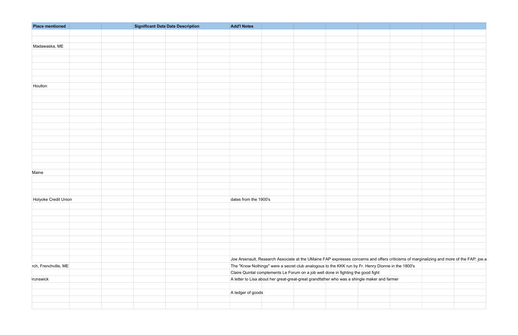| <b>Place mentioned</b> | Significant Date Date Description | <b>Add'l Notes</b>                                                                                                                       |  |
|------------------------|-----------------------------------|------------------------------------------------------------------------------------------------------------------------------------------|--|
|                        |                                   |                                                                                                                                          |  |
|                        |                                   |                                                                                                                                          |  |
| Madawaska, ME          |                                   |                                                                                                                                          |  |
|                        |                                   |                                                                                                                                          |  |
|                        |                                   |                                                                                                                                          |  |
|                        |                                   |                                                                                                                                          |  |
|                        |                                   |                                                                                                                                          |  |
|                        |                                   |                                                                                                                                          |  |
| Houlton                |                                   |                                                                                                                                          |  |
|                        |                                   |                                                                                                                                          |  |
|                        |                                   |                                                                                                                                          |  |
|                        |                                   |                                                                                                                                          |  |
|                        |                                   |                                                                                                                                          |  |
|                        |                                   |                                                                                                                                          |  |
|                        |                                   |                                                                                                                                          |  |
|                        |                                   |                                                                                                                                          |  |
|                        |                                   |                                                                                                                                          |  |
|                        |                                   |                                                                                                                                          |  |
|                        |                                   |                                                                                                                                          |  |
|                        |                                   |                                                                                                                                          |  |
|                        |                                   |                                                                                                                                          |  |
| Maine                  |                                   |                                                                                                                                          |  |
|                        |                                   |                                                                                                                                          |  |
|                        |                                   |                                                                                                                                          |  |
|                        |                                   |                                                                                                                                          |  |
| Holyoke Credit Union   |                                   | dates from the 1900's                                                                                                                    |  |
|                        |                                   |                                                                                                                                          |  |
|                        |                                   |                                                                                                                                          |  |
|                        |                                   |                                                                                                                                          |  |
|                        |                                   |                                                                                                                                          |  |
|                        |                                   |                                                                                                                                          |  |
|                        |                                   |                                                                                                                                          |  |
|                        |                                   |                                                                                                                                          |  |
|                        |                                   |                                                                                                                                          |  |
|                        |                                   |                                                                                                                                          |  |
|                        |                                   | Joe Arsenault, Research Associate at the UMaine FAP expresses concerns and offers criticisms of marginalizing and more of the FAP; joe.a |  |
| rch, Frenchville, ME   |                                   | The "Know Nothings" were a secret club analogous to the KKK run by Fr. Henry Dionne in the 1800's                                        |  |
|                        |                                   | Claire Quintal complements Le Forum on a job well done in fighting the good fight                                                        |  |
| runswick               |                                   | A letter to Lisa about her great-great-great grandfather who was a shingle maker and farmer                                              |  |
|                        |                                   | A ledger of goods                                                                                                                        |  |
|                        |                                   |                                                                                                                                          |  |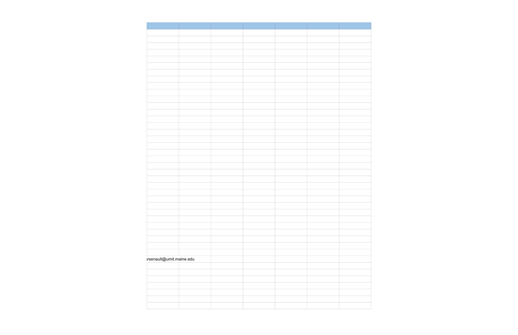| rsenault@umit.maine.edu |  |  |
|-------------------------|--|--|
|                         |  |  |
|                         |  |  |
|                         |  |  |
|                         |  |  |
|                         |  |  |
|                         |  |  |
|                         |  |  |
|                         |  |  |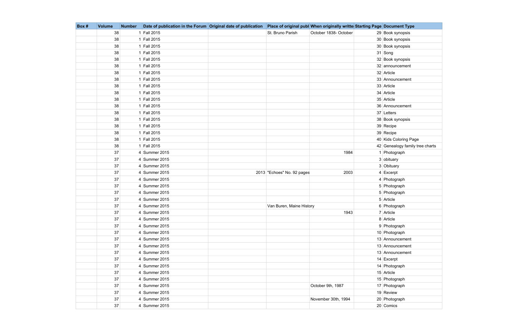| Box # | <b>Volume</b> | <b>Number</b> | Date of publication in the Forum Original date of publication Place of original publ When originally writte Starting Page Document Type |                            |                       |                                 |
|-------|---------------|---------------|-----------------------------------------------------------------------------------------------------------------------------------------|----------------------------|-----------------------|---------------------------------|
|       | 38            |               | 1 Fall 2015                                                                                                                             | St. Bruno Parish           | October 1838- October | 29 Book synopsis                |
|       | 38            |               | 1 Fall 2015                                                                                                                             |                            |                       | 30 Book synopsis                |
|       | 38            |               | 1 Fall 2015                                                                                                                             |                            |                       | 30 Book synopsis                |
|       | 38            |               | 1 Fall 2015                                                                                                                             |                            |                       | $31$ Song                       |
|       | 38            |               | 1 Fall 2015                                                                                                                             |                            |                       | 32 Book synopsis                |
|       | 38            |               | 1 Fall 2015                                                                                                                             |                            |                       | 32 announcement                 |
|       | 38            |               | 1 Fall 2015                                                                                                                             |                            |                       | 32 Article                      |
|       | 38            |               | 1 Fall 2015                                                                                                                             |                            |                       | 33 Announcement                 |
|       | 38            |               | 1 Fall 2015                                                                                                                             |                            |                       | 33 Article                      |
|       | 38            |               | 1 Fall 2015                                                                                                                             |                            |                       | 34 Article                      |
|       | 38            |               | 1 Fall 2015                                                                                                                             |                            |                       | 35 Article                      |
|       | 38            |               | 1 Fall 2015                                                                                                                             |                            |                       | 36 Announcement                 |
|       | 38            |               | 1 Fall 2015                                                                                                                             |                            |                       | 37 Letters                      |
|       | 38            |               | 1 Fall 2015                                                                                                                             |                            |                       | 38 Book synopsis                |
|       | 38            |               | 1 Fall 2015                                                                                                                             |                            |                       | 39 Recipe                       |
|       | 38            |               | 1 Fall 2015                                                                                                                             |                            |                       | 39 Recipe                       |
|       | 38            |               | 1 Fall 2015                                                                                                                             |                            |                       | 40 Kids Coloring Page           |
|       | 38            |               | 1 Fall 2015                                                                                                                             |                            |                       | 42 Genealogy family tree charts |
|       | 37            |               | 4 Summer 2015                                                                                                                           |                            | 1984                  | 1 Photograph                    |
|       | 37            |               | 4 Summer 2015                                                                                                                           |                            |                       | 3 obituary                      |
|       | 37            |               | 4 Summer 2015                                                                                                                           |                            |                       | 3 Obituary                      |
|       | 37            |               | 4 Summer 2015                                                                                                                           | 2013 "Echoes" No. 92 pages | 2003                  | $4$ Excerpt                     |
|       | 37            |               | 4 Summer 2015                                                                                                                           |                            |                       | 4 Photograph                    |
|       | 37            |               | 4 Summer 2015                                                                                                                           |                            |                       | 5 Photograph                    |
|       | 37            |               | 4 Summer 2015                                                                                                                           |                            |                       | 5 Photograph                    |
|       | 37            |               | 4 Summer 2015                                                                                                                           |                            |                       | 5 Article                       |
|       | 37            |               | 4 Summer 2015                                                                                                                           | Van Buren, Maine History   |                       | 6 Photograph                    |
|       | $37\,$        |               | 4 Summer 2015                                                                                                                           |                            | 1943                  | 7 Article                       |
|       | 37            |               | 4 Summer 2015                                                                                                                           |                            |                       | 8 Article                       |
|       | 37            |               | 4 Summer 2015                                                                                                                           |                            |                       | 9 Photograph                    |
|       | 37            |               | 4 Summer 2015                                                                                                                           |                            |                       | 10 Photograph                   |
|       | 37            |               | 4 Summer 2015                                                                                                                           |                            |                       | 13 Announcement                 |
|       | 37            |               | 4 Summer 2015                                                                                                                           |                            |                       | 13 Announcement                 |
|       | 37            |               | 4 Summer 2015                                                                                                                           |                            |                       | 13 Announcement                 |
|       | 37            |               | $4$ Summer 2015                                                                                                                         |                            |                       | 14 Excerpt                      |
|       | 37            |               | 4 Summer 2015                                                                                                                           |                            |                       | 14 Photograph                   |
|       | 37            |               | 4 Summer 2015                                                                                                                           |                            |                       | 15 Article                      |
|       | 37            |               | 4 Summer 2015                                                                                                                           |                            |                       | 15 Photograph                   |
|       | 37            |               | 4 Summer 2015                                                                                                                           |                            | October 9th, 1987     | 17 Photograph                   |
|       | 37            |               | 4 Summer 2015                                                                                                                           |                            |                       | 19 Review                       |
|       | 37            |               | 4 Summer 2015                                                                                                                           |                            | November 30th, 1994   | 20 Photograph                   |
|       | 37            |               | 4 Summer 2015                                                                                                                           |                            |                       | 20 Comics                       |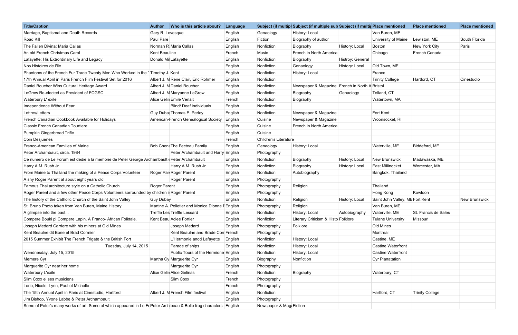| <b>Title/Caption</b>                                                                                              | Who is this article about?<br><b>Author</b>      | Language |                              | Subject (if multipl Subject (if multiple sub Subject (if multiple mentioned |                  |                                 | <b>Place mentioned</b> | <b>Place mentioned</b> |
|-------------------------------------------------------------------------------------------------------------------|--------------------------------------------------|----------|------------------------------|-----------------------------------------------------------------------------|------------------|---------------------------------|------------------------|------------------------|
| Marriage, Baptismal and Death Records                                                                             | Gary R. Levesque                                 | English  | Genaology                    | History: Local                                                              |                  | Van Buren, ME                   |                        |                        |
| Road Kill                                                                                                         | Paul Pare                                        | English  | Fiction                      | Biography of author                                                         |                  | University of Maine             | Lewiston, ME           | South Florida          |
| The Fallen Divina: Maria Callas                                                                                   | Norman R Maria Callas                            | English  | Nonfiction                   | Biography                                                                   | History: Local   | Boston                          | New York City          | Paris                  |
| An old French Christmas Carol                                                                                     | Kent Beauline                                    | French   | Music                        | French in North America                                                     |                  | Chicago                         | French Canada          |                        |
| Lafayette: His Extrordinary Life and Legacy                                                                       | Donald Mil Lafayette                             | English  | Nonfiction                   | Biography                                                                   | Histroy: General |                                 |                        |                        |
| Nos Histoires de l'Ile                                                                                            |                                                  | English  | Nonfiction                   | Genaology                                                                   | History: Local   | Old Town, ME                    |                        |                        |
| Phantoms of the French Fur Trade Twenty Men Who Worked in the 1 Timothy J. Kent                                   |                                                  | English  | Nonfiction                   | History: Local                                                              |                  | France                          |                        |                        |
| 17th Annual April in Paris French Film Festival Set for 2016                                                      | Albert J. M Rene Clair, Eric Rohmer              | English  | Nonfiction                   |                                                                             |                  | <b>Trinity College</b>          | Hartford, CT           | Cinestudio             |
| Daniel Boucher Wins Cultural Heritage Award                                                                       | Albert J. M Daniel Boucher                       | English  | Nonfiction                   | Newspaper & Magazine   French in North A Bristol                            |                  |                                 |                        |                        |
| LeGrow Re-elected as President of FCGSC                                                                           | Albert J. M Maryanne LeGrow                      | English  | Nonfiction                   | Biography                                                                   | Genaology        | Tolland, CT                     |                        |                        |
| Waterbury L'exile                                                                                                 | Alice Gelin Emile Venait                         | French   | Nonfiction                   | Biography                                                                   |                  | Watertown, MA                   |                        |                        |
| Independence Without Fear                                                                                         | <b>Blind/ Deaf individuals</b>                   | English  | Nonfiction                   |                                                                             |                  |                                 |                        |                        |
| Lettres/Letters                                                                                                   | Guy Duba Thomas E. Perley                        | English  | Nonfiction                   | Newspaper & Magazine                                                        |                  | Fort Kent                       |                        |                        |
| French Canadian Cookbook Available for Holidays                                                                   | American-French Genealogical Society             | English  | Cuisine                      | Newspaper & Magazine                                                        |                  | Woonsocket, RI                  |                        |                        |
| Classic French Canadian Tourtiere                                                                                 |                                                  | English  | Cuisine                      | French in North America                                                     |                  |                                 |                        |                        |
| Pumpkin Gingerbread Trifle                                                                                        |                                                  | English  | Cuisine                      |                                                                             |                  |                                 |                        |                        |
| Coin Desjuenes                                                                                                    |                                                  | French   | <b>Children's Literature</b> |                                                                             |                  |                                 |                        |                        |
| Franco-American Families of Maine                                                                                 | Bob Chen: The Fecteau Family                     | English  | Genaology                    | History: Local                                                              |                  | Waterville, ME                  | Biddeford, ME          |                        |
| Peter Archambault, circa. 1984                                                                                    | Peter Archambault and Harry English              |          | Photography                  |                                                                             |                  |                                 |                        |                        |
| Ce numero de Le Forum est dedie a la memorie de Peter George Archambault (Peter Archambault                       |                                                  | English  | Nonfiction                   | Biography                                                                   | History: Local   | <b>New Brunswick</b>            | Madawaska, ME          |                        |
| Harry A.M. Rush Jr.                                                                                               | Harry A.M. Rush Jr.                              | English  | Nonfiction                   | Biography                                                                   | History: Local   | East Millinocket                | Worcester, MA          |                        |
| From Maine to Thailand the making of a Peace Corps Volunteer                                                      | Roger Par Roger Parent                           | English  | Nonfiction                   | Autobiography                                                               |                  | Bangkok, Thailand               |                        |                        |
| A shy Roger Parent at about eight years old                                                                       | Roger Parent                                     | English  | Photography                  |                                                                             |                  |                                 |                        |                        |
| Famous Thai architecture style on a Catholic Church                                                               | Roger Parent                                     | English  | Photography                  | Religion                                                                    |                  | Thailand                        |                        |                        |
| Roger Parent and a few other Peace Corps Volunteers sorrounded by children it Roger Parent                        |                                                  | English  | Photography                  |                                                                             |                  | Hong Kong                       | Kowloon                |                        |
| The history of the Catholic Church of the Saint John Valley                                                       | Guy Dubay                                        | English  | Nonfiction                   | Religion                                                                    | History: Local   | Saint John Valley, ME Fort Kent |                        | <b>New Brunswick</b>   |
| St. Bruno Photo taken from Van Buren, Maine History                                                               | Martine A. Pelletier and Monica Dionne F English |          | Photography                  | Religion                                                                    |                  | Van Buren, ME                   |                        |                        |
| A glimpse into the past                                                                                           | Treffle Les Treffle Lessard                      | English  | Nonfiction                   | History: Local                                                              | Autobiography    | Waterville, ME                  | St. Francis de Sales   |                        |
| Compere Bouki pi Compere Lapin. A Franco- African Folktale.                                                       | Kent Beau Aclee Fortier                          | English  | Nonfiction                   | Literary Criticism & Histo Folklore                                         |                  | <b>Tulane University</b>        | Missouri               |                        |
| Joseph Medard Carriere with his miners at Old Mines                                                               | Joseph Medard                                    | English  | Photography                  | Folklore                                                                    |                  | Old Mines                       |                        |                        |
| Kent Beaulne dit Bone et Brad Cormier                                                                             | Kent Beaulne and Brade Corr French               |          | Photography                  |                                                                             |                  | Montreal                        |                        |                        |
| 2015 Summer Exhibit The French Frigate & the British Fort                                                         | L'Hermonie andd Lafayette                        | English  | Nonfiction                   | History: Local                                                              |                  | Castine, ME                     |                        |                        |
| Tuesday, July 14, 2015                                                                                            | Parade of ships                                  | English  | Nonfiction                   | History: Local                                                              |                  | <b>Castine Waterfront</b>       |                        |                        |
| Wendnesday, July 15, 2015                                                                                         | Public Tours of the Hermione English             |          | Nonfiction                   | History: Local                                                              |                  | <b>Castine Waterfront</b>       |                        |                        |
| Memere Cyr                                                                                                        | Martha Cy Marguerite Cyr                         | English  | Biography                    | Nonfiction                                                                  |                  | Cyr Planatation                 |                        |                        |
| Marguerite Cyr near her home                                                                                      | Marguerite Cyr                                   | English  | Photography                  |                                                                             |                  |                                 |                        |                        |
| Waterbury L'exile                                                                                                 | Alice Gelin Alice Gelinas                        | French   | Nonfiction                   | Biography                                                                   |                  | Waterbury, CT                   |                        |                        |
| Slim Coxx el ses musiciens                                                                                        | Slim Coxx                                        | French   | Photography                  |                                                                             |                  |                                 |                        |                        |
| Lorie, Nicole, Lynn, Paul et Michelle                                                                             |                                                  | French   | Photography                  |                                                                             |                  |                                 |                        |                        |
| The 15th Annual April in Paris at Cinestudio, Hartford                                                            | Albert J. M French Film festival                 | English  | Nonfiction                   |                                                                             |                  | Hartford, CT                    | <b>Trinity College</b> |                        |
| Jim Bishop, Yvone Labbe & Peter Archambault                                                                       |                                                  | English  | Photography                  |                                                                             |                  |                                 |                        |                        |
| Some of Peter's many works of art. Some of which appeared in Le F(Peter Arch beau & Belle frog characters English |                                                  |          | Newspaper & Mag Fiction      |                                                                             |                  |                                 |                        |                        |

| e mentioned               | <b>Place mentioned</b> | <b>Place mentioned</b> |
|---------------------------|------------------------|------------------------|
| Buren, ME                 |                        |                        |
| ersity of Maine           | Lewiston, ME           | South Florida          |
| วท                        | New York City          | Paris                  |
| ago                       | French Canada          |                        |
|                           |                        |                        |
| Town, ME                  |                        |                        |
| cе                        |                        |                        |
| y College                 | Hartford, CT           | Cinestudio             |
| Jc                        |                        |                        |
| nd, CT                    |                        |                        |
| rtown, MA                 |                        |                        |
|                           |                        |                        |
| Kent                      |                        |                        |
| nsocket, RI               |                        |                        |
|                           |                        |                        |
|                           |                        |                        |
|                           |                        |                        |
| rville, ME                | Biddeford, ME          |                        |
|                           |                        |                        |
| <b>Brunswick</b>          | Madawaska, ME          |                        |
| Millinocket               | Worcester, MA          |                        |
| kok, Thailand             |                        |                        |
|                           |                        |                        |
| and                       |                        |                        |
| <b>Kong</b>               | Kowloon                |                        |
| John Valley, ME Fort Kent |                        | New Brunswick          |
| Buren, ME                 |                        |                        |
| rville, ME                | St. Francis de Sales   |                        |
| <b>ne University</b>      | Missouri               |                        |
| Aines                     |                        |                        |
| real                      |                        |                        |
| ine, ME                   |                        |                        |
| ine Waterfront            |                        |                        |
| ine Waterfront            |                        |                        |
| Planatation               |                        |                        |
|                           |                        |                        |
| rbury, CT                 |                        |                        |
|                           |                        |                        |
|                           |                        |                        |
| ord, CT                   | <b>Trinity College</b> |                        |
|                           |                        |                        |
|                           |                        |                        |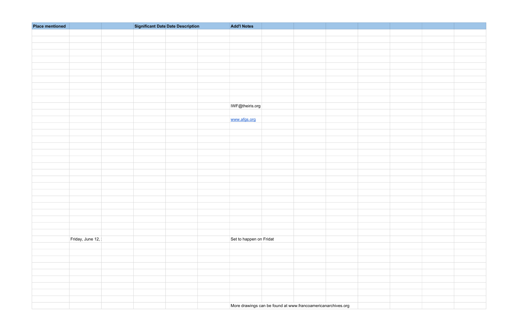| <b>Place mentioned</b> | <b>Significant Date Date Description</b> |  | <b>Add'l Notes</b>                                           |  |  |
|------------------------|------------------------------------------|--|--------------------------------------------------------------|--|--|
|                        |                                          |  |                                                              |  |  |
|                        |                                          |  |                                                              |  |  |
|                        |                                          |  |                                                              |  |  |
|                        |                                          |  |                                                              |  |  |
|                        |                                          |  |                                                              |  |  |
|                        |                                          |  |                                                              |  |  |
|                        |                                          |  |                                                              |  |  |
|                        |                                          |  |                                                              |  |  |
|                        |                                          |  |                                                              |  |  |
|                        |                                          |  |                                                              |  |  |
|                        |                                          |  |                                                              |  |  |
|                        |                                          |  | IWF@theiris.org                                              |  |  |
|                        |                                          |  |                                                              |  |  |
|                        |                                          |  | www.afgs.org                                                 |  |  |
|                        |                                          |  |                                                              |  |  |
|                        |                                          |  |                                                              |  |  |
|                        |                                          |  |                                                              |  |  |
|                        |                                          |  |                                                              |  |  |
|                        |                                          |  |                                                              |  |  |
|                        |                                          |  |                                                              |  |  |
|                        |                                          |  |                                                              |  |  |
|                        |                                          |  |                                                              |  |  |
|                        |                                          |  |                                                              |  |  |
|                        |                                          |  |                                                              |  |  |
|                        |                                          |  |                                                              |  |  |
|                        |                                          |  |                                                              |  |  |
|                        |                                          |  |                                                              |  |  |
|                        |                                          |  |                                                              |  |  |
|                        |                                          |  |                                                              |  |  |
|                        |                                          |  |                                                              |  |  |
|                        |                                          |  |                                                              |  |  |
| Friday, June 12,       |                                          |  | Set to happen on Fridat                                      |  |  |
|                        |                                          |  |                                                              |  |  |
|                        |                                          |  |                                                              |  |  |
|                        |                                          |  |                                                              |  |  |
|                        |                                          |  |                                                              |  |  |
|                        |                                          |  |                                                              |  |  |
|                        |                                          |  |                                                              |  |  |
|                        |                                          |  |                                                              |  |  |
|                        |                                          |  |                                                              |  |  |
|                        |                                          |  | More drawings can be found at www.francoamericanarchives.org |  |  |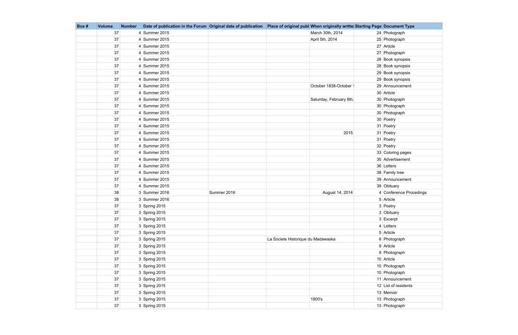| Box# | <b>Volume</b> | <b>Number</b> | Date of publication in the Forum Original date of publication |             |                                    | Place of original publ When originally writte Starting Page Document Type |                         |
|------|---------------|---------------|---------------------------------------------------------------|-------------|------------------------------------|---------------------------------------------------------------------------|-------------------------|
|      | 37            |               | 4 Summer 2015                                                 |             |                                    | March 30th, 2014                                                          | 24 Photograph           |
|      | 37            |               | 4 Summer 2015                                                 |             |                                    | April 5th, 2014                                                           | 25 Photograph           |
|      | 37            |               | 4 Summer 2015                                                 |             |                                    |                                                                           | 27 Article              |
|      | 37            |               | 4 Summer 2015                                                 |             |                                    |                                                                           | 27 Photograph           |
|      | 37            |               | 4 Summer 2015                                                 |             |                                    |                                                                           | 28 Book synopsis        |
|      | 37            |               | 4 Summer 2015                                                 |             |                                    |                                                                           | 28 Book synopsis        |
|      | 37            |               | 4 Summer 2015                                                 |             |                                    |                                                                           | 29 Book synopsis        |
|      | 37            |               | 4 Summer 2015                                                 |             |                                    |                                                                           | 29 Book synopsis        |
|      | 37            |               | 4 Summer 2015                                                 |             |                                    | October 1838-October                                                      | 29 Announcement         |
|      | 37            |               | 4 Summer 2015                                                 |             |                                    |                                                                           | 30 Article              |
|      | 37            |               | 4 Summer 2015                                                 |             |                                    | Saturday, February 8th,                                                   | 30 Photograph           |
|      | 37            |               | 4 Summer 2015                                                 |             |                                    |                                                                           | 30 Photograph           |
|      | 37            |               | 4 Summer 2015                                                 |             |                                    |                                                                           | 30 Photograph           |
|      | 37            |               | 4 Summer 2015                                                 |             |                                    |                                                                           | 30 Poetry               |
|      | 37            |               | 4 Summer 2015                                                 |             |                                    |                                                                           | 31 Poetry               |
|      | 37            |               | 4 Summer 2015                                                 |             |                                    | 2015                                                                      | 31 Poetry               |
|      | 37            |               | 4 Summer 2015                                                 |             |                                    |                                                                           | 31 Poetry               |
|      | 37            |               | 4 Summer 2015                                                 |             |                                    |                                                                           | 32 Poetry               |
|      | 37            |               | 4 Summer 2015                                                 |             |                                    |                                                                           | 33 Coloring pages       |
|      | 37            |               | 4 Summer 2015                                                 |             |                                    |                                                                           | 35 Advertisement        |
|      | 37            |               | 4 Summer 2015                                                 |             |                                    |                                                                           | 36 Letters              |
|      | 37            |               | 4 Summer 2015                                                 |             |                                    |                                                                           | 38 Family tree          |
|      | 37            |               | 4 Summer 2015                                                 |             |                                    |                                                                           | 39 Announcement         |
|      | 37            |               | 4 Summer 2015                                                 |             |                                    |                                                                           | 39 Obituary             |
|      | 38            |               | 3 Summer 2016                                                 | Summer 2016 |                                    | August 14, 2014                                                           | 4 Conference Procedings |
|      | 38            |               | 3 Summer 2016                                                 |             |                                    |                                                                           | 5 Article               |
|      | 37            |               | 3 Spring 2015                                                 |             |                                    |                                                                           | 3 Poetry                |
|      | $37\,$        |               | $3$ Spring 2015                                               |             |                                    |                                                                           | 3 Obituary              |
|      | 37            |               | 3 Spring 2015                                                 |             |                                    |                                                                           | 3 Excerpt               |
|      | 37            |               | 3 Spring 2015                                                 |             |                                    |                                                                           | $4$ Letters             |
|      | 37            |               | 3 Spring 2015                                                 |             |                                    |                                                                           | 5 Article               |
|      | 37            |               | $3$ Spring 2015                                               |             | La Societe Historique du Madawaska |                                                                           | 8 Photograph            |
|      | 37            |               | $3$ Spring 2015                                               |             |                                    |                                                                           | 9 Article               |
|      | 37            |               | 3 Spring 2015                                                 |             |                                    |                                                                           | 9 Photograph            |
|      | 37            |               | $3$ Spring 2015                                               |             |                                    |                                                                           | 10 Article              |
|      | 37            |               | 3 Spring 2015                                                 |             |                                    |                                                                           | 10 Photograph           |
|      | 37            |               | 3 Spring 2015                                                 |             |                                    |                                                                           | 10 Photograph           |
|      | 37            |               | 3 Spring 2015                                                 |             |                                    |                                                                           | 11 Announcement         |
|      | 37            |               | $3$ Spring 2015                                               |             |                                    |                                                                           | 12 List of residents    |
|      | 37            |               | 3 Spring 2015                                                 |             |                                    |                                                                           | 13 Memoir               |
|      | 37            |               | 3 Spring 2015                                                 |             |                                    | 1800's                                                                    | 13 Photograph           |
|      | 37            |               | $3$ Spring 2015                                               |             |                                    |                                                                           | 13 Photograph           |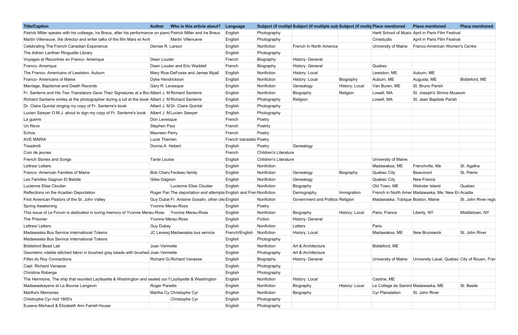| <b>Title/Caption</b>                                                                                            | <b>Author</b>    | Who is this article about?                                         | Language                 |                              | Subject (if multipl Subject (if multiple sub Subject (if multiple mentioned |                              |                                     | <b>Place mentioned</b>                             | <b>Place mentioned</b> |
|-----------------------------------------------------------------------------------------------------------------|------------------|--------------------------------------------------------------------|--------------------------|------------------------------|-----------------------------------------------------------------------------|------------------------------|-------------------------------------|----------------------------------------------------|------------------------|
| Patrick Miller speaks with his colleage, Ira Braus, after his performance on piand Patrick Miller and Ira Braus |                  |                                                                    | English                  | Photography                  |                                                                             |                              |                                     | Hartt School of Music April in Paris Film Festival |                        |
| Martin Villeneuve, the director and writer talks of the film Mars et Avril                                      |                  | <b>Martin Villenueve</b>                                           | English                  | Photography                  |                                                                             |                              | Cinestudio                          | April in Paris Film Festival                       |                        |
| Celebrating The French Canadian Experience                                                                      |                  | Denise R. Larson                                                   | English                  | Nonfiction                   | French In North America                                                     |                              | University of Maine                 | Franco-American Women's Centre                     |                        |
| The Adrien Lanthier Ringuette Library                                                                           |                  |                                                                    | English                  | Photography                  |                                                                             |                              |                                     |                                                    |                        |
| Voyages et Recontres en Franco- Amerique                                                                        | Dean Louder      |                                                                    | French                   | Biography                    | History: General                                                            |                              |                                     |                                                    |                        |
| Franco- Amerique                                                                                                |                  | Dean Louder and Eric Waddell                                       | French                   | Biography                    | History: General                                                            |                              | Quebec                              |                                                    |                        |
| The Franco- Americans of Lewiston- Auburn                                                                       |                  | Mary Rice-DeFosse and James Myall                                  | English                  | Nonfiction                   | History: Local                                                              |                              | Lewiston, ME                        | Auburn, ME                                         |                        |
| Franco- Americans of Maine                                                                                      |                  | Dyke Hendrickson                                                   | English                  | Nonfiction                   | History: Local                                                              | Biography                    | Auburn, ME                          | Augusta, ME                                        | Biddeford, ME          |
| Marriage, Baptismal and Death Records                                                                           |                  | Gary R. Levesque                                                   | English                  | Nonfiction                   | Genealogy                                                                   | History: Local               | Van Buren, ME                       | St. Bruno Parish                                   |                        |
| Fr. Santerre and His Two Translators Gave Their Signatures at a Bod Albert J. M Richard Santerre                |                  |                                                                    | English                  | Nonfiction                   | Biography                                                                   | Religion                     | Lowell, MA                          | St. Joseph's Shrine Museum                         |                        |
| Richard Santerre smiles at the photographer during a lull at the book Albert J. M Richard Santerre              |                  |                                                                    | English                  | Photography                  | Religion                                                                    |                              | Lowell, MA                          | St. Jean Baptiste Parish                           |                        |
| Dr. Claire Quintal singing my copy of Fr. Santerre's book                                                       |                  | Albert J. M Dr. Claire Quintal                                     | English                  | Photography                  |                                                                             |                              |                                     |                                                    |                        |
| Lucien Sawyer O.M.J. about to sign my copy of Fr. Santerre's book Albert J. M Lucien Sawyer                     |                  |                                                                    | English                  | Photography                  |                                                                             |                              |                                     |                                                    |                        |
| La guerre                                                                                                       |                  | Don Levesque                                                       | French                   | Poetry                       |                                                                             |                              |                                     |                                                    |                        |
| Un Reve                                                                                                         | Stephen Paul     |                                                                    | French                   | Poetrty                      |                                                                             |                              |                                     |                                                    |                        |
| Echos                                                                                                           |                  | Maureen Perry                                                      | French                   | Poetry                       |                                                                             |                              |                                     |                                                    |                        |
| <b>AVE MARIA</b>                                                                                                | Lucie Therrien   |                                                                    | French translatio Poetry |                              |                                                                             |                              |                                     |                                                    |                        |
| Treadmill                                                                                                       |                  | Donna A. Hebert                                                    | English                  | Poetry                       | Genealogy                                                                   |                              |                                     |                                                    |                        |
| Coin de jeunes                                                                                                  |                  |                                                                    | French                   | <b>Children's Literature</b> |                                                                             |                              |                                     |                                                    |                        |
| French Stories and Songs                                                                                        | Tante Louise     |                                                                    | English                  | <b>Children's Literature</b> |                                                                             |                              | University of Maine                 |                                                    |                        |
| Lettres/Letters                                                                                                 |                  |                                                                    | English                  | Nonfiction                   |                                                                             |                              | Madawaksa, ME                       | Frenchville, Me                                    | St. Agatha             |
| Franco- American Families of Maine                                                                              |                  | Bob Chen: Fecteau family                                           | English                  | Nonfiction                   | Genealogy                                                                   | Biography                    | Quebec City                         | Beaumont                                           | St. Pierre             |
| Les Families Gagnon Et Belzile                                                                                  | Giles Gagnon     |                                                                    | English                  | Nonfiction                   | Genealogy                                                                   |                              | Quebec City                         | New France                                         |                        |
| Lucienne Elise Cloutier                                                                                         |                  | Lucienne Elise Cloutier                                            | English                  | Nonfiction                   | Biography                                                                   |                              | Old Town, ME                        | <b>Webster Island</b>                              | Quebec                 |
| Reflections on the Acadian Deportation                                                                          |                  | Roger Par The deportation and attempte English and Fren Nonfiction |                          |                              | Demography                                                                  | Immigration                  |                                     | French in North Amer Madawaska, Me; New Er Acadia  |                        |
| First American Pastors of the St. John Valley                                                                   |                  | Guy Duba Fr. Antoine Gosslin, other clei English                   |                          | Nonfiction                   | Government and Politics Religion                                            |                              | Madawaska, Tobique Boston, Maine    |                                                    | St. John River regio   |
| <b>Spring Awakening</b>                                                                                         |                  | Yvonne Merau-Ross                                                  | English                  | Poetry                       |                                                                             |                              |                                     |                                                    |                        |
| This issue of Le Forum is dedicated in loving memory of Yvonne Merau-Ross   Yvonne Merau-Ross                   |                  |                                                                    | English                  | Nonfiction                   | Biography                                                                   | History: Local Paris, France |                                     | Liberty, NY                                        | Middletown, NY         |
| The Prisoner                                                                                                    |                  | Yvonne Merau-Ross                                                  | English                  | Fiction                      | History: General                                                            |                              |                                     |                                                    |                        |
| Lettres/Letters                                                                                                 | <b>Guy Dubay</b> |                                                                    | English                  | Nonfiction                   | Letters                                                                     |                              | Paris                               |                                                    |                        |
| Madawaska Bus Service International Tokens                                                                      |                  | JC Levesq Madawaska bus service                                    | French/English           | Nonfiction                   | History: Local                                                              |                              | Madawaksa, ME                       | New Brunswick                                      | St. John River         |
| Madawaska Bus Service International Tokens                                                                      |                  |                                                                    | English                  | Photography                  |                                                                             |                              |                                     |                                                    |                        |
| Biddeford Bead Lab                                                                                              |                  | Joan Vermette                                                      | English                  | Nonfiction                   | Art & Architecture                                                          |                              | Biddeford, ME                       |                                                    |                        |
| Geometric ndeble stitched fabric in brushed gray beads with brushed Joan Vermette                               |                  |                                                                    | English                  | Photography                  | Art & Architecture                                                          |                              |                                     |                                                    |                        |
| Filles du Roy Connections                                                                                       |                  | Richard G. Richard Vanasse                                         | English                  | Biography                    | History: General                                                            |                              | University of Maine                 | University Laval, Quebec City of Rouen, Fran       |                        |
| Capt. Richard Vanasse                                                                                           |                  |                                                                    | English                  | Photography                  |                                                                             |                              |                                     |                                                    |                        |
| Christina Roberge                                                                                               |                  |                                                                    | English                  | Photography                  |                                                                             |                              |                                     |                                                    |                        |
| The Hermione, The ship that reunited Layfayette & Washington and sealed our I Layfayette & Washington           |                  |                                                                    | English                  | Nonfiction                   | History: Local                                                              |                              | Castine, ME                         |                                                    |                        |
| Madawaskayens et La Bourse Langevin                                                                             |                  | Roger Paradis                                                      | English                  | Nonfiction                   | Biography                                                                   | History: Local               | Le College de Sainint Madawaska, ME |                                                    | St. Basile             |
| Martha's Memories                                                                                               |                  | Martha Cy Christophe Cyr                                           | English                  | Nonfiction                   | Biography                                                                   |                              | Cyr Planatation                     | St. John River                                     |                        |
| Chistrophe Cyr mid 1800's                                                                                       |                  | Christophe Cyr                                                     | English                  | Photography                  |                                                                             |                              |                                     |                                                    |                        |
| Euseve Michaud & Elizabeth Ann Farrell House                                                                    |                  |                                                                    | English                  | Photography                  |                                                                             |                              |                                     |                                                    |                        |
|                                                                                                                 |                  |                                                                    |                          |                              |                                                                             |                              |                                     |                                                    |                        |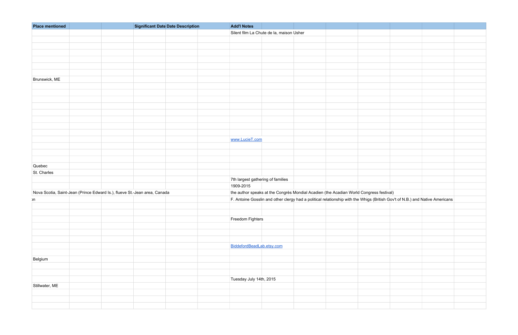| <b>Place mentioned</b> | <b>Significant Date Date Description</b>                                  | <b>Add'l Notes</b>                |                                          |                                                                                                                              |  |  |
|------------------------|---------------------------------------------------------------------------|-----------------------------------|------------------------------------------|------------------------------------------------------------------------------------------------------------------------------|--|--|
|                        |                                                                           |                                   | Silent film La Chute de la, maison Usher |                                                                                                                              |  |  |
|                        |                                                                           |                                   |                                          |                                                                                                                              |  |  |
|                        |                                                                           |                                   |                                          |                                                                                                                              |  |  |
|                        |                                                                           |                                   |                                          |                                                                                                                              |  |  |
|                        |                                                                           |                                   |                                          |                                                                                                                              |  |  |
|                        |                                                                           |                                   |                                          |                                                                                                                              |  |  |
|                        |                                                                           |                                   |                                          |                                                                                                                              |  |  |
| Brunswick, ME          |                                                                           |                                   |                                          |                                                                                                                              |  |  |
|                        |                                                                           |                                   |                                          |                                                                                                                              |  |  |
|                        |                                                                           |                                   |                                          |                                                                                                                              |  |  |
|                        |                                                                           |                                   |                                          |                                                                                                                              |  |  |
|                        |                                                                           |                                   |                                          |                                                                                                                              |  |  |
|                        |                                                                           |                                   |                                          |                                                                                                                              |  |  |
|                        |                                                                           |                                   |                                          |                                                                                                                              |  |  |
|                        |                                                                           |                                   |                                          |                                                                                                                              |  |  |
|                        |                                                                           |                                   |                                          |                                                                                                                              |  |  |
|                        |                                                                           |                                   |                                          |                                                                                                                              |  |  |
|                        |                                                                           | www.LucieT.com                    |                                          |                                                                                                                              |  |  |
|                        |                                                                           |                                   |                                          |                                                                                                                              |  |  |
|                        |                                                                           |                                   |                                          |                                                                                                                              |  |  |
|                        |                                                                           |                                   |                                          |                                                                                                                              |  |  |
| Quebec                 |                                                                           |                                   |                                          |                                                                                                                              |  |  |
| St. Charles            |                                                                           |                                   |                                          |                                                                                                                              |  |  |
|                        |                                                                           | 7th largest gathering of families |                                          |                                                                                                                              |  |  |
|                        |                                                                           | 1909-2015                         |                                          |                                                                                                                              |  |  |
|                        | Nova Scotia, Saint-Jean (Prince Edward Is.), flueve St.-Jean area, Canada |                                   |                                          | the author speaks at the Congrès Mondial Acadien (the Acadian World Congress festival)                                       |  |  |
| ۱n                     |                                                                           |                                   |                                          | F. Antoine Gosslin and other clergy had a political relationship with the Whigs (British Gov't of N.B.) and Native Americans |  |  |
|                        |                                                                           |                                   |                                          |                                                                                                                              |  |  |
|                        |                                                                           |                                   |                                          |                                                                                                                              |  |  |
|                        |                                                                           | Freedom Fighters                  |                                          |                                                                                                                              |  |  |
|                        |                                                                           |                                   |                                          |                                                                                                                              |  |  |
|                        |                                                                           |                                   |                                          |                                                                                                                              |  |  |
|                        |                                                                           |                                   |                                          |                                                                                                                              |  |  |
|                        |                                                                           |                                   |                                          |                                                                                                                              |  |  |
|                        |                                                                           | BiddefordBeadLab.etsy.com         |                                          |                                                                                                                              |  |  |
|                        |                                                                           |                                   |                                          |                                                                                                                              |  |  |
| Belgium                |                                                                           |                                   |                                          |                                                                                                                              |  |  |
|                        |                                                                           |                                   |                                          |                                                                                                                              |  |  |
|                        |                                                                           |                                   |                                          |                                                                                                                              |  |  |
|                        |                                                                           |                                   |                                          |                                                                                                                              |  |  |
|                        |                                                                           | Tuesday July 14th, 2015           |                                          |                                                                                                                              |  |  |
| Stillwater, ME         |                                                                           |                                   |                                          |                                                                                                                              |  |  |
|                        |                                                                           |                                   |                                          |                                                                                                                              |  |  |
|                        |                                                                           |                                   |                                          |                                                                                                                              |  |  |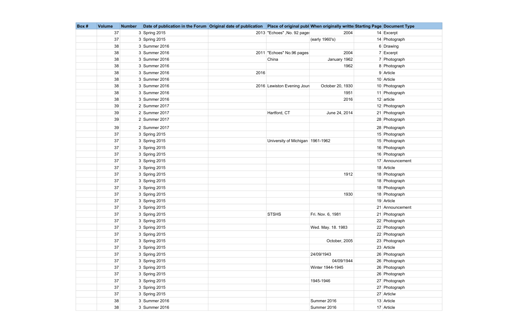| Box # | <b>Volume</b> | <b>Number</b> | Date of publication in the Forum Original date of publication   Place of original publ When originally writte Starting Page Document Type |      |                                    |                    |                 |
|-------|---------------|---------------|-------------------------------------------------------------------------------------------------------------------------------------------|------|------------------------------------|--------------------|-----------------|
|       | 37            |               | 3 Spring 2015                                                                                                                             |      | 2013 "Echoes", No. 92 page:        | 2004               | $14$ Excerpt    |
|       | 37            |               | 3 Spring 2015                                                                                                                             |      |                                    | (early 1960's)     | 14 Photograph   |
|       | 38            |               | 3 Summer 2016                                                                                                                             |      |                                    |                    | 6 Drawing       |
|       | 38            |               | 3 Summer 2016                                                                                                                             |      | 2011 "Echoes" No.96 pages          | 2004               | 7 Excerpt       |
|       | 38            |               | 3 Summer 2016                                                                                                                             |      | China                              | January 1962       | 7 Photograph    |
|       | 38            |               | 3 Summer 2016                                                                                                                             |      |                                    | 1962               | 8 Photograph    |
|       | 38            |               | 3 Summer 2016                                                                                                                             | 2016 |                                    |                    | 9 Article       |
|       | 38            |               | 3 Summer 2016                                                                                                                             |      |                                    |                    | 10 Article      |
|       | 38            |               | 3 Summer 2016                                                                                                                             |      | 2016 Lewiston Evening Jour         | October 20, 1930   | 10 Photograph   |
|       | 38            |               | 3 Summer 2016                                                                                                                             |      |                                    | 1951               | 11 Photograph   |
|       | 38            |               | 3 Summer 2016                                                                                                                             |      |                                    | 2016               | $12$ article    |
|       | 39            |               | $2$ Summer 2017                                                                                                                           |      |                                    |                    | 12 Photograph   |
|       | 39            |               | 2 Summer 2017                                                                                                                             |      | Hartford, CT                       | June 24, 2014      | 21 Photograph   |
|       | 39            |               | 2 Summer 2017                                                                                                                             |      |                                    |                    | 28 Photograph   |
|       | 39            |               | 2 Summer 2017                                                                                                                             |      |                                    |                    | 28 Photograph   |
|       | 37            |               | 3 Spring 2015                                                                                                                             |      |                                    |                    | 15 Photograph   |
|       | 37            |               | 3 Spring 2015                                                                                                                             |      | University of Michigan   1961-1962 |                    | 15 Photograph   |
|       | 37            |               | 3 Spring 2015                                                                                                                             |      |                                    |                    | 16 Photograph   |
|       | 37            |               | 3 Spring 2015                                                                                                                             |      |                                    |                    | 16 Photograph   |
|       | 37            |               | 3 Spring 2015                                                                                                                             |      |                                    |                    | 17 Announcement |
|       | 37            |               | 3 Spring 2015                                                                                                                             |      |                                    |                    | 18 Article      |
|       | 37            |               | 3 Spring 2015                                                                                                                             |      |                                    | 1912               | 18 Photograph   |
|       | 37            |               | $3$ Spring 2015                                                                                                                           |      |                                    |                    | 18 Photograph   |
|       | 37            |               | $3$ Spring 2015                                                                                                                           |      |                                    |                    | 18 Photograph   |
|       | 37            |               | 3 Spring 2015                                                                                                                             |      |                                    | 1930               | 18 Photograph   |
|       | 37            |               | 3 Spring 2015                                                                                                                             |      |                                    |                    | 19 Article      |
|       | 37            |               | 3 Spring 2015                                                                                                                             |      |                                    |                    | 21 Announcement |
|       | 37            |               | 3 Spring 2015                                                                                                                             |      | <b>STSHS</b>                       | Fri. Nov. 6, 1981  | 21 Photograph   |
|       | 37            |               | $3$ Spring 2015                                                                                                                           |      |                                    |                    | 22 Photograph   |
|       | 37            |               | 3 Spring 2015                                                                                                                             |      |                                    | Wed. May. 18. 1983 | 22 Photograph   |
|       | 37            |               | $3$ Spring 2015                                                                                                                           |      |                                    |                    | 22 Photograph   |
|       | 37            |               | $3$ Spring 2015                                                                                                                           |      |                                    | October, 2005      | 23 Photograph   |
|       | 37            |               | 3 Spring 2015                                                                                                                             |      |                                    |                    | 23 Article      |
|       | 37            |               | $3$ Spring 2015                                                                                                                           |      |                                    | 24/09/1943         | 26 Photograph   |
|       | 37            |               | $3$ Spring 2015                                                                                                                           |      |                                    | 04/09/1944         | 26 Photograph   |
|       | 37            |               | 3 Spring 2015                                                                                                                             |      |                                    | Winter 1944-1945   | 26 Photograph   |
|       | 37            |               | $3$ Spring 2015                                                                                                                           |      |                                    |                    | 26 Photograph   |
|       | 37            |               | 3 Spring 2015                                                                                                                             |      |                                    | 1945-1946          | 27 Photograph   |
|       | 37            |               | $3$ Spring 2015                                                                                                                           |      |                                    |                    | 27 Photograph   |
|       | 37            |               | $3$ Spring 2015                                                                                                                           |      |                                    |                    | 27 Articlw      |
|       | 38            |               | 3 Summer 2016                                                                                                                             |      |                                    | Summer 2016        | 13 Article      |
|       | 38            |               | 3 Summer 2016                                                                                                                             |      |                                    | Summer 2016        | 17 Article      |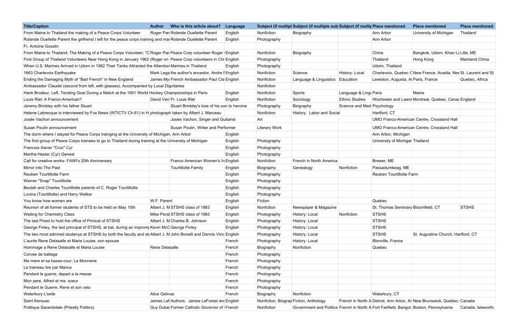| <b>Title/Caption</b>                                                                                                | Who is this article about?<br><b>Author</b>      | Language |                      | Subject (if multipl Subject (if multiple sub Subject (if multip Place mentioned |                            |                                     | <b>Place mentioned</b>                                                                 | <b>Place mentioned</b> |
|---------------------------------------------------------------------------------------------------------------------|--------------------------------------------------|----------|----------------------|---------------------------------------------------------------------------------|----------------------------|-------------------------------------|----------------------------------------------------------------------------------------|------------------------|
| From Maine to Thailand the making of a Peace Corps Volunteer                                                        | Roger Par Rolande Ouellette Parent               | Englsih  | Nonfiction           | Biography                                                                       |                            | Ann Arbor                           | University of Michigan                                                                 | Thailand               |
| Rolande Ouellette Parent the girlfreind I left for the peace corps training and mai Rolande Ouellette Parent        |                                                  | English  | Photography          |                                                                                 |                            | Ann Arbor                           |                                                                                        |                        |
| Fr. Antoine Gosslin                                                                                                 |                                                  |          |                      |                                                                                 |                            |                                     |                                                                                        |                        |
| From Maine to Thailand; The Making of a Peace Corps Volunteer; "C Roger Par Peace Corp volunteer Roger English      |                                                  |          | Nonfiction           | Biography                                                                       |                            | China                               | Bangkok, Udorn, Khao La Lille, ME                                                      |                        |
| First Group of Thailand Volunteers Near Hong Kong in January 1962 (Roger on Peace Corp volunteers in Chi English    |                                                  |          | Photography          |                                                                                 |                            | Thailand                            | Hong Kong                                                                              | <b>Mainland China</b>  |
| When U.S. Marines Arrived in Udorn in 1962 Their Tanks Attracted the Attention Marines in Thailand                  |                                                  | English  | Photography          |                                                                                 |                            | Udorn, Thailand                     |                                                                                        |                        |
| 1663 Charlevoix Earthquake                                                                                          | Mark Lega the author's ancestor, Andre I English |          | Nonfiction           | Science                                                                         | History: Local             |                                     | Charlevoix, Quebec C New France, Acadia, Nev St. Laurent and St.                       |                        |
| Ending the Damaging Myth of "Bad French" in New England                                                             | James My French Ambassador Paul Cla English      |          | Nonfiction           | Language & Linguistics                                                          | Education                  | Lewiston, Augusta, Al Paris, France |                                                                                        | Quebec, Africa         |
| Ambassador Claudel (second from left, with glasses), Accompanied by Local Dignitaries                               |                                                  |          | Nonfiction           |                                                                                 |                            |                                     |                                                                                        |                        |
| Hank Brodeur, Left, Tending Goal During a Match at the 1951 World Hockey Championships in Paris                     |                                                  | English  | Nonfiction           | Sports                                                                          | Language & Ling Paris      |                                     | Maine                                                                                  |                        |
| Louis Riel: A Franco-American?                                                                                      | David Verr Fr. Louis Riel                        | English  | Nonfiction           | Sociology                                                                       | <b>Ethnic Studies</b>      |                                     | Wochester and Lawre Montreal, Quebec, Canad England                                    |                        |
| Jeremy Brinkley with his father Stuart                                                                              | Stuart Brinkley's loss of his son to heroine     |          | Photography          | Biography                                                                       | Science and Med Psychology |                                     |                                                                                        |                        |
| Helene Labrecque is interviewed by Fox News (WTICTV Ch 61) in H photograph taken by Albert J. Marceau               |                                                  |          | Nonfiction           | History: Labor and Social                                                       |                            | Hartford, CT                        |                                                                                        |                        |
| Josée Vachon announcement                                                                                           | Josée Vachon, Singer and Guitarist               |          | Art                  |                                                                                 |                            |                                     | UMO Franco-American Centre, Crossland Hall                                             |                        |
| Susan Poulin announcement                                                                                           | Susan Poulin, Writer and Performer               |          | <b>Literary Work</b> |                                                                                 |                            |                                     | UMO Franco-American Centre, Crossland Hall                                             |                        |
| The dorm where I stayed for Peace Corps trainging at the University of Michigan, Ann Arbor                          |                                                  | English  |                      |                                                                                 |                            | Ann Arbor, Michigan                 |                                                                                        |                        |
| The first group of Peace Corps trainees to go to Thailand during training at the University of Michigan             |                                                  | English  | Photography          |                                                                                 |                            | University of Michigar Thailand     |                                                                                        |                        |
| Francois Xavier "Croc" Cyr                                                                                          |                                                  | English  | Photography          |                                                                                 |                            |                                     |                                                                                        |                        |
| Martha Hester (Cyr) Genest                                                                                          |                                                  | English  | Photography          |                                                                                 |                            |                                     |                                                                                        |                        |
| Call for creative works- FAWI's 20th Anniversary                                                                    | Franco American Women's In English               |          | Nonfcition           | French in North America                                                         |                            | Brewer, ME                          |                                                                                        |                        |
| Mirror Into The Past                                                                                                | Tourtillotte Family                              | English  | Biography            | Genealogy                                                                       | Nonfiction                 | Passadumkeag, ME                    |                                                                                        |                        |
| Reuben Tourtillotte Farm                                                                                            |                                                  | English  | Photography          |                                                                                 |                            | Reuben Tourtillotte Farm            |                                                                                        |                        |
| Warren "Snap" Tourtillotte                                                                                          |                                                  | English  | Photography          |                                                                                 |                            |                                     |                                                                                        |                        |
| Beulah and Charles Tourtillotte parents of C. Roger Tourtillotte                                                    |                                                  | English  | Photography          |                                                                                 |                            |                                     |                                                                                        |                        |
| Lovina (Tourtillotte) and Harry Walker                                                                              |                                                  | English  | Photography          |                                                                                 |                            |                                     |                                                                                        |                        |
| You know how women are                                                                                              | W.F. Parent                                      | English  | Fiction              |                                                                                 |                            | Quebec                              |                                                                                        |                        |
| Reunion of all former students of STS to be held on May 15th                                                        | Albert J. M STSHS class of 1983                  | English  | Nonfcition           | Newspaper & Magazine                                                            |                            | St. Thomas Seminary Bloomfield, CT  |                                                                                        | <b>STSHS</b>           |
| <b>Waiting for Chemistry Class</b>                                                                                  | Mike Peral STSHS class of 1983                   | English  | Photography          | History: Local                                                                  | Nonfiction                 | STSHS                               |                                                                                        |                        |
| The last Priest to hold the office of Prinical of STSHS                                                             | Albert J. M Charles B. Johnson                   | English  | Photography          | History: Local                                                                  |                            | STSHS                               |                                                                                        |                        |
| George Finley, the last principal of STSHS, at bat, during an improm; Kevin McC George Finley                       |                                                  | English  | Photography          | History: Local                                                                  |                            | STSHS                               |                                                                                        |                        |
| The two most admired studenys at STSHS by both the faculty and sti Albert J. M John Bonelli and Dennis Vinc English |                                                  |          | Photography          | History: Local                                                                  |                            | STSHS                               | St. Augustine Church, Hartford, CT                                                     |                        |
| L'aunte Rene Delasalle et Marie Louise, son epouse                                                                  |                                                  | French   | Photography          | History: Local                                                                  |                            | Blonville, France                   |                                                                                        |                        |
| Hommage a Rene Delasalle et Maria Louise                                                                            | Rene Delasalle                                   | French   | Biography            | Nonfiction                                                                      |                            | Quebec                              |                                                                                        |                        |
| Corvee de battage                                                                                                   |                                                  | French   | Photography          |                                                                                 |                            |                                     |                                                                                        |                        |
| Ma mere et sa basse-cour, La Monnerie                                                                               |                                                  | French   | Photography          |                                                                                 |                            |                                     |                                                                                        |                        |
| Le traineau tire par Marius                                                                                         |                                                  | French   | Photography          |                                                                                 |                            |                                     |                                                                                        |                        |
| Pendant la guerre, depart a la messe                                                                                |                                                  | French   | Photography          |                                                                                 |                            |                                     |                                                                                        |                        |
| Mon pere, Alfred et ma soeur                                                                                        |                                                  | French   | Photography          |                                                                                 |                            |                                     |                                                                                        |                        |
| Pendant le Guerre, Rene et son velo                                                                                 |                                                  | French   | Photography          |                                                                                 |                            |                                     |                                                                                        |                        |
| <b>Waterbury L'exile</b>                                                                                            | Alice Gelinas                                    | French   | Biography            | Nonfiction                                                                      |                            | Waterbury, CT                       |                                                                                        |                        |
| Saint Kerouac                                                                                                       | James Laf Authors: James LaForest and English    |          |                      | Nonfiction, Biograp Fiction, Anthology                                          |                            |                                     | French in North A Detroit, Ann Arbor, Ar New Brunswick, Quebec; Canada                 |                        |
| Politique Sacerdotale (Priestly Politics)                                                                           | Guy Duba Former Catholic Governor of French      |          | Nonfiction           |                                                                                 |                            |                                     | Government and Politics French in North A Fort Fairfield, Bangor, Boston, Pennsylvania | Canada; Isleworth,     |

| e mentioned                     | <b>Place mentioned</b>                                       | <b>Place mentioned</b> |
|---------------------------------|--------------------------------------------------------------|------------------------|
| Arbor                           | University of Michigan                                       | Thailand               |
| Arbor                           |                                                              |                        |
|                                 |                                                              |                        |
| а                               | Bangkok, Udorn, Khao La Lille, ME                            |                        |
| and                             | Hong Kong                                                    | Mainland China         |
| n, Thailand                     |                                                              |                        |
|                                 | levoix, Quebec C New France, Acadia, Nev St. Laurent and St. |                        |
| ston, Augusta, Al Paris, France |                                                              | Quebec, Africa         |
|                                 |                                                              |                        |
|                                 | Maine                                                        |                        |
|                                 | hester and Lawre Montreal, Quebec, Canad England             |                        |
| hology                          |                                                              |                        |
| ord, CT                         |                                                              |                        |
|                                 | Franco-American Centre, Crossland Hall                       |                        |
|                                 | Franco-American Centre, Crossland Hall                       |                        |
| Arbor, Michigan                 |                                                              |                        |
| ersity of Michigar Thailand     |                                                              |                        |
|                                 |                                                              |                        |
|                                 |                                                              |                        |
| er, ME                          |                                                              |                        |
| adumkeag, ME                    |                                                              |                        |
| ben Tourtillotte Farm           |                                                              |                        |
|                                 |                                                              |                        |
|                                 |                                                              |                        |
|                                 |                                                              |                        |
| эес                             |                                                              |                        |
| homas Seminary Bloomfield, CT   |                                                              | STSHS                  |
| HS                              |                                                              |                        |
| НS                              |                                                              |                        |
| НS                              |                                                              |                        |
| НS                              | St. Augustine Church, Hartford, CT                           |                        |
| ville, France                   |                                                              |                        |
| эес                             |                                                              |                        |
|                                 |                                                              |                        |
|                                 |                                                              |                        |
|                                 |                                                              |                        |
|                                 |                                                              |                        |
|                                 |                                                              |                        |
|                                 |                                                              |                        |
| erbury, CT                      |                                                              |                        |
|                                 | pit, Ann Arbor, Ar New Brunswick, Quebec; Canada             |                        |
|                                 | Fairfield, Bangor, Boston, Pennsylvania                      | Canada; Isleworth,     |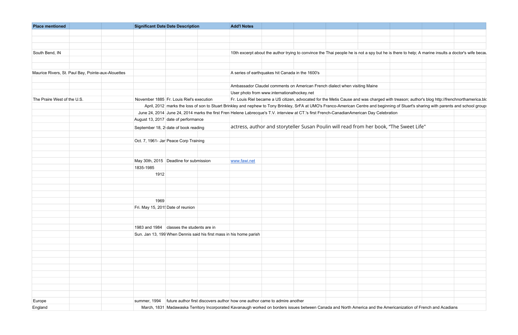| <b>Place mentioned</b>                             | <b>Significant Date Date Description</b>                                                                                                                        | <b>Add'l Notes</b> |                                                                                                                                                                                        |  |  |
|----------------------------------------------------|-----------------------------------------------------------------------------------------------------------------------------------------------------------------|--------------------|----------------------------------------------------------------------------------------------------------------------------------------------------------------------------------------|--|--|
|                                                    |                                                                                                                                                                 |                    |                                                                                                                                                                                        |  |  |
|                                                    |                                                                                                                                                                 |                    |                                                                                                                                                                                        |  |  |
|                                                    |                                                                                                                                                                 |                    |                                                                                                                                                                                        |  |  |
| South Bend, IN                                     |                                                                                                                                                                 |                    | 10th excerpt about the author trying to convince the Thai people he is not a spy but he is there to help; A marine insults a doctor's wife becau                                       |  |  |
|                                                    |                                                                                                                                                                 |                    |                                                                                                                                                                                        |  |  |
| Maurice Rivers, St. Paul Bay, Pointe-aux-Alouettes |                                                                                                                                                                 |                    | A series of earthquakes hit Canada in the 1600's                                                                                                                                       |  |  |
|                                                    |                                                                                                                                                                 |                    |                                                                                                                                                                                        |  |  |
|                                                    |                                                                                                                                                                 |                    | Ambassador Claudel comments on American French dialect when visiting Maine                                                                                                             |  |  |
|                                                    |                                                                                                                                                                 |                    | User photo from www.internationalhockey.net                                                                                                                                            |  |  |
| The Praire West of the U.S.                        | November 1885 Fr. Louis Riel's execution                                                                                                                        |                    | Fr. Louis Riel became a US citizen, advocated for the Metis Cause and was charged with treason; author's blog http://frenchnorthamerica.blo                                            |  |  |
|                                                    |                                                                                                                                                                 |                    | April, 2012 marks the loss of son to Stuart Brinkley and nephew to Tony Brinkley, SrFA at UMO's Franco-American Centre and beginning of Stuart's sharing with parents and school group |  |  |
|                                                    | June 24, 2014 June 24, 2014 marks the first Fren Helene Labrecque's T.V. interview at CT.'s first French-CanadianAmerican Day Celebration                       |                    |                                                                                                                                                                                        |  |  |
|                                                    | August 13, 2017 date of performance                                                                                                                             |                    |                                                                                                                                                                                        |  |  |
|                                                    | September 18, 2 date of book reading                                                                                                                            |                    | actress, author and storyteller Susan Poulin will read from her book, "The Sweet Life"                                                                                                 |  |  |
|                                                    |                                                                                                                                                                 |                    |                                                                                                                                                                                        |  |  |
|                                                    | Oct. 7, 1961- Jar Peace Corp Training                                                                                                                           |                    |                                                                                                                                                                                        |  |  |
|                                                    |                                                                                                                                                                 |                    |                                                                                                                                                                                        |  |  |
|                                                    | May 30th, 2015 Deadline for submission                                                                                                                          | www.fawi.net       |                                                                                                                                                                                        |  |  |
|                                                    | 1835-1985                                                                                                                                                       |                    |                                                                                                                                                                                        |  |  |
|                                                    | 1912                                                                                                                                                            |                    |                                                                                                                                                                                        |  |  |
|                                                    |                                                                                                                                                                 |                    |                                                                                                                                                                                        |  |  |
|                                                    |                                                                                                                                                                 |                    |                                                                                                                                                                                        |  |  |
|                                                    |                                                                                                                                                                 |                    |                                                                                                                                                                                        |  |  |
|                                                    | 1969                                                                                                                                                            |                    |                                                                                                                                                                                        |  |  |
|                                                    | Fri. May 15, 201! Date of reunion                                                                                                                               |                    |                                                                                                                                                                                        |  |  |
|                                                    |                                                                                                                                                                 |                    |                                                                                                                                                                                        |  |  |
|                                                    |                                                                                                                                                                 |                    |                                                                                                                                                                                        |  |  |
|                                                    | 1983 and 1984 classes the students are in                                                                                                                       |                    |                                                                                                                                                                                        |  |  |
|                                                    | Sun. Jan 13, 199 When Dennis said his first mass in his home parish                                                                                             |                    |                                                                                                                                                                                        |  |  |
|                                                    |                                                                                                                                                                 |                    |                                                                                                                                                                                        |  |  |
|                                                    |                                                                                                                                                                 |                    |                                                                                                                                                                                        |  |  |
|                                                    |                                                                                                                                                                 |                    |                                                                                                                                                                                        |  |  |
|                                                    |                                                                                                                                                                 |                    |                                                                                                                                                                                        |  |  |
|                                                    |                                                                                                                                                                 |                    |                                                                                                                                                                                        |  |  |
|                                                    |                                                                                                                                                                 |                    |                                                                                                                                                                                        |  |  |
|                                                    |                                                                                                                                                                 |                    |                                                                                                                                                                                        |  |  |
|                                                    |                                                                                                                                                                 |                    |                                                                                                                                                                                        |  |  |
| Europe                                             | summer, 1994 future author first discovers author how one author came to admire another                                                                         |                    |                                                                                                                                                                                        |  |  |
| England                                            | March, 1831 Madawaska Territory Incorporated Kavanaugh worked on borders issues between Canada and North America and the Americanization of French and Acadians |                    |                                                                                                                                                                                        |  |  |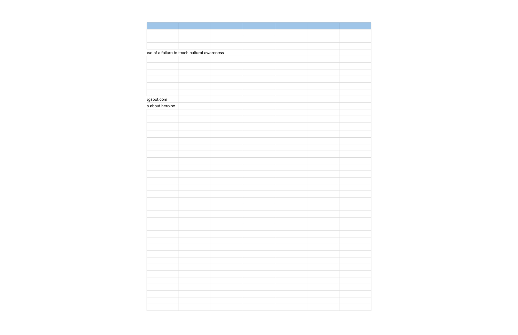| ogspot.com | ise of a failure to teach cultural awareness<br>s about heroine |  |
|------------|-----------------------------------------------------------------|--|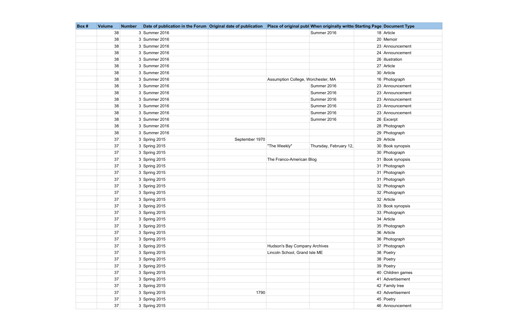| Box# | <b>Volume</b> | <b>Number</b> | Date of publication in the Forum Original date of publication |                |                                    | Place of original publ When originally writte Starting Page Document Type |                   |
|------|---------------|---------------|---------------------------------------------------------------|----------------|------------------------------------|---------------------------------------------------------------------------|-------------------|
|      | 38            |               | 3 Summer 2016                                                 |                |                                    | Summer 2016                                                               | 18 Article        |
|      | 38            |               | 3 Summer 2016                                                 |                |                                    |                                                                           | 20 Memoir         |
|      | 38            |               | 3 Summer 2016                                                 |                |                                    |                                                                           | 23 Announcement   |
|      | 38            |               | 3 Summer 2016                                                 |                |                                    |                                                                           | 24 Announcement   |
|      | 38            |               | 3 Summer 2016                                                 |                |                                    |                                                                           | 26 illustration   |
|      | 38            |               | 3 Summer 2016                                                 |                |                                    |                                                                           | 27 Article        |
|      | 38            |               | 3 Summer 2016                                                 |                |                                    |                                                                           | 30 Article        |
|      | 38            |               | 3 Summer 2016                                                 |                | Assumption College, Worchester, MA |                                                                           | 16 Photograph     |
|      | 38            |               | 3 Summer 2016                                                 |                |                                    | Summer 2016                                                               | 23 Announcement   |
|      | 38            |               | 3 Summer 2016                                                 |                |                                    | Summer 2016                                                               | 23 Announcement   |
|      | 38            |               | 3 Summer 2016                                                 |                |                                    | Summer 2016                                                               | 23 Announcement   |
|      | 38            |               | 3 Summer 2016                                                 |                |                                    | Summer 2016                                                               | 23 Announcement   |
|      | 38            |               | 3 Summer 2016                                                 |                |                                    | Summer 2016                                                               | 23 Announcement   |
|      | 38            |               | 3 Summer 2016                                                 |                |                                    | Summer 2016                                                               | $26$ Excerpt      |
|      | 38            |               | 3 Summer 2016                                                 |                |                                    |                                                                           | 28 Photograph     |
|      | 38            |               | 3 Summer 2016                                                 |                |                                    |                                                                           | 29 Photograph     |
|      | 37            |               | 3 Spring 2015                                                 | September 1970 |                                    |                                                                           | 29 Article        |
|      | 37            |               | 3 Spring 2015                                                 |                | "The Weekly"                       | Thursday, February 12,                                                    | 30 Book synopsis  |
|      | 37            |               | 3 Spring 2015                                                 |                |                                    |                                                                           | 30 Photograph     |
|      | 37            |               | 3 Spring 2015                                                 |                | The Franco-American Blog           |                                                                           | 31 Book synopsis  |
|      | 37            |               | 3 Spring 2015                                                 |                |                                    |                                                                           | 31 Photograph     |
|      | 37            |               | 3 Spring 2015                                                 |                |                                    |                                                                           | 31 Photograph     |
|      | 37            |               | 3 Spring 2015                                                 |                |                                    |                                                                           | 31 Photograph     |
|      | 37            |               | 3 Spring 2015                                                 |                |                                    |                                                                           | 32 Photograph     |
|      | 37            |               | 3 Spring 2015                                                 |                |                                    |                                                                           | 32 Photograph     |
|      | 37            |               | 3 Spring 2015                                                 |                |                                    |                                                                           | 32 Article        |
|      | 37            |               | 3 Spring 2015                                                 |                |                                    |                                                                           | 33 Book synopsis  |
|      | 37            |               | $3$ Spring 2015                                               |                |                                    |                                                                           | 33 Photograph     |
|      | 37            |               | 3 Spring 2015                                                 |                |                                    |                                                                           | 34 Article        |
|      | 37            |               | 3 Spring 2015                                                 |                |                                    |                                                                           | 35 Photograph     |
|      | 37            |               | 3 Spring 2015                                                 |                |                                    |                                                                           | 36 Article        |
|      | 37            |               | $3$ Spring 2015                                               |                |                                    |                                                                           | 36 Photograph     |
|      | 37            |               | 3 Spring 2015                                                 |                | Hudson's Bay Company Archives      |                                                                           | 37 Photograph     |
|      | 37            |               | 3 Spring 2015                                                 |                | Lincoln School, Grand Isle ME      |                                                                           | 38 Poetry         |
|      | 37            |               | 3 Spring 2015                                                 |                |                                    |                                                                           | 38 Poetry         |
|      | 37            |               | $3$ Spring 2015                                               |                |                                    |                                                                           | 39 Poetry         |
|      | 37            |               | 3 Spring 2015                                                 |                |                                    |                                                                           | 40 Children games |
|      | 37            |               | 3 Spring 2015                                                 |                |                                    |                                                                           | 41 Advertisement  |
|      | 37            |               | 3 Spring 2015                                                 |                |                                    |                                                                           | 42 Family tree    |
|      | 37            |               | $3$ Spring 2015                                               | 1790           |                                    |                                                                           | 43 Advertisement  |
|      | 37            |               | 3 Spring 2015                                                 |                |                                    |                                                                           | 45 Poetry         |
|      | 37            |               | $3$ Spring 2015                                               |                |                                    |                                                                           | 46 Announcement   |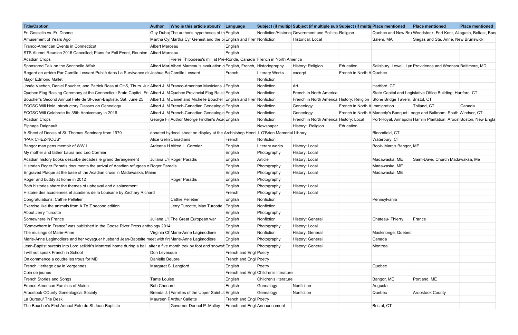| <b>Title/Caption</b>                                                                                                     | <b>Author</b>      | Who is this article about? Language                                                   |                              |                                       | Subject (if multipl Subject (if multiple sub Subject (if multip Place mentioned |                               |                                                                           | <b>Place mentioned</b>              | <b>Place mentioned</b>                                            |
|--------------------------------------------------------------------------------------------------------------------------|--------------------|---------------------------------------------------------------------------------------|------------------------------|---------------------------------------|---------------------------------------------------------------------------------|-------------------------------|---------------------------------------------------------------------------|-------------------------------------|-------------------------------------------------------------------|
| Fr. Gosselin vs. Fr. Dionne                                                                                              |                    | Guy Duba The author's hypotheses of the English                                       |                              |                                       | Nonfiction/Historio Government and Politics Religion                            |                               |                                                                           |                                     | Quebec and New Bru Woodstock, Fort Kent, Allagash, Belfast, Ban   |
| Amusement of Years Ago                                                                                                   |                    | Martha Cy Martha Cyr Genest and the p English and Fren Nonfiction                     |                              |                                       | Historical: Local                                                               |                               | Salem, MA                                                                 | Siegas and Ste. Anne, New Brunswick |                                                                   |
| Franco-American Events in Connecticut                                                                                    | Albert Marceau     |                                                                                       | English                      |                                       |                                                                                 |                               |                                                                           |                                     |                                                                   |
| STS Alumni Reunion 2016 Cancelled; Plans for Fall Event, Reunion   Albert Marceau                                        |                    |                                                                                       | English                      |                                       |                                                                                 |                               |                                                                           |                                     |                                                                   |
| <b>Acadian Crops</b>                                                                                                     |                    | Pierre Thibodeau's mill at Pré-Ronde, Canada French in North America                  |                              |                                       |                                                                                 |                               |                                                                           |                                     |                                                                   |
| Sponsored Talk on the Sentinelle Affair                                                                                  |                    | Albert Mar Albert Marceau's evaluation d English, French, Historiography              |                              |                                       | History: Religion                                                               | Education                     | Salisbury, Lowell, Lyn Providence and Woonsod Baltimore, MD               |                                     |                                                                   |
| Regard en arrière Par Camille Lessard Publié dans La Survivance de Joshua Ba Camille Lessard                             |                    |                                                                                       | French                       | <b>Literary Works</b>                 | excerpt                                                                         | French in North A Quebec      |                                                                           |                                     |                                                                   |
| <b>Major Edmond Mallet</b>                                                                                               |                    |                                                                                       |                              | Nonfiction                            |                                                                                 |                               |                                                                           |                                     |                                                                   |
| Josée Vachon, Daniel Boucher, and Patrick Ross at CHS, Thurs. Jur Albert J. M Franco-American Musicians J English        |                    |                                                                                       |                              | Nonfiction                            | Art                                                                             |                               | Hartford, CT                                                              |                                     |                                                                   |
| Quebec Flag Raising Ceremony at the Connecticut State Capitol, Fri Albert J. M Quebec Provincial Flag Raisi English      |                    |                                                                                       |                              | Nonfiction                            | French in North America                                                         |                               | State Capital and Legislative Office Building, Hartford, CT               |                                     |                                                                   |
| Boucher's Second Annual Fête de St-Jean-Baptiste, Sat. June 25                                                           |                    | Albert J. M Daniel and Michelle Boucher English and Fren Nonfiction                   |                              |                                       | French in North America History: Religion Stone Bridge Tavern, Bristol, CT      |                               |                                                                           |                                     |                                                                   |
| FCGSC Will Hold Introductory Classes on Genealogy                                                                        |                    | Albert J. M French-Canadian Genealogic English                                        |                              | Nonfiction                            | Geneology                                                                       | French in North A Immigration |                                                                           | Tolland, CT                         | Canada                                                            |
| FCGSC Will Celebrate Its 35th Anniversary in 2016                                                                        |                    | Albert J. M French-Canadian Genealogic English                                        |                              | Nonfiction                            | Geneology                                                                       |                               | French in North A Maneely's Banquet Lodge and Ballroom, South Windsor, CT |                                     |                                                                   |
| <b>Acadian Crops</b>                                                                                                     |                    | George Fil Author George Findlen's Acal English                                       |                              | Nonfiction                            | French in North America History: Local                                          |                               |                                                                           |                                     | Port-Royal, Annapolis Hamlin Plantation, Aroost Boston, New Engla |
| Elphage Daignault                                                                                                        |                    |                                                                                       |                              | Newspaper                             | History: Religion                                                               | Education                     |                                                                           |                                     |                                                                   |
| A Sheet of Decals of St. Thomas Seminary from 1979                                                                       |                    | donated by decal sheet on display at the Archbishop Henri J. O'Brien Memorial Library |                              |                                       |                                                                                 |                               | Bloomfield, CT                                                            |                                     |                                                                   |
| "PAR CHEZ-NOUS"                                                                                                          |                    | Alice Gelin Canadians                                                                 | French                       | Nonfiction                            |                                                                                 |                               | Waterbury, CT                                                             |                                     |                                                                   |
| Bangor man pens memoir of WWII                                                                                           |                    | Ardeana H Alfred L. Cormier                                                           | English                      | <b>Literary works</b>                 | History: Local                                                                  |                               | Book- Marc's Bangor, ME                                                   |                                     |                                                                   |
| My mother and father Laura and Leo Cormier                                                                               |                    |                                                                                       | English                      | Photography                           | History: Local                                                                  |                               |                                                                           |                                     |                                                                   |
| Acadian history books describe decades le grand derangement                                                              |                    | Juliana L'H Roger Paradis                                                             | English                      | Article                               | History: Local                                                                  |                               | Madawaska, ME                                                             | Saint-David Church Madawaksa, Me    |                                                                   |
| Historian Roger Paradis documents the arrival of Acadian refugees o Roger Paradis                                        |                    |                                                                                       | English                      | Photography                           | History: Local                                                                  |                               | Madawaska, ME                                                             |                                     |                                                                   |
| Engraved Plaque at the base of the Acadian cross in Madawaska, Maine                                                     |                    |                                                                                       | English                      | Photography                           | History: Local                                                                  |                               | Madawaska, ME                                                             |                                     |                                                                   |
| Roger and buddy at home in 2012                                                                                          |                    | Roger Paradis                                                                         | English                      | Photography                           |                                                                                 |                               |                                                                           |                                     |                                                                   |
| Both histories share the themes of upheaval and displacement                                                             |                    |                                                                                       | English                      | Photography                           | History: Local                                                                  |                               |                                                                           |                                     |                                                                   |
| Histoire des acadiennes et acadiens de la Louisane by Zachary Richard                                                    |                    |                                                                                       | French                       | Photography                           | History: Local                                                                  |                               |                                                                           |                                     |                                                                   |
| Congratulations: Cathie Pelletier                                                                                        |                    | <b>Cathie Pelletier</b>                                                               | English                      | Nonfiction                            |                                                                                 |                               | Pennsylvania                                                              |                                     |                                                                   |
| Exercise like the animals from A To Z second edition                                                                     |                    | Jerry Turcotte, Max Turcotte, English                                                 |                              | Nonfiction                            |                                                                                 |                               |                                                                           |                                     |                                                                   |
| About Jerry Turcotte                                                                                                     |                    |                                                                                       | English                      | Photography                           |                                                                                 |                               |                                                                           |                                     |                                                                   |
| Somewhere in France                                                                                                      |                    | Juliana L'H The Great European war                                                    | English                      | Nonfiction                            | History: General                                                                |                               | Chateau-Thierry                                                           | France                              |                                                                   |
| "Somewhere in France" was published in the Goose River Press anthology 2014                                              |                    |                                                                                       | English                      | Photography                           | History: Local                                                                  |                               |                                                                           |                                     |                                                                   |
| The musings of Marie-Anne                                                                                                |                    | Virginia Ch Marie-Anne Lagimodiere                                                    | English                      | Nonfiction                            | History: General                                                                |                               | Maskinonge, Quebec                                                        |                                     |                                                                   |
| Marie-Anne Lagimodiere and her voyaguer husband Jean-Baptsite meet with fir Marie-Anne Lagimodiere                       |                    |                                                                                       | English                      | Photography                           | History: General                                                                |                               | Canada                                                                    |                                     |                                                                   |
| Jean-Baptist burests into Lord selkirk's Montreal home during a ball, after a five month trek by foot and snowsh English |                    |                                                                                       |                              | Photography                           | History: General                                                                |                               | Montreal                                                                  |                                     |                                                                   |
| I will not speak French in School                                                                                        | Don Levesque       |                                                                                       | French and Engl Poetry       |                                       |                                                                                 |                               |                                                                           |                                     |                                                                   |
| On commence a coudre les trous for MB                                                                                    | Danielle Beupre    |                                                                                       | French and Engl Poetry       |                                       |                                                                                 |                               |                                                                           |                                     |                                                                   |
| French Heritage day in Vergennes                                                                                         |                    | Margaret S. Langford                                                                  | English                      | Poetry                                |                                                                                 |                               | Quebec                                                                    |                                     |                                                                   |
| Coin de jeunes                                                                                                           |                    |                                                                                       |                              | French and Engl Children's literature |                                                                                 |                               |                                                                           |                                     |                                                                   |
| French Stories and Songs                                                                                                 | Tante Louise       |                                                                                       | English                      | Children's literature                 |                                                                                 |                               | Bangor, ME                                                                | Portland, ME                        |                                                                   |
| Franco-American Families of Maine                                                                                        | <b>Bob Chenard</b> |                                                                                       | English                      | Genealogy                             | Nonfiction                                                                      |                               | Augusta                                                                   |                                     |                                                                   |
| Aroostook COunty Genealogical Society                                                                                    |                    | Brenda J. Families of the Upper Saint J. English                                      |                              | Genealogy                             | Nonfiction                                                                      |                               | Quebec                                                                    | <b>Aroostook County</b>             |                                                                   |
| La Bureau/ The Desk                                                                                                      |                    | Maureen F Arthur Callette                                                             | French and Engl Poetry       |                                       |                                                                                 |                               |                                                                           |                                     |                                                                   |
| The Boucher's First Annual Fete de St-Jean-Baptiste                                                                      |                    | Governor Dannel P. Malloy                                                             | French and Engl Announcement |                                       |                                                                                 |                               | Bristol, CT                                                               |                                     |                                                                   |

| e mentioned                  | <b>Place mentioned</b>                                       | <b>Place mentioned</b> |
|------------------------------|--------------------------------------------------------------|------------------------|
|                              | bec and New Bru Woodstock, Fort Kent, Allagash, Belfast, Ban |                        |
| m, MA                        | Siegas and Ste. Anne, New Brunswick                          |                        |
|                              |                                                              |                        |
|                              |                                                              |                        |
|                              |                                                              |                        |
|                              | bury, Lowell, Lyn Providence and Woonsod Baltimore, MD       |                        |
| œc                           |                                                              |                        |
|                              |                                                              |                        |
| ord, CT                      |                                                              |                        |
|                              | <b>Capital and Legislative Office Building, Hartford, CT</b> |                        |
| e Bridge Tavern, Bristol, CT |                                                              |                        |
| gration                      | Tolland, CT                                                  | Canada                 |
|                              | eely's Banquet Lodge and Ballroom, South Windsor, CT         |                        |
|                              | Royal, Annapolis Hamlin Plantation, Aroost Boston, New Engla |                        |
|                              |                                                              |                        |
| mfield, CT                   |                                                              |                        |
| erbury, CT                   |                                                              |                        |
| - Marc's Bangor, ME          |                                                              |                        |
|                              |                                                              |                        |
| awaska, ME                   | Saint-David Church Madawaksa, Me                             |                        |
| awaska, ME                   |                                                              |                        |
| awaska, ME                   |                                                              |                        |
|                              |                                                              |                        |
|                              |                                                              |                        |
|                              |                                                              |                        |
| ısylvania                    |                                                              |                        |
|                              |                                                              |                        |
|                              |                                                              |                        |
| eau-Thierry                  | France                                                       |                        |
|                              |                                                              |                        |
| kinonge, Quebec              |                                                              |                        |
| ada                          |                                                              |                        |
| real:                        |                                                              |                        |
|                              |                                                              |                        |
|                              |                                                              |                        |
| жес                          |                                                              |                        |
|                              |                                                              |                        |
| jor, ME                      | Portland, ME                                                 |                        |
| ısta                         |                                                              |                        |
| жес                          | <b>Aroostook County</b>                                      |                        |
|                              |                                                              |                        |
| ol, CT                       |                                                              |                        |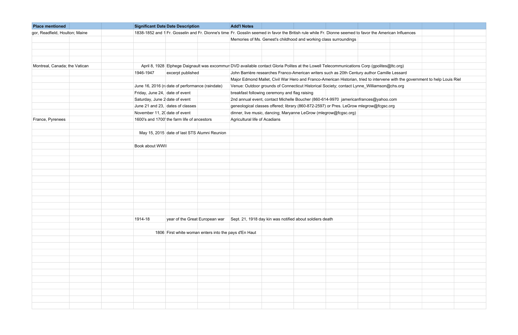| <b>Place mentioned</b>         | <b>Significant Date Date Description</b>                                                                                                                 | <b>Add'l Notes</b>                                                                                                           |                                                                                            |  |  |  |  |  |  |
|--------------------------------|----------------------------------------------------------------------------------------------------------------------------------------------------------|------------------------------------------------------------------------------------------------------------------------------|--------------------------------------------------------------------------------------------|--|--|--|--|--|--|
| gor, Readfield, Houlton; Maine | 1838-1852 and 1 Fr. Gosselin and Fr. Dionne's time Fr. Gosslin seemed in favor the British rule while Fr. Dionne seemed to favor the American Influences |                                                                                                                              |                                                                                            |  |  |  |  |  |  |
|                                |                                                                                                                                                          |                                                                                                                              | Memories of Ms. Genest's childhood and working class surroundings                          |  |  |  |  |  |  |
|                                |                                                                                                                                                          |                                                                                                                              |                                                                                            |  |  |  |  |  |  |
|                                |                                                                                                                                                          |                                                                                                                              |                                                                                            |  |  |  |  |  |  |
|                                |                                                                                                                                                          |                                                                                                                              |                                                                                            |  |  |  |  |  |  |
| Montreal, Canada; the Vatican  | April 8, 1928 Elphege Daignault was excommur DVD available contact Gloria Polites at the Lowell Telecommunications Corp (gpolites@ltc.org)               |                                                                                                                              |                                                                                            |  |  |  |  |  |  |
|                                | 1946-1947<br>excerpt published                                                                                                                           | John Barrière researches Franco-American writers such as 20th Century author Camille Lessard                                 |                                                                                            |  |  |  |  |  |  |
|                                |                                                                                                                                                          | Major Edmond Mallet, Civil War Hero and Franco-American Historian, tried to intervene with the government to help Louis Riel |                                                                                            |  |  |  |  |  |  |
|                                | June 16, 2016 (radate of performance (raindate)                                                                                                          |                                                                                                                              | Venue: Outdoor grounds of Connecticut Historical Society; contact Lynne_Williamson@chs.org |  |  |  |  |  |  |
|                                | Friday, June 24, date of event                                                                                                                           | breakfast following ceremony and flag raising                                                                                |                                                                                            |  |  |  |  |  |  |
|                                | Saturday, June 2 date of event                                                                                                                           | 2nd annual event, contact Michelle Boucher (860-614-9970 jamericanfrances@yahoo.com                                          |                                                                                            |  |  |  |  |  |  |
|                                | June 21 and 23, dates of classes                                                                                                                         | geneological classes offered; library (860-872-2597) or Pres. LeGrow mlegrow@fcgsc.org                                       |                                                                                            |  |  |  |  |  |  |
|                                | November 11, 20 date of event                                                                                                                            | dinner, live music, dancing; Maryanne LeGrow (mlegrow@fcgsc.org)                                                             |                                                                                            |  |  |  |  |  |  |
| France, Pyrenees               | 1600's and 1700' the farm life of ancestors                                                                                                              | Agricultural life of Acadians                                                                                                |                                                                                            |  |  |  |  |  |  |
|                                |                                                                                                                                                          |                                                                                                                              |                                                                                            |  |  |  |  |  |  |
|                                | May 15, 2015 date of last STS Alumni Reunion                                                                                                             |                                                                                                                              |                                                                                            |  |  |  |  |  |  |
|                                |                                                                                                                                                          |                                                                                                                              |                                                                                            |  |  |  |  |  |  |
|                                | Book about WWII                                                                                                                                          |                                                                                                                              |                                                                                            |  |  |  |  |  |  |
|                                |                                                                                                                                                          |                                                                                                                              |                                                                                            |  |  |  |  |  |  |
|                                |                                                                                                                                                          |                                                                                                                              |                                                                                            |  |  |  |  |  |  |
|                                |                                                                                                                                                          |                                                                                                                              |                                                                                            |  |  |  |  |  |  |
|                                |                                                                                                                                                          |                                                                                                                              |                                                                                            |  |  |  |  |  |  |
|                                |                                                                                                                                                          |                                                                                                                              |                                                                                            |  |  |  |  |  |  |
|                                |                                                                                                                                                          |                                                                                                                              |                                                                                            |  |  |  |  |  |  |
|                                |                                                                                                                                                          |                                                                                                                              |                                                                                            |  |  |  |  |  |  |
|                                |                                                                                                                                                          |                                                                                                                              |                                                                                            |  |  |  |  |  |  |
|                                |                                                                                                                                                          |                                                                                                                              |                                                                                            |  |  |  |  |  |  |
|                                |                                                                                                                                                          |                                                                                                                              |                                                                                            |  |  |  |  |  |  |
|                                | year of the Great European war Sept. 21, 1918 day kin was notified about soldiers death<br>1914-18                                                       |                                                                                                                              |                                                                                            |  |  |  |  |  |  |
|                                |                                                                                                                                                          |                                                                                                                              |                                                                                            |  |  |  |  |  |  |
|                                | 1806 First white woman enters into the pays d'En Haut                                                                                                    |                                                                                                                              |                                                                                            |  |  |  |  |  |  |
|                                |                                                                                                                                                          |                                                                                                                              |                                                                                            |  |  |  |  |  |  |
|                                |                                                                                                                                                          |                                                                                                                              |                                                                                            |  |  |  |  |  |  |
|                                |                                                                                                                                                          |                                                                                                                              |                                                                                            |  |  |  |  |  |  |
|                                |                                                                                                                                                          |                                                                                                                              |                                                                                            |  |  |  |  |  |  |
|                                |                                                                                                                                                          |                                                                                                                              |                                                                                            |  |  |  |  |  |  |
|                                |                                                                                                                                                          |                                                                                                                              |                                                                                            |  |  |  |  |  |  |
|                                |                                                                                                                                                          |                                                                                                                              |                                                                                            |  |  |  |  |  |  |
|                                |                                                                                                                                                          |                                                                                                                              |                                                                                            |  |  |  |  |  |  |
|                                |                                                                                                                                                          |                                                                                                                              |                                                                                            |  |  |  |  |  |  |
|                                |                                                                                                                                                          |                                                                                                                              |                                                                                            |  |  |  |  |  |  |
|                                |                                                                                                                                                          |                                                                                                                              |                                                                                            |  |  |  |  |  |  |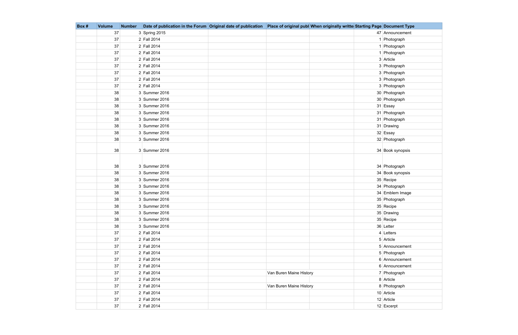| Box # | <b>Volume</b> | <b>Number</b> |                 | Date of publication in the Forum Original date of publication Place of original publ When originally writte Starting Page Document Type |                  |
|-------|---------------|---------------|-----------------|-----------------------------------------------------------------------------------------------------------------------------------------|------------------|
|       | 37            |               | $3$ Spring 2015 |                                                                                                                                         | 47 Announcement  |
|       | 37            |               | 2 Fall 2014     |                                                                                                                                         | 1 Photograph     |
|       | 37            |               | 2 Fall 2014     |                                                                                                                                         | 1 Photograph     |
|       | 37            |               | 2 Fall 2014     |                                                                                                                                         | 1 Photograph     |
|       | 37            |               | 2 Fall 2014     |                                                                                                                                         | 3 Article        |
|       | 37            |               | 2 Fall 2014     |                                                                                                                                         | 3 Photograph     |
|       | 37            |               | 2 Fall 2014     |                                                                                                                                         | 3 Photograph     |
|       | 37            |               | 2 Fall 2014     |                                                                                                                                         | 3 Photograph     |
|       | 37            |               | 2 Fall 2014     |                                                                                                                                         | 3 Photograph     |
|       | 38            |               | 3 Summer 2016   |                                                                                                                                         | 30 Photograph    |
|       | 38            |               | 3 Summer 2016   |                                                                                                                                         | 30 Photograph    |
|       | 38            |               | 3 Summer 2016   |                                                                                                                                         | 31 Essay         |
|       | 38            |               | 3 Summer 2016   |                                                                                                                                         | 31 Photograph    |
|       | 38            |               | 3 Summer 2016   |                                                                                                                                         | 31 Photograph    |
|       | 38            |               | 3 Summer 2016   |                                                                                                                                         | 31 Drawing       |
|       | 38            |               | 3 Summer 2016   |                                                                                                                                         | 32 Essay         |
|       | 38            |               | 3 Summer 2016   |                                                                                                                                         | 32 Photograph    |
|       | 38            |               | 3 Summer 2016   |                                                                                                                                         | 34 Book synopsis |
|       | 38            |               | 3 Summer 2016   |                                                                                                                                         | 34 Photograph    |
|       | 38            |               | 3 Summer 2016   |                                                                                                                                         | 34 Book synopsis |
|       | 38            |               | 3 Summer 2016   |                                                                                                                                         | 35 Recipe        |
|       | 38            |               | 3 Summer 2016   |                                                                                                                                         | 34 Photograph    |
|       | 38            |               | 3 Summer 2016   |                                                                                                                                         | 34 Emblem Image  |
|       | 38            |               | 3 Summer 2016   |                                                                                                                                         | 35 Photograph    |
|       | 38            |               | 3 Summer 2016   |                                                                                                                                         | 35 Recipe        |
|       | 38            |               | 3 Summer 2016   |                                                                                                                                         | 35 Drawing       |
|       | 38            |               | 3 Summer 2016   |                                                                                                                                         | 35 Recipe        |
|       | 38            |               | 3 Summer 2016   |                                                                                                                                         | 36 Letter        |
|       | 37            |               | $2$ Fall 2014   |                                                                                                                                         | 4 Letters        |
|       | 37            |               | 2 Fall 2014     |                                                                                                                                         | 5 Article        |
|       | 37            |               | 2 Fall 2014     |                                                                                                                                         | 5 Announcement   |
|       | 37            |               | 2 Fall 2014     |                                                                                                                                         | 5 Photograph     |
|       | 37            |               | 2 Fall 2014     |                                                                                                                                         | 6 Announcement   |
|       | 37            |               | 2 Fall 2014     |                                                                                                                                         | 6 Announcement   |
|       | 37            |               | $2$ Fall 2014   | Van Buren Maine History                                                                                                                 | 7 Photograph     |
|       | 37            |               | 2 Fall 2014     |                                                                                                                                         | 8 Article        |
|       | 37            |               | 2 Fall 2014     | Van Buren Maine History                                                                                                                 | 8 Photograph     |
|       | 37            |               | 2 Fall 2014     |                                                                                                                                         | 10 Article       |
|       | 37            |               | 2 Fall 2014     |                                                                                                                                         | 12 Article       |
|       | 37            |               | 2 Fall 2014     |                                                                                                                                         | 12 Excerpt       |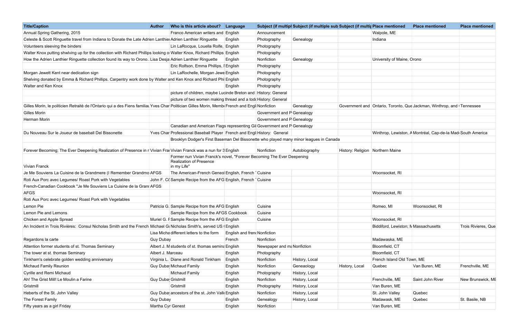| <b>Title/Caption</b>                                                                                                                           | <b>Author</b>      | Who is this article about? Language                                                                      |                              |                             | Subject (if multipl Subject (if multiple sub Subject (if multip Place mentioned |                                    |                                      | <b>Place mentioned</b>                                                | <b>Place mentioned</b> |
|------------------------------------------------------------------------------------------------------------------------------------------------|--------------------|----------------------------------------------------------------------------------------------------------|------------------------------|-----------------------------|---------------------------------------------------------------------------------|------------------------------------|--------------------------------------|-----------------------------------------------------------------------|------------------------|
| Annual Spring Gathering, 2015                                                                                                                  |                    | Franco American writers and English                                                                      |                              | Announcement                |                                                                                 |                                    | Walpole, ME                          |                                                                       |                        |
| Celeste & Scott Ringuette travel from Indiana to Donate the Late Adrien Lanthie Adrien Lanthier Ringuette                                      |                    |                                                                                                          | English                      | Photography                 | Genealogy                                                                       |                                    | Indiana                              |                                                                       |                        |
| Volunteers sleeving the binders                                                                                                                |                    | Lin LaRocque, Louella Rolfe, English                                                                     |                              | Photography                 |                                                                                 |                                    |                                      |                                                                       |                        |
| Walter Knox putting shwlving up for the collection with Richard Phillips looking o Walter Knox, Richard Phillips English                       |                    |                                                                                                          |                              | Photography                 |                                                                                 |                                    |                                      |                                                                       |                        |
| How the Adrien Lanthier Ringuette collection found its way to Orono. Lisa Desia Adrien Lanthier Ringuette                                      |                    |                                                                                                          | English                      | Nonfiction                  | Genealogy                                                                       |                                    | University of Maine, Orono           |                                                                       |                        |
|                                                                                                                                                |                    | Eric Rolfson, Emma Phillips,   English                                                                   |                              | Photography                 |                                                                                 |                                    |                                      |                                                                       |                        |
| Morgan Jewett Kent near dedication sign                                                                                                        |                    | Lin LaRochelle, Morgan Jewe English                                                                      |                              | Photography                 |                                                                                 |                                    |                                      |                                                                       |                        |
| Shelving donated by Emma & Richard Phillips. Carpentry work done by Walter and Ken Knox and Richard Phi English                                |                    |                                                                                                          |                              | Photography                 |                                                                                 |                                    |                                      |                                                                       |                        |
| Walter and Ken Knox                                                                                                                            |                    |                                                                                                          | English                      | Photography                 |                                                                                 |                                    |                                      |                                                                       |                        |
|                                                                                                                                                |                    | picture of children, maybe Lucinde Breton and History: General                                           |                              |                             |                                                                                 |                                    |                                      |                                                                       |                        |
|                                                                                                                                                |                    | picture of two women making thread and a todd History: General                                           |                              |                             |                                                                                 |                                    |                                      |                                                                       |                        |
| Gilles Morin, le politicien Retraité de l'Ontario qui a des Fiens familiau Yves Char Politician Gilles Morin, Membe French and Engl Nonfiction |                    |                                                                                                          |                              |                             | Genealogy                                                                       |                                    |                                      | Government and Ontario, Toronto, Que Jackman, Winthrop, and Tennessee |                        |
| <b>Gilles Morin</b>                                                                                                                            |                    |                                                                                                          |                              | Government and P Genealogy  |                                                                                 |                                    |                                      |                                                                       |                        |
| Herman Morin                                                                                                                                   |                    |                                                                                                          |                              | Government and P Genealogy  |                                                                                 |                                    |                                      |                                                                       |                        |
|                                                                                                                                                |                    | Canadian and American Flags representing Gil Government and P Genealogy                                  |                              |                             |                                                                                 |                                    |                                      |                                                                       |                        |
| Du Nouveau Sur le Joueur de baseball Del Bissonette                                                                                            |                    | Yves Char Professional Baseball Player French and Engl History: General                                  |                              |                             |                                                                                 |                                    |                                      | Winthrop, Lewiston, A Montréal, Cap-de-la Mad South America           |                        |
|                                                                                                                                                |                    | Brooklyn Dodger's First Baseman Del Bissonette who played many minor leagues in Canada                   |                              |                             |                                                                                 |                                    |                                      |                                                                       |                        |
| Forever Becoming; The Ever Deepening Realization of Presence in r Vivian Fra Vivian Franck was a nun for 3 English                             |                    | Former nun Vivian Franck's novel, "Forever Becoming The Ever Deepening<br><b>Realization of Presence</b> |                              | Nonfiction                  | Autobiography                                                                   | History: Religion   Northern Maine |                                      |                                                                       |                        |
| Vivian Franck                                                                                                                                  |                    | in my Life"                                                                                              |                              |                             |                                                                                 |                                    |                                      |                                                                       |                        |
| Je Me Souviens La Cuisine de la Grandmere (I Remember Grandmo AFGS                                                                             |                    | The American-French Geneo English, French   Cuisine                                                      |                              |                             |                                                                                 |                                    | Woonsocket, RI                       |                                                                       |                        |
| Roti Aux Porc avec Legumes/ Roast Pork with Vegetables                                                                                         |                    | John F. Co Sample Recipe from the AFG English, French   Cuisine                                          |                              |                             |                                                                                 |                                    |                                      |                                                                       |                        |
| French-Canadian Cookbook "Je Me Souviens La Cuisine de la Grani AFGS                                                                           |                    |                                                                                                          |                              |                             |                                                                                 |                                    |                                      |                                                                       |                        |
| <b>AFGS</b>                                                                                                                                    |                    |                                                                                                          |                              |                             |                                                                                 |                                    | Woonsocket, RI                       |                                                                       |                        |
| Roti Aux Porc avec Legumes/ Roast Pork with Vegetables                                                                                         |                    |                                                                                                          |                              |                             |                                                                                 |                                    |                                      |                                                                       |                        |
| Lemon Pie                                                                                                                                      |                    | Patricia G. Sample Recipe from the AFG English                                                           |                              | Cuisine                     |                                                                                 |                                    | Romeo, MI                            | Woonsocket, RI                                                        |                        |
| Lemon Pie and Lemons                                                                                                                           |                    | Sample Recipe from the AFGS Cookbook                                                                     |                              | Cuisine                     |                                                                                 |                                    |                                      |                                                                       |                        |
| Chicken and Apple Spread                                                                                                                       |                    | Muriel G. F Sample Recipe from the AFG English                                                           |                              | Cuisine                     |                                                                                 |                                    | Woonsocket, RI                       |                                                                       |                        |
| An Incident in Trois Rivières: Consul Nicholas Smith and the French Michael Gi Nicholas Smith's, served US (English                            |                    |                                                                                                          |                              |                             |                                                                                 |                                    | Biddiford, Lewiston; N Massachusetts |                                                                       | Trois Rivieres, Que    |
|                                                                                                                                                |                    | Lisa Micha different letters to the form                                                                 | English and frend Nonfiction |                             |                                                                                 |                                    |                                      |                                                                       |                        |
| Regardons la carte                                                                                                                             | <b>Guy Dubay</b>   |                                                                                                          | French                       | Nonfiction                  |                                                                                 |                                    | Madawaska, ME                        |                                                                       |                        |
| Attention former students of st. Thomas Seminary                                                                                               |                    | Albert J. M students of st. thomas semina English                                                        |                              | Newspaper and m. Nonfiction |                                                                                 |                                    | Bloomfield, CT                       |                                                                       |                        |
| The tower at st. thomas Seminary                                                                                                               | Albert J. Marceau  |                                                                                                          | English                      | Photography                 |                                                                                 |                                    | Bloomfield, CT                       |                                                                       |                        |
| Tinkham's celebrate golden wedding anniversary                                                                                                 |                    | Virginia L. Diane and Ronald Tinkham                                                                     | Englsih                      | Nonfiction                  | History, Local                                                                  |                                    | French Island Old Town, ME           |                                                                       |                        |
| Michaud Family Reunion                                                                                                                         |                    | Guy Duba Michaud Family                                                                                  | English                      | Nonfiction                  | Geneaology                                                                      | History, Local                     | Quebec                               | Van Buren, ME                                                         | Frenchville, ME        |
| Cyrille and Remi Michaud                                                                                                                       |                    | <b>Michaud Family</b>                                                                                    | English                      | Photography                 | History, Local                                                                  |                                    |                                      |                                                                       |                        |
| Ah! The Grist Mill! Le Moulin a Farine                                                                                                         | Guy Duba Gristmill |                                                                                                          | English                      | Nonfiction                  | History, Local                                                                  |                                    | Frenchville, ME                      | Saint John River                                                      | New Brunswick, ME      |
| Gristmill                                                                                                                                      |                    | Gristmill                                                                                                | English                      | Photography                 | History, Local                                                                  |                                    | Van Buren, ME                        |                                                                       |                        |
| Heberts of the St. John Valley                                                                                                                 |                    | Guy Duba ancestors of the st. John Vall English                                                          |                              | Nonfiction                  | History, Local                                                                  |                                    | St. John Valley                      | Quebec                                                                |                        |
| The Forest Family                                                                                                                              | <b>Guy Dubay</b>   |                                                                                                          | English                      | Genealogy                   | History, Local                                                                  |                                    | Madawask, ME                         | Quebec                                                                | St. Basile, NB         |
| Fifty years as a girl Friday                                                                                                                   | Martha Cyr Genest  |                                                                                                          | English                      | Nonfiction                  |                                                                                 |                                    | Van Buren, ME                        |                                                                       |                        |

| e mentioned                          | <b>Place mentioned</b>                                  | <b>Place mentioned</b> |
|--------------------------------------|---------------------------------------------------------|------------------------|
| ole, ME                              |                                                         |                        |
| na                                   |                                                         |                        |
|                                      |                                                         |                        |
|                                      |                                                         |                        |
| ersity of Maine, Orono               |                                                         |                        |
|                                      |                                                         |                        |
|                                      |                                                         |                        |
|                                      |                                                         |                        |
|                                      |                                                         |                        |
|                                      |                                                         |                        |
|                                      |                                                         |                        |
|                                      | rio, Toronto, Que Jackman, Winthrop, and Tennessee      |                        |
|                                      |                                                         |                        |
|                                      |                                                         |                        |
|                                      |                                                         |                        |
|                                      | nrop, Lewiston, A Montréal, Cap-de-la Mad South America |                        |
|                                      |                                                         |                        |
| ern Maine                            |                                                         |                        |
|                                      |                                                         |                        |
|                                      |                                                         |                        |
|                                      |                                                         |                        |
| nsocket, RI                          |                                                         |                        |
|                                      |                                                         |                        |
|                                      |                                                         |                        |
| nsocket, RI                          |                                                         |                        |
|                                      |                                                         |                        |
| eo, MI                               | Woonsocket, RI                                          |                        |
|                                      |                                                         |                        |
| nsocket, RI                          |                                                         |                        |
| ford, Lewiston; N Massachusetts      |                                                         | Trois Rivieres, Que    |
|                                      |                                                         |                        |
| awaska, ME                           |                                                         |                        |
| mfield, CT                           |                                                         |                        |
| mfield, CT<br>ch Island Old Town, ME |                                                         |                        |
|                                      |                                                         |                        |
| œc                                   | Van Buren, ME                                           | Frenchville, ME        |
| chville, ME                          | Saint John River                                        |                        |
| Buren, ME                            |                                                         | New Brunswick, ME      |
| ohn Valley                           | Quebec                                                  |                        |
|                                      | Quebec                                                  |                        |
| awask, ME                            |                                                         | St. Basile, NB         |
| Buren, ME                            |                                                         |                        |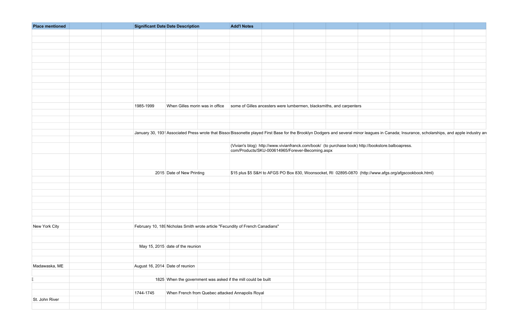| <b>Place mentioned</b> | <b>Significant Date Date Description</b>                                                                                                                                                                   | <b>Add'l Notes</b>                                                                                                                                     |                                                                                                         |  |
|------------------------|------------------------------------------------------------------------------------------------------------------------------------------------------------------------------------------------------------|--------------------------------------------------------------------------------------------------------------------------------------------------------|---------------------------------------------------------------------------------------------------------|--|
|                        |                                                                                                                                                                                                            |                                                                                                                                                        |                                                                                                         |  |
|                        |                                                                                                                                                                                                            |                                                                                                                                                        |                                                                                                         |  |
|                        |                                                                                                                                                                                                            |                                                                                                                                                        |                                                                                                         |  |
|                        |                                                                                                                                                                                                            |                                                                                                                                                        |                                                                                                         |  |
|                        |                                                                                                                                                                                                            |                                                                                                                                                        |                                                                                                         |  |
|                        |                                                                                                                                                                                                            |                                                                                                                                                        |                                                                                                         |  |
|                        |                                                                                                                                                                                                            |                                                                                                                                                        |                                                                                                         |  |
|                        |                                                                                                                                                                                                            |                                                                                                                                                        |                                                                                                         |  |
|                        |                                                                                                                                                                                                            |                                                                                                                                                        |                                                                                                         |  |
|                        |                                                                                                                                                                                                            |                                                                                                                                                        |                                                                                                         |  |
|                        |                                                                                                                                                                                                            |                                                                                                                                                        |                                                                                                         |  |
|                        |                                                                                                                                                                                                            |                                                                                                                                                        |                                                                                                         |  |
|                        | 1985-1999                                                                                                                                                                                                  | When Gilles morin was in office some of Gilles ancesters were lumbermen, blacksmiths, and carpenters                                                   |                                                                                                         |  |
|                        |                                                                                                                                                                                                            |                                                                                                                                                        |                                                                                                         |  |
|                        |                                                                                                                                                                                                            |                                                                                                                                                        |                                                                                                         |  |
|                        |                                                                                                                                                                                                            |                                                                                                                                                        |                                                                                                         |  |
|                        | January 30, 193 <sup>1</sup> Associated Press wrote that Bissol Bissonette played First Base for the Brooklyn Dodgers and several minor leagues in Canada; Insurance, scholarships, and apple industry and |                                                                                                                                                        |                                                                                                         |  |
|                        |                                                                                                                                                                                                            |                                                                                                                                                        |                                                                                                         |  |
|                        |                                                                                                                                                                                                            | (Vivian's blog) http://www.vivianfranck.com/book/ (to purchase book) http://bookstore.balboapress.<br>com/Products/SKU-000614965/Forever-Becoming.aspx |                                                                                                         |  |
|                        |                                                                                                                                                                                                            |                                                                                                                                                        |                                                                                                         |  |
|                        |                                                                                                                                                                                                            |                                                                                                                                                        |                                                                                                         |  |
|                        |                                                                                                                                                                                                            |                                                                                                                                                        |                                                                                                         |  |
|                        | 2015 Date of New Printing                                                                                                                                                                                  |                                                                                                                                                        | \$15 plus \$5 S&H to AFGS PO Box 830, Woonsocket, RI 02895-0870 (http://www.afgs.org/afgscookbook.html) |  |
|                        |                                                                                                                                                                                                            |                                                                                                                                                        |                                                                                                         |  |
|                        |                                                                                                                                                                                                            |                                                                                                                                                        |                                                                                                         |  |
|                        |                                                                                                                                                                                                            |                                                                                                                                                        |                                                                                                         |  |
|                        |                                                                                                                                                                                                            |                                                                                                                                                        |                                                                                                         |  |
|                        |                                                                                                                                                                                                            |                                                                                                                                                        |                                                                                                         |  |
|                        |                                                                                                                                                                                                            |                                                                                                                                                        |                                                                                                         |  |
|                        |                                                                                                                                                                                                            |                                                                                                                                                        |                                                                                                         |  |
|                        |                                                                                                                                                                                                            |                                                                                                                                                        |                                                                                                         |  |
| New York City          | February 10, 189 Nicholas Smith wrote article "Fecundity of French Canadians"                                                                                                                              |                                                                                                                                                        |                                                                                                         |  |
|                        |                                                                                                                                                                                                            |                                                                                                                                                        |                                                                                                         |  |
|                        |                                                                                                                                                                                                            |                                                                                                                                                        |                                                                                                         |  |
|                        | May 15, 2015 date of the reunion                                                                                                                                                                           |                                                                                                                                                        |                                                                                                         |  |
|                        |                                                                                                                                                                                                            |                                                                                                                                                        |                                                                                                         |  |
|                        |                                                                                                                                                                                                            |                                                                                                                                                        |                                                                                                         |  |
| Madawaska, ME          | August 16, 2014 Date of reunion                                                                                                                                                                            |                                                                                                                                                        |                                                                                                         |  |
|                        |                                                                                                                                                                                                            |                                                                                                                                                        |                                                                                                         |  |
|                        | 1825 When the government was asked if the mill could be built                                                                                                                                              |                                                                                                                                                        |                                                                                                         |  |
|                        |                                                                                                                                                                                                            |                                                                                                                                                        |                                                                                                         |  |
|                        | When French from Quebec attacked Annapolis Royal<br>1744-1745                                                                                                                                              |                                                                                                                                                        |                                                                                                         |  |
| St. John River         |                                                                                                                                                                                                            |                                                                                                                                                        |                                                                                                         |  |
|                        |                                                                                                                                                                                                            |                                                                                                                                                        |                                                                                                         |  |
|                        |                                                                                                                                                                                                            |                                                                                                                                                        |                                                                                                         |  |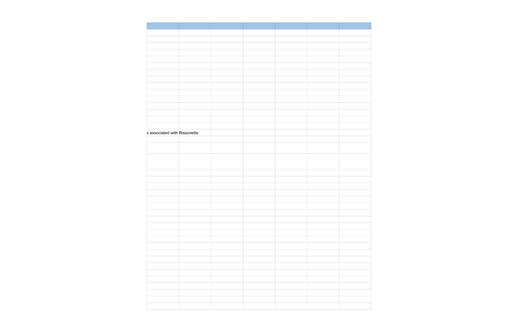| e associated with Bissonette |  |  |  |
|------------------------------|--|--|--|
|                              |  |  |  |
|                              |  |  |  |
|                              |  |  |  |
|                              |  |  |  |
|                              |  |  |  |
|                              |  |  |  |
|                              |  |  |  |
|                              |  |  |  |
|                              |  |  |  |
|                              |  |  |  |
|                              |  |  |  |
|                              |  |  |  |
|                              |  |  |  |
|                              |  |  |  |
|                              |  |  |  |
|                              |  |  |  |
|                              |  |  |  |
|                              |  |  |  |
|                              |  |  |  |
|                              |  |  |  |
|                              |  |  |  |
|                              |  |  |  |
|                              |  |  |  |
|                              |  |  |  |
|                              |  |  |  |
|                              |  |  |  |
|                              |  |  |  |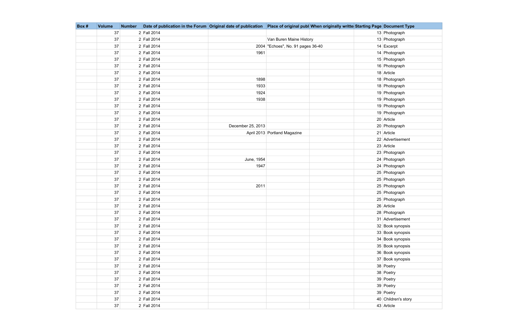| Box# | <b>Volume</b> | <b>Number</b> | Date of publication in the Forum Original date of publication   Place of original publ When originally writte Starting Page Document Type |                   |                                   |  |                     |
|------|---------------|---------------|-------------------------------------------------------------------------------------------------------------------------------------------|-------------------|-----------------------------------|--|---------------------|
|      | 37            |               | 2 Fall 2014                                                                                                                               |                   |                                   |  | 13 Photograph       |
|      | 37            |               | 2 Fall 2014                                                                                                                               |                   | Van Buren Maine History           |  | 13 Photograph       |
|      | 37            |               | 2 Fall 2014                                                                                                                               |                   | 2004 "Echoes", No. 91 pages 36-40 |  | 14 Excerpt          |
|      | 37            |               | 2 Fall 2014                                                                                                                               | 1961              |                                   |  | 14 Photograph       |
|      | 37            |               | 2 Fall 2014                                                                                                                               |                   |                                   |  | 15 Photograph       |
|      | 37            |               | 2 Fall 2014                                                                                                                               |                   |                                   |  | 16 Photograph       |
|      | 37            |               | 2 Fall 2014                                                                                                                               |                   |                                   |  | 18 Article          |
|      | 37            |               | 2 Fall 2014                                                                                                                               | 1898              |                                   |  | 18 Photograph       |
|      | 37            |               | 2 Fall 2014                                                                                                                               | 1933              |                                   |  | 18 Photograph       |
|      | 37            |               | 2 Fall 2014                                                                                                                               | 1924              |                                   |  | 19 Photograph       |
|      | 37            |               | 2 Fall 2014                                                                                                                               | 1938              |                                   |  | 19 Photograph       |
|      | 37            |               | 2 Fall 2014                                                                                                                               |                   |                                   |  | 19 Photograph       |
|      | 37            |               | 2 Fall 2014                                                                                                                               |                   |                                   |  | 19 Photograph       |
|      | $37\,$        |               | 2 Fall 2014                                                                                                                               |                   |                                   |  | 20 Article          |
|      | 37            |               | 2 Fall 2014                                                                                                                               | December 25, 2013 |                                   |  | 20 Photograph       |
|      | 37            |               | 2 Fall 2014                                                                                                                               |                   | April 2013 Portland Magazine      |  | 21 Article          |
|      | 37            |               | 2 Fall 2014                                                                                                                               |                   |                                   |  | 22 Advertisement    |
|      | 37            |               | 2 Fall 2014                                                                                                                               |                   |                                   |  | 23 Article          |
|      | 37            |               | 2 Fall 2014                                                                                                                               |                   |                                   |  | 23 Photograph       |
|      | $37\,$        |               | 2 Fall 2014                                                                                                                               | June, 1954        |                                   |  | 24 Photograph       |
|      | 37            |               | 2 Fall 2014                                                                                                                               | 1947              |                                   |  | 24 Photograph       |
|      | $37\,$        |               | 2 Fall 2014                                                                                                                               |                   |                                   |  | 25 Photograph       |
|      | 37            |               | 2 Fall 2014                                                                                                                               |                   |                                   |  | 25 Photograph       |
|      | 37            |               | 2 Fall 2014                                                                                                                               | 2011              |                                   |  | 25 Photograph       |
|      | 37            |               | 2 Fall 2014                                                                                                                               |                   |                                   |  | 25 Photograph       |
|      | $37\,$        |               | 2 Fall 2014                                                                                                                               |                   |                                   |  | 25 Photograph       |
|      | 37            |               | 2 Fall 2014                                                                                                                               |                   |                                   |  | 26 Article          |
|      | $37\,$        |               | 2 Fall 2014                                                                                                                               |                   |                                   |  | 28 Photograph       |
|      | 37            |               | 2 Fall 2014                                                                                                                               |                   |                                   |  | 31 Advertisement    |
|      | $37\,$        |               | 2 Fall 2014                                                                                                                               |                   |                                   |  | 32 Book synopsis    |
|      | $37\,$        |               | 2 Fall 2014                                                                                                                               |                   |                                   |  | 33 Book synopsis    |
|      | $37\,$        |               | 2 Fall 2014                                                                                                                               |                   |                                   |  | 34 Book synopsis    |
|      | 37            |               | 2 Fall 2014                                                                                                                               |                   |                                   |  | 35 Book synopsis    |
|      | $37\,$        |               | 2 Fall 2014                                                                                                                               |                   |                                   |  | 36 Book synopsis    |
|      | 37            |               | 2 Fall 2014                                                                                                                               |                   |                                   |  | 37 Book synopsis    |
|      | $37\,$        |               | 2 Fall 2014                                                                                                                               |                   |                                   |  | 38 Poetry           |
|      | $37\,$        |               | 2 Fall 2014                                                                                                                               |                   |                                   |  | 38 Poetry           |
|      | 37            |               | 2 Fall 2014                                                                                                                               |                   |                                   |  | 39 Poetry           |
|      | $37\,$        |               | 2 Fall 2014                                                                                                                               |                   |                                   |  | 39 Poetry           |
|      | 37            |               | 2 Fall 2014                                                                                                                               |                   |                                   |  | 39 Poetry           |
|      | 37            |               | 2 Fall 2014                                                                                                                               |                   |                                   |  | 40 Children's story |
|      | 37            |               | 2 Fall 2014                                                                                                                               |                   |                                   |  | 43 Article          |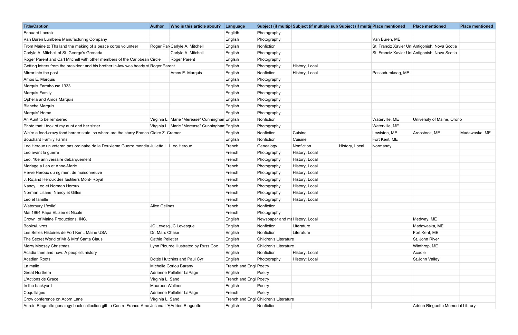| <b>Title/Caption</b>                                                                             | <b>Author</b>           | Who is this article about?                     | Language               |                                       | Subject (if multipl Subject (if multiple sub Subject (if multiple mentioned |                  | <b>Place mentioned</b>                         | <b>Place mentioned</b> |
|--------------------------------------------------------------------------------------------------|-------------------------|------------------------------------------------|------------------------|---------------------------------------|-----------------------------------------------------------------------------|------------------|------------------------------------------------|------------------------|
| <b>Edouard Lacroix</b>                                                                           |                         |                                                | Englidh                | Photography                           |                                                                             |                  |                                                |                        |
| Van Buren Lumber& Manufacturing Company                                                          |                         |                                                | English                | Photography                           |                                                                             | Van Buren, ME    |                                                |                        |
| From Maine to Thailand the making of a peace corps volunteer                                     |                         | Roger Par Carlyle A. Mitchell                  | English                | Nonfiction                            |                                                                             |                  | St. Franciz Xavier Uni Antigonish, Nova Scotia |                        |
| Carlyle A. Mitchell of St. George's Grenada                                                      |                         | Carlyle A. Mitchell                            | English                | Photography                           |                                                                             |                  | St. Franciz Xavier Uni Antigonish, Nova Scotia |                        |
| Roger Parent and Carl Mitchell with other members of the Caribbean Circle                        |                         | Roger Parent                                   | Englsih                | Photography                           |                                                                             |                  |                                                |                        |
| Getting letters from the president and his brother in-law was heady st Roger Parent              |                         |                                                | English                | Photography                           | History, Local                                                              |                  |                                                |                        |
| Mirror into the past                                                                             |                         | Amos E. Marquis                                | English                | Nonfiction                            | History, Local                                                              | Passadumkeag, ME |                                                |                        |
| Amos E. Marquis                                                                                  |                         |                                                | English                | Photography                           |                                                                             |                  |                                                |                        |
| Marquis Farmhouse 1933                                                                           |                         |                                                | English                | Photography                           |                                                                             |                  |                                                |                        |
| Marquis Family                                                                                   |                         |                                                | English                | Photography                           |                                                                             |                  |                                                |                        |
| Ophelia and Amos Marquis                                                                         |                         |                                                | English                | Photography                           |                                                                             |                  |                                                |                        |
| <b>Blanche Marquis</b>                                                                           |                         |                                                | English                | Photography                           |                                                                             |                  |                                                |                        |
| Marquis' Home                                                                                    |                         |                                                | English                | Photography                           |                                                                             |                  |                                                |                        |
| An Aunt to be rembered                                                                           |                         | Virginia L. Marie "Merease" Cunninghan English |                        | Nonfiction                            |                                                                             | Waterville, ME   | University of Maine, Orono                     |                        |
| Photo that I took of my aunt and her sister                                                      |                         | Virginia L. Marie "Merease" Cunninghan English |                        | Photography                           |                                                                             | Waterville, ME   |                                                |                        |
| We're a food-crazy food border state, so where are the starry Franco Claire Z. Cramer            |                         |                                                | English                | Nonfiction                            | Cuisine                                                                     | Lewiston, ME     | Aroostook, ME                                  | Madawaska, ME          |
| <b>Bouchard Family Farms</b>                                                                     |                         |                                                | English                | Nonfiction                            | Cuisine                                                                     | Fort Kent, ME    |                                                |                        |
| Leo Heroux un veteran pas ordinaire de la Deuxieme Guerre mondia Juliette L. Leo Heroux          |                         |                                                | French                 | Genealogy                             | Nonfiction<br>History, Local                                                | Normandy         |                                                |                        |
| Leo avant la guerre                                                                              |                         |                                                | French                 | Photography                           | History, Local                                                              |                  |                                                |                        |
| Leo, 10e anniversaire debarquement                                                               |                         |                                                | French                 | Photography                           | History, Local                                                              |                  |                                                |                        |
| Mariage a Leo et Anne-Marie                                                                      |                         |                                                | French                 | Photography                           | History, Local                                                              |                  |                                                |                        |
| Herve Heroux du rigiment de maisonneuve                                                          |                         |                                                | French                 | Photography                           | History, Local                                                              |                  |                                                |                        |
| J. Ro; and Heroux des fustiliers Mont- Royal                                                     |                         |                                                | French                 | Photography                           | History, Local                                                              |                  |                                                |                        |
| Nancy, Leo et Norman Heroux                                                                      |                         |                                                | French                 | Photography                           | History, Local                                                              |                  |                                                |                        |
| Norman Liliane, Nancy et Gilles                                                                  |                         |                                                | French                 | Photography                           | History, Local                                                              |                  |                                                |                        |
| Leo et famille                                                                                   |                         |                                                | French                 | Photography                           | History, Local                                                              |                  |                                                |                        |
| Waterbury L'exile'                                                                               | <b>Alice Gelinas</b>    |                                                | French                 | Nonfiction                            |                                                                             |                  |                                                |                        |
| Mai 1964 Papa ELizee et Nicole                                                                   |                         |                                                | French                 | Photography                           |                                                                             |                  |                                                |                        |
| Crown of Maine Productions, INC.                                                                 |                         |                                                | English                | Newspaper and ma History, Local       |                                                                             |                  | Medway, ME                                     |                        |
| Books/Livres                                                                                     |                         | JC Levesq JC Levesque                          | English                | Nonfiction                            | Literature                                                                  |                  | Madawaska, ME                                  |                        |
| Les Belles Histoires de Fort Kent, Maine USA                                                     | Dr. Marc Chase          |                                                | English                | Nonfiction                            | Literature                                                                  |                  | Fort Kent, ME                                  |                        |
| The Secret World of Mr & Mrs' Santa Claus                                                        | <b>Cathie Pelletier</b> |                                                | English                | <b>Children's Literature</b>          |                                                                             |                  | St. John River                                 |                        |
| Merry Moosey Christmas                                                                           |                         | Lynn Plourde illustrated by Russ Cox           | English                | <b>Children's Literature</b>          |                                                                             |                  | Winthrop, ME                                   |                        |
| Acadia then and now: A people's history                                                          |                         |                                                | English                | Nonfiction                            | History: Local                                                              |                  | Acadie                                         |                        |
| <b>Acadian Roots</b>                                                                             |                         | Dottie Hutchins and Paul Cyr                   | English                | Photography                           | History: Local                                                              |                  | St.John Valley                                 |                        |
| La malle                                                                                         |                         | Michelle Goriou Barany                         | French and Engl Poetry |                                       |                                                                             |                  |                                                |                        |
| <b>Great Northern</b>                                                                            |                         | Adrienne Pelletier LaPage                      | English                | Poetry                                |                                                                             |                  |                                                |                        |
| L'Actions de Grace                                                                               | Virginia L. Sand        |                                                | French and Engl Poetry |                                       |                                                                             |                  |                                                |                        |
| In the backyard                                                                                  | Maureen Wallner         |                                                | English                | Poetry                                |                                                                             |                  |                                                |                        |
| Coquillages                                                                                      |                         | Adrienne Pelletier LaPage                      | French                 | Poetry                                |                                                                             |                  |                                                |                        |
| Crow conference on Acorn Lane                                                                    | Virginia L. Sand        |                                                |                        | French and Engl Children's Literature |                                                                             |                  |                                                |                        |
| Adrein Ringuette genalogy book collection gift to Centre Franco-Ame Juliana L'H Adrien Ringuette |                         |                                                | English                | Nonfiction                            |                                                                             |                  | Adrien Ringuette Memorial Library              |                        |

| lace mentioned  | <b>Place mentioned</b>                        | <b>Place mentioned</b> |
|-----------------|-----------------------------------------------|------------------------|
|                 |                                               |                        |
| 'an Buren, ME   |                                               |                        |
|                 | t. Franciz Xavier Uni Antigonish, Nova Scotia |                        |
|                 | t. Franciz Xavier Uni Antigonish, Nova Scotia |                        |
|                 |                                               |                        |
|                 |                                               |                        |
| assadumkeag, ME |                                               |                        |
|                 |                                               |                        |
|                 |                                               |                        |
|                 |                                               |                        |
|                 |                                               |                        |
|                 |                                               |                        |
|                 |                                               |                        |
| Vaterville, ME  | University of Maine, Orono                    |                        |
| Vaterville, ME  |                                               |                        |
| ewiston, ME     | Aroostook, ME                                 | Madawaska, ME          |
| ort Kent, ME    |                                               |                        |
| lormandy        |                                               |                        |
|                 |                                               |                        |
|                 |                                               |                        |
|                 |                                               |                        |
|                 |                                               |                        |
|                 |                                               |                        |
|                 |                                               |                        |
|                 |                                               |                        |
|                 |                                               |                        |
|                 |                                               |                        |
|                 |                                               |                        |
|                 | Medway, ME                                    |                        |
|                 | Madawaska, ME                                 |                        |
|                 | Fort Kent, ME                                 |                        |
|                 | St. John River                                |                        |
|                 | Winthrop, ME                                  |                        |
|                 | Acadie                                        |                        |
|                 | St.John Valley                                |                        |
|                 |                                               |                        |
|                 |                                               |                        |
|                 |                                               |                        |
|                 |                                               |                        |
|                 |                                               |                        |
|                 |                                               |                        |
|                 | Adrien Ringuette Memorial Library             |                        |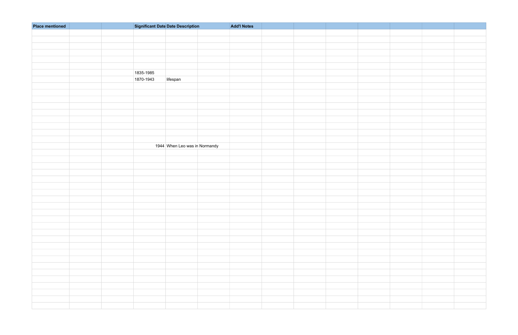| <b>Place mentioned</b> |           | <b>Significant Date Date Description</b> | <b>Add'l Notes</b> |  |  |
|------------------------|-----------|------------------------------------------|--------------------|--|--|
|                        |           |                                          |                    |  |  |
|                        |           |                                          |                    |  |  |
|                        |           |                                          |                    |  |  |
|                        |           |                                          |                    |  |  |
|                        |           |                                          |                    |  |  |
|                        |           |                                          |                    |  |  |
|                        | 1835-1985 |                                          |                    |  |  |
|                        | 1870-1943 | lifespan                                 |                    |  |  |
|                        |           |                                          |                    |  |  |
|                        |           |                                          |                    |  |  |
|                        |           |                                          |                    |  |  |
|                        |           |                                          |                    |  |  |
|                        |           |                                          |                    |  |  |
|                        |           |                                          |                    |  |  |
|                        |           |                                          |                    |  |  |
|                        |           |                                          |                    |  |  |
|                        |           |                                          |                    |  |  |
|                        |           | 1944 When Leo was in Normandy            |                    |  |  |
|                        |           |                                          |                    |  |  |
|                        |           |                                          |                    |  |  |
|                        |           |                                          |                    |  |  |
|                        |           |                                          |                    |  |  |
|                        |           |                                          |                    |  |  |
|                        |           |                                          |                    |  |  |
|                        |           |                                          |                    |  |  |
|                        |           |                                          |                    |  |  |
|                        |           |                                          |                    |  |  |
|                        |           |                                          |                    |  |  |
|                        |           |                                          |                    |  |  |
|                        |           |                                          |                    |  |  |
|                        |           |                                          |                    |  |  |
|                        |           |                                          |                    |  |  |
|                        |           |                                          |                    |  |  |
|                        |           |                                          |                    |  |  |
|                        |           |                                          |                    |  |  |
|                        |           |                                          |                    |  |  |
|                        |           |                                          |                    |  |  |
|                        |           |                                          |                    |  |  |
|                        |           |                                          |                    |  |  |
|                        |           |                                          |                    |  |  |
|                        |           |                                          |                    |  |  |
|                        |           |                                          |                    |  |  |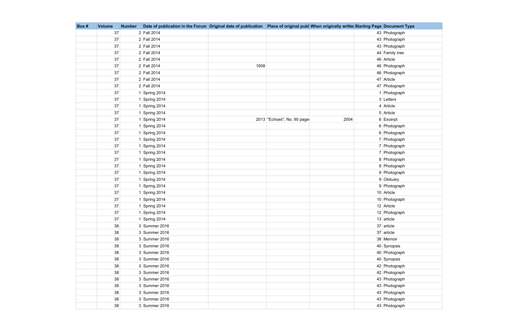| Box# | <b>Volume</b> | <b>Number</b> | Date of publication in the Forum Original date of publication Place of original publ When originally writte Starting Page Document Type |      |                             |      |                |
|------|---------------|---------------|-----------------------------------------------------------------------------------------------------------------------------------------|------|-----------------------------|------|----------------|
|      | 37            |               | 2 Fall 2014                                                                                                                             |      |                             |      | 43 Photograph  |
|      | 37            |               | 2 Fall 2014                                                                                                                             |      |                             |      | 43 Photograph  |
|      | 37            |               | 2 Fall 2014                                                                                                                             |      |                             |      | 43 Photograph  |
|      | 37            |               | 2 Fall 2014                                                                                                                             |      |                             |      | 44 Family tree |
|      | 37            |               | 2 Fall 2014                                                                                                                             |      |                             |      | 46 Article     |
|      | 37            |               | 2 Fall 2014                                                                                                                             | 1908 |                             |      | 46 Photograph  |
|      | 37            |               | 2 Fall 2014                                                                                                                             |      |                             |      | 46 Photograph  |
|      | 37            |               | 2 Fall 2014                                                                                                                             |      |                             |      | 47 Article     |
|      | 37            |               | 2 Fall 2014                                                                                                                             |      |                             |      | 47 Photograph  |
|      | 37            |               | 1 Spring 2014                                                                                                                           |      |                             |      | 1 Photograph   |
|      | 37            |               | 1 Spring 2014                                                                                                                           |      |                             |      | 3 Letters      |
|      | 37            |               | 1 Spring 2014                                                                                                                           |      |                             |      | $4$ Article    |
|      | 37            |               | 1 Spring 2014                                                                                                                           |      |                             |      | 5 Article      |
|      | 37            |               | 1 Spring 2014                                                                                                                           |      | 2013 "Echoes", No. 90 page: | 2004 | 6 Excerpt      |
|      | 37            |               | 1 Spring 2014                                                                                                                           |      |                             |      | 6 Photograph   |
|      | 37            |               | 1 Spring 2014                                                                                                                           |      |                             |      | 6 Photograph   |
|      | 37            |               | 1 Spring 2014                                                                                                                           |      |                             |      | 7 Photograph   |
|      | 37            |               | 1 Spring 2014                                                                                                                           |      |                             |      | 7 Photograph   |
|      | 37            |               | 1 Spring 2014                                                                                                                           |      |                             |      | 7 Photograph   |
|      | 37            |               | 1 Spring 2014                                                                                                                           |      |                             |      | 8 Photograph   |
|      | 37            |               | 1 Spring 2014                                                                                                                           |      |                             |      | 8 Photograph   |
|      | 37            |               | 1 Spring 2014                                                                                                                           |      |                             |      | 9 Photograph   |
|      | 37            |               | 1 Spring 2014                                                                                                                           |      |                             |      | 9 Obituary     |
|      | 37            |               | 1 Spring 2014                                                                                                                           |      |                             |      | 9 Photograph   |
|      | 37            |               | 1 Spring 2014                                                                                                                           |      |                             |      | 10 Article     |
|      | 37            |               | 1 Spring 2014                                                                                                                           |      |                             |      | 10 Photograph  |
|      | 37            |               | 1 Spring 2014                                                                                                                           |      |                             |      | 12 Article     |
|      | $37\,$        |               | 1 Spring 2014                                                                                                                           |      |                             |      | 12 Photograph  |
|      | 37            |               | 1 Spring 2014                                                                                                                           |      |                             |      | $13$ article   |
|      | 38            |               | 3 Summer 2016                                                                                                                           |      |                             |      | 37 article     |
|      | 38            |               | 3 Summer 2016                                                                                                                           |      |                             |      | $37$ article   |
|      | 38            |               | 3 Summer 2016                                                                                                                           |      |                             |      | 38 Memoir      |
|      | 38            |               | 3 Summer 2016                                                                                                                           |      |                             |      | 40 Synopsis    |
|      | 38            |               | 3 Summer 2016                                                                                                                           |      |                             |      | 40 Photograph  |
|      | 38            |               | 3 Summer 2016                                                                                                                           |      |                             |      | 40 Synopsis    |
|      | 38            |               | 3 Summer 2016                                                                                                                           |      |                             |      | 42 Photograph  |
|      | 38            |               | 3 Summer 2016                                                                                                                           |      |                             |      | 42 Photograph  |
|      | 38            |               | 3 Summer 2016                                                                                                                           |      |                             |      | 43 Photograph  |
|      | 38            |               | 3 Summer 2016                                                                                                                           |      |                             |      | 43 Photograph  |
|      | 38            |               | 3 Summer 2016                                                                                                                           |      |                             |      | 43 Photograph  |
|      | 38            |               | 3 Summer 2016                                                                                                                           |      |                             |      | 43 Photograph  |
|      | 38            |               | 3 Summer 2016                                                                                                                           |      |                             |      | 43 Photograph  |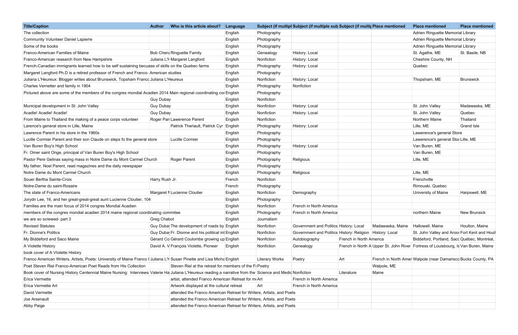| <b>Title/Caption</b>                                                                                                                                      | <b>Author</b>  | Who is this article about?                                           | Language |                       | Subject (if multipl Subject (if multiple sub Subject (if multir Place mentioned |                         |                  | <b>Place mentioned</b>                                                             | <b>Place mentioned</b> |
|-----------------------------------------------------------------------------------------------------------------------------------------------------------|----------------|----------------------------------------------------------------------|----------|-----------------------|---------------------------------------------------------------------------------|-------------------------|------------------|------------------------------------------------------------------------------------|------------------------|
| The collection                                                                                                                                            |                |                                                                      | English  | Photography           |                                                                                 |                         |                  | Adrien Ringuette Memorial Library                                                  |                        |
| Community Volunteer Daniel Lapierre                                                                                                                       |                |                                                                      | English  | Photography           |                                                                                 |                         |                  | Adrien Ringuette Memorial Library                                                  |                        |
| Some of the books                                                                                                                                         |                |                                                                      | English  | Photography           |                                                                                 |                         |                  | Adrien Ringuette Memorial Library                                                  |                        |
| Franco-American Families of Maine                                                                                                                         |                | <b>Bob Chen: Ringuette Family</b>                                    | English  | Genealogy             | History: Local                                                                  |                         |                  | St. Agathe, ME                                                                     | St. Basile, NB         |
| Franco-American research from New Hampshire                                                                                                               |                | Juliana L'H Margaret Langford                                        | Englsih  | Nonfiction            | History: Local                                                                  |                         |                  | Cheshire County, NH                                                                |                        |
| French-Canadian immigrants learned how to be self sustaining becuase of skills on the Quebec farms                                                        |                |                                                                      | English  | Photography           | History: Local                                                                  |                         |                  | Quebec                                                                             |                        |
| Margaret Langford Ph.D is a retired professor of French and Franco- American studies                                                                      |                |                                                                      | English  | Photography           |                                                                                 |                         |                  |                                                                                    |                        |
| Juliana L'Heureux: Blogger writes about Brunswick, Topsham Francc Juliana L'Heureux                                                                       |                |                                                                      | English  | Nonfiction            | History: Local                                                                  |                         |                  | Thopsham, ME                                                                       | Brunswick              |
| Charles Vernetter and family in 1904                                                                                                                      |                |                                                                      | English  | Photography           | Nonfiction                                                                      |                         |                  |                                                                                    |                        |
| Pictured above are some of the members of the congres mondial Acadien 2014 Main regional coordinating col English                                         |                |                                                                      |          | Photography           |                                                                                 |                         |                  |                                                                                    |                        |
|                                                                                                                                                           | Guy Dubay      |                                                                      | English  | Nonfiction            |                                                                                 |                         |                  |                                                                                    |                        |
| Municipal development in St. John Valley                                                                                                                  | Guy Dubay      |                                                                      | English  | Nonfiction            | History: Local                                                                  |                         |                  | St. John Valley                                                                    | Madawaska, ME          |
| Acadie! Acadie! Acadie!                                                                                                                                   | Guy Dubay      |                                                                      | English  | Nonfiction            | History: Local                                                                  |                         |                  | St. John Valley                                                                    | Quebec                 |
| From Maine to Thailand the making of a peace corps volunteer                                                                                              |                | Roger Par Lawerence Parent                                           | Englsih  | Nonfiction            |                                                                                 |                         |                  | Northern Maine                                                                     | Thailand               |
| Larence's general store in Lille, Maine                                                                                                                   |                | Patrick Theriault, Patrick Cyr English                               |          | Photography           | History: Local                                                                  |                         |                  | Lille, ME                                                                          | Grand Isle             |
| Lawrence Parent in his store in the 1960s                                                                                                                 |                |                                                                      | English  | Photography           |                                                                                 |                         |                  | Lawerence's general Store                                                          |                        |
| Lucille Cormier Parent and their son Claude on steps fo the general store                                                                                 |                | Lucille Cormier                                                      | English  | Photography           |                                                                                 |                         |                  | Lawerence's general Stor Lille, ME                                                 |                        |
| Van Buren Boy's High School                                                                                                                               |                |                                                                      | English  | Photography           | History: Local                                                                  |                         |                  | Van Buren, ME                                                                      |                        |
| Fr. Omer saint Onge, principal of Van Buren Boy's High School                                                                                             |                |                                                                      | English  | Photography           |                                                                                 |                         |                  | Van Buren, ME                                                                      |                        |
| Pastor Pere Gelinas saying mass in Notre Dame du Mont Carmel Church                                                                                       |                | Roger Parent                                                         | English  | Photography           | Religious                                                                       |                         |                  | Lille, ME                                                                          |                        |
| My father, Noel Parent, read magazines and the daily newspaper                                                                                            |                |                                                                      | English  | Photography           |                                                                                 |                         |                  |                                                                                    |                        |
| Notre Dame du Mont Carmel Church                                                                                                                          |                |                                                                      | English  | Photography           | Religious                                                                       |                         |                  | Lille, ME                                                                          |                        |
| Souer Bertha Sainte-Croix                                                                                                                                 | Harry Rush Jr. |                                                                      | French   | Nonfiction            |                                                                                 |                         |                  | Frenchville                                                                        |                        |
| Notre-Dame du saint-Rosaire                                                                                                                               |                |                                                                      | French   | Photography           |                                                                                 |                         |                  | Rimouski, Quebec                                                                   |                        |
| The state of Franco-Americans                                                                                                                             |                | Margaret N Lucienne Cloutier                                         | English  | Nonfiction            | Demography                                                                      |                         |                  | University of Maine                                                                | Harpswell, ME          |
| Jorydn Lee, 16, and her great-great-great aunt Lucienne Cloutier, 104                                                                                     |                |                                                                      | English  | Photography           |                                                                                 |                         |                  |                                                                                    |                        |
| Families are the main focus of 2014 congres Mondial Acadien                                                                                               |                |                                                                      | English  | Nonfiction            | French in North America                                                         |                         |                  |                                                                                    |                        |
| members of the congres mondial acadien 2014 maine regional coordinating commitee                                                                          |                |                                                                      | Englsih  | Photography           | French in North America                                                         |                         |                  | northern Maine                                                                     | New Brunsick           |
| we are so screwed- part 3                                                                                                                                 | Greg Chabot    |                                                                      | English  | Journalism            |                                                                                 |                         |                  |                                                                                    |                        |
| <b>Revised Statutes</b>                                                                                                                                   |                | Guy Duba The development of roads by English                         |          | Nonfiction            | Government and Politics History: Local                                          |                         | Madawaska, Maine | Hallowell, Maine                                                                   | Houlton, Maine         |
| Fr. Dionne's Politics                                                                                                                                     |                | Guy Duba Fr. Dionne and his political in English                     |          | Nonfiction            | Government and Politics History: Religion   History: Local                      |                         |                  | St. John Valley and Aroos Fort Kent and Houl                                       |                        |
| My Biddeford and Saco Maine                                                                                                                               |                | Gérard Co Gérard Coulombe growing up English                         |          | Nonfiction            | Autobiography                                                                   | French in North America |                  | Biddeford, Portland, Sacc Québec, Montréal,                                        |                        |
| A Violette History                                                                                                                                        |                | David A. V François Violette, Pioneer                                | English  | Nonfiction            | Genealogy                                                                       |                         |                  | French in North A Upper St. John River Fortress of Louisbourg, Is Van Buren, Maine |                        |
| book cover of A Vlolette History                                                                                                                          |                |                                                                      |          |                       |                                                                                 |                         |                  |                                                                                    |                        |
| Franco American Writers, Artists, Poets: University of Maine Franco   Juliana L'H Susan Pinette and Lisa Micha English                                    |                |                                                                      |          | <b>Literary Works</b> | Poetry                                                                          | Art                     |                  | French in North Amer Walpole (near Damarisco Bucks County, PA                      |                        |
| Poet Steven Riel Franco-American Poet Reads from His Collection                                                                                           |                | Steven Riel at the retreat for members of the FI Poetry              |          |                       |                                                                                 |                         | Walpole, ME      |                                                                                    |                        |
| Book cover of Nursing History Centennial Maine Nursing: Interviews Valerie Ha Juliana L'Heureux reading a narrative from the Science and Medic Nonfiction |                |                                                                      |          |                       |                                                                                 | Literature              | Maine            |                                                                                    |                        |
| Erica Vermette                                                                                                                                            |                | artist, attended Franco American Retreat for m Art                   |          |                       | French in North America                                                         |                         |                  |                                                                                    |                        |
| Erica Vermette Art                                                                                                                                        |                | Artwork displayed at the cultural retreat                            |          | Art                   | French in North America                                                         |                         |                  |                                                                                    |                        |
| David Vermette                                                                                                                                            |                | attended the Franco American Retreat for Writers, Artists, and Poets |          |                       |                                                                                 |                         |                  |                                                                                    |                        |
| Joe Arsenault                                                                                                                                             |                | attended the Franco American Retreat for Writers, Artists, and Poets |          |                       |                                                                                 |                         |                  |                                                                                    |                        |
| Abby Paige                                                                                                                                                |                | attended the Franco American Retreat for Writers, Artists, and Poets |          |                       |                                                                                 |                         |                  |                                                                                    |                        |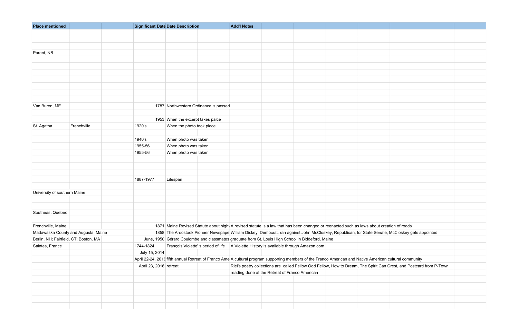| <b>Place mentioned</b>                |             | <b>Significant Date Date Description</b> |                                       | <b>Add'l Notes</b>                                                                                                                                       |                                                                                                                      |  |  |  |
|---------------------------------------|-------------|------------------------------------------|---------------------------------------|----------------------------------------------------------------------------------------------------------------------------------------------------------|----------------------------------------------------------------------------------------------------------------------|--|--|--|
|                                       |             |                                          |                                       |                                                                                                                                                          |                                                                                                                      |  |  |  |
|                                       |             |                                          |                                       |                                                                                                                                                          |                                                                                                                      |  |  |  |
|                                       |             |                                          |                                       |                                                                                                                                                          |                                                                                                                      |  |  |  |
| Parent, NB                            |             |                                          |                                       |                                                                                                                                                          |                                                                                                                      |  |  |  |
|                                       |             |                                          |                                       |                                                                                                                                                          |                                                                                                                      |  |  |  |
|                                       |             |                                          |                                       |                                                                                                                                                          |                                                                                                                      |  |  |  |
|                                       |             |                                          |                                       |                                                                                                                                                          |                                                                                                                      |  |  |  |
|                                       |             |                                          |                                       |                                                                                                                                                          |                                                                                                                      |  |  |  |
|                                       |             |                                          |                                       |                                                                                                                                                          |                                                                                                                      |  |  |  |
|                                       |             |                                          |                                       |                                                                                                                                                          |                                                                                                                      |  |  |  |
|                                       |             |                                          |                                       |                                                                                                                                                          |                                                                                                                      |  |  |  |
| Van Buren, ME                         |             |                                          | 1787 Northwestern Ordinance is passed |                                                                                                                                                          |                                                                                                                      |  |  |  |
|                                       |             |                                          |                                       |                                                                                                                                                          |                                                                                                                      |  |  |  |
|                                       |             |                                          | 1953 When the excerpt takes palce     |                                                                                                                                                          |                                                                                                                      |  |  |  |
| St. Agatha                            | Frenchville | 1920's                                   | When the photo took place             |                                                                                                                                                          |                                                                                                                      |  |  |  |
|                                       |             |                                          |                                       |                                                                                                                                                          |                                                                                                                      |  |  |  |
|                                       |             | 1940's                                   | When photo was taken                  |                                                                                                                                                          |                                                                                                                      |  |  |  |
|                                       |             | 1955-56                                  | When photo was taken                  |                                                                                                                                                          |                                                                                                                      |  |  |  |
|                                       |             | 1955-56                                  | When photo was taken                  |                                                                                                                                                          |                                                                                                                      |  |  |  |
|                                       |             |                                          |                                       |                                                                                                                                                          |                                                                                                                      |  |  |  |
|                                       |             |                                          |                                       |                                                                                                                                                          |                                                                                                                      |  |  |  |
|                                       |             |                                          |                                       |                                                                                                                                                          |                                                                                                                      |  |  |  |
|                                       |             | 1887-1977                                | Lifespan                              |                                                                                                                                                          |                                                                                                                      |  |  |  |
|                                       |             |                                          |                                       |                                                                                                                                                          |                                                                                                                      |  |  |  |
| University of southern Maine          |             |                                          |                                       |                                                                                                                                                          |                                                                                                                      |  |  |  |
|                                       |             |                                          |                                       |                                                                                                                                                          |                                                                                                                      |  |  |  |
| Southeast Quebec                      |             |                                          |                                       |                                                                                                                                                          |                                                                                                                      |  |  |  |
|                                       |             |                                          |                                       |                                                                                                                                                          |                                                                                                                      |  |  |  |
| Frenchville, Maine                    |             |                                          |                                       | 1871 Maine Revised Statute about high A revised statute is a law that has been changed or reenacted such as laws about creation of roads                 |                                                                                                                      |  |  |  |
| Madawaska County and Augusta, Maine   |             |                                          |                                       | 1858 The Aroostook Pioneer Newspape William Dickey, Democrat, ran against John McCloskey, Republican, for State Senate, McCloskey gets appointed         |                                                                                                                      |  |  |  |
| Berlin, NH; Fairfield, CT; Boston, MA |             |                                          |                                       | June, 1950 Gérard Coulombe and classmates graduate from St. Louis High School in Biddeford, Maine                                                        |                                                                                                                      |  |  |  |
| Saintes, France                       |             | 1744-1824                                |                                       | François Violette's period of life   A Violette History is available through Amazon.com                                                                  |                                                                                                                      |  |  |  |
|                                       |             | July 15, 2014                            |                                       |                                                                                                                                                          |                                                                                                                      |  |  |  |
|                                       |             |                                          |                                       | April 22-24, 2016 fifth annual Retreat of Franco Ame A cultural program supporting members of the Franco American and Native American cultural community |                                                                                                                      |  |  |  |
|                                       |             | April 23, 2016 retreat                   |                                       |                                                                                                                                                          | Riel's poetry collections are called Fellow Odd Fellow, How to Dream, The Spirit Can Crest, and Postcard from P-Town |  |  |  |
|                                       |             |                                          |                                       | reading done at the Retreat of Franco American                                                                                                           |                                                                                                                      |  |  |  |
|                                       |             |                                          |                                       |                                                                                                                                                          |                                                                                                                      |  |  |  |
|                                       |             |                                          |                                       |                                                                                                                                                          |                                                                                                                      |  |  |  |
|                                       |             |                                          |                                       |                                                                                                                                                          |                                                                                                                      |  |  |  |
|                                       |             |                                          |                                       |                                                                                                                                                          |                                                                                                                      |  |  |  |
|                                       |             |                                          |                                       |                                                                                                                                                          |                                                                                                                      |  |  |  |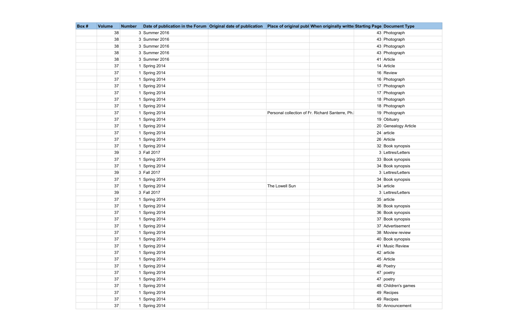| Box # | <b>Volume</b> | <b>Number</b> | Date of publication in the Forum Original date of publication |                | Place of original publ When originally writte Starting Page Document Type |                      |
|-------|---------------|---------------|---------------------------------------------------------------|----------------|---------------------------------------------------------------------------|----------------------|
|       | 38            |               | 3 Summer 2016                                                 |                |                                                                           | 43 Photograph        |
|       | 38            |               | 3 Summer 2016                                                 |                |                                                                           | 43 Photograph        |
|       | 38            |               | 3 Summer 2016                                                 |                |                                                                           | 43 Photograph        |
|       | 38            |               | 3 Summer 2016                                                 |                |                                                                           | 43 Photograph        |
|       | 38            |               | 3 Summer 2016                                                 |                |                                                                           | 41 Article           |
|       | 37            |               | 1 Spring 2014                                                 |                |                                                                           | 14 Article           |
|       | 37            |               | 1 Spring 2014                                                 |                |                                                                           | 16 Review            |
|       | 37            |               | 1 Spring 2014                                                 |                |                                                                           | 16 Photograph        |
|       | 37            |               | 1 Spring 2014                                                 |                |                                                                           | 17 Photograph        |
|       | 37            |               | 1 Spring 2014                                                 |                |                                                                           | 17 Photograph        |
|       | 37            |               | 1 Spring 2014                                                 |                |                                                                           | 18 Photograph        |
|       | 37            |               | 1 Spring 2014                                                 |                |                                                                           | 18 Photograph        |
|       | 37            |               | 1 Spring 2014                                                 |                | Personal collection of Fr. Richard Santerre, Ph.                          | 19 Photograph        |
|       | 37            |               | 1 Spring 2014                                                 |                |                                                                           | 19 Obituary          |
|       | 37            |               | 1 Spring 2014                                                 |                |                                                                           | 20 Genealogy Article |
|       | 37            |               | 1 Spring 2014                                                 |                |                                                                           | $24$ article         |
|       | 37            |               | 1 Spring 2014                                                 |                |                                                                           | 26 Article           |
|       | 37            |               | 1 Spring 2014                                                 |                |                                                                           | 32 Book synopsis     |
|       | 39            |               | 3 Fall 2017                                                   |                |                                                                           | 3 Lettres/Letters    |
|       | 37            |               | 1 Spring 2014                                                 |                |                                                                           | 33 Book synopsis     |
|       | 37            |               | 1 Spring 2014                                                 |                |                                                                           | 34 Book synopsis     |
|       | 39            |               | 3 Fall 2017                                                   |                |                                                                           | 3 Lettres/Letters    |
|       | 37            |               | 1 Spring 2014                                                 |                |                                                                           | 34 Book synopsis     |
|       | 37            |               | 1 Spring 2014                                                 | The Lowell Sun |                                                                           | 34 article           |
|       | 39            |               | 3 Fall 2017                                                   |                |                                                                           | 3 Lettres/Letters    |
|       | 37            |               | 1 Spring 2014                                                 |                |                                                                           | 35 article           |
|       | 37            |               | 1 Spring 2014                                                 |                |                                                                           | 36 Book synopsis     |
|       | $37\,$        |               | 1 Spring 2014                                                 |                |                                                                           | 36 Book synopsis     |
|       | 37            |               | 1 Spring 2014                                                 |                |                                                                           | 37 Book synopsis     |
|       | 37            |               | 1 Spring 2014                                                 |                |                                                                           | 37 Advertisement     |
|       | 37            |               | 1 Spring 2014                                                 |                |                                                                           | 38 Moview review     |
|       | 37            |               | 1 Spring 2014                                                 |                |                                                                           | 40 Book synopsis     |
|       | 37            |               | 1 Spring 2014                                                 |                |                                                                           | 41 Music Review      |
|       | 37            |               | 1 Spring 2014                                                 |                |                                                                           | 42 article           |
|       | 37            |               | 1 Spring 2014                                                 |                |                                                                           | 45 Article           |
|       | 37            |               | 1 Spring 2014                                                 |                |                                                                           | 46 Poetry            |
|       | 37            |               | 1 Spring 2014                                                 |                |                                                                           | 47 poetry            |
|       | 37            |               | 1 Spring 2014                                                 |                |                                                                           | $47$ poetry          |
|       | 37            |               | 1 Spring 2014                                                 |                |                                                                           | 48 Children's games  |
|       | 37            |               | 1 Spring 2014                                                 |                |                                                                           | 49 Recipes           |
|       | 37            |               | 1 Spring 2014                                                 |                |                                                                           | 49 Recipes           |
|       | 37            |               | 1 Spring 2014                                                 |                |                                                                           | 50 Announcement      |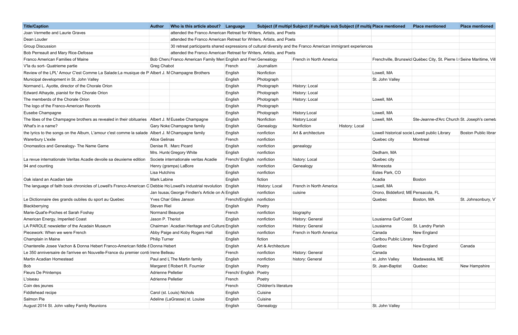| <b>Title/Caption</b>                                                                                                 | Who is this article about? Language<br><b>Author</b>                 |                             |                       | Subject (if multipl Subject (if multiple sub Subject (if multip Place mentioned                                |                                    | <b>Place mentioned</b>                                                | <b>Place mentioned</b> |
|----------------------------------------------------------------------------------------------------------------------|----------------------------------------------------------------------|-----------------------------|-----------------------|----------------------------------------------------------------------------------------------------------------|------------------------------------|-----------------------------------------------------------------------|------------------------|
| Joan Vermette and Laurie Graves                                                                                      | attended the Franco American Retreat for Writers, Artists, and Poets |                             |                       |                                                                                                                |                                    |                                                                       |                        |
| Dean Louder                                                                                                          | attended the Franco American Retreat for Writers, Artists, and Poets |                             |                       |                                                                                                                |                                    |                                                                       |                        |
| <b>Group Discussion</b>                                                                                              |                                                                      |                             |                       | 30 retreat participants shared expressions of cultural diversity and the Franco American immigrant experiences |                                    |                                                                       |                        |
| Bob Perreault and Mary Rice-Defosse                                                                                  | attended the Franco American Retreat for Writers, Artists, and Poets |                             |                       |                                                                                                                |                                    |                                                                       |                        |
| Franco American Families of Maine                                                                                    | Bob Chen: Franco American Family Men English and Fren Genealogy      |                             |                       | French in North America                                                                                        |                                    | Frenchville, Brunswic Québec City, St. Pierre I. Seine Maritime, Vill |                        |
| V'la du sort- Quatrieme partie                                                                                       | Greg Chabot                                                          | French                      | Journalism            |                                                                                                                |                                    |                                                                       |                        |
| Review of the LPL' Amour C'est Comme La Salade: La musique de P Albert J. M Champagne Brothers                       |                                                                      | English                     | Nonfiction            |                                                                                                                | Lowell, MA                         |                                                                       |                        |
| Municipal development in St. John Valley                                                                             |                                                                      | English                     | Photograph            |                                                                                                                | St. John Valley                    |                                                                       |                        |
| Normand L. Ayotte, director of the Chorale Orion                                                                     |                                                                      | English                     | Photograph            | History: Local                                                                                                 |                                    |                                                                       |                        |
| Edward Athayde, pianist for the Chorale Orion                                                                        |                                                                      | English                     | Photograph            | History: Local                                                                                                 |                                    |                                                                       |                        |
| The memberds of the Chorale Orion                                                                                    |                                                                      | English                     | Photograph            | History: Local                                                                                                 | Lowell, MA                         |                                                                       |                        |
| The logo of the Franco-American Records                                                                              |                                                                      | English                     | Photograph            |                                                                                                                |                                    |                                                                       |                        |
| Eusebe Champagne                                                                                                     |                                                                      | English                     | Photograph            | History:Local                                                                                                  | Lowell, MA                         |                                                                       |                        |
| The libes of the Champagne brothers as revealed in their obituaries Albert J. M Eusebe Champagne                     |                                                                      | English                     | Nonfiction            | History:Local                                                                                                  | Lowell, MA                         | Ste-Jeanne-d'Arc Church St. Joseph's cemetal                          |                        |
| What's in a name?                                                                                                    | Gary Noke Champagne family                                           | English                     | Genealogy             | Nonfiction<br>History: Local                                                                                   |                                    |                                                                       |                        |
| the lyrics to the songs on the Album, L'amour c'est comme la salade Albert J. M Champagne family                     |                                                                      | English                     | nonfiction            | Art & architecture                                                                                             |                                    | Lowell historical socie Lowell public Library                         | Boston Public librar   |
| <b>Warerbury L'exile</b>                                                                                             | Alice Gelinas                                                        | French                      | nonfiction            |                                                                                                                | Quebec city                        | Montreal                                                              |                        |
| Onomastics and Genealogy- The Name Game                                                                              | Denise R. Marc Picard                                                | English                     | nonfiction            | genealogy                                                                                                      |                                    |                                                                       |                        |
|                                                                                                                      | Mrs. Hunte Gregory White                                             | English                     | nonfiction            |                                                                                                                | Dedham, MA                         |                                                                       |                        |
| La revue internationale Veritas Acadie devoile sa deuxieme edition                                                   | Societe internationale veritas Acadie                                | French/ English nonfiction  |                       | history: Local                                                                                                 | Quebec city                        |                                                                       |                        |
| 94 and counting                                                                                                      | Henry (grampa) LaBore                                                | English                     | nonfiction            | Genealogy                                                                                                      | Minnesota                          |                                                                       |                        |
|                                                                                                                      | Lisa Hutchins                                                        | English                     | nonfiction            |                                                                                                                | Estes Park, CO                     |                                                                       |                        |
| Oak island an Acadian tale                                                                                           | Mark Labine                                                          | English                     | fiction               |                                                                                                                | Acadia                             | Boston                                                                |                        |
| The language of faith book chronicles of Lowell's Franco-American C Debbie Ho Lowell's industrial revolution English |                                                                      |                             | History: Local        | French in North America                                                                                        | Lowell, MA                         |                                                                       |                        |
|                                                                                                                      | Jan Isusal George Findlen's Article on A English                     |                             | nonfiction            | cuisine                                                                                                        | Orono, Biddeford; ME Pensacola, FL |                                                                       |                        |
| Le Dictionnaire des grands oubiles du sport au Quebec                                                                | Yves Char Giles Janson                                               | French/English   nonfiction |                       |                                                                                                                | Quebec                             | Boston, MA                                                            | St. Johnsonbury, V     |
| Blackberrying                                                                                                        | Steven Riel                                                          | English                     | Poetry                |                                                                                                                |                                    |                                                                       |                        |
| Marie-Quat'e-Poches et Sarah Foshay                                                                                  | Normand Beaurpe                                                      | French                      | nonfiction            | biography                                                                                                      |                                    |                                                                       |                        |
| American Energy, Imperiled Coast                                                                                     | Jason P. Theriot                                                     | English                     | nonfiction            | History: General                                                                                               | Lousianna Gulf Coast               |                                                                       |                        |
| LA PAROLE newsletter of the Acadain Museum                                                                           |                                                                      |                             |                       |                                                                                                                |                                    |                                                                       |                        |
|                                                                                                                      | Chairman Acadian Heritage and Culture English                        |                             | nonfiction            | History: General                                                                                               | Lousianna                          | St. Landry Parish                                                     |                        |
| Piecework: When we were French                                                                                       | Abby Paige and Koby Rogers Hall                                      | English                     | nonfiction            | French in North America                                                                                        | Canada                             | New England                                                           |                        |
| Champlain in Maine                                                                                                   | <b>Philip Turner</b>                                                 | English                     | fiction               |                                                                                                                | Caribou Public Library             |                                                                       |                        |
| Chanterelle Josee Vachon & Donna Hebert Franco-American fiddle & Donna Hebert                                        |                                                                      | English                     | Art & Architecture    |                                                                                                                | Quebec                             | New England                                                           | Canada                 |
| Le 350 anniversaire de l'arrivee en Nouvelle-France du premier conti Irene Belleau                                   |                                                                      | French                      | nonfiction            | History: General                                                                                               | Canada                             |                                                                       |                        |
| Martin Acadian Homestead                                                                                             | Paul and L The Martin family                                         | English                     | nonfiction            | history: General                                                                                               | st. John Valley                    | Madawaska, ME                                                         |                        |
| Bob                                                                                                                  | Margaret S Robert R. Fournier                                        | English                     | Poetry                |                                                                                                                | St. Jean-Baptist                   | Quebec                                                                | New Hampshire          |
| Fleurs De Printemps                                                                                                  | Adrienne Pelletier                                                   | French/ English Poetry      |                       |                                                                                                                |                                    |                                                                       |                        |
| L'oiseau                                                                                                             | Adrienne Pelletier                                                   | French                      | Poetry                |                                                                                                                |                                    |                                                                       |                        |
| Coin des jeunes                                                                                                      |                                                                      | French                      | Children's literature |                                                                                                                |                                    |                                                                       |                        |
| Fiddlehead recipe                                                                                                    | Carol (st. Louis) Nichols                                            | English                     | Cuisine               |                                                                                                                |                                    |                                                                       |                        |
| Salmon Pie                                                                                                           | Adeline (LaGrasse) st. Louise                                        | English                     | Cuisine               |                                                                                                                |                                    |                                                                       |                        |
| August 2014 St. John valley Family Reunions                                                                          |                                                                      | English                     | Genealogy             |                                                                                                                | St. John Valley                    |                                                                       |                        |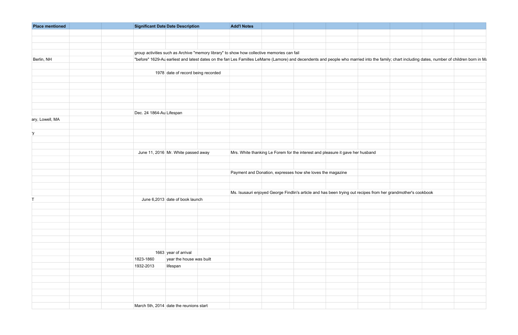| <b>Place mentioned</b> | Significant Date Date Description                                                                                                                                                               | <b>Add'l Notes</b>                                         |                                                                                                               |  |
|------------------------|-------------------------------------------------------------------------------------------------------------------------------------------------------------------------------------------------|------------------------------------------------------------|---------------------------------------------------------------------------------------------------------------|--|
|                        |                                                                                                                                                                                                 |                                                            |                                                                                                               |  |
|                        |                                                                                                                                                                                                 |                                                            |                                                                                                               |  |
|                        |                                                                                                                                                                                                 |                                                            |                                                                                                               |  |
|                        | group activities such as Archive "memory library" to show how collective memories can fail                                                                                                      |                                                            |                                                                                                               |  |
| Berlin, NH             | "before" 1629-Au earliest and latest dates on the fan Les Familles LeMarre (Lamore) and decendents and people who married into the family; chart including dates, number of children born in Ma |                                                            |                                                                                                               |  |
|                        |                                                                                                                                                                                                 |                                                            |                                                                                                               |  |
|                        | 1978 date of record being recorded                                                                                                                                                              |                                                            |                                                                                                               |  |
|                        |                                                                                                                                                                                                 |                                                            |                                                                                                               |  |
|                        |                                                                                                                                                                                                 |                                                            |                                                                                                               |  |
|                        |                                                                                                                                                                                                 |                                                            |                                                                                                               |  |
|                        |                                                                                                                                                                                                 |                                                            |                                                                                                               |  |
|                        |                                                                                                                                                                                                 |                                                            |                                                                                                               |  |
|                        |                                                                                                                                                                                                 |                                                            |                                                                                                               |  |
|                        | Dec. 24 1864-Au Lifespan                                                                                                                                                                        |                                                            |                                                                                                               |  |
| ary, Lowell, MA        |                                                                                                                                                                                                 |                                                            |                                                                                                               |  |
|                        |                                                                                                                                                                                                 |                                                            |                                                                                                               |  |
|                        |                                                                                                                                                                                                 |                                                            |                                                                                                               |  |
|                        |                                                                                                                                                                                                 |                                                            |                                                                                                               |  |
|                        |                                                                                                                                                                                                 |                                                            |                                                                                                               |  |
|                        |                                                                                                                                                                                                 |                                                            |                                                                                                               |  |
|                        | June 11, 2016 Mr. White passed away                                                                                                                                                             |                                                            | Mrs. White thanking Le Forem for the interest and pleasure it gave her husband                                |  |
|                        |                                                                                                                                                                                                 |                                                            |                                                                                                               |  |
|                        |                                                                                                                                                                                                 |                                                            |                                                                                                               |  |
|                        |                                                                                                                                                                                                 | Payment and Donation, expresses how she loves the magazine |                                                                                                               |  |
|                        |                                                                                                                                                                                                 |                                                            |                                                                                                               |  |
|                        |                                                                                                                                                                                                 |                                                            |                                                                                                               |  |
|                        |                                                                                                                                                                                                 |                                                            | Ms. Isusauri enjoyed George Findlin's article and has been trying out recipes from her grandmother's cookbook |  |
|                        | June 6,2013 date of book launch                                                                                                                                                                 |                                                            |                                                                                                               |  |
|                        |                                                                                                                                                                                                 |                                                            |                                                                                                               |  |
|                        |                                                                                                                                                                                                 |                                                            |                                                                                                               |  |
|                        |                                                                                                                                                                                                 |                                                            |                                                                                                               |  |
|                        |                                                                                                                                                                                                 |                                                            |                                                                                                               |  |
|                        |                                                                                                                                                                                                 |                                                            |                                                                                                               |  |
|                        |                                                                                                                                                                                                 |                                                            |                                                                                                               |  |
|                        |                                                                                                                                                                                                 |                                                            |                                                                                                               |  |
|                        |                                                                                                                                                                                                 |                                                            |                                                                                                               |  |
|                        | 1663 year of arrival                                                                                                                                                                            |                                                            |                                                                                                               |  |
|                        | 1823-1860<br>year the house was built                                                                                                                                                           |                                                            |                                                                                                               |  |
|                        | lifespan<br>1932-2013                                                                                                                                                                           |                                                            |                                                                                                               |  |
|                        |                                                                                                                                                                                                 |                                                            |                                                                                                               |  |
|                        |                                                                                                                                                                                                 |                                                            |                                                                                                               |  |
|                        |                                                                                                                                                                                                 |                                                            |                                                                                                               |  |
|                        |                                                                                                                                                                                                 |                                                            |                                                                                                               |  |
|                        |                                                                                                                                                                                                 |                                                            |                                                                                                               |  |
|                        |                                                                                                                                                                                                 |                                                            |                                                                                                               |  |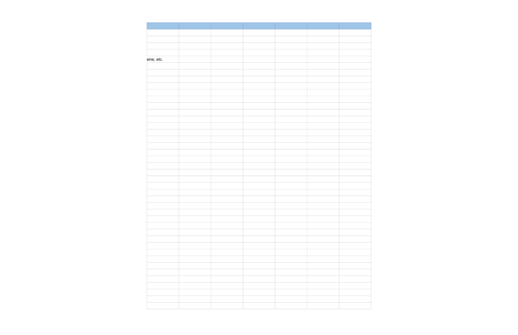| aine, etc. |  |  |
|------------|--|--|
|            |  |  |
|            |  |  |
|            |  |  |
|            |  |  |
|            |  |  |
|            |  |  |
|            |  |  |
|            |  |  |
|            |  |  |
|            |  |  |
|            |  |  |
|            |  |  |
|            |  |  |
|            |  |  |
|            |  |  |
|            |  |  |
|            |  |  |
|            |  |  |
|            |  |  |
|            |  |  |
|            |  |  |
|            |  |  |
|            |  |  |
|            |  |  |
|            |  |  |
|            |  |  |
|            |  |  |
|            |  |  |
|            |  |  |
|            |  |  |
|            |  |  |
|            |  |  |
|            |  |  |
|            |  |  |
|            |  |  |
|            |  |  |
|            |  |  |
|            |  |  |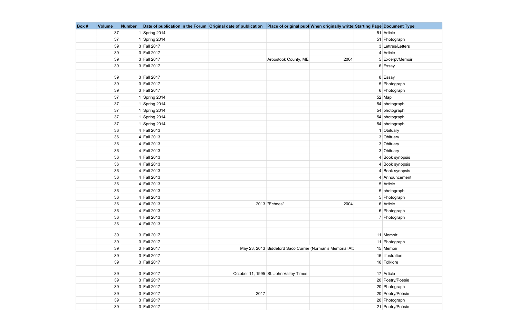| Box # | <b>Volume</b> | <b>Number</b> | Date of publication in the Forum Original date of publication Place of original publ When originally writte Starting Page Document Type |      |                                        |                                                            |                   |
|-------|---------------|---------------|-----------------------------------------------------------------------------------------------------------------------------------------|------|----------------------------------------|------------------------------------------------------------|-------------------|
|       | 37            |               | 1 Spring 2014                                                                                                                           |      |                                        |                                                            | 51 Article        |
|       | 37            |               | 1 Spring 2014                                                                                                                           |      |                                        |                                                            | 51 Photograph     |
|       | 39            |               | 3 Fall 2017                                                                                                                             |      |                                        |                                                            | 3 Lettres/Letters |
|       | 39            |               | 3 Fall 2017                                                                                                                             |      |                                        |                                                            | $4$ Article       |
|       | 39            |               | 3 Fall 2017                                                                                                                             |      | Aroostook County, ME                   | 2004                                                       | 5 Excerpt/Memoir  |
|       | 39            |               | 3 Fall 2017                                                                                                                             |      |                                        |                                                            | 6 Essay           |
|       | 39            |               | 3 Fall 2017                                                                                                                             |      |                                        |                                                            | 8 Essay           |
|       | 39            |               | 3 Fall 2017                                                                                                                             |      |                                        |                                                            | 5 Photograph      |
|       | 39            |               | 3 Fall 2017                                                                                                                             |      |                                        |                                                            | 6 Photograph      |
|       | 37            |               | 1 Spring 2014                                                                                                                           |      |                                        |                                                            | $52$ Map          |
|       | 37            |               | 1 Spring 2014                                                                                                                           |      |                                        |                                                            | 54 photograph     |
|       | 37            |               | 1 Spring 2014                                                                                                                           |      |                                        |                                                            | 54 photograph     |
|       | 37            |               | 1 Spring 2014                                                                                                                           |      |                                        |                                                            | 54 photograph     |
|       | 37            |               | 1 Spring 2014                                                                                                                           |      |                                        |                                                            | 54 photograph     |
|       | 36            |               | 4 Fall 2013                                                                                                                             |      |                                        |                                                            | 1 Obituary        |
|       | 36            |               | 4 Fall 2013                                                                                                                             |      |                                        |                                                            | 3 Obituary        |
|       | 36            |               | 4 Fall 2013                                                                                                                             |      |                                        |                                                            | 3 Obituary        |
|       | 36            |               | 4 Fall 2013                                                                                                                             |      |                                        |                                                            | 3 Obituary        |
|       | 36            |               | 4 Fall 2013                                                                                                                             |      |                                        |                                                            | 4 Book synopsis   |
|       | 36            |               | 4 Fall 2013                                                                                                                             |      |                                        |                                                            | 4 Book synopsis   |
|       | 36            |               | 4 Fall 2013                                                                                                                             |      |                                        |                                                            | 4 Book synopsis   |
|       | 36            |               | 4 Fall 2013                                                                                                                             |      |                                        |                                                            | 4 Announcement    |
|       | 36            |               | 4 Fall 2013                                                                                                                             |      |                                        |                                                            | 5 Article         |
|       | 36            |               | 4 Fall 2013                                                                                                                             |      |                                        |                                                            | 5 photograph      |
|       | 36            |               | 4 Fall 2013                                                                                                                             |      |                                        |                                                            | 5 Photograph      |
|       | 36            |               | 4 Fall 2013                                                                                                                             |      | 2013 "Echoes"                          | 2004                                                       | 6 Article         |
|       | 36            |               | 4 Fall 2013                                                                                                                             |      |                                        |                                                            | 6 Photograph      |
|       | 36            |               | 4 Fall 2013                                                                                                                             |      |                                        |                                                            | 7 Photograph      |
|       | 36            |               | 4 Fall 2013                                                                                                                             |      |                                        |                                                            |                   |
|       | 39            |               | 3 Fall 2017                                                                                                                             |      |                                        |                                                            | 11 Memoir         |
|       | 39            |               | 3 Fall 2017                                                                                                                             |      |                                        |                                                            | 11 Photograph     |
|       | 39            |               | 3 Fall 2017                                                                                                                             |      |                                        | May 23, 2013 Biddeford Saco Currier (Norman's Memorial Att | 15 Memoir         |
|       | 39            |               | 3 Fall 2017                                                                                                                             |      |                                        |                                                            | 15 Illustration   |
|       | 39            |               | 3 Fall 2017                                                                                                                             |      |                                        |                                                            | 16 Folklore       |
|       |               |               |                                                                                                                                         |      |                                        |                                                            |                   |
|       | 39            |               | 3 Fall 2017                                                                                                                             |      | October 11, 1995 St. John Valley Times |                                                            | 17 Article        |
|       | 39            |               | 3 Fall 2017                                                                                                                             |      |                                        |                                                            | 20 Poetry/Poésie  |
|       | 39            |               | 3 Fall 2017                                                                                                                             |      |                                        |                                                            | 20 Photograph     |
|       | 39            |               | 3 Fall 2017                                                                                                                             | 2017 |                                        |                                                            | 20 Poetry/Poésie  |
|       | 39            |               | 3 Fall 2017                                                                                                                             |      |                                        |                                                            | 20 Photograph     |
|       | 39            |               | 3 Fall 2017                                                                                                                             |      |                                        |                                                            | 21 Poetry/Poésie  |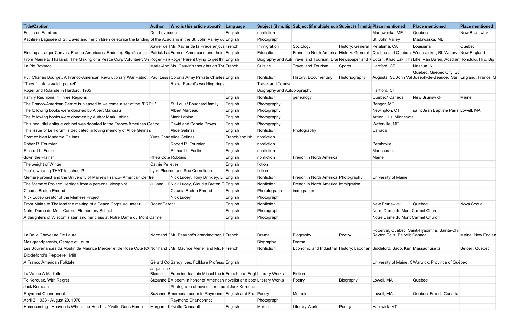| <b>Title/Caption</b>                                                                                                   | <b>Author</b>              | Who is this article about?                                             | Language       |                             | Subject (if multipl Subject (if multiple sub Subject (if multip Place mentioned |                                 |                                  | <b>Place mentioned</b>                                                                                                         | <b>Place mentioned</b> |
|------------------------------------------------------------------------------------------------------------------------|----------------------------|------------------------------------------------------------------------|----------------|-----------------------------|---------------------------------------------------------------------------------|---------------------------------|----------------------------------|--------------------------------------------------------------------------------------------------------------------------------|------------------------|
| Focus on Families                                                                                                      | Don Levesque               |                                                                        | English        | nonfiction                  |                                                                                 |                                 | Madawaska, ME                    | Quebec                                                                                                                         | <b>New Brunswick</b>   |
| Kathleen Lagusee of St. David and her children celebrate the landing of the Acadians in the St. John Valley du English |                            |                                                                        |                | Photograph                  |                                                                                 |                                 | St. John Valley                  | Madawaska, ME                                                                                                                  |                        |
|                                                                                                                        |                            | Xavier de   Mr. Xavier de la Prade enjoye French                       |                | Immigration                 | Sociology                                                                       | History: General   Petaluma, CA |                                  | Louisiana                                                                                                                      | Quebec                 |
| Finding a Larger Canvas: Franco-Americans' Enduring Significance                                                       |                            | Patrick La Franco- Americans and their   English                       |                | Education                   |                                                                                 |                                 |                                  | French in North America History: General Quebec and Quebec Woonsocket, RI; Watervil New England                                |                        |
| From Maine to Thailand: The Making of a Peace Corp Volunteer; Sn Roger Par Roger Parent trying to get thre English     |                            |                                                                        |                |                             |                                                                                 |                                 |                                  | Biography and Auti Travel and Tourism; Drai Newspaper and N Udorn, Khao Lak; Tha Lille, Van Buren, Acadian Honolulu, Hilo, Big |                        |
| La Pie Bavarde                                                                                                         |                            | Marie-Ann Ms. Gauvin's thoughts on Tha French                          |                | Cuisine                     | <b>Travel and Tourism</b>                                                       | Sports                          | Hartford, CT                     | Nashua, NH                                                                                                                     |                        |
| Pvt. Charles Bourget, A Franco-American Revolutionary War Patriot   Paul Lessa ColonialArmy Private Charles English    |                            |                                                                        |                | Nonfiction                  | <b>History: Documentary</b>                                                     | Historiography                  |                                  | Quebec, Quebec City, St.<br>Augusta, St. John Val Joseph-de-Beauce, Ste. England; France; G                                    |                        |
| "They fit into a watch pocket"                                                                                         |                            | Roger Parent's wedding rings                                           |                | <b>Travel and Tourism</b>   |                                                                                 |                                 |                                  |                                                                                                                                |                        |
| Roger and Rolande in Hartford, 1965                                                                                    |                            |                                                                        |                | Biography and Autobiography |                                                                                 |                                 | Hartford, CT                     |                                                                                                                                |                        |
| Family Reunions in Three Regions                                                                                       |                            |                                                                        | English        | Nonfiction                  | genealogy                                                                       |                                 | Quebec/ Canada                   | <b>New Brunswick</b>                                                                                                           | Maine                  |
| The Franco-American Centre is pleased to welcome a set of the "PRDH"                                                   |                            | St. Louis/ Bouchard family                                             | English        | Photography                 |                                                                                 |                                 | Bangor, ME                       |                                                                                                                                |                        |
| The following books were donated by Albert Marceau                                                                     |                            | Albert Marceau                                                         | English        | Photography                 |                                                                                 |                                 | Newington, CT                    | saint Jean Baptiste Paris Lowell, MA                                                                                           |                        |
| The following books were donated by Author Mark Labine                                                                 |                            | <b>Mark Labine</b>                                                     | English        | Photography                 |                                                                                 |                                 | Arden Hills, Minnesota           |                                                                                                                                |                        |
| This beautiful antique cabinet was donated to the Franco-American Centre                                               |                            | David and Connie Brown                                                 | English        | Photography                 |                                                                                 |                                 | Waterville, ME                   |                                                                                                                                |                        |
| This issue of Le Forum is dedicated in loving memory of Alice Gelinas                                                  |                            | <b>Alice Gelinas</b>                                                   | English        | Nonfiction                  | Photography                                                                     |                                 | Canada                           |                                                                                                                                |                        |
| Dormez bien Madame Gelinas                                                                                             |                            | <b>Yves Char Alice Gelinas</b>                                         | French/english | nonfiction                  |                                                                                 |                                 |                                  |                                                                                                                                |                        |
| Rober R. Fournier                                                                                                      |                            | Robert R. Fournier                                                     | English        | nonfiction                  |                                                                                 |                                 | Pembroke                         |                                                                                                                                |                        |
| Richard L. Fortin                                                                                                      |                            | Richard L. Fortin                                                      | English        | nonfiction                  |                                                                                 |                                 | Manchester                       |                                                                                                                                |                        |
| down the Plains'                                                                                                       |                            | <b>Rhea Cote Robbins</b>                                               | English        | nonfiction                  | French in North America                                                         |                                 | Maine                            |                                                                                                                                |                        |
| The weight of Winter                                                                                                   | <b>Cathie Pelletier</b>    |                                                                        | English        | fiction                     |                                                                                 |                                 |                                  |                                                                                                                                |                        |
| You're wearing THAT to school?!                                                                                        |                            | Lynn Plourde and Sue Cornelison                                        | English        | fiction                     |                                                                                 |                                 |                                  |                                                                                                                                |                        |
| Memere project and the University of Maine's Franco-American Centre                                                    |                            | Nick Lucey, Tony Brinkley, Lis English                                 |                | Nonfiction                  | French in North America Photography                                             |                                 | University of Maine              |                                                                                                                                |                        |
| The Memere Project: Hertiage from a personal viewpoint                                                                 |                            | Juliana L'H Nick Lucey, Claudia Breton E English                       |                | Nonfiction                  | French in North America immigration                                             |                                 |                                  |                                                                                                                                |                        |
| Claudia Breton Emond                                                                                                   |                            | Claudia Breton Emond                                                   | English        | Phototograph                | immigration                                                                     |                                 |                                  |                                                                                                                                |                        |
| Nick Lucey creator of the Memere Project                                                                               |                            | Nick Lucey                                                             | English        | Photograph                  |                                                                                 |                                 |                                  |                                                                                                                                |                        |
| From Maine to Thailand the making of a Peace Corps Volunteer                                                           | <b>Roger Parent</b>        |                                                                        | English        | Nonfiction                  |                                                                                 |                                 | <b>New Brunswick</b>             | Quebec                                                                                                                         | Nova Scotia            |
| Notre Dame du Mont Carmel Elementary School                                                                            |                            |                                                                        | English        | Photograph                  |                                                                                 |                                 | Notre Dame du Mont Carmel Church |                                                                                                                                |                        |
| A daughters of Wisdom sisten and her class at Notre Dame du Mont Carmel                                                |                            |                                                                        | English        | Photograph                  |                                                                                 |                                 | Notre Dame du Mont Carmel Church |                                                                                                                                |                        |
|                                                                                                                        |                            |                                                                        |                |                             |                                                                                 |                                 |                                  |                                                                                                                                |                        |
| La Belle Chevelure De Laura                                                                                            |                            | Normand I Mr. Beaupré's grandmother, I French                          |                | Drama                       | Biography                                                                       | Poetry                          | Roxton Falls, Beloeil; Canada    | Roberval, Quebec, Saint-Hyacinthe, Sainte-Chr                                                                                  | Maine; New Englar      |
| Mes grandparents, George et Laura                                                                                      |                            |                                                                        |                | Biography                   | Drama                                                                           |                                 |                                  |                                                                                                                                |                        |
| Les Souvenances du Moulin de Maurice Mercier et de Rose Coté (C Normand   Mr. Maurice Merier and Ms. F French          |                            |                                                                        |                | Nonfiction                  | Economic and Industrial History: Labor and Biddeford, Saco, Ken Massachusetts   |                                 |                                  |                                                                                                                                | Beloeil, Quebec        |
| <b>Biddeford's Pepperell Mill</b>                                                                                      |                            |                                                                        |                |                             |                                                                                 |                                 |                                  |                                                                                                                                |                        |
| A Franco American Folktale                                                                                             |                            | Gérard Co Sandy Ives, Folklore Professo English                        |                |                             |                                                                                 |                                 |                                  | University of Maine, C Warwick, Province of Québec                                                                             |                        |
| La Vache A Maillotte                                                                                                   | Jaqueline<br><b>Blesso</b> | Francine teachin Michel the ir French and Engl Literary Works          |                |                             | Fiction                                                                         |                                 |                                  |                                                                                                                                |                        |
| To Kerouac, With Regret                                                                                                |                            | Suzanne E A poem in honor of American novelist and poet Literary Works |                |                             | Poetry                                                                          | Biography                       | Lowell, MA                       | Québec                                                                                                                         |                        |
| Jack Kerouac                                                                                                           |                            | Photograph of novelist and poet Jack Kerouac                           |                |                             |                                                                                 |                                 |                                  |                                                                                                                                |                        |
| Raymond Chandonnet                                                                                                     |                            | Suzanne E memorial poem to Raymond (English and Fren Poetry            |                |                             | Memoir                                                                          |                                 | Lowell, MA                       | Québec; French Canada                                                                                                          |                        |
| April 3, 1933 - August 20, 1970                                                                                        |                            | Raymond Chandonnet                                                     |                | Photograph                  |                                                                                 |                                 |                                  |                                                                                                                                |                        |
| Homecoming - Heaven is Where the Heart Is; Yvette Goes Home                                                            |                            | Margaret L Yvette Daneault                                             | English        | Memoir                      | Literary Work                                                                   | Poetry                          | Hardwick, VT                     |                                                                                                                                |                        |
|                                                                                                                        |                            |                                                                        |                |                             |                                                                                 |                                 |                                  |                                                                                                                                |                        |

| <b>Place mentioned</b>             | <b>Place mentioned</b>                                                                     | <b>Place mentioned</b> |
|------------------------------------|--------------------------------------------------------------------------------------------|------------------------|
| Madawaska, ME                      | Quebec                                                                                     | <b>New Brunswick</b>   |
| St. John Valley                    | Madawaska, ME                                                                              |                        |
| Petaluma, CA                       | Louisiana                                                                                  | Quebec                 |
|                                    | Quebec and Quebec   Woonsocket, RI; Watervil New England                                   |                        |
|                                    | Udorn, Khao Lak; Tha Lille, Van Buren, Acadian Honolulu, Hilo, Big                         |                        |
| Hartford, CT                       | Nashua, NH                                                                                 |                        |
|                                    | Quebec, Quebec City, St<br>Augusta, St. John Val Joseph-de-Beauce, Ste. England; France; G |                        |
| Hartford, CT                       |                                                                                            |                        |
| Quebec/ Canada                     | New Brunswick                                                                              | Maine                  |
| Bangor, ME                         |                                                                                            |                        |
| Newington, CT                      | saint Jean Baptiste Parisl Lowell, MA                                                      |                        |
| Arden Hills, Minnesota             |                                                                                            |                        |
| Waterville, ME                     |                                                                                            |                        |
| Canada                             |                                                                                            |                        |
|                                    |                                                                                            |                        |
| Pembroke                           |                                                                                            |                        |
| Manchester                         |                                                                                            |                        |
| Maine                              |                                                                                            |                        |
|                                    |                                                                                            |                        |
|                                    |                                                                                            |                        |
|                                    |                                                                                            |                        |
| University of Maine                |                                                                                            |                        |
|                                    |                                                                                            |                        |
|                                    |                                                                                            |                        |
|                                    |                                                                                            |                        |
| <b>New Brunswick</b>               | Quebec                                                                                     | Nova Scotia            |
| Notre Dame du Mont Carmel Church   |                                                                                            |                        |
| Notre Dame du Mont Carmel Church   |                                                                                            |                        |
|                                    |                                                                                            |                        |
| Roxton Falls, Beloeil; Canada      | Roberval, Quebec, Saint-Hyacinthe, Sainte-Chr                                              | Maine; New Englar      |
|                                    |                                                                                            |                        |
| Biddeford, Saco, Ken Massachusetts |                                                                                            | Beloeil, Quebec        |
|                                    |                                                                                            |                        |
|                                    | University of Maine, C Warwick, Province of Québec                                         |                        |
|                                    |                                                                                            |                        |
|                                    |                                                                                            |                        |
| Lowell, MA                         | Québec                                                                                     |                        |
|                                    |                                                                                            |                        |
| Lowell, MA                         | Québec; French Canada                                                                      |                        |
|                                    |                                                                                            |                        |
| Hardwick, VT                       |                                                                                            |                        |
|                                    |                                                                                            |                        |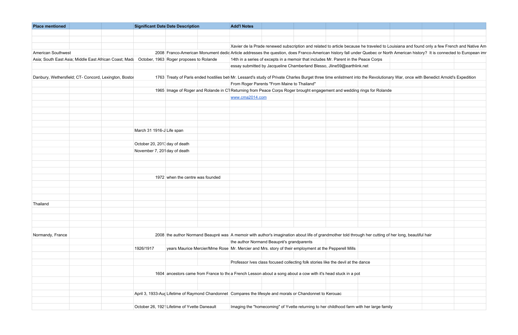| <b>Place mentioned</b>                                 | <b>Significant Date Date Description</b> |                                              | <b>Add'l Notes</b> |                                                                                                                         |  |                                                                                                                                                                                 |  |  |  |
|--------------------------------------------------------|------------------------------------------|----------------------------------------------|--------------------|-------------------------------------------------------------------------------------------------------------------------|--|---------------------------------------------------------------------------------------------------------------------------------------------------------------------------------|--|--|--|
|                                                        |                                          |                                              |                    |                                                                                                                         |  |                                                                                                                                                                                 |  |  |  |
|                                                        |                                          |                                              |                    |                                                                                                                         |  |                                                                                                                                                                                 |  |  |  |
|                                                        |                                          |                                              |                    |                                                                                                                         |  | Xavier de la Prade renewed subscription and related to article because he traveled to Louisiana and found only a few French and Native Am                                       |  |  |  |
| <b>American Southwest</b>                              |                                          |                                              |                    |                                                                                                                         |  | 2008 Franco-American Monument dedic Article addresses the question, does Franco-American history fall under Quebec or North American history? It is connected to European imr   |  |  |  |
| Asia; South East Asia; Middle East African Coast; Mada | October, 1963 Roger proposes to Rolande  |                                              |                    | 14th in a series of excepts in a memoir that includes Mr. Parent in the Peace Corps                                     |  |                                                                                                                                                                                 |  |  |  |
|                                                        |                                          |                                              |                    | essay submitted by Jacqueline Chamberland Blesso, Jline59@earthlink.net                                                 |  |                                                                                                                                                                                 |  |  |  |
| Danbury, Wethersfield; CT- Concord, Lexington, Bostor  |                                          |                                              |                    |                                                                                                                         |  | 1763 Treaty of Paris ended hostilies bet Mr. Lessard's study of Private Charles Burget three time enlistment into the Revolutionary War, once with Benedict Arnold's Expedition |  |  |  |
|                                                        |                                          |                                              |                    | From Roger Parents "From Maine to Thailand"                                                                             |  |                                                                                                                                                                                 |  |  |  |
|                                                        |                                          |                                              |                    | 1965 Image of Roger and Rolande in C1 Returning from Peace Corps Roger brought engagement and wedding rings for Rolande |  |                                                                                                                                                                                 |  |  |  |
|                                                        |                                          |                                              | www.cma2014.com    |                                                                                                                         |  |                                                                                                                                                                                 |  |  |  |
|                                                        |                                          |                                              |                    |                                                                                                                         |  |                                                                                                                                                                                 |  |  |  |
|                                                        |                                          |                                              |                    |                                                                                                                         |  |                                                                                                                                                                                 |  |  |  |
|                                                        |                                          |                                              |                    |                                                                                                                         |  |                                                                                                                                                                                 |  |  |  |
|                                                        |                                          |                                              |                    |                                                                                                                         |  |                                                                                                                                                                                 |  |  |  |
|                                                        | March 31 1916-J Life span                |                                              |                    |                                                                                                                         |  |                                                                                                                                                                                 |  |  |  |
|                                                        |                                          |                                              |                    |                                                                                                                         |  |                                                                                                                                                                                 |  |  |  |
|                                                        | October 20, 2013 day of death            |                                              |                    |                                                                                                                         |  |                                                                                                                                                                                 |  |  |  |
|                                                        | November 7, 201 day of death             |                                              |                    |                                                                                                                         |  |                                                                                                                                                                                 |  |  |  |
|                                                        |                                          |                                              |                    |                                                                                                                         |  |                                                                                                                                                                                 |  |  |  |
|                                                        |                                          |                                              |                    |                                                                                                                         |  |                                                                                                                                                                                 |  |  |  |
|                                                        |                                          |                                              |                    |                                                                                                                         |  |                                                                                                                                                                                 |  |  |  |
|                                                        | 1972 when the centre was founded         |                                              |                    |                                                                                                                         |  |                                                                                                                                                                                 |  |  |  |
|                                                        |                                          |                                              |                    |                                                                                                                         |  |                                                                                                                                                                                 |  |  |  |
|                                                        |                                          |                                              |                    |                                                                                                                         |  |                                                                                                                                                                                 |  |  |  |
|                                                        |                                          |                                              |                    |                                                                                                                         |  |                                                                                                                                                                                 |  |  |  |
| Thailand                                               |                                          |                                              |                    |                                                                                                                         |  |                                                                                                                                                                                 |  |  |  |
|                                                        |                                          |                                              |                    |                                                                                                                         |  |                                                                                                                                                                                 |  |  |  |
|                                                        |                                          |                                              |                    |                                                                                                                         |  |                                                                                                                                                                                 |  |  |  |
|                                                        |                                          |                                              |                    |                                                                                                                         |  |                                                                                                                                                                                 |  |  |  |
| Normandy, France                                       |                                          |                                              |                    |                                                                                                                         |  | 2008 the author Normand Beaupré was A memoir with author's imagination about life of grandmother told through her cutting of her long, beautiful hair                           |  |  |  |
|                                                        |                                          |                                              |                    | the author Normand Beaupré's grandparents                                                                               |  |                                                                                                                                                                                 |  |  |  |
|                                                        | 1926/1917                                |                                              |                    | years Maurice Mercier/Mme Rose Mr. Mercier and Mrs. story of their employment at the Pepperell Mills                    |  |                                                                                                                                                                                 |  |  |  |
|                                                        |                                          |                                              |                    |                                                                                                                         |  |                                                                                                                                                                                 |  |  |  |
|                                                        |                                          |                                              |                    | Professor Ives class focused collecting folk stories like the devil at the dance                                        |  |                                                                                                                                                                                 |  |  |  |
|                                                        |                                          |                                              |                    |                                                                                                                         |  |                                                                                                                                                                                 |  |  |  |
|                                                        |                                          |                                              |                    | 1604 ancestors came from France to the a French Lesson about a song about a cow with it's head stuck in a pot           |  |                                                                                                                                                                                 |  |  |  |
|                                                        |                                          |                                              |                    |                                                                                                                         |  |                                                                                                                                                                                 |  |  |  |
|                                                        |                                          |                                              |                    |                                                                                                                         |  |                                                                                                                                                                                 |  |  |  |
|                                                        |                                          |                                              |                    | April 3, 1933-Aug Lifetime of Raymond Chandonnet Compares the lifesyle and morals or Chandonnet to Kerouac              |  |                                                                                                                                                                                 |  |  |  |
|                                                        |                                          |                                              |                    |                                                                                                                         |  |                                                                                                                                                                                 |  |  |  |
|                                                        |                                          | October 26, 1921 Lifetime of Yvette Daneault |                    | Imaging the "homecoming" of Yvette returning to her childhood farm with her large family                                |  |                                                                                                                                                                                 |  |  |  |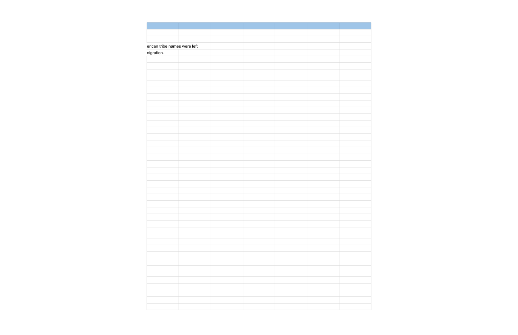| erican tribe names were left |  |  |  |
|------------------------------|--|--|--|
| nigration.                   |  |  |  |
|                              |  |  |  |
|                              |  |  |  |
|                              |  |  |  |
|                              |  |  |  |
|                              |  |  |  |
|                              |  |  |  |
|                              |  |  |  |
|                              |  |  |  |
|                              |  |  |  |
|                              |  |  |  |
|                              |  |  |  |
|                              |  |  |  |
|                              |  |  |  |
|                              |  |  |  |
|                              |  |  |  |
|                              |  |  |  |
|                              |  |  |  |
|                              |  |  |  |
|                              |  |  |  |
|                              |  |  |  |
|                              |  |  |  |
|                              |  |  |  |
|                              |  |  |  |
|                              |  |  |  |
|                              |  |  |  |
|                              |  |  |  |
|                              |  |  |  |
|                              |  |  |  |
|                              |  |  |  |
|                              |  |  |  |
|                              |  |  |  |
|                              |  |  |  |
|                              |  |  |  |
|                              |  |  |  |
|                              |  |  |  |
|                              |  |  |  |
|                              |  |  |  |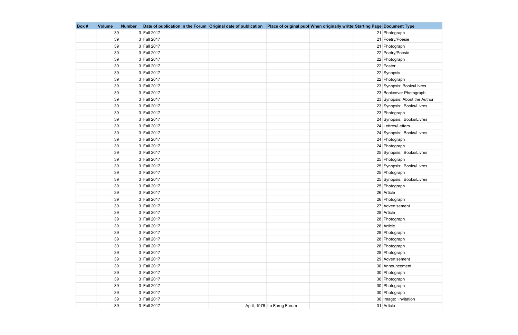| Box# | <b>Volume</b> | <b>Number</b> | Date of publication in the Forum Original date of publication   Place of original publ When originally writte Starting Page Document Type |                            |  |                               |
|------|---------------|---------------|-------------------------------------------------------------------------------------------------------------------------------------------|----------------------------|--|-------------------------------|
|      | 39            |               | 3 Fall 2017                                                                                                                               |                            |  | 21 Photograph                 |
|      | 39            |               | 3 Fall 2017                                                                                                                               |                            |  | 21 Poetry/Poésie              |
|      | 39            |               | 3 Fall 2017                                                                                                                               |                            |  | 21 Photograph                 |
|      | 39            |               | 3 Fall 2017                                                                                                                               |                            |  | 22 Poetry/Poésie              |
|      | 39            |               | 3 Fall 2017                                                                                                                               |                            |  | 22 Photograph                 |
|      | 39            |               | 3 Fall 2017                                                                                                                               |                            |  | 22 Poster                     |
|      | 39            |               | 3 Fall 2017                                                                                                                               |                            |  | 22 Synopsis                   |
|      | 39            |               | 3 Fall 2017                                                                                                                               |                            |  | 22 Photograph                 |
|      | 39            |               | 3 Fall 2017                                                                                                                               |                            |  | 23 Synopsis: Books/Livres     |
|      | 39            |               | 3 Fall 2017                                                                                                                               |                            |  | 23 Bookcover Photograph       |
|      | 39            |               | 3 Fall 2017                                                                                                                               |                            |  | 23 Synopsis: About the Author |
|      | 39            |               | 3 Fall 2017                                                                                                                               |                            |  | 23 Synopsis: Books/Livres     |
|      | 39            |               | 3 Fall 2017                                                                                                                               |                            |  | 23 Photograph                 |
|      | 39            |               | 3 Fall 2017                                                                                                                               |                            |  | 24 Synopsis: Books/Livres     |
|      | 39            |               | 3 Fall 2017                                                                                                                               |                            |  | 24 Lettres/Letters            |
|      | 39            |               | 3 Fall 2017                                                                                                                               |                            |  | 24 Synopsis: Books/Livres     |
|      | 39            |               | 3 Fall 2017                                                                                                                               |                            |  | 24 Photograph                 |
|      | 39            |               | 3 Fall 2017                                                                                                                               |                            |  | 24 Photograph                 |
|      | 39            |               | 3 Fall 2017                                                                                                                               |                            |  | 25 Synopsis: Books/Livres     |
|      | 39            |               | 3 Fall 2017                                                                                                                               |                            |  | 25 Photograph                 |
|      | 39            |               | 3 Fall 2017                                                                                                                               |                            |  | 25 Synopsis: Books/Livres     |
|      | 39            |               | 3 Fall 2017                                                                                                                               |                            |  | 25 Photograph                 |
|      | 39            |               | 3 Fall 2017                                                                                                                               |                            |  | 25 Synopsis: Books/Livres     |
|      | 39            |               | 3 Fall 2017                                                                                                                               |                            |  | 25 Photograph                 |
|      | 39            |               | 3 Fall 2017                                                                                                                               |                            |  | 26 Article                    |
|      | 39            |               | 3 Fall 2017                                                                                                                               |                            |  | 26 Photograph                 |
|      | 39            |               | 3 Fall 2017                                                                                                                               |                            |  | 27 Advertisement              |
|      | 39            |               | 3 Fall 2017                                                                                                                               |                            |  | 28 Article                    |
|      | 39            |               | 3 Fall 2017                                                                                                                               |                            |  | 28 Photograph                 |
|      | 39            |               | 3 Fall 2017                                                                                                                               |                            |  | 28 Article                    |
|      | 39            |               | 3 Fall 2017                                                                                                                               |                            |  | 28 Photograph                 |
|      | 39            |               | 3 Fall 2017                                                                                                                               |                            |  | 28 Photograph                 |
|      | 39            |               | 3 Fall 2017                                                                                                                               |                            |  | 28 Photograph                 |
|      | 39            |               | 3 Fall 2017                                                                                                                               |                            |  | 28 Photograph                 |
|      | 39            |               | 3 Fall 2017                                                                                                                               |                            |  | 29 Advertisement              |
|      | 39            |               | 3 Fall 2017                                                                                                                               |                            |  | 30 Announcement               |
|      | 39            |               | 3 Fall 2017                                                                                                                               |                            |  | 30 Photograph                 |
|      | 39            |               | 3 Fall 2017                                                                                                                               |                            |  | 30 Photograph                 |
|      | 39            |               | 3 Fall 2017                                                                                                                               |                            |  | 30 Photograph                 |
|      | 39            |               | 3 Fall 2017                                                                                                                               |                            |  | 30 Photograph                 |
|      | 39            |               | 3 Fall 2017                                                                                                                               |                            |  | 30 Image: Invitation          |
|      | 39            |               | 3 Fall 2017                                                                                                                               | April, 1976 Le Farog Forum |  | 31 Article                    |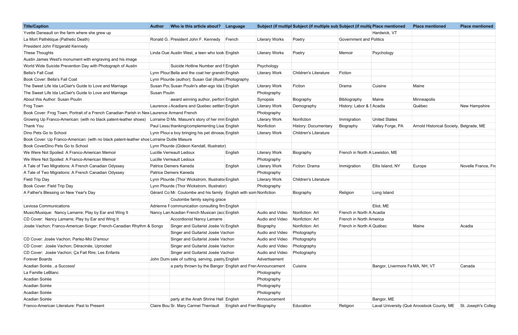| Hardwick, VT<br>Ronald G. President John F. Kennedy<br><b>Literary Works</b><br>Poetry<br><b>Government and Politics</b><br>French<br>Linda Oue Austin West, a teen who took English<br><b>Literary Works</b><br>Poetry<br>Memoir<br>Psychology<br>Suicide Hotline Number and F English<br>Psychology<br>Lynn Plour Bella and the coat her grandn English<br><b>Children's Literature</b><br>Fiction<br><b>Literary Work</b><br>Lynn Plourde (author); Susan Gal (illustr. Photography<br>Fiction<br>Susan Pou Susan Poulin's alter-ego Ida I English<br><b>Literary Work</b><br>Cuisine<br>Maine<br>Drama<br>Susan Poulin<br>Photography<br>award winning author, perforr English<br>Bibliography<br>Minneapolis<br>Synopsis<br>Biography<br>Maine<br>Laurence Acadians and Quebec settlers English<br>History: Labor & § Acadia<br>Québec<br>New Hampshire<br><b>Literary Work</b><br>Demography<br>Book Cover: Frog Town; Portrait of a French Canadian Parish in New Laurence Armand French<br>Photography<br>Lorraine D Ms. Masure's story of her imn English<br>Nonfiction<br><b>United States</b><br><b>Literary Work</b><br>Immigration<br>Paul Less: thanking/complementing Lisa English<br>Nonfiction<br>History: Documentary<br>Arnold Historical Society, Belgrade, ME<br>Biography<br>Valley Forge, PA<br>Lynn Plour a boy bringing his pet dinosal English<br>Children's Literature<br><b>Literary Work</b><br>Book Cover: Up Franco-American: (with no black patent-leather shoe Lorraine Dutile Masure<br>Lynn Plourde (Gideon Kendall, Illustrator)<br>We Were Not Spoiled: A Franco-American Memoir<br>Lucille Verreault Ledoux<br>French in North A Lewiston, ME<br>English<br><b>Literary Work</b><br>Biography<br>We Were Not Spoiled: A Franco-American Memoir<br>Lucille Verreault Ledoux<br>Photography<br>A Tale of Two Migrations: A French Canadian Odyssey<br>Patrice Demers Kaneda<br>English<br><b>Literary Work</b><br>Fiction: Drama<br>Ellis Island, NY<br>Europe<br>Immigration<br>A Tale of Two Migrations: A French Canadian Odyssey<br>Patrice Demers Kaneda<br>Photography<br>Field Trip Day<br>Lynn Plourde (Thor Wickstrom, Illustrato English<br><b>Literary Work</b><br>Children's Literature<br>Book Cover: Field Trip Day<br>Lynn Plourde (Thor Wickstrom, Illustrator)<br>Photography<br>A Father's Blessing on New Year's Day<br>Gérard Co Mr. Coulombe and his family English with som Nonfiction<br>Religion<br>Long Island<br>Biography<br>Coulombe family saying grace<br>Adrienne F communication consulting firm English<br>Eliot, ME<br>Audio and Video Nonfiction: Art<br>French in North A Acadia<br>Nancy Lan Acadian French Musican (acc English<br>Audio and Video<br>Nonfiction: Art<br>French in North America<br><b>Accordionist Nancy Lamarre</b><br>Josée Vachon; Franco-American Singer; French-Canadian Rhythm & Songs<br>Singer and Guitarist Josée Va English<br>Nonfiction: Art<br>French in North A Québec<br>Maine<br>Acadia<br>Biography<br>Audio and Video<br>Photography<br>Singer and Guitarist Josée Vachon<br>Singer and Guitarist Josée Vachon<br>Audio and Video<br>Photography<br>Audio and Video<br>Singer and Guitarist Josée Vachon<br>Photography<br>Singer and Guitarist Josée Vachon<br>Audio and Video<br>Photography<br>John Dum sale of cutting, serving, pastry English<br>Advertisement<br>Cuisine<br>a party thrown by the Bangor English and Fren Announcement<br>Bangor, Livermore Fa MA, NH, VT<br>Canada<br>Photography<br>Photography<br>Photography<br>Photography<br>Bangor, ME<br>party at the Anah Shrine Hall English<br>Announcement<br>Claire Bou Sr. Mary Carmel Therriault<br>Education<br>Laval University (Qué Aroostook County, ME St. Joseph's Colleg<br><b>English and Fren Biography</b><br>Religion | <b>Title/Caption</b>                                             | <b>Author</b> | Who is this article about? Language |  | Subject (if multipl Subject (if multiple sub Subject (if multir Place mentioned |  | <b>Place mentioned</b> | <b>Place mentioned</b> |
|---------------------------------------------------------------------------------------------------------------------------------------------------------------------------------------------------------------------------------------------------------------------------------------------------------------------------------------------------------------------------------------------------------------------------------------------------------------------------------------------------------------------------------------------------------------------------------------------------------------------------------------------------------------------------------------------------------------------------------------------------------------------------------------------------------------------------------------------------------------------------------------------------------------------------------------------------------------------------------------------------------------------------------------------------------------------------------------------------------------------------------------------------------------------------------------------------------------------------------------------------------------------------------------------------------------------------------------------------------------------------------------------------------------------------------------------------------------------------------------------------------------------------------------------------------------------------------------------------------------------------------------------------------------------------------------------------------------------------------------------------------------------------------------------------------------------------------------------------------------------------------------------------------------------------------------------------------------------------------------------------------------------------------------------------------------------------------------------------------------------------------------------------------------------------------------------------------------------------------------------------------------------------------------------------------------------------------------------------------------------------------------------------------------------------------------------------------------------------------------------------------------------------------------------------------------------------------------------------------------------------------------------------------------------------------------------------------------------------------------------------------------------------------------------------------------------------------------------------------------------------------------------------------------------------------------------------------------------------------------------------------------------------------------------------------------------------------------------------------------------------------------------------------------------------------------------------------------------------------------------------------------------------------------------------------------------------------------------------------------------------------------------------------------------------------------------------------------------------------------------------------------------------------------------------------------------------------------------------------------------------------------------------------------------------------------------------------------------------------------------------------------------------------------------------------------------|------------------------------------------------------------------|---------------|-------------------------------------|--|---------------------------------------------------------------------------------|--|------------------------|------------------------|
|                                                                                                                                                                                                                                                                                                                                                                                                                                                                                                                                                                                                                                                                                                                                                                                                                                                                                                                                                                                                                                                                                                                                                                                                                                                                                                                                                                                                                                                                                                                                                                                                                                                                                                                                                                                                                                                                                                                                                                                                                                                                                                                                                                                                                                                                                                                                                                                                                                                                                                                                                                                                                                                                                                                                                                                                                                                                                                                                                                                                                                                                                                                                                                                                                                                                                                                                                                                                                                                                                                                                                                                                                                                                                                                                                                                                                     | Yvette Daneault on the farm where she grew up                    |               |                                     |  |                                                                                 |  |                        |                        |
|                                                                                                                                                                                                                                                                                                                                                                                                                                                                                                                                                                                                                                                                                                                                                                                                                                                                                                                                                                                                                                                                                                                                                                                                                                                                                                                                                                                                                                                                                                                                                                                                                                                                                                                                                                                                                                                                                                                                                                                                                                                                                                                                                                                                                                                                                                                                                                                                                                                                                                                                                                                                                                                                                                                                                                                                                                                                                                                                                                                                                                                                                                                                                                                                                                                                                                                                                                                                                                                                                                                                                                                                                                                                                                                                                                                                                     | La Mort Pathétique (Pathetic Death)                              |               |                                     |  |                                                                                 |  |                        |                        |
|                                                                                                                                                                                                                                                                                                                                                                                                                                                                                                                                                                                                                                                                                                                                                                                                                                                                                                                                                                                                                                                                                                                                                                                                                                                                                                                                                                                                                                                                                                                                                                                                                                                                                                                                                                                                                                                                                                                                                                                                                                                                                                                                                                                                                                                                                                                                                                                                                                                                                                                                                                                                                                                                                                                                                                                                                                                                                                                                                                                                                                                                                                                                                                                                                                                                                                                                                                                                                                                                                                                                                                                                                                                                                                                                                                                                                     | President John Fitzgerald Kennedy                                |               |                                     |  |                                                                                 |  |                        |                        |
|                                                                                                                                                                                                                                                                                                                                                                                                                                                                                                                                                                                                                                                                                                                                                                                                                                                                                                                                                                                                                                                                                                                                                                                                                                                                                                                                                                                                                                                                                                                                                                                                                                                                                                                                                                                                                                                                                                                                                                                                                                                                                                                                                                                                                                                                                                                                                                                                                                                                                                                                                                                                                                                                                                                                                                                                                                                                                                                                                                                                                                                                                                                                                                                                                                                                                                                                                                                                                                                                                                                                                                                                                                                                                                                                                                                                                     | These Thoughts                                                   |               |                                     |  |                                                                                 |  |                        |                        |
|                                                                                                                                                                                                                                                                                                                                                                                                                                                                                                                                                                                                                                                                                                                                                                                                                                                                                                                                                                                                                                                                                                                                                                                                                                                                                                                                                                                                                                                                                                                                                                                                                                                                                                                                                                                                                                                                                                                                                                                                                                                                                                                                                                                                                                                                                                                                                                                                                                                                                                                                                                                                                                                                                                                                                                                                                                                                                                                                                                                                                                                                                                                                                                                                                                                                                                                                                                                                                                                                                                                                                                                                                                                                                                                                                                                                                     | Austin James West's monument with engraving and his image        |               |                                     |  |                                                                                 |  |                        |                        |
|                                                                                                                                                                                                                                                                                                                                                                                                                                                                                                                                                                                                                                                                                                                                                                                                                                                                                                                                                                                                                                                                                                                                                                                                                                                                                                                                                                                                                                                                                                                                                                                                                                                                                                                                                                                                                                                                                                                                                                                                                                                                                                                                                                                                                                                                                                                                                                                                                                                                                                                                                                                                                                                                                                                                                                                                                                                                                                                                                                                                                                                                                                                                                                                                                                                                                                                                                                                                                                                                                                                                                                                                                                                                                                                                                                                                                     | World Wide Suicide Prevention Day with Photograph of Austin      |               |                                     |  |                                                                                 |  |                        |                        |
|                                                                                                                                                                                                                                                                                                                                                                                                                                                                                                                                                                                                                                                                                                                                                                                                                                                                                                                                                                                                                                                                                                                                                                                                                                                                                                                                                                                                                                                                                                                                                                                                                                                                                                                                                                                                                                                                                                                                                                                                                                                                                                                                                                                                                                                                                                                                                                                                                                                                                                                                                                                                                                                                                                                                                                                                                                                                                                                                                                                                                                                                                                                                                                                                                                                                                                                                                                                                                                                                                                                                                                                                                                                                                                                                                                                                                     | <b>Bella's Fall Coat</b>                                         |               |                                     |  |                                                                                 |  |                        |                        |
|                                                                                                                                                                                                                                                                                                                                                                                                                                                                                                                                                                                                                                                                                                                                                                                                                                                                                                                                                                                                                                                                                                                                                                                                                                                                                                                                                                                                                                                                                                                                                                                                                                                                                                                                                                                                                                                                                                                                                                                                                                                                                                                                                                                                                                                                                                                                                                                                                                                                                                                                                                                                                                                                                                                                                                                                                                                                                                                                                                                                                                                                                                                                                                                                                                                                                                                                                                                                                                                                                                                                                                                                                                                                                                                                                                                                                     | Book Cover: Bella's Fall Coat                                    |               |                                     |  |                                                                                 |  |                        |                        |
|                                                                                                                                                                                                                                                                                                                                                                                                                                                                                                                                                                                                                                                                                                                                                                                                                                                                                                                                                                                                                                                                                                                                                                                                                                                                                                                                                                                                                                                                                                                                                                                                                                                                                                                                                                                                                                                                                                                                                                                                                                                                                                                                                                                                                                                                                                                                                                                                                                                                                                                                                                                                                                                                                                                                                                                                                                                                                                                                                                                                                                                                                                                                                                                                                                                                                                                                                                                                                                                                                                                                                                                                                                                                                                                                                                                                                     | The Sweet Life Ida LeClair's Guide to Love and Marriage          |               |                                     |  |                                                                                 |  |                        |                        |
|                                                                                                                                                                                                                                                                                                                                                                                                                                                                                                                                                                                                                                                                                                                                                                                                                                                                                                                                                                                                                                                                                                                                                                                                                                                                                                                                                                                                                                                                                                                                                                                                                                                                                                                                                                                                                                                                                                                                                                                                                                                                                                                                                                                                                                                                                                                                                                                                                                                                                                                                                                                                                                                                                                                                                                                                                                                                                                                                                                                                                                                                                                                                                                                                                                                                                                                                                                                                                                                                                                                                                                                                                                                                                                                                                                                                                     | The Sweet Life Ida LeClair's Guide to Love and Marriage          |               |                                     |  |                                                                                 |  |                        |                        |
|                                                                                                                                                                                                                                                                                                                                                                                                                                                                                                                                                                                                                                                                                                                                                                                                                                                                                                                                                                                                                                                                                                                                                                                                                                                                                                                                                                                                                                                                                                                                                                                                                                                                                                                                                                                                                                                                                                                                                                                                                                                                                                                                                                                                                                                                                                                                                                                                                                                                                                                                                                                                                                                                                                                                                                                                                                                                                                                                                                                                                                                                                                                                                                                                                                                                                                                                                                                                                                                                                                                                                                                                                                                                                                                                                                                                                     | About this Author: Susan Poulin                                  |               |                                     |  |                                                                                 |  |                        |                        |
|                                                                                                                                                                                                                                                                                                                                                                                                                                                                                                                                                                                                                                                                                                                                                                                                                                                                                                                                                                                                                                                                                                                                                                                                                                                                                                                                                                                                                                                                                                                                                                                                                                                                                                                                                                                                                                                                                                                                                                                                                                                                                                                                                                                                                                                                                                                                                                                                                                                                                                                                                                                                                                                                                                                                                                                                                                                                                                                                                                                                                                                                                                                                                                                                                                                                                                                                                                                                                                                                                                                                                                                                                                                                                                                                                                                                                     | Frog Town                                                        |               |                                     |  |                                                                                 |  |                        |                        |
|                                                                                                                                                                                                                                                                                                                                                                                                                                                                                                                                                                                                                                                                                                                                                                                                                                                                                                                                                                                                                                                                                                                                                                                                                                                                                                                                                                                                                                                                                                                                                                                                                                                                                                                                                                                                                                                                                                                                                                                                                                                                                                                                                                                                                                                                                                                                                                                                                                                                                                                                                                                                                                                                                                                                                                                                                                                                                                                                                                                                                                                                                                                                                                                                                                                                                                                                                                                                                                                                                                                                                                                                                                                                                                                                                                                                                     |                                                                  |               |                                     |  |                                                                                 |  |                        |                        |
|                                                                                                                                                                                                                                                                                                                                                                                                                                                                                                                                                                                                                                                                                                                                                                                                                                                                                                                                                                                                                                                                                                                                                                                                                                                                                                                                                                                                                                                                                                                                                                                                                                                                                                                                                                                                                                                                                                                                                                                                                                                                                                                                                                                                                                                                                                                                                                                                                                                                                                                                                                                                                                                                                                                                                                                                                                                                                                                                                                                                                                                                                                                                                                                                                                                                                                                                                                                                                                                                                                                                                                                                                                                                                                                                                                                                                     | Growing Up Franco-American: (with no black patent-leather shoes) |               |                                     |  |                                                                                 |  |                        |                        |
|                                                                                                                                                                                                                                                                                                                                                                                                                                                                                                                                                                                                                                                                                                                                                                                                                                                                                                                                                                                                                                                                                                                                                                                                                                                                                                                                                                                                                                                                                                                                                                                                                                                                                                                                                                                                                                                                                                                                                                                                                                                                                                                                                                                                                                                                                                                                                                                                                                                                                                                                                                                                                                                                                                                                                                                                                                                                                                                                                                                                                                                                                                                                                                                                                                                                                                                                                                                                                                                                                                                                                                                                                                                                                                                                                                                                                     | Thank You                                                        |               |                                     |  |                                                                                 |  |                        |                        |
|                                                                                                                                                                                                                                                                                                                                                                                                                                                                                                                                                                                                                                                                                                                                                                                                                                                                                                                                                                                                                                                                                                                                                                                                                                                                                                                                                                                                                                                                                                                                                                                                                                                                                                                                                                                                                                                                                                                                                                                                                                                                                                                                                                                                                                                                                                                                                                                                                                                                                                                                                                                                                                                                                                                                                                                                                                                                                                                                                                                                                                                                                                                                                                                                                                                                                                                                                                                                                                                                                                                                                                                                                                                                                                                                                                                                                     | Dino Pets Go to School                                           |               |                                     |  |                                                                                 |  |                        |                        |
|                                                                                                                                                                                                                                                                                                                                                                                                                                                                                                                                                                                                                                                                                                                                                                                                                                                                                                                                                                                                                                                                                                                                                                                                                                                                                                                                                                                                                                                                                                                                                                                                                                                                                                                                                                                                                                                                                                                                                                                                                                                                                                                                                                                                                                                                                                                                                                                                                                                                                                                                                                                                                                                                                                                                                                                                                                                                                                                                                                                                                                                                                                                                                                                                                                                                                                                                                                                                                                                                                                                                                                                                                                                                                                                                                                                                                     |                                                                  |               |                                     |  |                                                                                 |  |                        |                        |
|                                                                                                                                                                                                                                                                                                                                                                                                                                                                                                                                                                                                                                                                                                                                                                                                                                                                                                                                                                                                                                                                                                                                                                                                                                                                                                                                                                                                                                                                                                                                                                                                                                                                                                                                                                                                                                                                                                                                                                                                                                                                                                                                                                                                                                                                                                                                                                                                                                                                                                                                                                                                                                                                                                                                                                                                                                                                                                                                                                                                                                                                                                                                                                                                                                                                                                                                                                                                                                                                                                                                                                                                                                                                                                                                                                                                                     | Book CoverDino Pets Go to School                                 |               |                                     |  |                                                                                 |  |                        |                        |
|                                                                                                                                                                                                                                                                                                                                                                                                                                                                                                                                                                                                                                                                                                                                                                                                                                                                                                                                                                                                                                                                                                                                                                                                                                                                                                                                                                                                                                                                                                                                                                                                                                                                                                                                                                                                                                                                                                                                                                                                                                                                                                                                                                                                                                                                                                                                                                                                                                                                                                                                                                                                                                                                                                                                                                                                                                                                                                                                                                                                                                                                                                                                                                                                                                                                                                                                                                                                                                                                                                                                                                                                                                                                                                                                                                                                                     |                                                                  |               |                                     |  |                                                                                 |  |                        |                        |
|                                                                                                                                                                                                                                                                                                                                                                                                                                                                                                                                                                                                                                                                                                                                                                                                                                                                                                                                                                                                                                                                                                                                                                                                                                                                                                                                                                                                                                                                                                                                                                                                                                                                                                                                                                                                                                                                                                                                                                                                                                                                                                                                                                                                                                                                                                                                                                                                                                                                                                                                                                                                                                                                                                                                                                                                                                                                                                                                                                                                                                                                                                                                                                                                                                                                                                                                                                                                                                                                                                                                                                                                                                                                                                                                                                                                                     |                                                                  |               |                                     |  |                                                                                 |  |                        |                        |
|                                                                                                                                                                                                                                                                                                                                                                                                                                                                                                                                                                                                                                                                                                                                                                                                                                                                                                                                                                                                                                                                                                                                                                                                                                                                                                                                                                                                                                                                                                                                                                                                                                                                                                                                                                                                                                                                                                                                                                                                                                                                                                                                                                                                                                                                                                                                                                                                                                                                                                                                                                                                                                                                                                                                                                                                                                                                                                                                                                                                                                                                                                                                                                                                                                                                                                                                                                                                                                                                                                                                                                                                                                                                                                                                                                                                                     |                                                                  |               |                                     |  |                                                                                 |  |                        | Novelle France, Fre    |
|                                                                                                                                                                                                                                                                                                                                                                                                                                                                                                                                                                                                                                                                                                                                                                                                                                                                                                                                                                                                                                                                                                                                                                                                                                                                                                                                                                                                                                                                                                                                                                                                                                                                                                                                                                                                                                                                                                                                                                                                                                                                                                                                                                                                                                                                                                                                                                                                                                                                                                                                                                                                                                                                                                                                                                                                                                                                                                                                                                                                                                                                                                                                                                                                                                                                                                                                                                                                                                                                                                                                                                                                                                                                                                                                                                                                                     |                                                                  |               |                                     |  |                                                                                 |  |                        |                        |
|                                                                                                                                                                                                                                                                                                                                                                                                                                                                                                                                                                                                                                                                                                                                                                                                                                                                                                                                                                                                                                                                                                                                                                                                                                                                                                                                                                                                                                                                                                                                                                                                                                                                                                                                                                                                                                                                                                                                                                                                                                                                                                                                                                                                                                                                                                                                                                                                                                                                                                                                                                                                                                                                                                                                                                                                                                                                                                                                                                                                                                                                                                                                                                                                                                                                                                                                                                                                                                                                                                                                                                                                                                                                                                                                                                                                                     |                                                                  |               |                                     |  |                                                                                 |  |                        |                        |
|                                                                                                                                                                                                                                                                                                                                                                                                                                                                                                                                                                                                                                                                                                                                                                                                                                                                                                                                                                                                                                                                                                                                                                                                                                                                                                                                                                                                                                                                                                                                                                                                                                                                                                                                                                                                                                                                                                                                                                                                                                                                                                                                                                                                                                                                                                                                                                                                                                                                                                                                                                                                                                                                                                                                                                                                                                                                                                                                                                                                                                                                                                                                                                                                                                                                                                                                                                                                                                                                                                                                                                                                                                                                                                                                                                                                                     |                                                                  |               |                                     |  |                                                                                 |  |                        |                        |
|                                                                                                                                                                                                                                                                                                                                                                                                                                                                                                                                                                                                                                                                                                                                                                                                                                                                                                                                                                                                                                                                                                                                                                                                                                                                                                                                                                                                                                                                                                                                                                                                                                                                                                                                                                                                                                                                                                                                                                                                                                                                                                                                                                                                                                                                                                                                                                                                                                                                                                                                                                                                                                                                                                                                                                                                                                                                                                                                                                                                                                                                                                                                                                                                                                                                                                                                                                                                                                                                                                                                                                                                                                                                                                                                                                                                                     |                                                                  |               |                                     |  |                                                                                 |  |                        |                        |
|                                                                                                                                                                                                                                                                                                                                                                                                                                                                                                                                                                                                                                                                                                                                                                                                                                                                                                                                                                                                                                                                                                                                                                                                                                                                                                                                                                                                                                                                                                                                                                                                                                                                                                                                                                                                                                                                                                                                                                                                                                                                                                                                                                                                                                                                                                                                                                                                                                                                                                                                                                                                                                                                                                                                                                                                                                                                                                                                                                                                                                                                                                                                                                                                                                                                                                                                                                                                                                                                                                                                                                                                                                                                                                                                                                                                                     |                                                                  |               |                                     |  |                                                                                 |  |                        |                        |
|                                                                                                                                                                                                                                                                                                                                                                                                                                                                                                                                                                                                                                                                                                                                                                                                                                                                                                                                                                                                                                                                                                                                                                                                                                                                                                                                                                                                                                                                                                                                                                                                                                                                                                                                                                                                                                                                                                                                                                                                                                                                                                                                                                                                                                                                                                                                                                                                                                                                                                                                                                                                                                                                                                                                                                                                                                                                                                                                                                                                                                                                                                                                                                                                                                                                                                                                                                                                                                                                                                                                                                                                                                                                                                                                                                                                                     | Leviosa Communications                                           |               |                                     |  |                                                                                 |  |                        |                        |
|                                                                                                                                                                                                                                                                                                                                                                                                                                                                                                                                                                                                                                                                                                                                                                                                                                                                                                                                                                                                                                                                                                                                                                                                                                                                                                                                                                                                                                                                                                                                                                                                                                                                                                                                                                                                                                                                                                                                                                                                                                                                                                                                                                                                                                                                                                                                                                                                                                                                                                                                                                                                                                                                                                                                                                                                                                                                                                                                                                                                                                                                                                                                                                                                                                                                                                                                                                                                                                                                                                                                                                                                                                                                                                                                                                                                                     | Music/Musique: Nancy Lamarre; Play by Ear and Wing It            |               |                                     |  |                                                                                 |  |                        |                        |
|                                                                                                                                                                                                                                                                                                                                                                                                                                                                                                                                                                                                                                                                                                                                                                                                                                                                                                                                                                                                                                                                                                                                                                                                                                                                                                                                                                                                                                                                                                                                                                                                                                                                                                                                                                                                                                                                                                                                                                                                                                                                                                                                                                                                                                                                                                                                                                                                                                                                                                                                                                                                                                                                                                                                                                                                                                                                                                                                                                                                                                                                                                                                                                                                                                                                                                                                                                                                                                                                                                                                                                                                                                                                                                                                                                                                                     | CD Cover: Nancy Lamarre; Play by Ear and Wing It                 |               |                                     |  |                                                                                 |  |                        |                        |
|                                                                                                                                                                                                                                                                                                                                                                                                                                                                                                                                                                                                                                                                                                                                                                                                                                                                                                                                                                                                                                                                                                                                                                                                                                                                                                                                                                                                                                                                                                                                                                                                                                                                                                                                                                                                                                                                                                                                                                                                                                                                                                                                                                                                                                                                                                                                                                                                                                                                                                                                                                                                                                                                                                                                                                                                                                                                                                                                                                                                                                                                                                                                                                                                                                                                                                                                                                                                                                                                                                                                                                                                                                                                                                                                                                                                                     |                                                                  |               |                                     |  |                                                                                 |  |                        |                        |
|                                                                                                                                                                                                                                                                                                                                                                                                                                                                                                                                                                                                                                                                                                                                                                                                                                                                                                                                                                                                                                                                                                                                                                                                                                                                                                                                                                                                                                                                                                                                                                                                                                                                                                                                                                                                                                                                                                                                                                                                                                                                                                                                                                                                                                                                                                                                                                                                                                                                                                                                                                                                                                                                                                                                                                                                                                                                                                                                                                                                                                                                                                                                                                                                                                                                                                                                                                                                                                                                                                                                                                                                                                                                                                                                                                                                                     |                                                                  |               |                                     |  |                                                                                 |  |                        |                        |
|                                                                                                                                                                                                                                                                                                                                                                                                                                                                                                                                                                                                                                                                                                                                                                                                                                                                                                                                                                                                                                                                                                                                                                                                                                                                                                                                                                                                                                                                                                                                                                                                                                                                                                                                                                                                                                                                                                                                                                                                                                                                                                                                                                                                                                                                                                                                                                                                                                                                                                                                                                                                                                                                                                                                                                                                                                                                                                                                                                                                                                                                                                                                                                                                                                                                                                                                                                                                                                                                                                                                                                                                                                                                                                                                                                                                                     | CD Cover: Josée Vachon; Parlez-Moi D'amour                       |               |                                     |  |                                                                                 |  |                        |                        |
|                                                                                                                                                                                                                                                                                                                                                                                                                                                                                                                                                                                                                                                                                                                                                                                                                                                                                                                                                                                                                                                                                                                                                                                                                                                                                                                                                                                                                                                                                                                                                                                                                                                                                                                                                                                                                                                                                                                                                                                                                                                                                                                                                                                                                                                                                                                                                                                                                                                                                                                                                                                                                                                                                                                                                                                                                                                                                                                                                                                                                                                                                                                                                                                                                                                                                                                                                                                                                                                                                                                                                                                                                                                                                                                                                                                                                     | CD Cover: Josée Vachon; Déracinée, Uprooted                      |               |                                     |  |                                                                                 |  |                        |                        |
|                                                                                                                                                                                                                                                                                                                                                                                                                                                                                                                                                                                                                                                                                                                                                                                                                                                                                                                                                                                                                                                                                                                                                                                                                                                                                                                                                                                                                                                                                                                                                                                                                                                                                                                                                                                                                                                                                                                                                                                                                                                                                                                                                                                                                                                                                                                                                                                                                                                                                                                                                                                                                                                                                                                                                                                                                                                                                                                                                                                                                                                                                                                                                                                                                                                                                                                                                                                                                                                                                                                                                                                                                                                                                                                                                                                                                     | CD Cover: Josée Vachon; Ça Fait Rire; Les Enfants                |               |                                     |  |                                                                                 |  |                        |                        |
|                                                                                                                                                                                                                                                                                                                                                                                                                                                                                                                                                                                                                                                                                                                                                                                                                                                                                                                                                                                                                                                                                                                                                                                                                                                                                                                                                                                                                                                                                                                                                                                                                                                                                                                                                                                                                                                                                                                                                                                                                                                                                                                                                                                                                                                                                                                                                                                                                                                                                                                                                                                                                                                                                                                                                                                                                                                                                                                                                                                                                                                                                                                                                                                                                                                                                                                                                                                                                                                                                                                                                                                                                                                                                                                                                                                                                     | Forever Boards                                                   |               |                                     |  |                                                                                 |  |                        |                        |
|                                                                                                                                                                                                                                                                                                                                                                                                                                                                                                                                                                                                                                                                                                                                                                                                                                                                                                                                                                                                                                                                                                                                                                                                                                                                                                                                                                                                                                                                                                                                                                                                                                                                                                                                                                                                                                                                                                                                                                                                                                                                                                                                                                                                                                                                                                                                                                                                                                                                                                                                                                                                                                                                                                                                                                                                                                                                                                                                                                                                                                                                                                                                                                                                                                                                                                                                                                                                                                                                                                                                                                                                                                                                                                                                                                                                                     | Acadian Soiréea Success!                                         |               |                                     |  |                                                                                 |  |                        |                        |
|                                                                                                                                                                                                                                                                                                                                                                                                                                                                                                                                                                                                                                                                                                                                                                                                                                                                                                                                                                                                                                                                                                                                                                                                                                                                                                                                                                                                                                                                                                                                                                                                                                                                                                                                                                                                                                                                                                                                                                                                                                                                                                                                                                                                                                                                                                                                                                                                                                                                                                                                                                                                                                                                                                                                                                                                                                                                                                                                                                                                                                                                                                                                                                                                                                                                                                                                                                                                                                                                                                                                                                                                                                                                                                                                                                                                                     | La Famille LeBlanc                                               |               |                                     |  |                                                                                 |  |                        |                        |
|                                                                                                                                                                                                                                                                                                                                                                                                                                                                                                                                                                                                                                                                                                                                                                                                                                                                                                                                                                                                                                                                                                                                                                                                                                                                                                                                                                                                                                                                                                                                                                                                                                                                                                                                                                                                                                                                                                                                                                                                                                                                                                                                                                                                                                                                                                                                                                                                                                                                                                                                                                                                                                                                                                                                                                                                                                                                                                                                                                                                                                                                                                                                                                                                                                                                                                                                                                                                                                                                                                                                                                                                                                                                                                                                                                                                                     | Acadian Soirée                                                   |               |                                     |  |                                                                                 |  |                        |                        |
|                                                                                                                                                                                                                                                                                                                                                                                                                                                                                                                                                                                                                                                                                                                                                                                                                                                                                                                                                                                                                                                                                                                                                                                                                                                                                                                                                                                                                                                                                                                                                                                                                                                                                                                                                                                                                                                                                                                                                                                                                                                                                                                                                                                                                                                                                                                                                                                                                                                                                                                                                                                                                                                                                                                                                                                                                                                                                                                                                                                                                                                                                                                                                                                                                                                                                                                                                                                                                                                                                                                                                                                                                                                                                                                                                                                                                     | Acadian Soirée                                                   |               |                                     |  |                                                                                 |  |                        |                        |
|                                                                                                                                                                                                                                                                                                                                                                                                                                                                                                                                                                                                                                                                                                                                                                                                                                                                                                                                                                                                                                                                                                                                                                                                                                                                                                                                                                                                                                                                                                                                                                                                                                                                                                                                                                                                                                                                                                                                                                                                                                                                                                                                                                                                                                                                                                                                                                                                                                                                                                                                                                                                                                                                                                                                                                                                                                                                                                                                                                                                                                                                                                                                                                                                                                                                                                                                                                                                                                                                                                                                                                                                                                                                                                                                                                                                                     | Acadian Soirée                                                   |               |                                     |  |                                                                                 |  |                        |                        |
|                                                                                                                                                                                                                                                                                                                                                                                                                                                                                                                                                                                                                                                                                                                                                                                                                                                                                                                                                                                                                                                                                                                                                                                                                                                                                                                                                                                                                                                                                                                                                                                                                                                                                                                                                                                                                                                                                                                                                                                                                                                                                                                                                                                                                                                                                                                                                                                                                                                                                                                                                                                                                                                                                                                                                                                                                                                                                                                                                                                                                                                                                                                                                                                                                                                                                                                                                                                                                                                                                                                                                                                                                                                                                                                                                                                                                     | Acadian Soirée                                                   |               |                                     |  |                                                                                 |  |                        |                        |
|                                                                                                                                                                                                                                                                                                                                                                                                                                                                                                                                                                                                                                                                                                                                                                                                                                                                                                                                                                                                                                                                                                                                                                                                                                                                                                                                                                                                                                                                                                                                                                                                                                                                                                                                                                                                                                                                                                                                                                                                                                                                                                                                                                                                                                                                                                                                                                                                                                                                                                                                                                                                                                                                                                                                                                                                                                                                                                                                                                                                                                                                                                                                                                                                                                                                                                                                                                                                                                                                                                                                                                                                                                                                                                                                                                                                                     | Franco-American Literature: Past to Present                      |               |                                     |  |                                                                                 |  |                        |                        |

| ace mentioned                  | <b>Place mentioned</b>                   | <b>Place mentioned</b> |
|--------------------------------|------------------------------------------|------------------------|
| ardwick, VT                    |                                          |                        |
| itics                          |                                          |                        |
|                                |                                          |                        |
| ychology                       |                                          |                        |
|                                |                                          |                        |
|                                |                                          |                        |
|                                |                                          |                        |
|                                |                                          |                        |
| ıisine                         | Maine                                    |                        |
|                                |                                          |                        |
| aine                           | Minneapolis                              |                        |
| adia                           | Québec                                   | New Hampshire          |
|                                |                                          |                        |
| nited States                   |                                          |                        |
|                                |                                          |                        |
| Illey Forge, PA                | Arnold Historical Society, Belgrade, ME  |                        |
|                                |                                          |                        |
|                                |                                          |                        |
|                                |                                          |                        |
| wiston, ME                     |                                          |                        |
|                                |                                          |                        |
| is Island, NY                  | Europe                                   | Novelle France, Fre    |
|                                |                                          |                        |
|                                |                                          |                        |
|                                |                                          |                        |
| ng Island                      |                                          |                        |
|                                |                                          |                        |
| ot, ME                         |                                          |                        |
| adia                           |                                          |                        |
| rica                           |                                          |                        |
| uébec                          | Maine                                    | Acadia                 |
|                                |                                          |                        |
|                                |                                          |                        |
|                                |                                          |                        |
|                                |                                          |                        |
|                                |                                          |                        |
| ingor, Livermore Fa MA, NH, VT |                                          | Canada                 |
|                                |                                          |                        |
|                                |                                          |                        |
|                                |                                          |                        |
|                                |                                          |                        |
| ingor, ME                      |                                          |                        |
|                                | val University (Qué Aroostook County, ME | St. Joseph's Colleg    |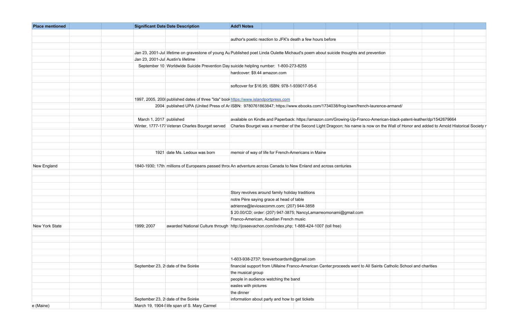| <b>Place mentioned</b> | <b>Significant Date Date Description</b><br><b>Add'l Notes</b>                                                                        |                                                                                                                                         |  |  |  |  |  |  |
|------------------------|---------------------------------------------------------------------------------------------------------------------------------------|-----------------------------------------------------------------------------------------------------------------------------------------|--|--|--|--|--|--|
|                        |                                                                                                                                       |                                                                                                                                         |  |  |  |  |  |  |
|                        | author's poetic reaction to JFK's death a few hours before                                                                            |                                                                                                                                         |  |  |  |  |  |  |
|                        |                                                                                                                                       |                                                                                                                                         |  |  |  |  |  |  |
|                        | Jan 23, 2001-Jul lifetime on gravestone of young Au Published poet Linda Oulette Michaud's poem about suicide thoughts and prevention |                                                                                                                                         |  |  |  |  |  |  |
|                        | Jan 23, 2001-Jul Austin's lifetime                                                                                                    |                                                                                                                                         |  |  |  |  |  |  |
|                        | September 10 Worldwide Suicide Prevention Day suicide helpling number: 1-800-273-8255                                                 |                                                                                                                                         |  |  |  |  |  |  |
|                        | hardcover: \$9.44 amazon.com                                                                                                          |                                                                                                                                         |  |  |  |  |  |  |
|                        |                                                                                                                                       |                                                                                                                                         |  |  |  |  |  |  |
|                        | softcover for \$16.95; ISBN: 978-1-939017-95-6                                                                                        |                                                                                                                                         |  |  |  |  |  |  |
|                        |                                                                                                                                       |                                                                                                                                         |  |  |  |  |  |  |
|                        | 1997, 2005, 2008 published dates of three "Ida" book https://www.islandportpress.com                                                  |                                                                                                                                         |  |  |  |  |  |  |
|                        | 2004 published UPA (United Press of Ar ISBN: 9780761863847; https://www.ebooks.com/1734038/frog-town/french-laurence-armand/          |                                                                                                                                         |  |  |  |  |  |  |
|                        |                                                                                                                                       |                                                                                                                                         |  |  |  |  |  |  |
|                        | March 1, 2017 published                                                                                                               | available on Kindle and Paperback: https://amazon.com/Growing-Up-Franco-American-black-patent-leather/dp/1542679664                     |  |  |  |  |  |  |
|                        | Winter, 1777-177 Veteran Charles Bourget served                                                                                       | Charles Bourget was a member of the Second Light Dragoon; his name is now on the Wall of Honor and added to Arnold Historical Society r |  |  |  |  |  |  |
|                        |                                                                                                                                       |                                                                                                                                         |  |  |  |  |  |  |
|                        |                                                                                                                                       |                                                                                                                                         |  |  |  |  |  |  |
|                        |                                                                                                                                       |                                                                                                                                         |  |  |  |  |  |  |
|                        | 1921 date Ms. Ledoux was born<br>memoir of way of life for French-Americans in Maine                                                  |                                                                                                                                         |  |  |  |  |  |  |
|                        |                                                                                                                                       |                                                                                                                                         |  |  |  |  |  |  |
| New England            | 1840-1930; 17th millions of Europeans passed throl An adventure across Canada to New Enland and across centuries                      |                                                                                                                                         |  |  |  |  |  |  |
|                        |                                                                                                                                       |                                                                                                                                         |  |  |  |  |  |  |
|                        |                                                                                                                                       |                                                                                                                                         |  |  |  |  |  |  |
|                        |                                                                                                                                       |                                                                                                                                         |  |  |  |  |  |  |
|                        | Story revolves around family holiday traditions                                                                                       |                                                                                                                                         |  |  |  |  |  |  |
|                        | notre Père saying grace at head of table                                                                                              |                                                                                                                                         |  |  |  |  |  |  |
|                        | adrienne@leviosacomm.com; (207) 944-3858                                                                                              |                                                                                                                                         |  |  |  |  |  |  |
|                        | \$20.00/CD; order: (207) 947-3875; NancyLamarreomonami@gmail.com                                                                      |                                                                                                                                         |  |  |  |  |  |  |
|                        | Franco-American, Acadian French music                                                                                                 |                                                                                                                                         |  |  |  |  |  |  |
| New York State         | awarded National Culture through http://joseevachon.com/index.php; 1-888-424-1007 (toll free)<br>1999; 2007                           |                                                                                                                                         |  |  |  |  |  |  |
|                        |                                                                                                                                       |                                                                                                                                         |  |  |  |  |  |  |
|                        |                                                                                                                                       |                                                                                                                                         |  |  |  |  |  |  |
|                        |                                                                                                                                       |                                                                                                                                         |  |  |  |  |  |  |
|                        |                                                                                                                                       |                                                                                                                                         |  |  |  |  |  |  |
|                        |                                                                                                                                       |                                                                                                                                         |  |  |  |  |  |  |
|                        | 1-603-938-2737; foreverboardsnh@gmail.com                                                                                             |                                                                                                                                         |  |  |  |  |  |  |
|                        | September 23, 2 date of the Soirée                                                                                                    | financial support from UMaine Franco-American Center; proceeds went to All Saints Catholic School and charities                         |  |  |  |  |  |  |
|                        | the musical group                                                                                                                     |                                                                                                                                         |  |  |  |  |  |  |
|                        | people in audience watching the band                                                                                                  |                                                                                                                                         |  |  |  |  |  |  |
|                        | easles with pictures                                                                                                                  |                                                                                                                                         |  |  |  |  |  |  |
|                        | the dinner                                                                                                                            |                                                                                                                                         |  |  |  |  |  |  |
|                        | September 23, 2 date of the Soirée<br>information about party and how to get tickets                                                  |                                                                                                                                         |  |  |  |  |  |  |
| e (Maine)              | March 19, 1904-I life span of S. Mary Carmel                                                                                          |                                                                                                                                         |  |  |  |  |  |  |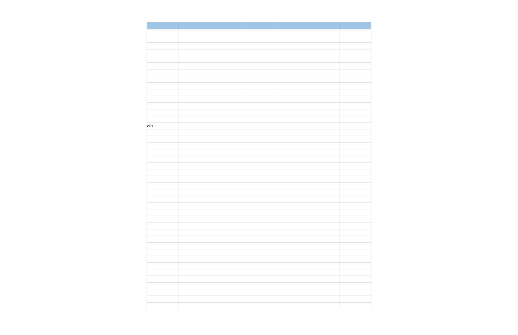| olls |  |  |
|------|--|--|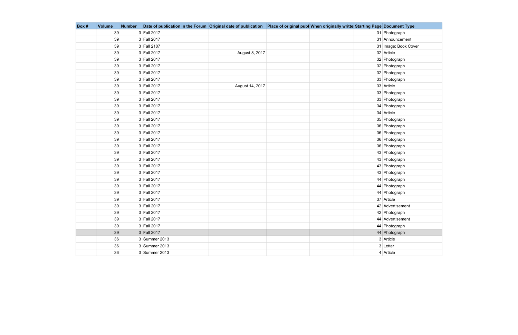| Box # | <b>Volume</b> | <b>Number</b> | Date of publication in the Forum Original date of publication Place of original publ When originally writte Starting Page Document Type |                 |  |                      |
|-------|---------------|---------------|-----------------------------------------------------------------------------------------------------------------------------------------|-----------------|--|----------------------|
|       | 39            |               | 3 Fall 2017                                                                                                                             |                 |  | 31 Photograph        |
|       | 39            |               | 3 Fall 2017                                                                                                                             |                 |  | 31 Announcement      |
|       | 39            |               | 3 Fall 2107                                                                                                                             |                 |  | 31 Image: Book Cover |
|       | 39            |               | 3 Fall 2017                                                                                                                             | August 8, 2017  |  | 32 Article           |
|       | 39            |               | 3 Fall 2017                                                                                                                             |                 |  | 32 Photograph        |
|       | 39            |               | 3 Fall 2017                                                                                                                             |                 |  | 32 Photograph        |
|       | 39            |               | 3 Fall 2017                                                                                                                             |                 |  | 32 Photograph        |
|       | 39            |               | 3 Fall 2017                                                                                                                             |                 |  | 33 Photograph        |
|       | 39            |               | 3 Fall 2017                                                                                                                             | August 14, 2017 |  | 33 Article           |
|       | 39            |               | 3 Fall 2017                                                                                                                             |                 |  | 33 Photograph        |
|       | 39            |               | 3 Fall 2017                                                                                                                             |                 |  | 33 Photograph        |
|       | 39            |               | 3 Fall 2017                                                                                                                             |                 |  | 34 Photograph        |
|       | 39            |               | 3 Fall 2017                                                                                                                             |                 |  | 34 Article           |
|       | 39            |               | 3 Fall 2017                                                                                                                             |                 |  | 35 Photograph        |
|       | 39            |               | 3 Fall 2017                                                                                                                             |                 |  | 36 Photograph        |
|       | 39            |               | 3 Fall 2017                                                                                                                             |                 |  | 36 Photograph        |
|       | 39            |               | 3 Fall 2017                                                                                                                             |                 |  | 36 Photograph        |
|       | 39            |               | 3 Fall 2017                                                                                                                             |                 |  | 36 Photograph        |
|       | 39            |               | 3 Fall 2017                                                                                                                             |                 |  | 43 Photograph        |
|       | 39            |               | 3 Fall 2017                                                                                                                             |                 |  | 43 Photograph        |
|       | 39            |               | 3 Fall 2017                                                                                                                             |                 |  | 43 Photograph        |
|       | 39            |               | 3 Fall 2017                                                                                                                             |                 |  | 43 Photograph        |
|       | 39            |               | 3 Fall 2017                                                                                                                             |                 |  | 44 Photograph        |
|       | 39            |               | 3 Fall 2017                                                                                                                             |                 |  | 44 Photograph        |
|       | 39            |               | 3 Fall 2017                                                                                                                             |                 |  | 44 Photograph        |
|       | 39            |               | 3 Fall 2017                                                                                                                             |                 |  | 37 Article           |
|       | 39            |               | 3 Fall 2017                                                                                                                             |                 |  | 42 Advertisement     |
|       | 39            |               | 3 Fall 2017                                                                                                                             |                 |  | 42 Photograph        |
|       | 39            |               | 3 Fall 2017                                                                                                                             |                 |  | 44 Advertisement     |
|       | 39            |               | 3 Fall 2017                                                                                                                             |                 |  | 44 Photograph        |
|       | 39            |               | 3 Fall 2017                                                                                                                             |                 |  | 44 Photograph        |
|       | 36            |               | 3 Summer 2013                                                                                                                           |                 |  | 3 Article            |
|       | 36            |               | 3 Summer 2013                                                                                                                           |                 |  | 3 Letter             |
|       | 36            |               | $3$ Summer 2013                                                                                                                         |                 |  | 4 Article            |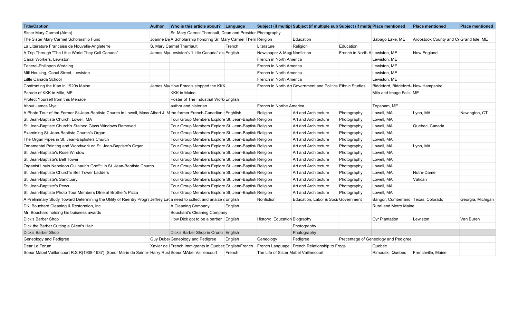| <b>Title/Caption</b>                                                                                                   | <b>Author</b> | Who is this article about? Language                              |         |                                       | Subject (if multipl Subject (if multiple sub Subject (if multir Place mentioned |                                |                                      | <b>Place mentioned</b>                 | <b>Place mentioned</b> |
|------------------------------------------------------------------------------------------------------------------------|---------------|------------------------------------------------------------------|---------|---------------------------------------|---------------------------------------------------------------------------------|--------------------------------|--------------------------------------|----------------------------------------|------------------------|
| Sister Mary Carmel (Alma)                                                                                              |               | Sr. Mary Carmel Therriault, Dean and Presider Photography        |         |                                       |                                                                                 |                                |                                      |                                        |                        |
| The Sister Mary Carmel Scholarship Fund                                                                                |               | Joanne Be A Scholarship honoring Sr. Mary Carmel Therri Religion |         |                                       | Education                                                                       |                                | Sabago Lake, ME                      | Aroostook County and Ce Grand Isle, ME |                        |
| La Littérature Francaise de Nouvelle-Angleterre                                                                        |               | S. Mary Carmel Therriault                                        | French  | Literature                            | Religion                                                                        | Education                      |                                      |                                        |                        |
| A Trip Through "The Little World They Call Canada"                                                                     |               | James My Lewiston's "Little Canada" dis English                  |         | Newspaper & Mag Nonfiction            |                                                                                 | French in North A Lewiston, ME |                                      | New England                            |                        |
| Canal Workers, Lewiston                                                                                                |               |                                                                  |         | French in North America               |                                                                                 |                                | Lewiston, ME                         |                                        |                        |
| <b>Tancrel-Philippon Wedding</b>                                                                                       |               |                                                                  |         | French in North America               |                                                                                 |                                | Lewiston, ME                         |                                        |                        |
| Mill Housing, Canal Street, Lewiston                                                                                   |               |                                                                  |         | French in North America               |                                                                                 |                                | Lewiston, ME                         |                                        |                        |
| Little Canada School                                                                                                   |               |                                                                  |         | French in North America               |                                                                                 |                                | Lewiston, ME                         |                                        |                        |
| Confronting the Klan in 1920s Maine                                                                                    |               | James My How Fraco's stopped the KKK                             |         |                                       | French in North An Government and Politics Ethnic Studies                       |                                | Biddeford, Biddeford-New Hampshire   |                                        |                        |
| Parade of KKK in Mllo, ME                                                                                              |               | <b>KKK</b> in Maine                                              |         |                                       |                                                                                 |                                | Milo and Image Falls, ME             |                                        |                        |
| Protect Yourself from this Menace                                                                                      |               | Poster of The Industrial Work English                            |         |                                       |                                                                                 |                                |                                      |                                        |                        |
| About James Myall                                                                                                      |               | author and historian                                             |         | French in Northe America              |                                                                                 |                                | Topsham, ME                          |                                        |                        |
| A Photo Tour of the Former St-Jean-Baptiste Church in Lowell, Mass Albert J. M the former French-Canadian (Enghlish    |               |                                                                  |         | Religion                              | Art and Architecture                                                            | Photography                    | Lowell, MA                           | Lynn, MA                               | Newington, CT          |
| St. Jean-Baptiste Church, Lowell, MA                                                                                   |               | Tour Group Members Explore St. Jean-Baptist Religion             |         |                                       | Art and Architecture                                                            | Photography                    | Lowell, MA                           |                                        |                        |
| St. Jean-Baptiste Church's Stained Glass Windows Removed                                                               |               | Tour Group Members Explore St. Jean-Baptist Religion             |         |                                       | Art and Architecture                                                            | Photography                    | Lowell, MA                           | Quebec, Canada                         |                        |
| Examining St. Jean-Baptiste Church's Organ                                                                             |               | Tour Group Members Explore St. Jean-Baptist Religion             |         |                                       | Art and Architecture                                                            | Photography                    | Lowell, MA                           |                                        |                        |
| The Organ Pipes in St. Jean-Baptiste's Church                                                                          |               | Tour Group Members Explore St. Jean-Baptist Religion             |         |                                       | Art and Architecture                                                            | Photography                    | Lowell, MA                           |                                        |                        |
| Ornamental Painting and Woodwork on St. Jean-Baptiste's Organ                                                          |               | Tour Group Members Explore St. Jean-Baptist Religion             |         |                                       | Art and Architecture                                                            | Photography                    | Lowell, MA                           | Lynn, MA                               |                        |
| St. Jean-Baptiste's Rose Window                                                                                        |               | Tour Group Members Explore St. Jean-Baptist Religion             |         |                                       | Art and Architecture                                                            | Photography                    | Lowell, MA                           |                                        |                        |
| St. Jean-Baptiste's Bell Tower                                                                                         |               | Tour Group Members Explore St. Jean-Baptist Religion             |         |                                       | Art and Architecture                                                            | Photography                    | Lowell, MA                           |                                        |                        |
| Organist Louis Napoleon Guilbault's Graffiti in St. Jean-Baptiste Church                                               |               | Tour Group Members Explore St. Jean-Baptist Religion             |         |                                       | Art and Architecture                                                            | Photography                    | Lowell, MA                           |                                        |                        |
| St. Jean-Baptiste Church's Bell Tower Ladders                                                                          |               | Tour Group Members Explore St. Jean-Baptist Religion             |         |                                       | Art and Architecture                                                            | Photography                    | Lowell, MA                           | Notre-Dame                             |                        |
| St. Jean-Baptiste's Sanctuary                                                                                          |               | Tour Group Members Explore St. Jean-Baptist Religion             |         |                                       | Art and Architecture                                                            | Photography                    | Lowell, MA                           | Vatican                                |                        |
| St. Jean-Baptiste's Pews                                                                                               |               | Tour Group Members Explore St. Jean-Baptist Religion             |         |                                       | Art and Architecture                                                            | Photography                    | Lowell, MA                           |                                        |                        |
| St. Jean-Baptiste Photo Tour Members DIne at Brother's Pizza                                                           |               | Tour Group Members Explore St. Jean-Baptist Religion             |         |                                       | Art and Architecture                                                            | Photography                    | Lowell, MA                           |                                        |                        |
| A Preliminary Study Toward Determining the Utility of Reentry Progra Jeffrey La(a need to collect and analze d English |               |                                                                  |         | Nonfiction                            | Education, Labor & Socia Government                                             |                                | Bangor, Cumberland Texas, Colorado   |                                        | Georgia, Michigan      |
| DKI Bouchard Cleaning & Restoration, Inc.                                                                              |               | A Cleaning Company                                               | English |                                       |                                                                                 |                                | <b>Rural and Metro Maine</b>         |                                        |                        |
| Mr. Bouchard holding his buisness awards                                                                               |               | <b>Bouchard's Cleaning Company</b>                               |         |                                       |                                                                                 |                                |                                      |                                        |                        |
| Dick's Barber Shop                                                                                                     |               | How Dick got to be a barber English                              |         | History: Education Biography          |                                                                                 |                                | Cyr Plantation                       | Lewiston                               | Van Buren              |
| Dick the Barber Cutting a Client's Hair                                                                                |               |                                                                  |         |                                       | Photography                                                                     |                                |                                      |                                        |                        |
| <b>Dick's Barber Shop</b>                                                                                              |               | Dick's Barber Shop in Orono English                              |         |                                       | Photography                                                                     |                                |                                      |                                        |                        |
| Geneology and Pedigree                                                                                                 |               | Guy Dube Geneology and Pedigree                                  | English | Geneology                             | Pedigree                                                                        |                                | Precentage of Geneology and Pedigree |                                        |                        |
| Dear Le Forum                                                                                                          |               | Xavier de   French Immigrants in Quebed English/French           |         |                                       | French Language   French Relationship to Frogs                                  |                                | Quebec                               |                                        |                        |
| Soeur Mabel Vaillancourt R.S.R(1908-1937) (Soeur Marie de Sainte-Harry Rusl Soeur MAbel Vaillencourt                   |               |                                                                  | French  | The Life of Sister Mabel Vaillencourt |                                                                                 |                                | Rimouski, Quebec                     | Frenchville, Maine                     |                        |